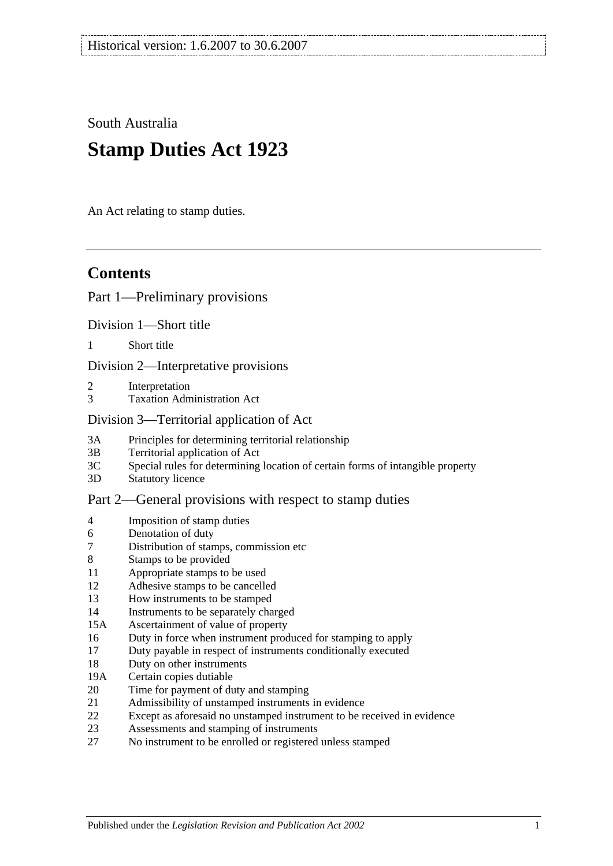South Australia

# **Stamp Duties Act 1923**

An Act relating to stamp duties.

# **Contents**

## [Part 1—Preliminary provisions](#page-6-0)

[Division 1—Short title](#page-6-1)

1 [Short title](#page-6-2)

[Division 2—Interpretative provisions](#page-6-3)

- 2 [Interpretation](#page-6-4)
- 3 [Taxation Administration Act](#page-9-0)

## [Division 3—Territorial application of Act](#page-9-1)

- 3A [Principles for determining territorial relationship](#page-9-2)
- 3B [Territorial application of Act](#page-10-0)
- 3C [Special rules for determining location of certain forms of intangible property](#page-10-1)
- 3D [Statutory licence](#page-11-0)

## [Part 2—General provisions with respect to stamp duties](#page-12-0)

- 4 [Imposition of stamp duties](#page-12-1)
- 6 [Denotation of duty](#page-12-2)
- 7 [Distribution of stamps, commission etc](#page-12-3)
- 8 [Stamps to be provided](#page-12-4)
- 11 [Appropriate stamps to be used](#page-12-5)
- 12 [Adhesive stamps to be cancelled](#page-13-0)
- 13 [How instruments to be stamped](#page-13-1)
- 14 [Instruments to be separately charged](#page-13-2)
- 15A [Ascertainment of value of property](#page-13-3)
- 16 [Duty in force when instrument produced for stamping to apply](#page-14-0)
- 17 [Duty payable in respect of instruments conditionally executed](#page-14-1)
- 18 [Duty on other instruments](#page-14-2)
- 19A [Certain copies dutiable](#page-14-3)
- 20 [Time for payment of duty and stamping](#page-15-0)
- 21 [Admissibility of unstamped instruments in evidence](#page-15-1)
- 22 [Except as aforesaid no unstamped instrument to be received in evidence](#page-15-2)
- 23 [Assessments and stamping of instruments](#page-16-0)
- 27 [No instrument to be enrolled or registered unless stamped](#page-16-1)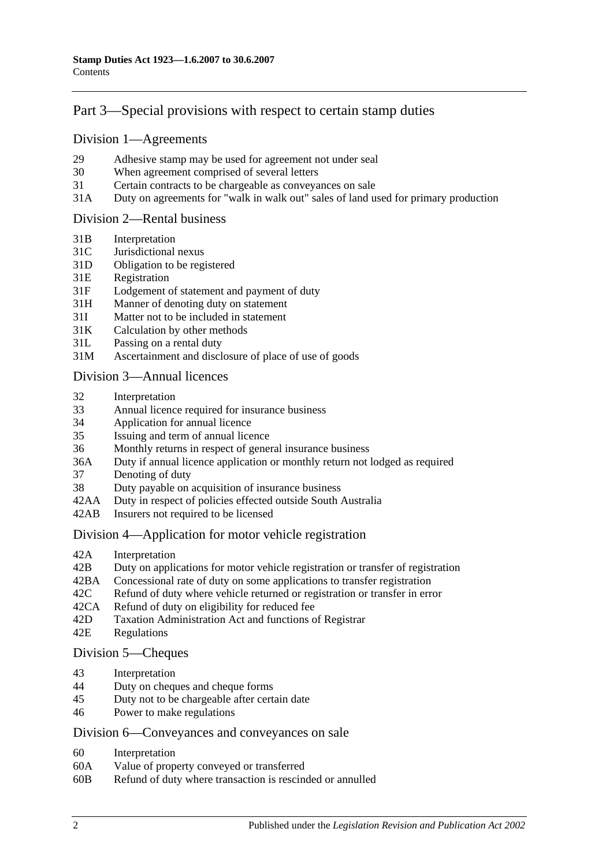# [Part 3—Special provisions with respect to certain stamp duties](#page-18-0)

### [Division 1—Agreements](#page-18-1)

- 29 [Adhesive stamp may be used for agreement not under seal](#page-18-2)
- 30 [When agreement comprised of several letters](#page-18-3)
- 31 [Certain contracts to be chargeable as conveyances on sale](#page-18-4)
- 31A [Duty on agreements for "walk in walk out" sales of land used for primary production](#page-19-0)

### [Division 2—Rental business](#page-19-1)

- 31B [Interpretation](#page-19-2)
- 31C [Jurisdictional nexus](#page-21-0)
- 31D [Obligation to be registered](#page-21-1)
- 31E [Registration](#page-21-2)
- 31F [Lodgement of statement and payment of duty](#page-21-3)
- 31H [Manner of denoting duty on statement](#page-22-0)
- 31I [Matter not to be included in statement](#page-23-0)
- 31K [Calculation by other methods](#page-24-0)
- 31L [Passing on a rental duty](#page-25-0)
- 31M [Ascertainment and disclosure of place of use of goods](#page-25-1)

#### [Division 3—Annual licences](#page-26-0)

- 32 [Interpretation](#page-26-1)
- 33 [Annual licence required for insurance business](#page-26-2)
- 34 [Application for annual licence](#page-27-0)
- 35 [Issuing and term of annual licence](#page-27-1)
- 36 [Monthly returns in respect of general insurance business](#page-27-2)
- 36A [Duty if annual licence application or monthly return not lodged as required](#page-27-3)
- 37 [Denoting of duty](#page-28-0)
- 38 [Duty payable on acquisition of insurance business](#page-28-1)
- 42AA [Duty in respect of policies effected outside South Australia](#page-28-2)
- 42AB [Insurers not required to be licensed](#page-28-3)

### [Division 4—Application for motor vehicle registration](#page-29-0)

- 42A [Interpretation](#page-29-1)
- 42B [Duty on applications for motor vehicle registration or transfer of registration](#page-30-0)
- 42BA [Concessional rate of duty on some applications to transfer registration](#page-32-0)
- 42C [Refund of duty where vehicle returned or registration or transfer in error](#page-33-0)
- 42CA [Refund of duty on eligibility for reduced fee](#page-33-1)
- 42D [Taxation Administration Act and functions of Registrar](#page-33-2)
- 42E [Regulations](#page-33-3)

### [Division 5—Cheques](#page-33-4)

- 43 [Interpretation](#page-33-5)<br>44 Duty on cheque
- [Duty on cheques and cheque forms](#page-34-0)
- 45 [Duty not to be chargeable after certain date](#page-34-1)
- 46 [Power to make regulations](#page-35-0)

### [Division 6—Conveyances and conveyances on sale](#page-35-1)

- 60 [Interpretation](#page-35-2)
- 60A [Value of property conveyed or transferred](#page-35-3)
- 60B [Refund of duty where transaction is rescinded or annulled](#page-37-0)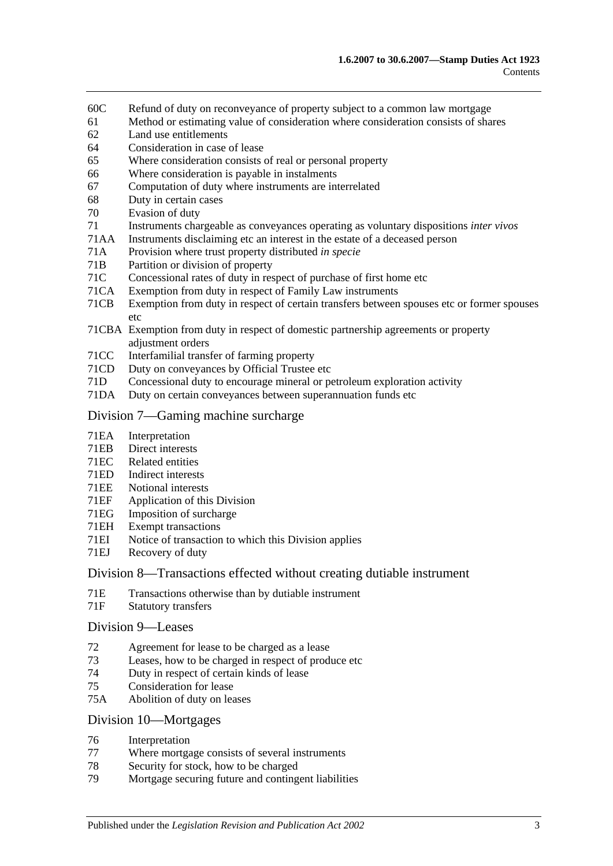- 60C [Refund of duty on reconveyance of property subject to a common law mortgage](#page-38-0)
- 61 [Method or estimating value of consideration where consideration consists of shares](#page-38-1)
- 62 [Land use entitlements](#page-38-2)
- 64 [Consideration in case of lease](#page-39-0)
- 65 [Where consideration consists of real or personal property](#page-39-1)
- 66 [Where consideration is payable in instalments](#page-39-2)
- 67 [Computation of duty where instruments are interrelated](#page-39-3)
- 68 [Duty in certain cases](#page-40-0)
- 70 [Evasion of duty](#page-40-1)
- 71 [Instruments chargeable as conveyances operating as voluntary dispositions](#page-41-0) *inter vivos*
- 71AA [Instruments disclaiming etc an interest in the estate of a deceased person](#page-44-0)
- 71A [Provision where trust property distributed](#page-45-0) *in specie*
- 71B [Partition or division of property](#page-45-1)
- 71C [Concessional rates of duty in respect of purchase of first home etc](#page-45-2)
- 71CA [Exemption from duty in respect of Family Law instruments](#page-49-0)
- 71CB [Exemption from duty in respect of certain transfers between spouses etc or former spouses](#page-52-0)  [etc](#page-52-0)
- 71CBA [Exemption from duty in respect of domestic partnership agreements or property](#page-52-1)  [adjustment orders](#page-52-1)
- 71CC [Interfamilial transfer of farming property](#page-54-0)
- 71CD [Duty on conveyances by Official Trustee etc](#page-56-0)
- 71D [Concessional duty to encourage mineral or petroleum exploration activity](#page-56-1)
- 71DA [Duty on certain conveyances between superannuation funds etc](#page-58-0)

#### [Division 7—Gaming machine surcharge](#page-59-0)

- 71EA [Interpretation](#page-59-1)
- 71EB [Direct interests](#page-60-0)
- 71EC [Related entities](#page-61-0)
- 71ED [Indirect interests](#page-61-1)
- 71EE [Notional interests](#page-62-0)
- 71EF [Application of this](#page-62-1) Division<br>71EG Imposition of surcharge
- 71EG [Imposition of surcharge](#page-62-2)<br>71EH Exempt transactions
- [Exempt transactions](#page-63-0)
- 71EI [Notice of transaction to which this Division applies](#page-63-1)
- 71EJ [Recovery of duty](#page-63-2)

### [Division 8—Transactions effected without creating dutiable instrument](#page-64-0)

- 71E [Transactions otherwise than by dutiable instrument](#page-64-1)
- 71F [Statutory transfers](#page-65-0)

### [Division 9—Leases](#page-66-0)

- 72 [Agreement for lease to be charged as a lease](#page-66-1)
- 73 [Leases, how to be charged in respect of produce etc](#page-66-2)
- 74 [Duty in respect of certain kinds of lease](#page-67-0)
- 75 [Consideration for lease](#page-67-1)
- 75A [Abolition of duty on leases](#page-68-0)

#### [Division 10—Mortgages](#page-68-1)

- 76 [Interpretation](#page-68-2)
- 77 [Where mortgage consists of several instruments](#page-68-3)
- 78 [Security for stock, how to be charged](#page-69-0)
- 79 [Mortgage securing future and contingent liabilities](#page-69-1)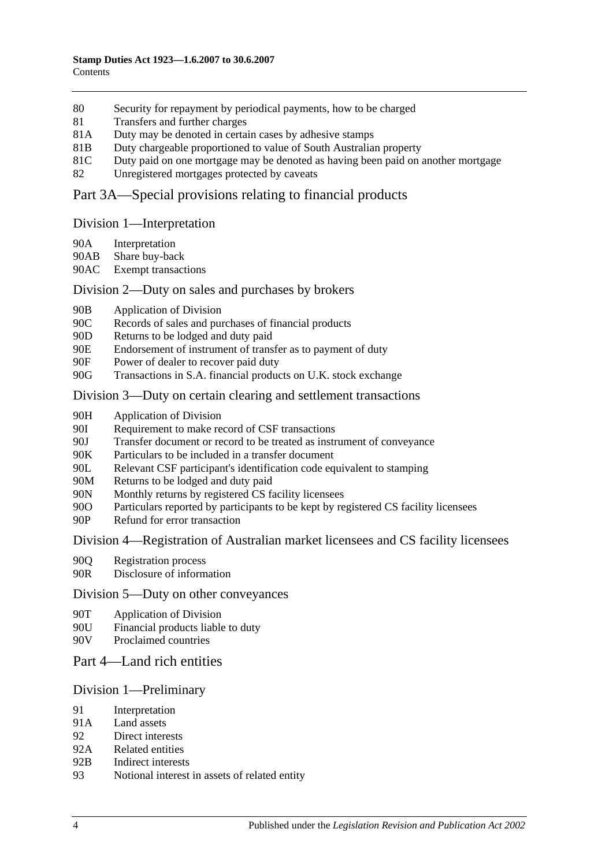- 80 [Security for repayment by periodical payments, how to be charged](#page-71-0)
- 81 [Transfers and further charges](#page-71-1)
- 81A [Duty may be denoted in certain cases by adhesive stamps](#page-71-2)
- 81B [Duty chargeable proportioned to value of South Australian property](#page-71-3)
- 81C [Duty paid on one mortgage may be denoted as having been paid on another mortgage](#page-72-0)
- 82 [Unregistered mortgages protected by caveats](#page-73-0)

## [Part 3A—Special provisions relating to financial products](#page-74-0)

### [Division 1—Interpretation](#page-74-1)

- 90A [Interpretation](#page-74-2)
- 90AB [Share buy-back](#page-76-0)
- 90AC [Exempt transactions](#page-76-1)

## [Division 2—Duty on sales and purchases by brokers](#page-76-2)

- 90B [Application of Division](#page-76-3)
- 90C [Records of sales and purchases of financial products](#page-77-0)
- 90D [Returns to be lodged and duty paid](#page-78-0)
- 90E [Endorsement of instrument of transfer as to payment of duty](#page-79-0)
- 90F [Power of dealer to recover paid duty](#page-79-1)
- 90G [Transactions in S.A. financial products on U.K. stock exchange](#page-79-2)

### [Division 3—Duty on certain clearing and settlement transactions](#page-81-0)

- 90H [Application of Division](#page-81-1)
- 90I [Requirement to make record of CSF transactions](#page-82-0)
- 90J Transfer [document or record to be treated as instrument of conveyance](#page-82-1)
- 90K [Particulars to be included in a transfer document](#page-83-0)
- 90L [Relevant CSF participant's identification code equivalent to stamping](#page-83-1)
- 90M [Returns to be lodged and duty paid](#page-83-2)
- 90N [Monthly returns by registered CS facility licensees](#page-83-3)
- 90O [Particulars reported by participants to be kept by registered CS facility licensees](#page-84-0)
- 90P [Refund for error transaction](#page-84-1)

### [Division 4—Registration of Australian market licensees and CS facility licensees](#page-84-2)

- 90Q [Registration process](#page-84-3)
- 90R [Disclosure of information](#page-85-0)

### [Division 5—Duty on other conveyances](#page-85-1)

- 90T [Application of Division](#page-85-2)
- 90U [Financial products liable to duty](#page-85-3)
- 90V [Proclaimed countries](#page-85-4)

## [Part 4—Land rich entities](#page-86-0)

### [Division 1—Preliminary](#page-86-1)

- 91 [Interpretation](#page-86-2)
- 91A [Land assets](#page-88-0)
- 92 [Direct interests](#page-89-0)
- 92A [Related entities](#page-89-1)
- 92B [Indirect interests](#page-90-0)
- 93 [Notional interest in assets of related entity](#page-90-1)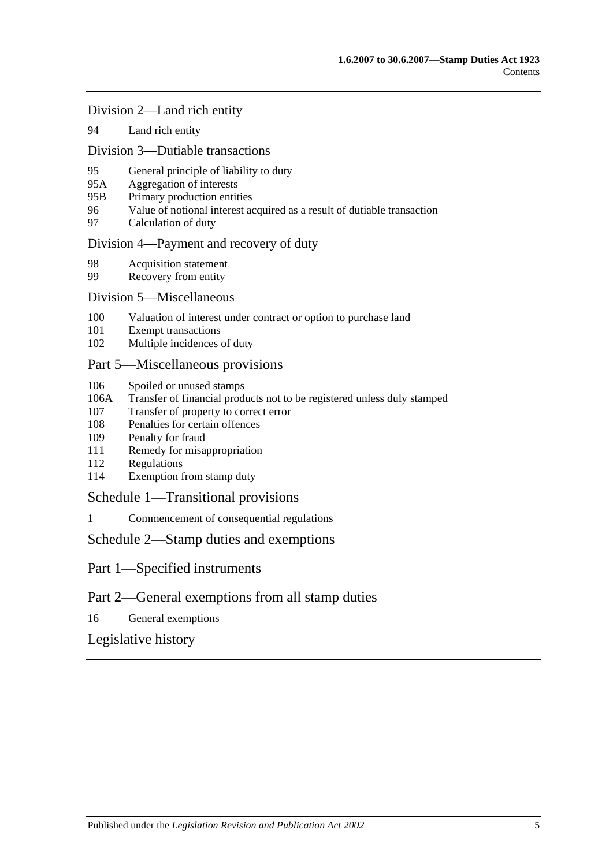#### [Division 2—Land rich entity](#page-90-2)

94 [Land rich entity](#page-90-3)

#### [Division 3—Dutiable transactions](#page-91-0)

- 95 [General principle of liability to duty](#page-91-1)
- 95A [Aggregation of interests](#page-92-0)
- 95B [Primary production entities](#page-92-1)
- 96 [Value of notional interest acquired as a result of dutiable transaction](#page-93-0)
- 97 [Calculation of duty](#page-93-1)

## [Division 4—Payment and recovery of duty](#page-94-0)

- 98 [Acquisition statement](#page-94-1)<br>99 Recovery from entity
- [Recovery from entity](#page-95-0)

#### [Division 5—Miscellaneous](#page-96-0)

- 100 [Valuation of interest under contract or option to purchase land](#page-96-1)
- 101 [Exempt transactions](#page-96-2)
- 102 [Multiple incidences of duty](#page-96-3)

### [Part 5—Miscellaneous provisions](#page-98-0)

- 106 [Spoiled or unused stamps](#page-98-1)
- 106A [Transfer of financial products not to be registered unless duly stamped](#page-98-2)
- 107 [Transfer of property to correct error](#page-99-0)
- 108 [Penalties for certain offences](#page-99-1)
- 109 [Penalty for fraud](#page-100-0)
- 111 [Remedy for misappropriation](#page-100-1)
- 112 [Regulations](#page-100-2)
- 114 [Exemption from stamp duty](#page-101-0)

### [Schedule 1—Transitional provisions](#page-102-0)

1 [Commencement of consequential regulations](#page-102-1)

### [Schedule 2—Stamp duties and exemptions](#page-102-2)

- Part 1—Specified instruments
- Part 2—General exemptions from all stamp duties
- 16 [General exemptions](#page-116-0)

## [Legislative history](#page-122-0)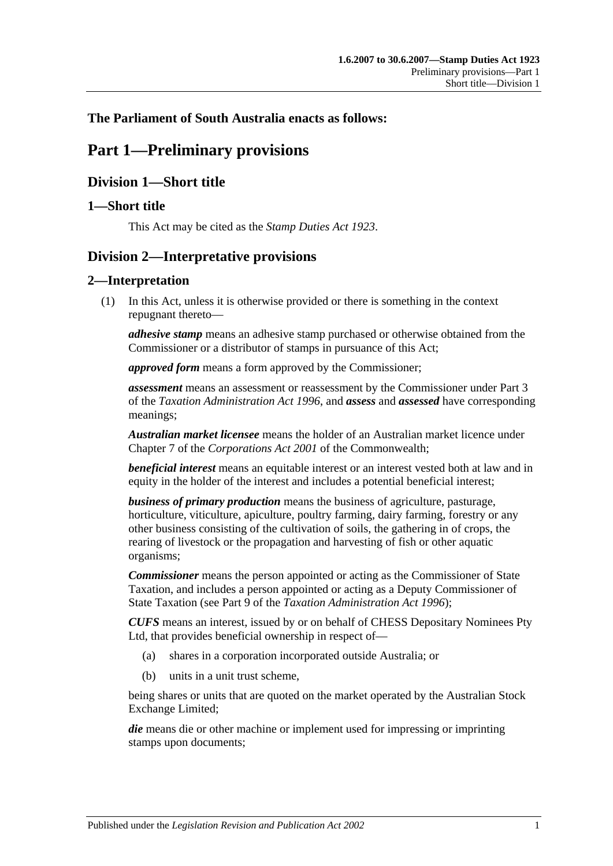<span id="page-6-0"></span>**The Parliament of South Australia enacts as follows:**

# **Part 1—Preliminary provisions**

# <span id="page-6-1"></span>**Division 1—Short title**

# <span id="page-6-2"></span>**1—Short title**

This Act may be cited as the *Stamp Duties Act 1923*.

# <span id="page-6-3"></span>**Division 2—Interpretative provisions**

## <span id="page-6-4"></span>**2—Interpretation**

(1) In this Act, unless it is otherwise provided or there is something in the context repugnant thereto—

*adhesive stamp* means an adhesive stamp purchased or otherwise obtained from the Commissioner or a distributor of stamps in pursuance of this Act;

*approved form* means a form approved by the Commissioner;

*assessment* means an assessment or reassessment by the Commissioner under Part 3 of the *[Taxation Administration Act](http://www.legislation.sa.gov.au/index.aspx?action=legref&type=act&legtitle=Taxation%20Administration%20Act%201996) 1996*, and *assess* and *assessed* have corresponding meanings;

*Australian market licensee* means the holder of an Australian market licence under Chapter 7 of the *Corporations Act 2001* of the Commonwealth;

*beneficial interest* means an equitable interest or an interest vested both at law and in equity in the holder of the interest and includes a potential beneficial interest;

*business of primary production* means the business of agriculture, pasturage, horticulture, viticulture, apiculture, poultry farming, dairy farming, forestry or any other business consisting of the cultivation of soils, the gathering in of crops, the rearing of livestock or the propagation and harvesting of fish or other aquatic organisms;

*Commissioner* means the person appointed or acting as the Commissioner of State Taxation, and includes a person appointed or acting as a Deputy Commissioner of State Taxation (see Part 9 of the *[Taxation Administration Act](http://www.legislation.sa.gov.au/index.aspx?action=legref&type=act&legtitle=Taxation%20Administration%20Act%201996) 1996*);

*CUFS* means an interest, issued by or on behalf of CHESS Depositary Nominees Pty Ltd, that provides beneficial ownership in respect of—

- (a) shares in a corporation incorporated outside Australia; or
- (b) units in a unit trust scheme,

being shares or units that are quoted on the market operated by the Australian Stock Exchange Limited;

*die* means die or other machine or implement used for impressing or imprinting stamps upon documents;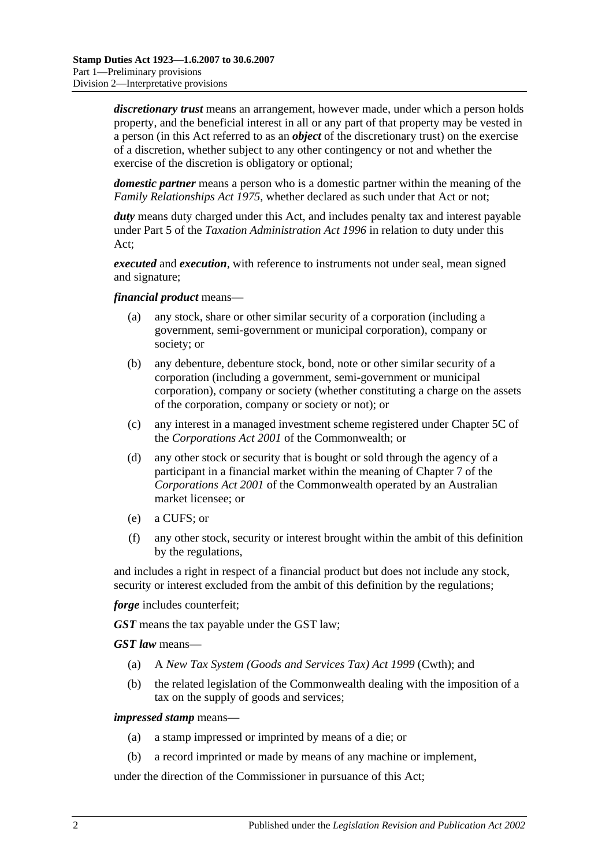*discretionary trust* means an arrangement, however made, under which a person holds property, and the beneficial interest in all or any part of that property may be vested in a person (in this Act referred to as an *object* of the discretionary trust) on the exercise of a discretion, whether subject to any other contingency or not and whether the exercise of the discretion is obligatory or optional;

*domestic partner* means a person who is a domestic partner within the meaning of the *[Family Relationships Act](http://www.legislation.sa.gov.au/index.aspx?action=legref&type=act&legtitle=Family%20Relationships%20Act%201975) 1975*, whether declared as such under that Act or not;

duty means duty charged under this Act, and includes penalty tax and interest payable under Part 5 of the *[Taxation Administration Act](http://www.legislation.sa.gov.au/index.aspx?action=legref&type=act&legtitle=Taxation%20Administration%20Act%201996) 1996* in relation to duty under this Act;

*executed* and *execution*, with reference to instruments not under seal, mean signed and signature;

#### *financial product* means—

- (a) any stock, share or other similar security of a corporation (including a government, semi-government or municipal corporation), company or society; or
- (b) any debenture, debenture stock, bond, note or other similar security of a corporation (including a government, semi-government or municipal corporation), company or society (whether constituting a charge on the assets of the corporation, company or society or not); or
- (c) any interest in a managed investment scheme registered under Chapter 5C of the *Corporations Act 2001* of the Commonwealth; or
- (d) any other stock or security that is bought or sold through the agency of a participant in a financial market within the meaning of Chapter 7 of the *Corporations Act 2001* of the Commonwealth operated by an Australian market licensee; or
- (e) a CUFS; or
- (f) any other stock, security or interest brought within the ambit of this definition by the regulations,

and includes a right in respect of a financial product but does not include any stock, security or interest excluded from the ambit of this definition by the regulations;

*forge* includes counterfeit:

*GST* means the tax payable under the GST law;

*GST law* means—

- (a) A *New Tax System (Goods and Services Tax) Act 1999* (Cwth); and
- (b) the related legislation of the Commonwealth dealing with the imposition of a tax on the supply of goods and services;

#### *impressed stamp* means—

- (a) a stamp impressed or imprinted by means of a die; or
- (b) a record imprinted or made by means of any machine or implement,

under the direction of the Commissioner in pursuance of this Act;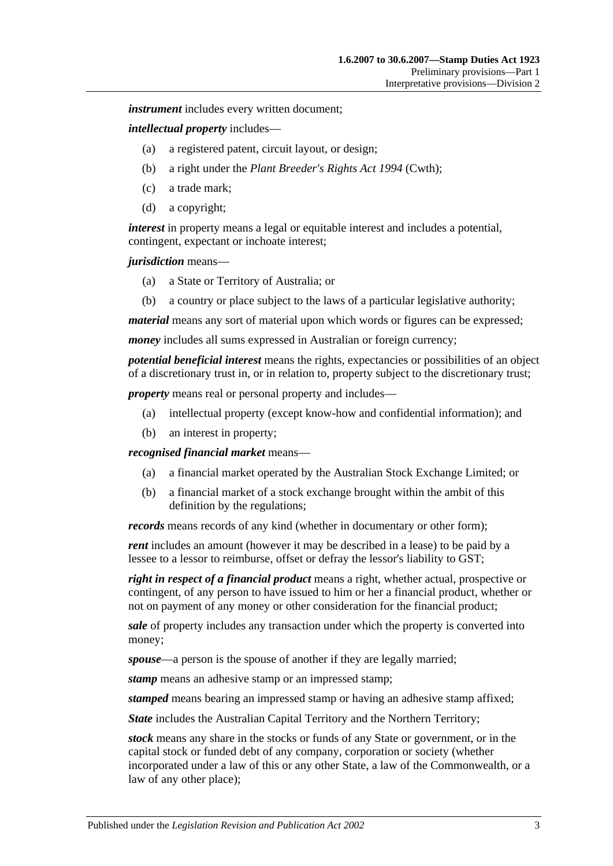*instrument* includes every written document;

*intellectual property* includes—

- (a) a registered patent, circuit layout, or design;
- (b) a right under the *Plant Breeder's Rights Act 1994* (Cwth);
- (c) a trade mark;
- (d) a copyright;

*interest* in property means a legal or equitable interest and includes a potential, contingent, expectant or inchoate interest;

*jurisdiction* means—

- (a) a State or Territory of Australia; or
- (b) a country or place subject to the laws of a particular legislative authority;

*material* means any sort of material upon which words or figures can be expressed;

*money* includes all sums expressed in Australian or foreign currency;

*potential beneficial interest* means the rights, expectancies or possibilities of an object of a discretionary trust in, or in relation to, property subject to the discretionary trust;

*property* means real or personal property and includes—

- (a) intellectual property (except know-how and confidential information); and
- (b) an interest in property;

*recognised financial market* means—

- (a) a financial market operated by the Australian Stock Exchange Limited; or
- (b) a financial market of a stock exchange brought within the ambit of this definition by the regulations;

*records* means records of any kind (whether in documentary or other form);

*rent* includes an amount (however it may be described in a lease) to be paid by a lessee to a lessor to reimburse, offset or defray the lessor's liability to GST;

*right in respect of a financial product* means a right, whether actual, prospective or contingent, of any person to have issued to him or her a financial product, whether or not on payment of any money or other consideration for the financial product;

*sale* of property includes any transaction under which the property is converted into money;

*spouse*—a person is the spouse of another if they are legally married;

*stamp* means an adhesive stamp or an impressed stamp;

*stamped* means bearing an impressed stamp or having an adhesive stamp affixed;

*State* includes the Australian Capital Territory and the Northern Territory;

*stock* means any share in the stocks or funds of any State or government, or in the capital stock or funded debt of any company, corporation or society (whether incorporated under a law of this or any other State, a law of the Commonwealth, or a law of any other place);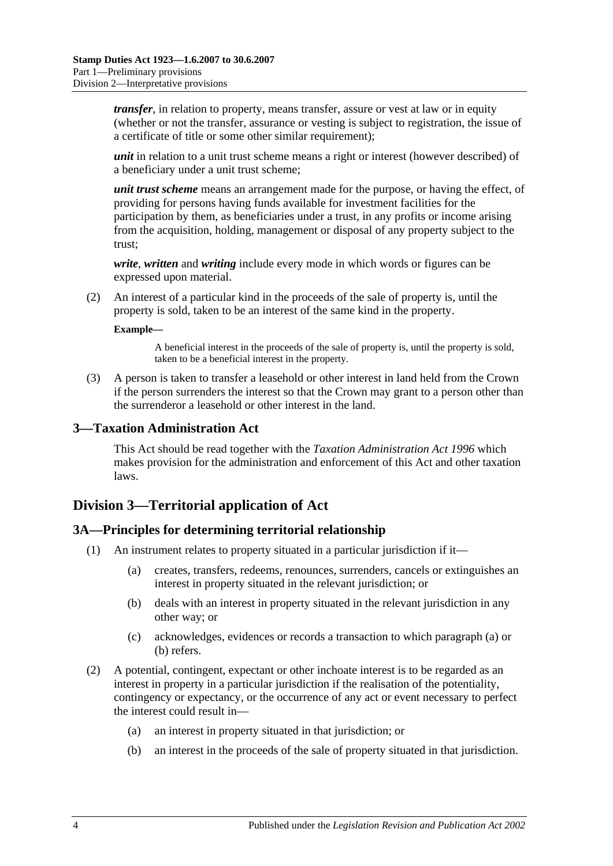*transfer*, in relation to property, means transfer, assure or vest at law or in equity (whether or not the transfer, assurance or vesting is subject to registration, the issue of a certificate of title or some other similar requirement);

*unit* in relation to a unit trust scheme means a right or interest (however described) of a beneficiary under a unit trust scheme;

*unit trust scheme* means an arrangement made for the purpose, or having the effect, of providing for persons having funds available for investment facilities for the participation by them, as beneficiaries under a trust, in any profits or income arising from the acquisition, holding, management or disposal of any property subject to the trust;

*write*, *written* and *writing* include every mode in which words or figures can be expressed upon material.

(2) An interest of a particular kind in the proceeds of the sale of property is, until the property is sold, taken to be an interest of the same kind in the property.

#### **Example—**

A beneficial interest in the proceeds of the sale of property is, until the property is sold, taken to be a beneficial interest in the property.

(3) A person is taken to transfer a leasehold or other interest in land held from the Crown if the person surrenders the interest so that the Crown may grant to a person other than the surrenderor a leasehold or other interest in the land.

## <span id="page-9-0"></span>**3—Taxation Administration Act**

This Act should be read together with the *[Taxation Administration Act](http://www.legislation.sa.gov.au/index.aspx?action=legref&type=act&legtitle=Taxation%20Administration%20Act%201996) 1996* which makes provision for the administration and enforcement of this Act and other taxation laws.

## <span id="page-9-1"></span>**Division 3—Territorial application of Act**

### <span id="page-9-2"></span>**3A—Principles for determining territorial relationship**

- <span id="page-9-4"></span><span id="page-9-3"></span>(1) An instrument relates to property situated in a particular jurisdiction if it—
	- (a) creates, transfers, redeems, renounces, surrenders, cancels or extinguishes an interest in property situated in the relevant jurisdiction; or
	- (b) deals with an interest in property situated in the relevant jurisdiction in any other way; or
	- (c) acknowledges, evidences or records a transaction to which [paragraph](#page-9-3) (a) or [\(b\)](#page-9-4) refers.
- (2) A potential, contingent, expectant or other inchoate interest is to be regarded as an interest in property in a particular jurisdiction if the realisation of the potentiality, contingency or expectancy, or the occurrence of any act or event necessary to perfect the interest could result in—
	- (a) an interest in property situated in that jurisdiction; or
	- (b) an interest in the proceeds of the sale of property situated in that jurisdiction.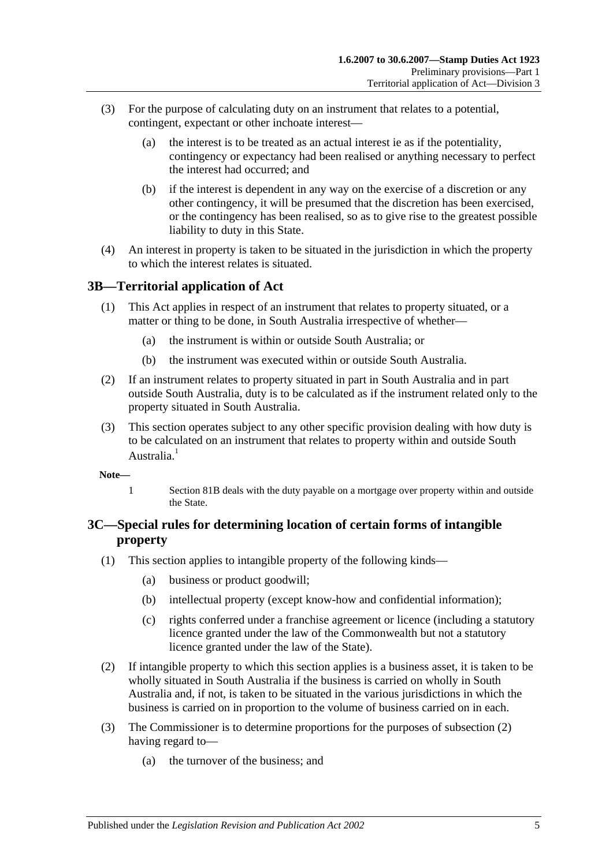- (3) For the purpose of calculating duty on an instrument that relates to a potential, contingent, expectant or other inchoate interest—
	- (a) the interest is to be treated as an actual interest ie as if the potentiality, contingency or expectancy had been realised or anything necessary to perfect the interest had occurred; and
	- (b) if the interest is dependent in any way on the exercise of a discretion or any other contingency, it will be presumed that the discretion has been exercised, or the contingency has been realised, so as to give rise to the greatest possible liability to duty in this State.
- (4) An interest in property is taken to be situated in the jurisdiction in which the property to which the interest relates is situated.

## <span id="page-10-0"></span>**3B—Territorial application of Act**

- (1) This Act applies in respect of an instrument that relates to property situated, or a matter or thing to be done, in South Australia irrespective of whether—
	- (a) the instrument is within or outside South Australia; or
	- (b) the instrument was executed within or outside South Australia.
- (2) If an instrument relates to property situated in part in South Australia and in part outside South Australia, duty is to be calculated as if the instrument related only to the property situated in South Australia.
- (3) This section operates subject to any other specific provision dealing with how duty is to be calculated on an instrument that relates to property within and outside South Australia<sup>1</sup>
- **Note—**
	- 1 [Section](#page-71-3) 81B deals with the duty payable on a mortgage over property within and outside the State.

# <span id="page-10-1"></span>**3C—Special rules for determining location of certain forms of intangible property**

- (1) This section applies to intangible property of the following kinds—
	- (a) business or product goodwill;
	- (b) intellectual property (except know-how and confidential information);
	- (c) rights conferred under a franchise agreement or licence (including a statutory licence granted under the law of the Commonwealth but not a statutory licence granted under the law of the State).
- <span id="page-10-2"></span>(2) If intangible property to which this section applies is a business asset, it is taken to be wholly situated in South Australia if the business is carried on wholly in South Australia and, if not, is taken to be situated in the various jurisdictions in which the business is carried on in proportion to the volume of business carried on in each.
- (3) The Commissioner is to determine proportions for the purposes of [subsection](#page-10-2) (2) having regard to—
	- (a) the turnover of the business; and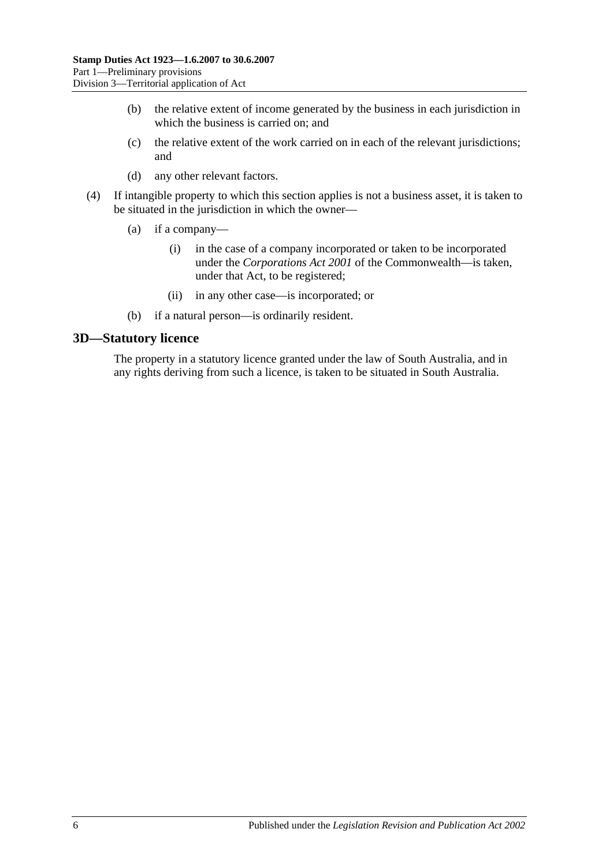- (b) the relative extent of income generated by the business in each jurisdiction in which the business is carried on; and
- (c) the relative extent of the work carried on in each of the relevant jurisdictions; and
- (d) any other relevant factors.
- (4) If intangible property to which this section applies is not a business asset, it is taken to be situated in the jurisdiction in which the owner—
	- (a) if a company—
		- (i) in the case of a company incorporated or taken to be incorporated under the *Corporations Act 2001* of the Commonwealth—is taken, under that Act, to be registered;
		- (ii) in any other case—is incorporated; or
	- (b) if a natural person—is ordinarily resident.

## <span id="page-11-0"></span>**3D—Statutory licence**

The property in a statutory licence granted under the law of South Australia, and in any rights deriving from such a licence, is taken to be situated in South Australia.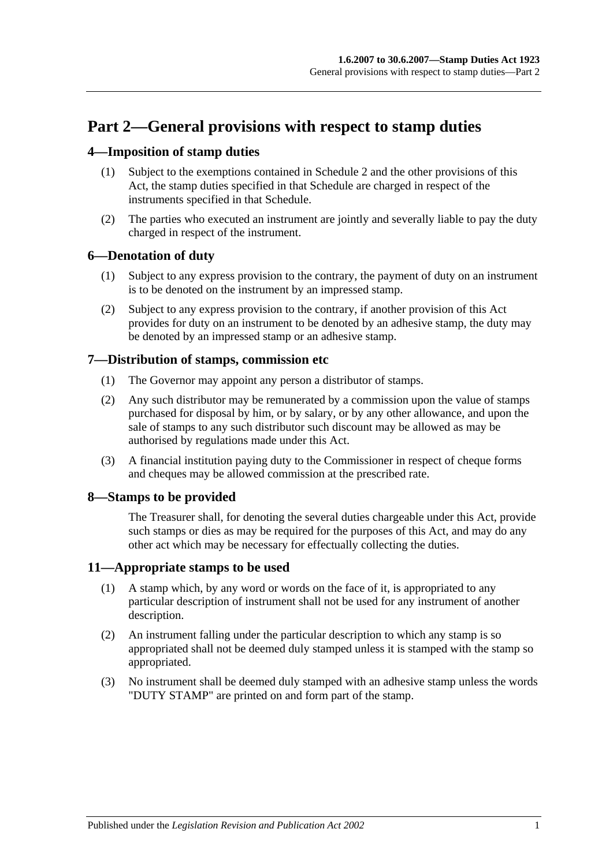# <span id="page-12-0"></span>**Part 2—General provisions with respect to stamp duties**

# <span id="page-12-1"></span>**4—Imposition of stamp duties**

- (1) Subject to the exemptions contained in [Schedule 2](#page-102-2) and the other provisions of this Act, the stamp duties specified in that Schedule are charged in respect of the instruments specified in that Schedule.
- (2) The parties who executed an instrument are jointly and severally liable to pay the duty charged in respect of the instrument.

## <span id="page-12-2"></span>**6—Denotation of duty**

- (1) Subject to any express provision to the contrary, the payment of duty on an instrument is to be denoted on the instrument by an impressed stamp.
- (2) Subject to any express provision to the contrary, if another provision of this Act provides for duty on an instrument to be denoted by an adhesive stamp, the duty may be denoted by an impressed stamp or an adhesive stamp.

## <span id="page-12-3"></span>**7—Distribution of stamps, commission etc**

- (1) The Governor may appoint any person a distributor of stamps.
- (2) Any such distributor may be remunerated by a commission upon the value of stamps purchased for disposal by him, or by salary, or by any other allowance, and upon the sale of stamps to any such distributor such discount may be allowed as may be authorised by regulations made under this Act.
- (3) A financial institution paying duty to the Commissioner in respect of cheque forms and cheques may be allowed commission at the prescribed rate.

# <span id="page-12-4"></span>**8—Stamps to be provided**

The Treasurer shall, for denoting the several duties chargeable under this Act, provide such stamps or dies as may be required for the purposes of this Act, and may do any other act which may be necessary for effectually collecting the duties.

## <span id="page-12-5"></span>**11—Appropriate stamps to be used**

- (1) A stamp which, by any word or words on the face of it, is appropriated to any particular description of instrument shall not be used for any instrument of another description.
- (2) An instrument falling under the particular description to which any stamp is so appropriated shall not be deemed duly stamped unless it is stamped with the stamp so appropriated.
- (3) No instrument shall be deemed duly stamped with an adhesive stamp unless the words "DUTY STAMP" are printed on and form part of the stamp.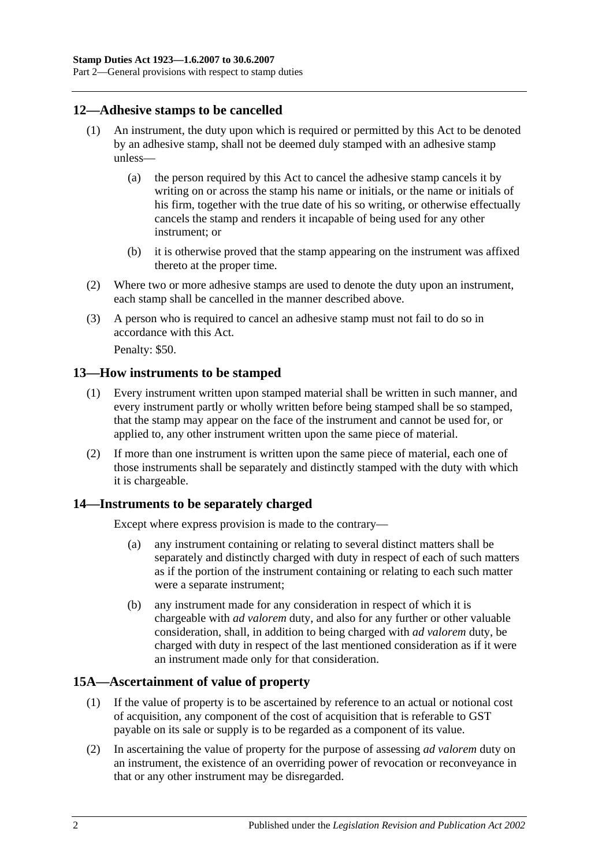## <span id="page-13-0"></span>**12—Adhesive stamps to be cancelled**

- (1) An instrument, the duty upon which is required or permitted by this Act to be denoted by an adhesive stamp, shall not be deemed duly stamped with an adhesive stamp unless—
	- (a) the person required by this Act to cancel the adhesive stamp cancels it by writing on or across the stamp his name or initials, or the name or initials of his firm, together with the true date of his so writing, or otherwise effectually cancels the stamp and renders it incapable of being used for any other instrument; or
	- (b) it is otherwise proved that the stamp appearing on the instrument was affixed thereto at the proper time.
- (2) Where two or more adhesive stamps are used to denote the duty upon an instrument, each stamp shall be cancelled in the manner described above.
- (3) A person who is required to cancel an adhesive stamp must not fail to do so in accordance with this Act.

Penalty: \$50.

### <span id="page-13-1"></span>**13—How instruments to be stamped**

- (1) Every instrument written upon stamped material shall be written in such manner, and every instrument partly or wholly written before being stamped shall be so stamped, that the stamp may appear on the face of the instrument and cannot be used for, or applied to, any other instrument written upon the same piece of material.
- (2) If more than one instrument is written upon the same piece of material, each one of those instruments shall be separately and distinctly stamped with the duty with which it is chargeable.

## <span id="page-13-2"></span>**14—Instruments to be separately charged**

Except where express provision is made to the contrary—

- (a) any instrument containing or relating to several distinct matters shall be separately and distinctly charged with duty in respect of each of such matters as if the portion of the instrument containing or relating to each such matter were a separate instrument;
- (b) any instrument made for any consideration in respect of which it is chargeable with *ad valorem* duty, and also for any further or other valuable consideration, shall, in addition to being charged with *ad valorem* duty, be charged with duty in respect of the last mentioned consideration as if it were an instrument made only for that consideration.

## <span id="page-13-3"></span>**15A—Ascertainment of value of property**

- (1) If the value of property is to be ascertained by reference to an actual or notional cost of acquisition, any component of the cost of acquisition that is referable to GST payable on its sale or supply is to be regarded as a component of its value.
- (2) In ascertaining the value of property for the purpose of assessing *ad valorem* duty on an instrument, the existence of an overriding power of revocation or reconveyance in that or any other instrument may be disregarded.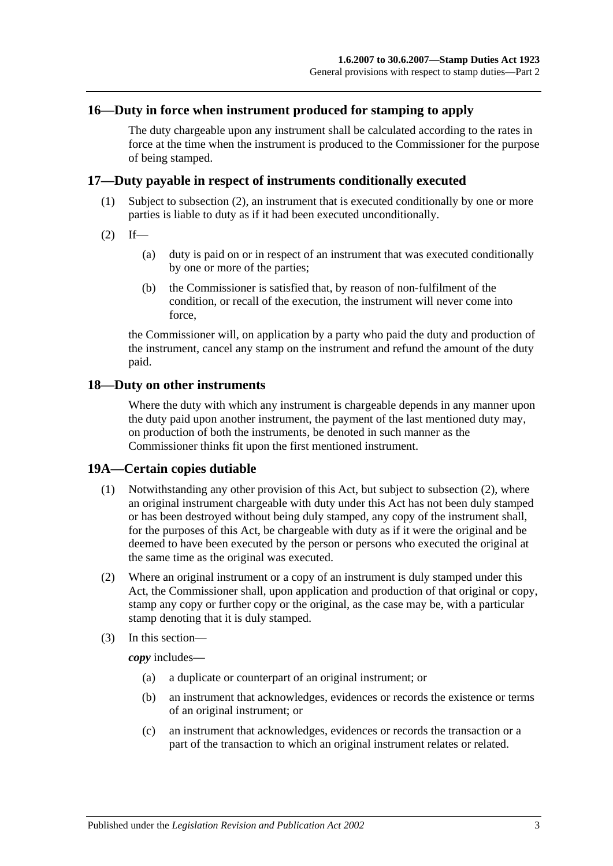## <span id="page-14-0"></span>**16—Duty in force when instrument produced for stamping to apply**

The duty chargeable upon any instrument shall be calculated according to the rates in force at the time when the instrument is produced to the Commissioner for the purpose of being stamped.

### <span id="page-14-1"></span>**17—Duty payable in respect of instruments conditionally executed**

- (1) Subject to [subsection](#page-14-4) (2), an instrument that is executed conditionally by one or more parties is liable to duty as if it had been executed unconditionally.
- <span id="page-14-4"></span> $(2)$  If—
	- (a) duty is paid on or in respect of an instrument that was executed conditionally by one or more of the parties;
	- (b) the Commissioner is satisfied that, by reason of non-fulfilment of the condition, or recall of the execution, the instrument will never come into force,

the Commissioner will, on application by a party who paid the duty and production of the instrument, cancel any stamp on the instrument and refund the amount of the duty paid.

### <span id="page-14-2"></span>**18—Duty on other instruments**

Where the duty with which any instrument is chargeable depends in any manner upon the duty paid upon another instrument, the payment of the last mentioned duty may, on production of both the instruments, be denoted in such manner as the Commissioner thinks fit upon the first mentioned instrument.

### <span id="page-14-3"></span>**19A—Certain copies dutiable**

- (1) Notwithstanding any other provision of this Act, but subject to [subsection](#page-14-5) (2), where an original instrument chargeable with duty under this Act has not been duly stamped or has been destroyed without being duly stamped, any copy of the instrument shall, for the purposes of this Act, be chargeable with duty as if it were the original and be deemed to have been executed by the person or persons who executed the original at the same time as the original was executed.
- <span id="page-14-5"></span>(2) Where an original instrument or a copy of an instrument is duly stamped under this Act, the Commissioner shall, upon application and production of that original or copy, stamp any copy or further copy or the original, as the case may be, with a particular stamp denoting that it is duly stamped.
- (3) In this section—

*copy* includes—

- (a) a duplicate or counterpart of an original instrument; or
- (b) an instrument that acknowledges, evidences or records the existence or terms of an original instrument; or
- (c) an instrument that acknowledges, evidences or records the transaction or a part of the transaction to which an original instrument relates or related.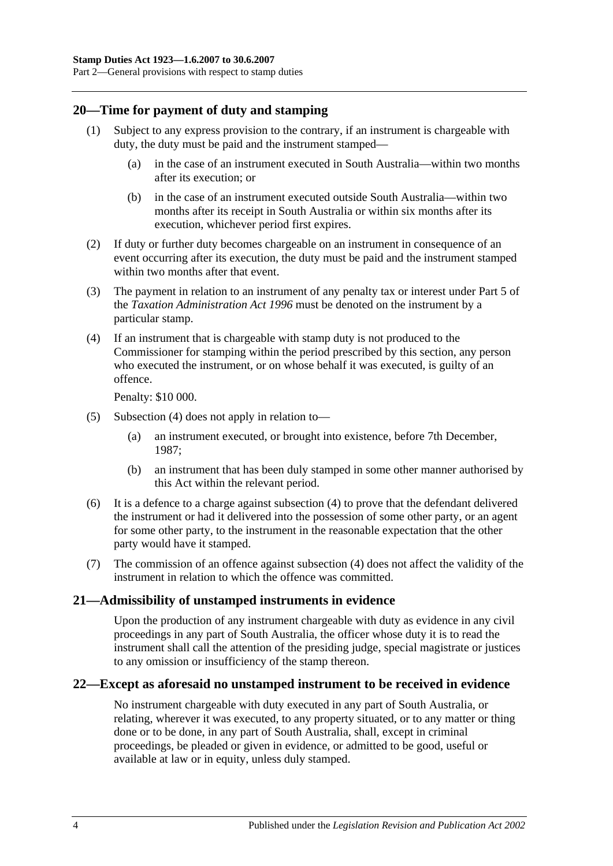## <span id="page-15-0"></span>**20—Time for payment of duty and stamping**

- (1) Subject to any express provision to the contrary, if an instrument is chargeable with duty, the duty must be paid and the instrument stamped—
	- (a) in the case of an instrument executed in South Australia—within two months after its execution; or
	- (b) in the case of an instrument executed outside South Australia—within two months after its receipt in South Australia or within six months after its execution, whichever period first expires.
- (2) If duty or further duty becomes chargeable on an instrument in consequence of an event occurring after its execution, the duty must be paid and the instrument stamped within two months after that event.
- (3) The payment in relation to an instrument of any penalty tax or interest under Part 5 of the *[Taxation Administration Act](http://www.legislation.sa.gov.au/index.aspx?action=legref&type=act&legtitle=Taxation%20Administration%20Act%201996) 1996* must be denoted on the instrument by a particular stamp.
- <span id="page-15-3"></span>(4) If an instrument that is chargeable with stamp duty is not produced to the Commissioner for stamping within the period prescribed by this section, any person who executed the instrument, or on whose behalf it was executed, is guilty of an offence.

Penalty: \$10 000.

- (5) [Subsection](#page-15-3) (4) does not apply in relation to—
	- (a) an instrument executed, or brought into existence, before 7th December, 1987;
	- (b) an instrument that has been duly stamped in some other manner authorised by this Act within the relevant period.
- (6) It is a defence to a charge against [subsection](#page-15-3) (4) to prove that the defendant delivered the instrument or had it delivered into the possession of some other party, or an agent for some other party, to the instrument in the reasonable expectation that the other party would have it stamped.
- (7) The commission of an offence against [subsection](#page-15-3) (4) does not affect the validity of the instrument in relation to which the offence was committed.

## <span id="page-15-1"></span>**21—Admissibility of unstamped instruments in evidence**

Upon the production of any instrument chargeable with duty as evidence in any civil proceedings in any part of South Australia, the officer whose duty it is to read the instrument shall call the attention of the presiding judge, special magistrate or justices to any omission or insufficiency of the stamp thereon.

## <span id="page-15-2"></span>**22—Except as aforesaid no unstamped instrument to be received in evidence**

No instrument chargeable with duty executed in any part of South Australia, or relating, wherever it was executed, to any property situated, or to any matter or thing done or to be done, in any part of South Australia, shall, except in criminal proceedings, be pleaded or given in evidence, or admitted to be good, useful or available at law or in equity, unless duly stamped.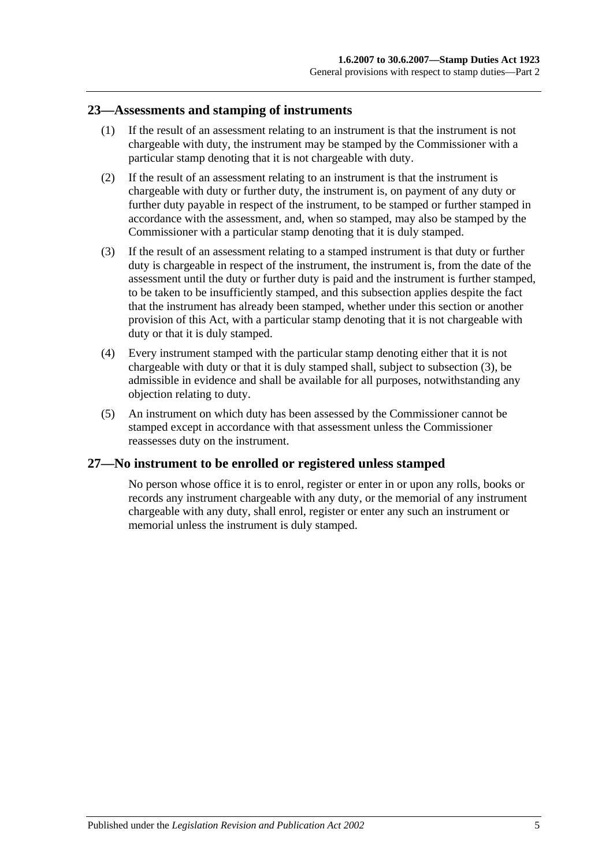## <span id="page-16-0"></span>**23—Assessments and stamping of instruments**

- (1) If the result of an assessment relating to an instrument is that the instrument is not chargeable with duty, the instrument may be stamped by the Commissioner with a particular stamp denoting that it is not chargeable with duty.
- (2) If the result of an assessment relating to an instrument is that the instrument is chargeable with duty or further duty, the instrument is, on payment of any duty or further duty payable in respect of the instrument, to be stamped or further stamped in accordance with the assessment, and, when so stamped, may also be stamped by the Commissioner with a particular stamp denoting that it is duly stamped.
- <span id="page-16-2"></span>(3) If the result of an assessment relating to a stamped instrument is that duty or further duty is chargeable in respect of the instrument, the instrument is, from the date of the assessment until the duty or further duty is paid and the instrument is further stamped, to be taken to be insufficiently stamped, and this subsection applies despite the fact that the instrument has already been stamped, whether under this section or another provision of this Act, with a particular stamp denoting that it is not chargeable with duty or that it is duly stamped.
- (4) Every instrument stamped with the particular stamp denoting either that it is not chargeable with duty or that it is duly stamped shall, subject to [subsection](#page-16-2) (3), be admissible in evidence and shall be available for all purposes, notwithstanding any objection relating to duty.
- (5) An instrument on which duty has been assessed by the Commissioner cannot be stamped except in accordance with that assessment unless the Commissioner reassesses duty on the instrument.

## <span id="page-16-1"></span>**27—No instrument to be enrolled or registered unless stamped**

No person whose office it is to enrol, register or enter in or upon any rolls, books or records any instrument chargeable with any duty, or the memorial of any instrument chargeable with any duty, shall enrol, register or enter any such an instrument or memorial unless the instrument is duly stamped.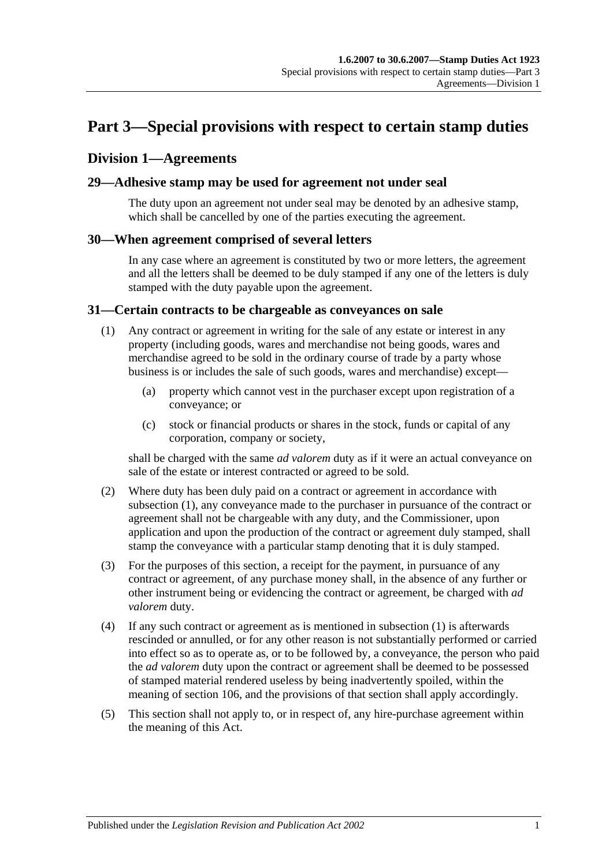# <span id="page-18-0"></span>**Part 3—Special provisions with respect to certain stamp duties**

## <span id="page-18-1"></span>**Division 1—Agreements**

## <span id="page-18-2"></span>**29—Adhesive stamp may be used for agreement not under seal**

The duty upon an agreement not under seal may be denoted by an adhesive stamp, which shall be cancelled by one of the parties executing the agreement.

## <span id="page-18-3"></span>**30—When agreement comprised of several letters**

In any case where an agreement is constituted by two or more letters, the agreement and all the letters shall be deemed to be duly stamped if any one of the letters is duly stamped with the duty payable upon the agreement.

### <span id="page-18-5"></span><span id="page-18-4"></span>**31—Certain contracts to be chargeable as conveyances on sale**

- (1) Any contract or agreement in writing for the sale of any estate or interest in any property (including goods, wares and merchandise not being goods, wares and merchandise agreed to be sold in the ordinary course of trade by a party whose business is or includes the sale of such goods, wares and merchandise) except—
	- (a) property which cannot vest in the purchaser except upon registration of a conveyance; or
	- (c) stock or financial products or shares in the stock, funds or capital of any corporation, company or society,

shall be charged with the same *ad valorem* duty as if it were an actual conveyance on sale of the estate or interest contracted or agreed to be sold.

- (2) Where duty has been duly paid on a contract or agreement in accordance with [subsection](#page-18-5) (1), any conveyance made to the purchaser in pursuance of the contract or agreement shall not be chargeable with any duty, and the Commissioner, upon application and upon the production of the contract or agreement duly stamped, shall stamp the conveyance with a particular stamp denoting that it is duly stamped.
- (3) For the purposes of this section, a receipt for the payment, in pursuance of any contract or agreement, of any purchase money shall, in the absence of any further or other instrument being or evidencing the contract or agreement, be charged with *ad valorem* duty.
- (4) If any such contract or agreement as is mentioned in [subsection](#page-18-5) (1) is afterwards rescinded or annulled, or for any other reason is not substantially performed or carried into effect so as to operate as, or to be followed by, a conveyance, the person who paid the *ad valorem* duty upon the contract or agreement shall be deemed to be possessed of stamped material rendered useless by being inadvertently spoiled, within the meaning of [section](#page-98-1) 106, and the provisions of that section shall apply accordingly.
- (5) This section shall not apply to, or in respect of, any hire-purchase agreement within the meaning of this Act.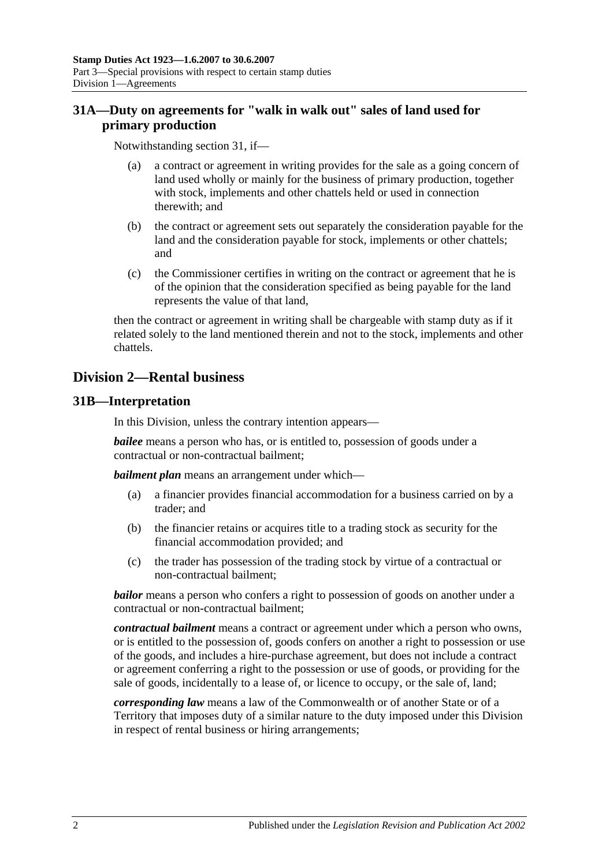# <span id="page-19-0"></span>**31A—Duty on agreements for "walk in walk out" sales of land used for primary production**

Notwithstanding [section](#page-18-4) 31, if—

- (a) a contract or agreement in writing provides for the sale as a going concern of land used wholly or mainly for the business of primary production, together with stock, implements and other chattels held or used in connection therewith; and
- (b) the contract or agreement sets out separately the consideration payable for the land and the consideration payable for stock, implements or other chattels; and
- (c) the Commissioner certifies in writing on the contract or agreement that he is of the opinion that the consideration specified as being payable for the land represents the value of that land,

then the contract or agreement in writing shall be chargeable with stamp duty as if it related solely to the land mentioned therein and not to the stock, implements and other chattels.

# <span id="page-19-1"></span>**Division 2—Rental business**

## <span id="page-19-2"></span>**31B—Interpretation**

In this Division, unless the contrary intention appears—

*bailee* means a person who has, or is entitled to, possession of goods under a contractual or non-contractual bailment;

*bailment plan* means an arrangement under which—

- (a) a financier provides financial accommodation for a business carried on by a trader; and
- (b) the financier retains or acquires title to a trading stock as security for the financial accommodation provided; and
- (c) the trader has possession of the trading stock by virtue of a contractual or non-contractual bailment;

*bailor* means a person who confers a right to possession of goods on another under a contractual or non-contractual bailment;

*contractual bailment* means a contract or agreement under which a person who owns, or is entitled to the possession of, goods confers on another a right to possession or use of the goods, and includes a hire-purchase agreement, but does not include a contract or agreement conferring a right to the possession or use of goods, or providing for the sale of goods, incidentally to a lease of, or licence to occupy, or the sale of, land;

*corresponding law* means a law of the Commonwealth or of another State or of a Territory that imposes duty of a similar nature to the duty imposed under this Division in respect of rental business or hiring arrangements;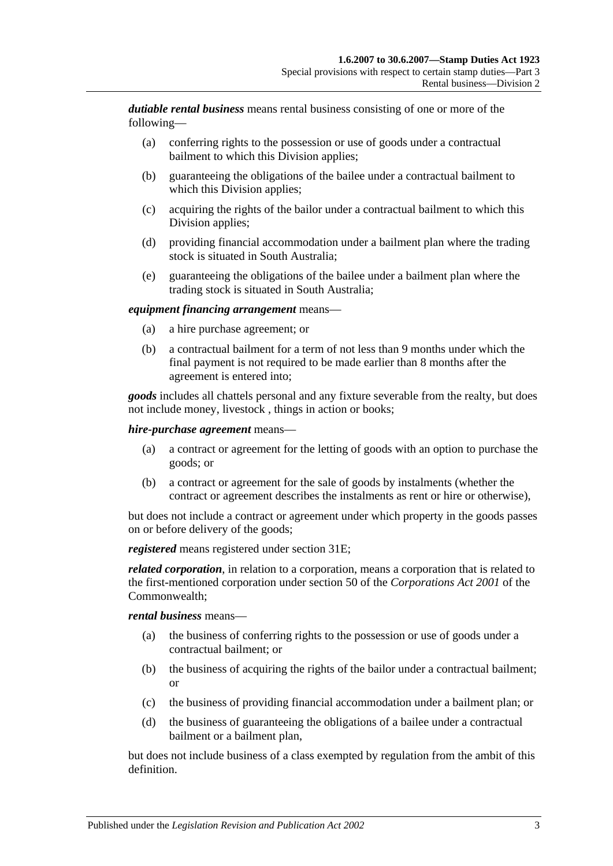*dutiable rental business* means rental business consisting of one or more of the following—

- (a) conferring rights to the possession or use of goods under a contractual bailment to which this Division applies;
- (b) guaranteeing the obligations of the bailee under a contractual bailment to which this Division applies;
- (c) acquiring the rights of the bailor under a contractual bailment to which this Division applies;
- (d) providing financial accommodation under a bailment plan where the trading stock is situated in South Australia;
- (e) guaranteeing the obligations of the bailee under a bailment plan where the trading stock is situated in South Australia;

#### *equipment financing arrangement* means—

- (a) a hire purchase agreement; or
- (b) a contractual bailment for a term of not less than 9 months under which the final payment is not required to be made earlier than 8 months after the agreement is entered into;

*goods* includes all chattels personal and any fixture severable from the realty, but does not include money, livestock , things in action or books;

#### *hire-purchase agreement* means—

- (a) a contract or agreement for the letting of goods with an option to purchase the goods; or
- (b) a contract or agreement for the sale of goods by instalments (whether the contract or agreement describes the instalments as rent or hire or otherwise),

but does not include a contract or agreement under which property in the goods passes on or before delivery of the goods;

*registered* means registered under [section](#page-21-2) 31E;

*related corporation*, in relation to a corporation, means a corporation that is related to the first-mentioned corporation under section 50 of the *Corporations Act 2001* of the Commonwealth;

#### *rental business* means—

- (a) the business of conferring rights to the possession or use of goods under a contractual bailment; or
- (b) the business of acquiring the rights of the bailor under a contractual bailment; or
- (c) the business of providing financial accommodation under a bailment plan; or
- (d) the business of guaranteeing the obligations of a bailee under a contractual bailment or a bailment plan,

but does not include business of a class exempted by regulation from the ambit of this definition.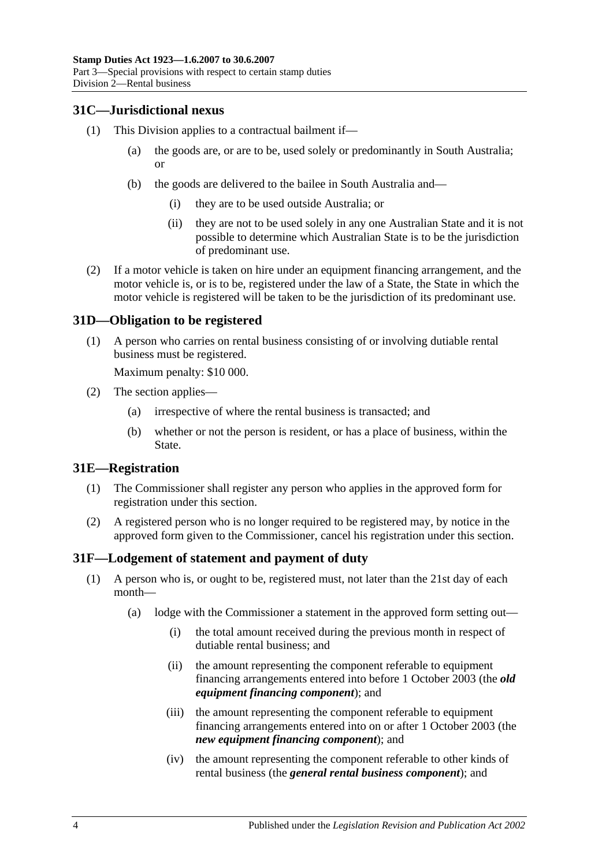## <span id="page-21-0"></span>**31C—Jurisdictional nexus**

- (1) This Division applies to a contractual bailment if—
	- (a) the goods are, or are to be, used solely or predominantly in South Australia; or
	- (b) the goods are delivered to the bailee in South Australia and—
		- (i) they are to be used outside Australia; or
		- (ii) they are not to be used solely in any one Australian State and it is not possible to determine which Australian State is to be the jurisdiction of predominant use.
- (2) If a motor vehicle is taken on hire under an equipment financing arrangement, and the motor vehicle is, or is to be, registered under the law of a State, the State in which the motor vehicle is registered will be taken to be the jurisdiction of its predominant use.

## <span id="page-21-1"></span>**31D—Obligation to be registered**

(1) A person who carries on rental business consisting of or involving dutiable rental business must be registered.

Maximum penalty: \$10 000.

- (2) The section applies—
	- (a) irrespective of where the rental business is transacted; and
	- (b) whether or not the person is resident, or has a place of business, within the State.

### <span id="page-21-2"></span>**31E—Registration**

- (1) The Commissioner shall register any person who applies in the approved form for registration under this section.
- (2) A registered person who is no longer required to be registered may, by notice in the approved form given to the Commissioner, cancel his registration under this section.

### <span id="page-21-4"></span><span id="page-21-3"></span>**31F—Lodgement of statement and payment of duty**

- (1) A person who is, or ought to be, registered must, not later than the 21st day of each month—
	- (a) lodge with the Commissioner a statement in the approved form setting out—
		- (i) the total amount received during the previous month in respect of dutiable rental business; and
		- (ii) the amount representing the component referable to equipment financing arrangements entered into before 1 October 2003 (the *old equipment financing component*); and
		- (iii) the amount representing the component referable to equipment financing arrangements entered into on or after 1 October 2003 (the *new equipment financing component*); and
		- (iv) the amount representing the component referable to other kinds of rental business (the *general rental business component*); and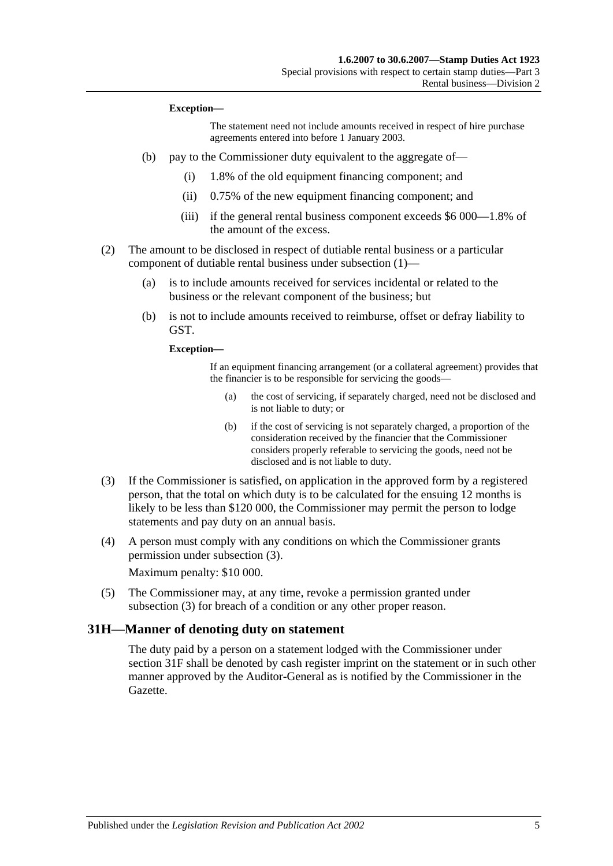#### **Exception—**

The statement need not include amounts received in respect of hire purchase agreements entered into before 1 January 2003.

- (b) pay to the Commissioner duty equivalent to the aggregate of—
	- (i) 1.8% of the old equipment financing component; and
	- (ii) 0.75% of the new equipment financing component; and
	- (iii) if the general rental business component exceeds \$6 000—1.8% of the amount of the excess.
- (2) The amount to be disclosed in respect of dutiable rental business or a particular component of dutiable rental business under [subsection](#page-21-4) (1)—
	- (a) is to include amounts received for services incidental or related to the business or the relevant component of the business; but
	- (b) is not to include amounts received to reimburse, offset or defray liability to GST.

**Exception—**

If an equipment financing arrangement (or a collateral agreement) provides that the financier is to be responsible for servicing the goods—

- (a) the cost of servicing, if separately charged, need not be disclosed and is not liable to duty; or
- (b) if the cost of servicing is not separately charged, a proportion of the consideration received by the financier that the Commissioner considers properly referable to servicing the goods, need not be disclosed and is not liable to duty.
- <span id="page-22-1"></span>(3) If the Commissioner is satisfied, on application in the approved form by a registered person, that the total on which duty is to be calculated for the ensuing 12 months is likely to be less than \$120 000, the Commissioner may permit the person to lodge statements and pay duty on an annual basis.
- (4) A person must comply with any conditions on which the Commissioner grants permission under [subsection](#page-22-1) (3).

Maximum penalty: \$10 000.

(5) The Commissioner may, at any time, revoke a permission granted under [subsection](#page-22-1) (3) for breach of a condition or any other proper reason.

#### <span id="page-22-0"></span>**31H—Manner of denoting duty on statement**

The duty paid by a person on a statement lodged with the Commissioner under [section](#page-21-3) 31F shall be denoted by cash register imprint on the statement or in such other manner approved by the Auditor-General as is notified by the Commissioner in the Gazette.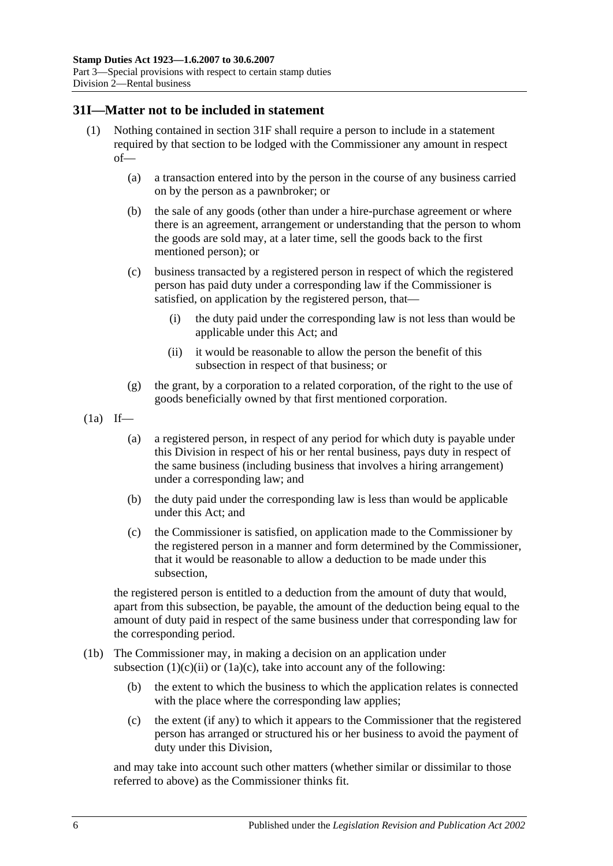## <span id="page-23-0"></span>**31I—Matter not to be included in statement**

- (1) Nothing contained in [section](#page-21-3) 31F shall require a person to include in a statement required by that section to be lodged with the Commissioner any amount in respect of—
	- (a) a transaction entered into by the person in the course of any business carried on by the person as a pawnbroker; or
	- (b) the sale of any goods (other than under a hire-purchase agreement or where there is an agreement, arrangement or understanding that the person to whom the goods are sold may, at a later time, sell the goods back to the first mentioned person); or
	- (c) business transacted by a registered person in respect of which the registered person has paid duty under a corresponding law if the Commissioner is satisfied, on application by the registered person, that—
		- (i) the duty paid under the corresponding law is not less than would be applicable under this Act; and
		- (ii) it would be reasonable to allow the person the benefit of this subsection in respect of that business; or
	- (g) the grant, by a corporation to a related corporation, of the right to the use of goods beneficially owned by that first mentioned corporation.
- <span id="page-23-1"></span> $(1a)$  If—
	- (a) a registered person, in respect of any period for which duty is payable under this Division in respect of his or her rental business, pays duty in respect of the same business (including business that involves a hiring arrangement) under a corresponding law; and
	- (b) the duty paid under the corresponding law is less than would be applicable under this Act; and
	- (c) the Commissioner is satisfied, on application made to the Commissioner by the registered person in a manner and form determined by the Commissioner, that it would be reasonable to allow a deduction to be made under this subsection,

<span id="page-23-2"></span>the registered person is entitled to a deduction from the amount of duty that would, apart from this subsection, be payable, the amount of the deduction being equal to the amount of duty paid in respect of the same business under that corresponding law for the corresponding period.

- (1b) The Commissioner may, in making a decision on an application under [subsection](#page-23-1)  $(1)(c)(ii)$  or  $(1a)(c)$ , take into account any of the following:
	- (b) the extent to which the business to which the application relates is connected with the place where the corresponding law applies;
	- (c) the extent (if any) to which it appears to the Commissioner that the registered person has arranged or structured his or her business to avoid the payment of duty under this Division,

and may take into account such other matters (whether similar or dissimilar to those referred to above) as the Commissioner thinks fit.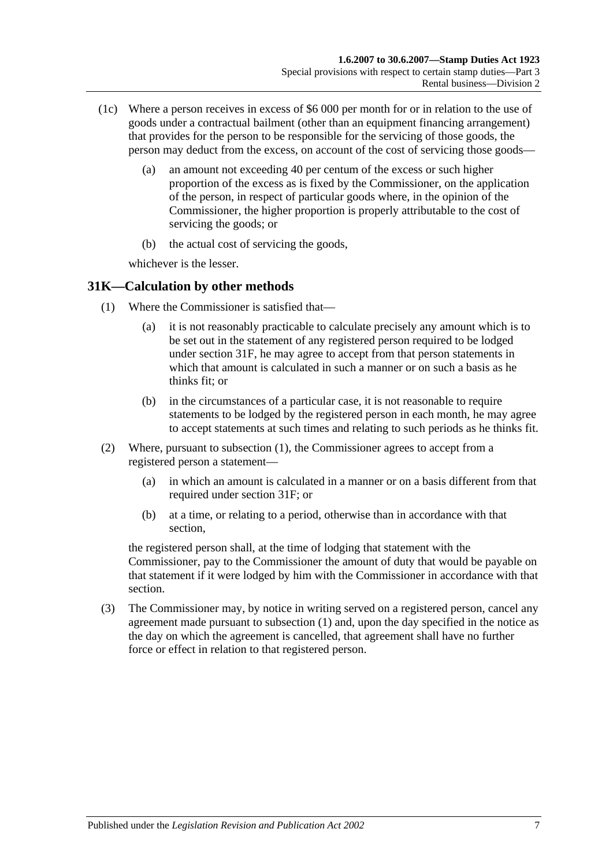- (1c) Where a person receives in excess of \$6 000 per month for or in relation to the use of goods under a contractual bailment (other than an equipment financing arrangement) that provides for the person to be responsible for the servicing of those goods, the person may deduct from the excess, on account of the cost of servicing those goods—
	- (a) an amount not exceeding 40 per centum of the excess or such higher proportion of the excess as is fixed by the Commissioner, on the application of the person, in respect of particular goods where, in the opinion of the Commissioner, the higher proportion is properly attributable to the cost of servicing the goods; or
	- (b) the actual cost of servicing the goods,

whichever is the lesser.

## <span id="page-24-1"></span><span id="page-24-0"></span>**31K—Calculation by other methods**

- (1) Where the Commissioner is satisfied that—
	- (a) it is not reasonably practicable to calculate precisely any amount which is to be set out in the statement of any registered person required to be lodged under [section](#page-21-3) 31F, he may agree to accept from that person statements in which that amount is calculated in such a manner or on such a basis as he thinks fit: or
	- (b) in the circumstances of a particular case, it is not reasonable to require statements to be lodged by the registered person in each month, he may agree to accept statements at such times and relating to such periods as he thinks fit.
- (2) Where, pursuant to [subsection](#page-24-1) (1), the Commissioner agrees to accept from a registered person a statement—
	- (a) in which an amount is calculated in a manner or on a basis different from that required under [section](#page-21-3) 31F; or
	- (b) at a time, or relating to a period, otherwise than in accordance with that section,

the registered person shall, at the time of lodging that statement with the Commissioner, pay to the Commissioner the amount of duty that would be payable on that statement if it were lodged by him with the Commissioner in accordance with that section.

(3) The Commissioner may, by notice in writing served on a registered person, cancel any agreement made pursuant to [subsection](#page-24-1) (1) and, upon the day specified in the notice as the day on which the agreement is cancelled, that agreement shall have no further force or effect in relation to that registered person.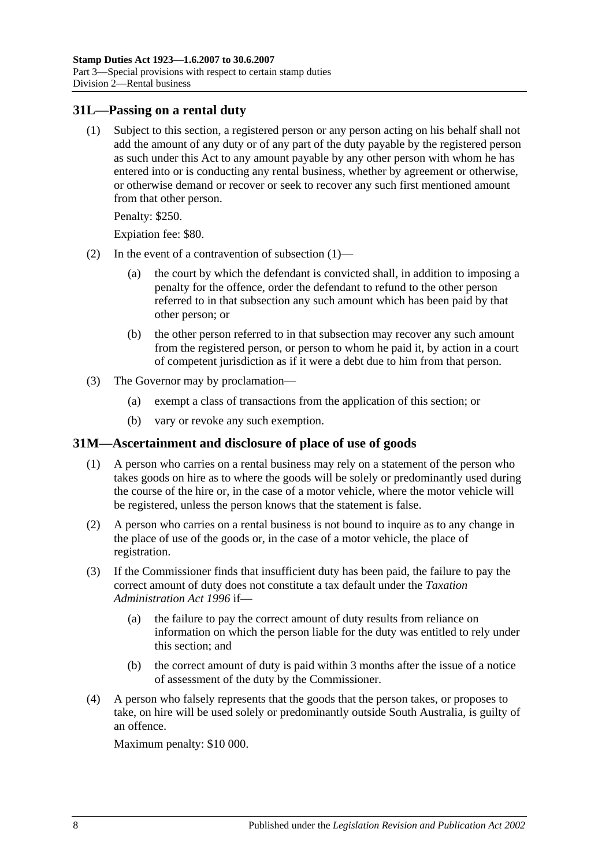## <span id="page-25-2"></span><span id="page-25-0"></span>**31L—Passing on a rental duty**

(1) Subject to this section, a registered person or any person acting on his behalf shall not add the amount of any duty or of any part of the duty payable by the registered person as such under this Act to any amount payable by any other person with whom he has entered into or is conducting any rental business, whether by agreement or otherwise, or otherwise demand or recover or seek to recover any such first mentioned amount from that other person.

Penalty: \$250.

Expiation fee: \$80.

- (2) In the event of a contravention of [subsection](#page-25-2) (1)—
	- (a) the court by which the defendant is convicted shall, in addition to imposing a penalty for the offence, order the defendant to refund to the other person referred to in that subsection any such amount which has been paid by that other person; or
	- (b) the other person referred to in that subsection may recover any such amount from the registered person, or person to whom he paid it, by action in a court of competent jurisdiction as if it were a debt due to him from that person.
- (3) The Governor may by proclamation—
	- (a) exempt a class of transactions from the application of this section; or
	- (b) vary or revoke any such exemption.

### <span id="page-25-1"></span>**31M—Ascertainment and disclosure of place of use of goods**

- (1) A person who carries on a rental business may rely on a statement of the person who takes goods on hire as to where the goods will be solely or predominantly used during the course of the hire or, in the case of a motor vehicle, where the motor vehicle will be registered, unless the person knows that the statement is false.
- (2) A person who carries on a rental business is not bound to inquire as to any change in the place of use of the goods or, in the case of a motor vehicle, the place of registration.
- (3) If the Commissioner finds that insufficient duty has been paid, the failure to pay the correct amount of duty does not constitute a tax default under the *[Taxation](http://www.legislation.sa.gov.au/index.aspx?action=legref&type=act&legtitle=Taxation%20Administration%20Act%201996)  [Administration Act](http://www.legislation.sa.gov.au/index.aspx?action=legref&type=act&legtitle=Taxation%20Administration%20Act%201996) 1996* if—
	- (a) the failure to pay the correct amount of duty results from reliance on information on which the person liable for the duty was entitled to rely under this section; and
	- (b) the correct amount of duty is paid within 3 months after the issue of a notice of assessment of the duty by the Commissioner.
- (4) A person who falsely represents that the goods that the person takes, or proposes to take, on hire will be used solely or predominantly outside South Australia, is guilty of an offence.

Maximum penalty: \$10 000.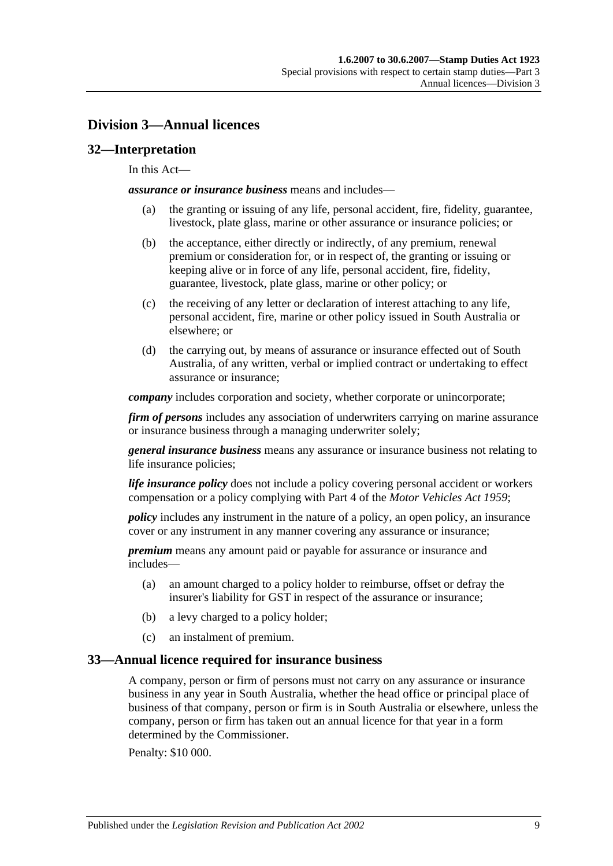# <span id="page-26-0"></span>**Division 3—Annual licences**

## <span id="page-26-1"></span>**32—Interpretation**

### In this Act—

*assurance or insurance business* means and includes—

- (a) the granting or issuing of any life, personal accident, fire, fidelity, guarantee, livestock, plate glass, marine or other assurance or insurance policies; or
- (b) the acceptance, either directly or indirectly, of any premium, renewal premium or consideration for, or in respect of, the granting or issuing or keeping alive or in force of any life, personal accident, fire, fidelity, guarantee, livestock, plate glass, marine or other policy; or
- (c) the receiving of any letter or declaration of interest attaching to any life, personal accident, fire, marine or other policy issued in South Australia or elsewhere; or
- (d) the carrying out, by means of assurance or insurance effected out of South Australia, of any written, verbal or implied contract or undertaking to effect assurance or insurance;

*company* includes corporation and society, whether corporate or unincorporate;

*firm of persons* includes any association of underwriters carrying on marine assurance or insurance business through a managing underwriter solely;

*general insurance business* means any assurance or insurance business not relating to life insurance policies;

*life insurance policy* does not include a policy covering personal accident or workers compensation or a policy complying with Part 4 of the *[Motor Vehicles Act](http://www.legislation.sa.gov.au/index.aspx?action=legref&type=act&legtitle=Motor%20Vehicles%20Act%201959) 1959*;

*policy* includes any instrument in the nature of a policy, an open policy, an insurance cover or any instrument in any manner covering any assurance or insurance;

*premium* means any amount paid or payable for assurance or insurance and includes—

- (a) an amount charged to a policy holder to reimburse, offset or defray the insurer's liability for GST in respect of the assurance or insurance;
- (b) a levy charged to a policy holder;
- (c) an instalment of premium.

### <span id="page-26-2"></span>**33—Annual licence required for insurance business**

A company, person or firm of persons must not carry on any assurance or insurance business in any year in South Australia, whether the head office or principal place of business of that company, person or firm is in South Australia or elsewhere, unless the company, person or firm has taken out an annual licence for that year in a form determined by the Commissioner.

Penalty: \$10 000.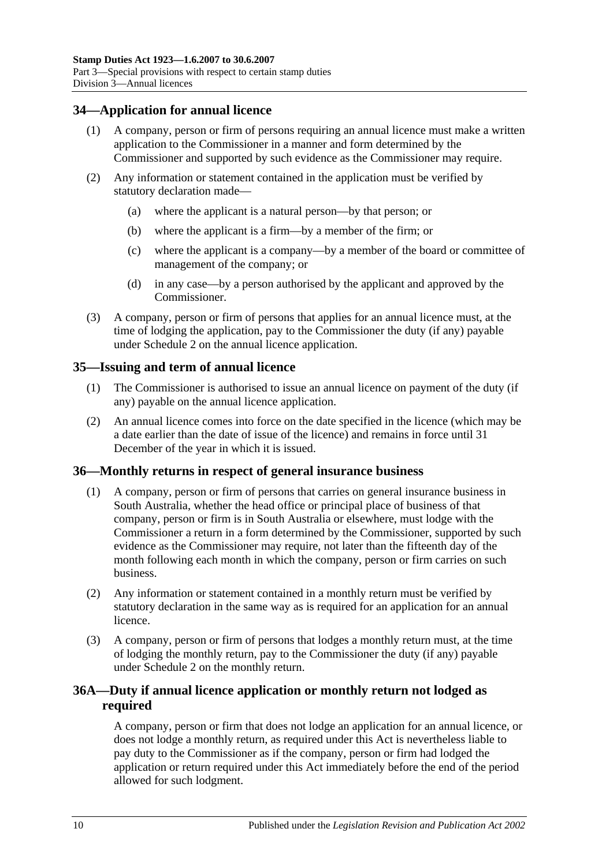## <span id="page-27-0"></span>**34—Application for annual licence**

- (1) A company, person or firm of persons requiring an annual licence must make a written application to the Commissioner in a manner and form determined by the Commissioner and supported by such evidence as the Commissioner may require.
- (2) Any information or statement contained in the application must be verified by statutory declaration made—
	- (a) where the applicant is a natural person—by that person; or
	- (b) where the applicant is a firm—by a member of the firm; or
	- (c) where the applicant is a company—by a member of the board or committee of management of the company; or
	- (d) in any case—by a person authorised by the applicant and approved by the Commissioner.
- (3) A company, person or firm of persons that applies for an annual licence must, at the time of lodging the application, pay to the Commissioner the duty (if any) payable under [Schedule 2](#page-102-2) on the annual licence application.

## <span id="page-27-1"></span>**35—Issuing and term of annual licence**

- (1) The Commissioner is authorised to issue an annual licence on payment of the duty (if any) payable on the annual licence application.
- (2) An annual licence comes into force on the date specified in the licence (which may be a date earlier than the date of issue of the licence) and remains in force until 31 December of the year in which it is issued.

### <span id="page-27-2"></span>**36—Monthly returns in respect of general insurance business**

- (1) A company, person or firm of persons that carries on general insurance business in South Australia, whether the head office or principal place of business of that company, person or firm is in South Australia or elsewhere, must lodge with the Commissioner a return in a form determined by the Commissioner, supported by such evidence as the Commissioner may require, not later than the fifteenth day of the month following each month in which the company, person or firm carries on such business.
- (2) Any information or statement contained in a monthly return must be verified by statutory declaration in the same way as is required for an application for an annual licence.
- (3) A company, person or firm of persons that lodges a monthly return must, at the time of lodging the monthly return, pay to the Commissioner the duty (if any) payable under [Schedule 2](#page-102-2) on the monthly return.

## <span id="page-27-3"></span>**36A—Duty if annual licence application or monthly return not lodged as required**

A company, person or firm that does not lodge an application for an annual licence, or does not lodge a monthly return, as required under this Act is nevertheless liable to pay duty to the Commissioner as if the company, person or firm had lodged the application or return required under this Act immediately before the end of the period allowed for such lodgment.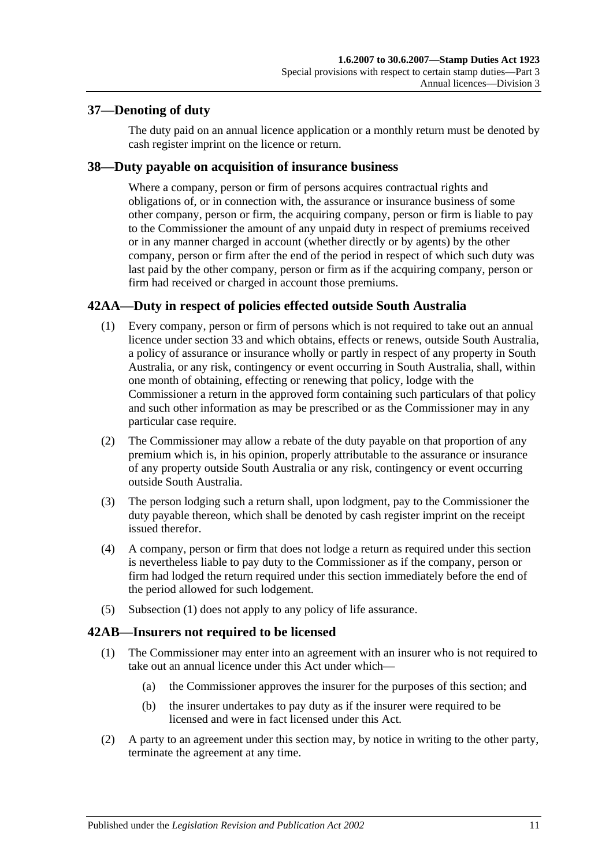# <span id="page-28-0"></span>**37—Denoting of duty**

The duty paid on an annual licence application or a monthly return must be denoted by cash register imprint on the licence or return.

# <span id="page-28-1"></span>**38—Duty payable on acquisition of insurance business**

Where a company, person or firm of persons acquires contractual rights and obligations of, or in connection with, the assurance or insurance business of some other company, person or firm, the acquiring company, person or firm is liable to pay to the Commissioner the amount of any unpaid duty in respect of premiums received or in any manner charged in account (whether directly or by agents) by the other company, person or firm after the end of the period in respect of which such duty was last paid by the other company, person or firm as if the acquiring company, person or firm had received or charged in account those premiums.

# <span id="page-28-4"></span><span id="page-28-2"></span>**42AA—Duty in respect of policies effected outside South Australia**

- (1) Every company, person or firm of persons which is not required to take out an annual licence under [section](#page-26-2) 33 and which obtains, effects or renews, outside South Australia, a policy of assurance or insurance wholly or partly in respect of any property in South Australia, or any risk, contingency or event occurring in South Australia, shall, within one month of obtaining, effecting or renewing that policy, lodge with the Commissioner a return in the approved form containing such particulars of that policy and such other information as may be prescribed or as the Commissioner may in any particular case require.
- (2) The Commissioner may allow a rebate of the duty payable on that proportion of any premium which is, in his opinion, properly attributable to the assurance or insurance of any property outside South Australia or any risk, contingency or event occurring outside South Australia.
- (3) The person lodging such a return shall, upon lodgment, pay to the Commissioner the duty payable thereon, which shall be denoted by cash register imprint on the receipt issued therefor.
- (4) A company, person or firm that does not lodge a return as required under this section is nevertheless liable to pay duty to the Commissioner as if the company, person or firm had lodged the return required under this section immediately before the end of the period allowed for such lodgement.
- (5) [Subsection](#page-28-4) (1) does not apply to any policy of life assurance.

## <span id="page-28-3"></span>**42AB—Insurers not required to be licensed**

- (1) The Commissioner may enter into an agreement with an insurer who is not required to take out an annual licence under this Act under which—
	- (a) the Commissioner approves the insurer for the purposes of this section; and
	- (b) the insurer undertakes to pay duty as if the insurer were required to be licensed and were in fact licensed under this Act.
- (2) A party to an agreement under this section may, by notice in writing to the other party, terminate the agreement at any time.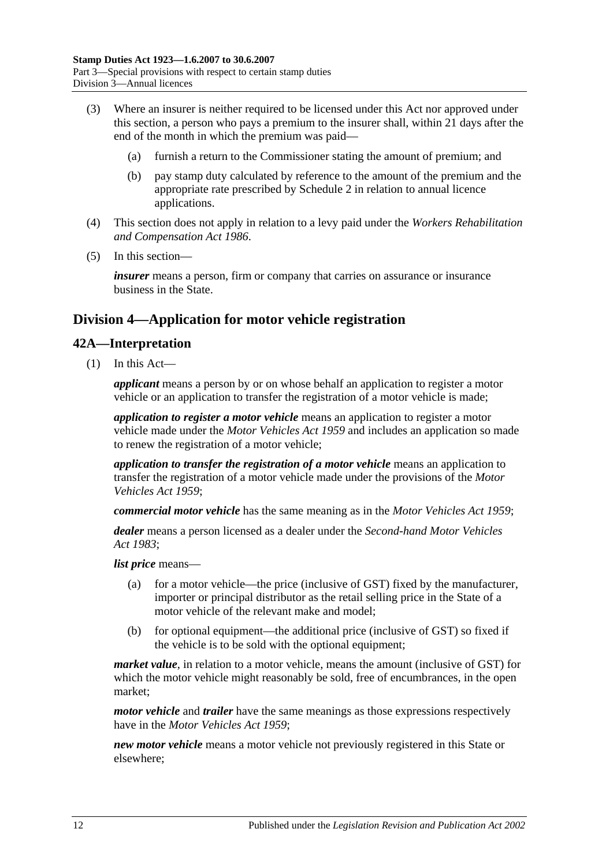- (3) Where an insurer is neither required to be licensed under this Act nor approved under this section, a person who pays a premium to the insurer shall, within 21 days after the end of the month in which the premium was paid—
	- (a) furnish a return to the Commissioner stating the amount of premium; and
	- (b) pay stamp duty calculated by reference to the amount of the premium and the appropriate rate prescribed by [Schedule 2](#page-102-2) in relation to annual licence applications.
- (4) This section does not apply in relation to a levy paid under the *[Workers Rehabilitation](http://www.legislation.sa.gov.au/index.aspx?action=legref&type=act&legtitle=Workers%20Rehabilitation%20and%20Compensation%20Act%201986)  [and Compensation Act](http://www.legislation.sa.gov.au/index.aspx?action=legref&type=act&legtitle=Workers%20Rehabilitation%20and%20Compensation%20Act%201986) 1986*.
- (5) In this section—

*insurer* means a person, firm or company that carries on assurance or insurance business in the State.

# <span id="page-29-0"></span>**Division 4—Application for motor vehicle registration**

## <span id="page-29-1"></span>**42A—Interpretation**

(1) In this Act—

*applicant* means a person by or on whose behalf an application to register a motor vehicle or an application to transfer the registration of a motor vehicle is made;

*application to register a motor vehicle* means an application to register a motor vehicle made under the *[Motor Vehicles Act](http://www.legislation.sa.gov.au/index.aspx?action=legref&type=act&legtitle=Motor%20Vehicles%20Act%201959) 1959* and includes an application so made to renew the registration of a motor vehicle;

*application to transfer the registration of a motor vehicle* means an application to transfer the registration of a motor vehicle made under the provisions of the *[Motor](http://www.legislation.sa.gov.au/index.aspx?action=legref&type=act&legtitle=Motor%20Vehicles%20Act%201959)  [Vehicles Act](http://www.legislation.sa.gov.au/index.aspx?action=legref&type=act&legtitle=Motor%20Vehicles%20Act%201959) 1959*;

*commercial motor vehicle* has the same meaning as in the *[Motor Vehicles Act](http://www.legislation.sa.gov.au/index.aspx?action=legref&type=act&legtitle=Motor%20Vehicles%20Act%201959) 1959*;

*dealer* means a person licensed as a dealer under the *[Second-hand Motor Vehicles](http://www.legislation.sa.gov.au/index.aspx?action=legref&type=act&legtitle=Second-hand%20Motor%20Vehicles%20Act%201983)  Act [1983](http://www.legislation.sa.gov.au/index.aspx?action=legref&type=act&legtitle=Second-hand%20Motor%20Vehicles%20Act%201983)*;

*list price* means—

- (a) for a motor vehicle—the price (inclusive of GST) fixed by the manufacturer, importer or principal distributor as the retail selling price in the State of a motor vehicle of the relevant make and model;
- (b) for optional equipment—the additional price (inclusive of GST) so fixed if the vehicle is to be sold with the optional equipment;

*market value*, in relation to a motor vehicle, means the amount (inclusive of GST) for which the motor vehicle might reasonably be sold, free of encumbrances, in the open market;

*motor vehicle* and *trailer* have the same meanings as those expressions respectively have in the *[Motor Vehicles Act](http://www.legislation.sa.gov.au/index.aspx?action=legref&type=act&legtitle=Motor%20Vehicles%20Act%201959) 1959*;

*new motor vehicle* means a motor vehicle not previously registered in this State or elsewhere;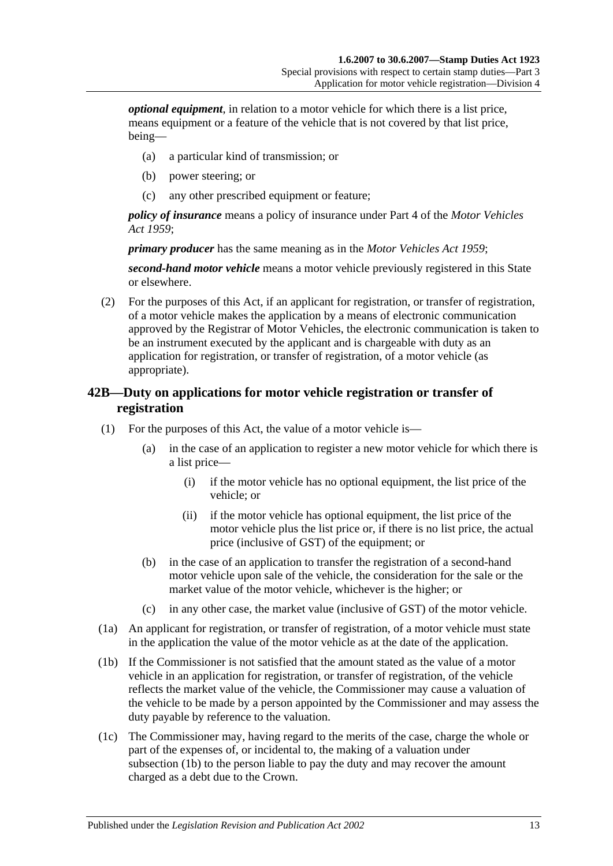*optional equipment*, in relation to a motor vehicle for which there is a list price, means equipment or a feature of the vehicle that is not covered by that list price, being—

- (a) a particular kind of transmission; or
- (b) power steering; or
- (c) any other prescribed equipment or feature;

*policy of insurance* means a policy of insurance under Part 4 of the *[Motor Vehicles](http://www.legislation.sa.gov.au/index.aspx?action=legref&type=act&legtitle=Motor%20Vehicles%20Act%201959)  Act [1959](http://www.legislation.sa.gov.au/index.aspx?action=legref&type=act&legtitle=Motor%20Vehicles%20Act%201959)*;

*primary producer* has the same meaning as in the *[Motor Vehicles Act](http://www.legislation.sa.gov.au/index.aspx?action=legref&type=act&legtitle=Motor%20Vehicles%20Act%201959) 1959*;

*second-hand motor vehicle* means a motor vehicle previously registered in this State or elsewhere.

(2) For the purposes of this Act, if an applicant for registration, or transfer of registration, of a motor vehicle makes the application by a means of electronic communication approved by the Registrar of Motor Vehicles, the electronic communication is taken to be an instrument executed by the applicant and is chargeable with duty as an application for registration, or transfer of registration, of a motor vehicle (as appropriate).

# <span id="page-30-0"></span>**42B—Duty on applications for motor vehicle registration or transfer of registration**

- (1) For the purposes of this Act, the value of a motor vehicle is—
	- (a) in the case of an application to register a new motor vehicle for which there is a list price—
		- (i) if the motor vehicle has no optional equipment, the list price of the vehicle; or
		- (ii) if the motor vehicle has optional equipment, the list price of the motor vehicle plus the list price or, if there is no list price, the actual price (inclusive of GST) of the equipment; or
	- (b) in the case of an application to transfer the registration of a second-hand motor vehicle upon sale of the vehicle, the consideration for the sale or the market value of the motor vehicle, whichever is the higher; or
	- (c) in any other case, the market value (inclusive of GST) of the motor vehicle.
- (1a) An applicant for registration, or transfer of registration, of a motor vehicle must state in the application the value of the motor vehicle as at the date of the application.
- <span id="page-30-1"></span>(1b) If the Commissioner is not satisfied that the amount stated as the value of a motor vehicle in an application for registration, or transfer of registration, of the vehicle reflects the market value of the vehicle, the Commissioner may cause a valuation of the vehicle to be made by a person appointed by the Commissioner and may assess the duty payable by reference to the valuation.
- (1c) The Commissioner may, having regard to the merits of the case, charge the whole or part of the expenses of, or incidental to, the making of a valuation under [subsection](#page-30-1) (1b) to the person liable to pay the duty and may recover the amount charged as a debt due to the Crown.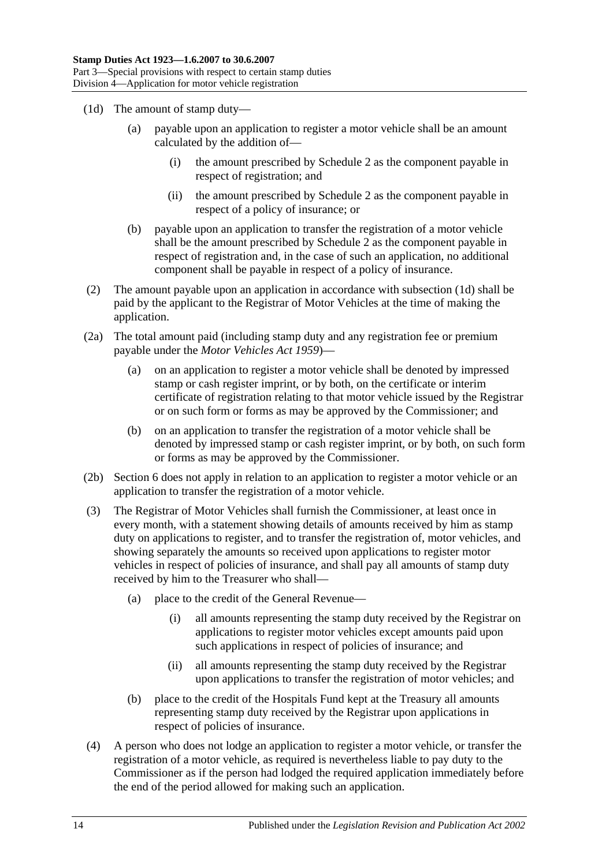- <span id="page-31-0"></span>(1d) The amount of stamp duty—
	- (a) payable upon an application to register a motor vehicle shall be an amount calculated by the addition of—
		- (i) the amount prescribed by [Schedule 2](#page-102-2) as the component payable in respect of registration; and
		- (ii) the amount prescribed by [Schedule 2](#page-102-2) as the component payable in respect of a policy of insurance; or
	- (b) payable upon an application to transfer the registration of a motor vehicle shall be the amount prescribed by [Schedule 2](#page-102-2) as the component payable in respect of registration and, in the case of such an application, no additional component shall be payable in respect of a policy of insurance.
- (2) The amount payable upon an application in accordance with [subsection](#page-31-0) (1d) shall be paid by the applicant to the Registrar of Motor Vehicles at the time of making the application.
- (2a) The total amount paid (including stamp duty and any registration fee or premium payable under the *[Motor Vehicles Act](http://www.legislation.sa.gov.au/index.aspx?action=legref&type=act&legtitle=Motor%20Vehicles%20Act%201959) 1959*)—
	- (a) on an application to register a motor vehicle shall be denoted by impressed stamp or cash register imprint, or by both, on the certificate or interim certificate of registration relating to that motor vehicle issued by the Registrar or on such form or forms as may be approved by the Commissioner; and
	- (b) on an application to transfer the registration of a motor vehicle shall be denoted by impressed stamp or cash register imprint, or by both, on such form or forms as may be approved by the Commissioner.
- (2b) Section 6 does not apply in relation to an application to register a motor vehicle or an application to transfer the registration of a motor vehicle.
- (3) The Registrar of Motor Vehicles shall furnish the Commissioner, at least once in every month, with a statement showing details of amounts received by him as stamp duty on applications to register, and to transfer the registration of, motor vehicles, and showing separately the amounts so received upon applications to register motor vehicles in respect of policies of insurance, and shall pay all amounts of stamp duty received by him to the Treasurer who shall—
	- (a) place to the credit of the General Revenue—
		- (i) all amounts representing the stamp duty received by the Registrar on applications to register motor vehicles except amounts paid upon such applications in respect of policies of insurance; and
		- (ii) all amounts representing the stamp duty received by the Registrar upon applications to transfer the registration of motor vehicles; and
	- (b) place to the credit of the Hospitals Fund kept at the Treasury all amounts representing stamp duty received by the Registrar upon applications in respect of policies of insurance.
- (4) A person who does not lodge an application to register a motor vehicle, or transfer the registration of a motor vehicle, as required is nevertheless liable to pay duty to the Commissioner as if the person had lodged the required application immediately before the end of the period allowed for making such an application.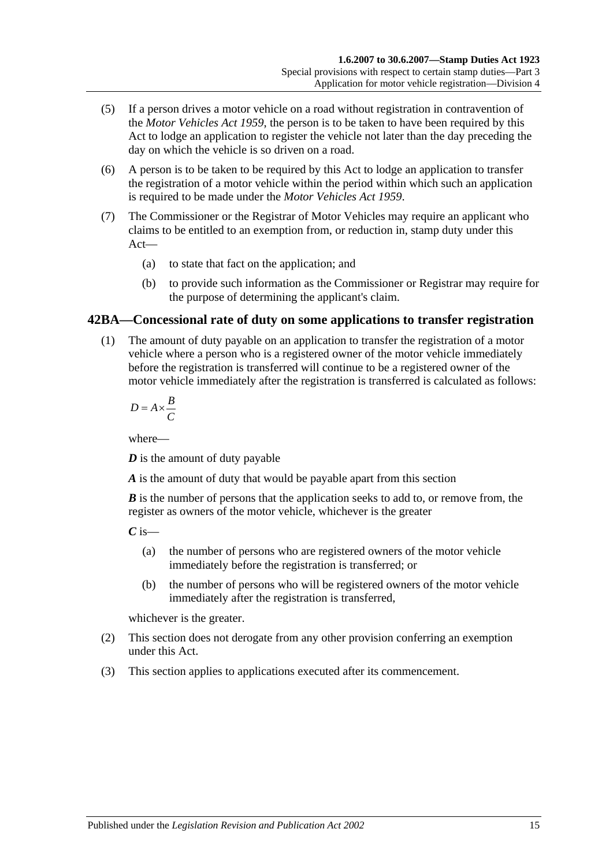- (5) If a person drives a motor vehicle on a road without registration in contravention of the *[Motor Vehicles Act](http://www.legislation.sa.gov.au/index.aspx?action=legref&type=act&legtitle=Motor%20Vehicles%20Act%201959) 1959*, the person is to be taken to have been required by this Act to lodge an application to register the vehicle not later than the day preceding the day on which the vehicle is so driven on a road.
- (6) A person is to be taken to be required by this Act to lodge an application to transfer the registration of a motor vehicle within the period within which such an application is required to be made under the *[Motor Vehicles Act](http://www.legislation.sa.gov.au/index.aspx?action=legref&type=act&legtitle=Motor%20Vehicles%20Act%201959) 1959*.
- (7) The Commissioner or the Registrar of Motor Vehicles may require an applicant who claims to be entitled to an exemption from, or reduction in, stamp duty under this Act—
	- (a) to state that fact on the application; and
	- (b) to provide such information as the Commissioner or Registrar may require for the purpose of determining the applicant's claim.

## <span id="page-32-0"></span>**42BA—Concessional rate of duty on some applications to transfer registration**

(1) The amount of duty payable on an application to transfer the registration of a motor vehicle where a person who is a registered owner of the motor vehicle immediately before the registration is transferred will continue to be a registered owner of the motor vehicle immediately after the registration is transferred is calculated as follows:

$$
D = A \times \frac{B}{C}
$$

where—

*D* is the amount of duty payable

*A* is the amount of duty that would be payable apart from this section

*B* is the number of persons that the application seeks to add to, or remove from, the register as owners of the motor vehicle, whichever is the greater

 $C$  is—

- (a) the number of persons who are registered owners of the motor vehicle immediately before the registration is transferred; or
- (b) the number of persons who will be registered owners of the motor vehicle immediately after the registration is transferred,

whichever is the greater.

- (2) This section does not derogate from any other provision conferring an exemption under this Act.
- (3) This section applies to applications executed after its commencement.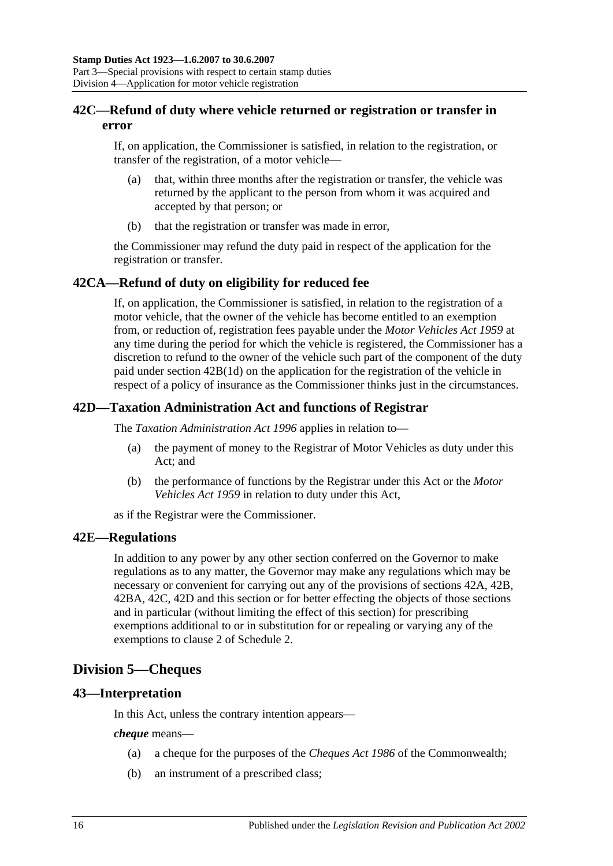# <span id="page-33-0"></span>**42C—Refund of duty where vehicle returned or registration or transfer in error**

If, on application, the Commissioner is satisfied, in relation to the registration, or transfer of the registration, of a motor vehicle—

- (a) that, within three months after the registration or transfer, the vehicle was returned by the applicant to the person from whom it was acquired and accepted by that person; or
- (b) that the registration or transfer was made in error,

the Commissioner may refund the duty paid in respect of the application for the registration or transfer.

## <span id="page-33-1"></span>**42CA—Refund of duty on eligibility for reduced fee**

If, on application, the Commissioner is satisfied, in relation to the registration of a motor vehicle, that the owner of the vehicle has become entitled to an exemption from, or reduction of, registration fees payable under the *[Motor Vehicles Act](http://www.legislation.sa.gov.au/index.aspx?action=legref&type=act&legtitle=Motor%20Vehicles%20Act%201959) 1959* at any time during the period for which the vehicle is registered, the Commissioner has a discretion to refund to the owner of the vehicle such part of the component of the duty paid under section [42B\(1d\)](#page-31-0) on the application for the registration of the vehicle in respect of a policy of insurance as the Commissioner thinks just in the circumstances.

# <span id="page-33-2"></span>**42D—Taxation Administration Act and functions of Registrar**

The *[Taxation Administration Act](http://www.legislation.sa.gov.au/index.aspx?action=legref&type=act&legtitle=Taxation%20Administration%20Act%201996) 1996* applies in relation to—

- (a) the payment of money to the Registrar of Motor Vehicles as duty under this Act; and
- (b) the performance of functions by the Registrar under this Act or the *[Motor](http://www.legislation.sa.gov.au/index.aspx?action=legref&type=act&legtitle=Motor%20Vehicles%20Act%201959)  [Vehicles Act](http://www.legislation.sa.gov.au/index.aspx?action=legref&type=act&legtitle=Motor%20Vehicles%20Act%201959) 1959* in relation to duty under this Act,

as if the Registrar were the Commissioner.

## <span id="page-33-3"></span>**42E—Regulations**

In addition to any power by any other section conferred on the Governor to make regulations as to any matter, the Governor may make any regulations which may be necessary or convenient for carrying out any of the provisions of [sections](#page-29-1) 42A, [42B,](#page-30-0) [42BA,](#page-32-0) [42C,](#page-33-0) [42D](#page-33-2) and this section or for better effecting the objects of those sections and in particular (without limiting the effect of this section) for prescribing exemptions additional to or in substitution for or repealing or varying any of the exemptions to clause 2 of [Schedule 2.](#page-102-2)

# <span id="page-33-4"></span>**Division 5—Cheques**

## <span id="page-33-5"></span>**43—Interpretation**

In this Act, unless the contrary intention appears—

*cheque* means—

- (a) a cheque for the purposes of the *Cheques Act 1986* of the Commonwealth;
- (b) an instrument of a prescribed class;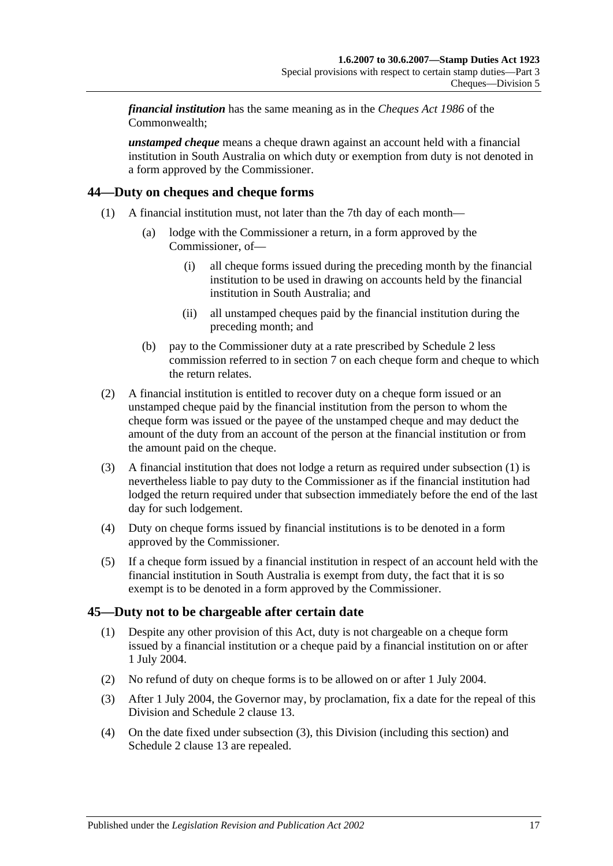*financial institution* has the same meaning as in the *Cheques Act 1986* of the Commonwealth;

*unstamped cheque* means a cheque drawn against an account held with a financial institution in South Australia on which duty or exemption from duty is not denoted in a form approved by the Commissioner.

# <span id="page-34-2"></span><span id="page-34-0"></span>**44—Duty on cheques and cheque forms**

- (1) A financial institution must, not later than the 7th day of each month—
	- (a) lodge with the Commissioner a return, in a form approved by the Commissioner, of—
		- (i) all cheque forms issued during the preceding month by the financial institution to be used in drawing on accounts held by the financial institution in South Australia; and
		- (ii) all unstamped cheques paid by the financial institution during the preceding month; and
	- (b) pay to the Commissioner duty at a rate prescribed by [Schedule 2](#page-102-2) less commission referred to in [section](#page-12-3) 7 on each cheque form and cheque to which the return relates.
- (2) A financial institution is entitled to recover duty on a cheque form issued or an unstamped cheque paid by the financial institution from the person to whom the cheque form was issued or the payee of the unstamped cheque and may deduct the amount of the duty from an account of the person at the financial institution or from the amount paid on the cheque.
- (3) A financial institution that does not lodge a return as required under [subsection](#page-34-2) (1) is nevertheless liable to pay duty to the Commissioner as if the financial institution had lodged the return required under that subsection immediately before the end of the last day for such lodgement.
- (4) Duty on cheque forms issued by financial institutions is to be denoted in a form approved by the Commissioner.
- (5) If a cheque form issued by a financial institution in respect of an account held with the financial institution in South Australia is exempt from duty, the fact that it is so exempt is to be denoted in a form approved by the Commissioner.

## <span id="page-34-1"></span>**45—Duty not to be chargeable after certain date**

- (1) Despite any other provision of this Act, duty is not chargeable on a cheque form issued by a financial institution or a cheque paid by a financial institution on or after 1 July 2004.
- (2) No refund of duty on cheque forms is to be allowed on or after 1 July 2004.
- <span id="page-34-3"></span>(3) After 1 July 2004, the Governor may, by proclamation, fix a date for the repeal of this Division and Schedule 2 clause 13.
- (4) On the date fixed under [subsection](#page-34-3) (3), this Division (including this section) and Schedule 2 clause 13 are repealed.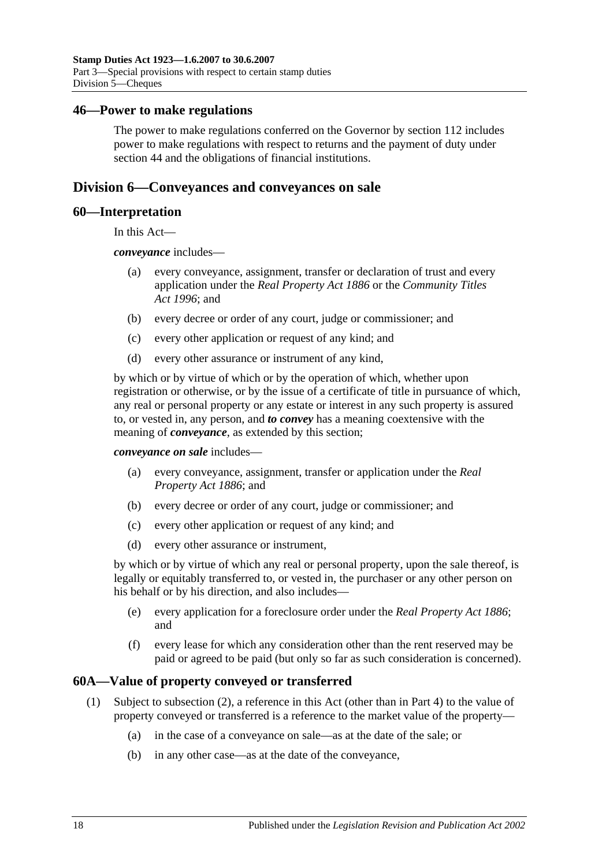## <span id="page-35-0"></span>**46—Power to make regulations**

The power to make regulations conferred on the Governor by [section](#page-100-2) 112 includes power to make regulations with respect to returns and the payment of duty under [section](#page-34-0) 44 and the obligations of financial institutions.

# <span id="page-35-1"></span>**Division 6—Conveyances and conveyances on sale**

### <span id="page-35-2"></span>**60—Interpretation**

In this Act—

*conveyance* includes—

- (a) every conveyance, assignment, transfer or declaration of trust and every application under the *[Real Property Act](http://www.legislation.sa.gov.au/index.aspx?action=legref&type=act&legtitle=Real%20Property%20Act%201886) 1886* or the *[Community Titles](http://www.legislation.sa.gov.au/index.aspx?action=legref&type=act&legtitle=Community%20Titles%20Act%201996)  Act [1996](http://www.legislation.sa.gov.au/index.aspx?action=legref&type=act&legtitle=Community%20Titles%20Act%201996)*; and
- (b) every decree or order of any court, judge or commissioner; and
- (c) every other application or request of any kind; and
- (d) every other assurance or instrument of any kind,

by which or by virtue of which or by the operation of which, whether upon registration or otherwise, or by the issue of a certificate of title in pursuance of which, any real or personal property or any estate or interest in any such property is assured to, or vested in, any person, and *to convey* has a meaning coextensive with the meaning of *conveyance*, as extended by this section;

*conveyance on sale* includes—

- (a) every conveyance, assignment, transfer or application under the *[Real](http://www.legislation.sa.gov.au/index.aspx?action=legref&type=act&legtitle=Real%20Property%20Act%201886)  [Property Act](http://www.legislation.sa.gov.au/index.aspx?action=legref&type=act&legtitle=Real%20Property%20Act%201886) 1886*; and
- (b) every decree or order of any court, judge or commissioner; and
- (c) every other application or request of any kind; and
- (d) every other assurance or instrument,

by which or by virtue of which any real or personal property, upon the sale thereof, is legally or equitably transferred to, or vested in, the purchaser or any other person on his behalf or by his direction, and also includes—

- (e) every application for a foreclosure order under the *[Real Property Act](http://www.legislation.sa.gov.au/index.aspx?action=legref&type=act&legtitle=Real%20Property%20Act%201886) 1886*; and
- (f) every lease for which any consideration other than the rent reserved may be paid or agreed to be paid (but only so far as such consideration is concerned).

### <span id="page-35-3"></span>**60A—Value of property conveyed or transferred**

- (1) Subject to [subsection](#page-36-0) (2), a reference in this Act (other than in [Part 4\)](#page-86-0) to the value of property conveyed or transferred is a reference to the market value of the property—
	- (a) in the case of a conveyance on sale—as at the date of the sale; or
	- (b) in any other case—as at the date of the conveyance,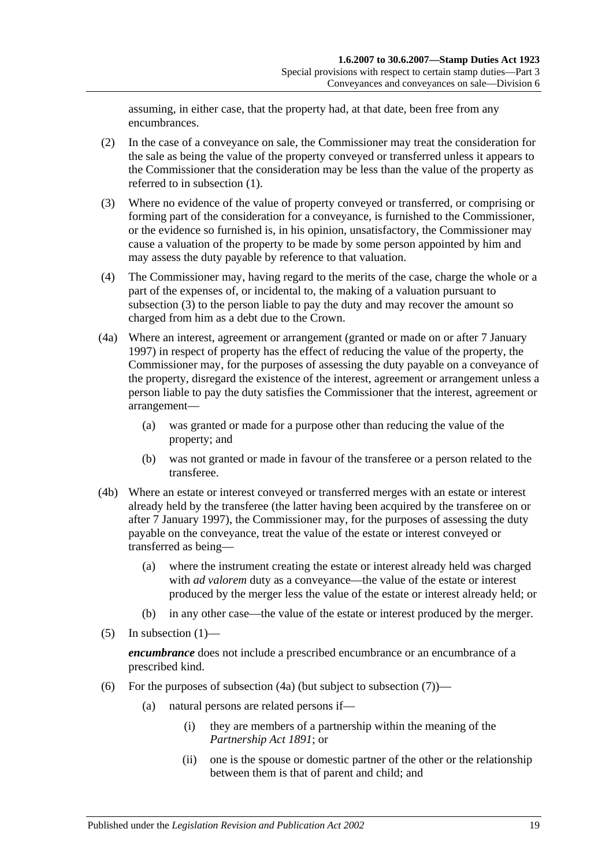assuming, in either case, that the property had, at that date, been free from any encumbrances.

- (2) In the case of a conveyance on sale, the Commissioner may treat the consideration for the sale as being the value of the property conveyed or transferred unless it appears to the Commissioner that the consideration may be less than the value of the property as referred to in [subsection](#page-35-0) (1).
- <span id="page-36-0"></span>(3) Where no evidence of the value of property conveyed or transferred, or comprising or forming part of the consideration for a conveyance, is furnished to the Commissioner, or the evidence so furnished is, in his opinion, unsatisfactory, the Commissioner may cause a valuation of the property to be made by some person appointed by him and may assess the duty payable by reference to that valuation.
- (4) The Commissioner may, having regard to the merits of the case, charge the whole or a part of the expenses of, or incidental to, the making of a valuation pursuant to [subsection](#page-36-0) (3) to the person liable to pay the duty and may recover the amount so charged from him as a debt due to the Crown.
- <span id="page-36-1"></span>(4a) Where an interest, agreement or arrangement (granted or made on or after 7 January 1997) in respect of property has the effect of reducing the value of the property, the Commissioner may, for the purposes of assessing the duty payable on a conveyance of the property, disregard the existence of the interest, agreement or arrangement unless a person liable to pay the duty satisfies the Commissioner that the interest, agreement or arrangement—
	- (a) was granted or made for a purpose other than reducing the value of the property; and
	- (b) was not granted or made in favour of the transferee or a person related to the transferee.
- (4b) Where an estate or interest conveyed or transferred merges with an estate or interest already held by the transferee (the latter having been acquired by the transferee on or after 7 January 1997), the Commissioner may, for the purposes of assessing the duty payable on the conveyance, treat the value of the estate or interest conveyed or transferred as being—
	- (a) where the instrument creating the estate or interest already held was charged with *ad valorem* duty as a conveyance—the value of the estate or interest produced by the merger less the value of the estate or interest already held; or
	- (b) in any other case—the value of the estate or interest produced by the merger.
- $(5)$  In [subsection](#page-35-0)  $(1)$ —

*encumbrance* does not include a prescribed encumbrance or an encumbrance of a prescribed kind.

- <span id="page-36-2"></span>(6) For the purposes of [subsection](#page-37-0)  $(4a)$  (but subject to subsection  $(7)$ )—
	- (a) natural persons are related persons if—
		- (i) they are members of a partnership within the meaning of the *[Partnership Act](http://www.legislation.sa.gov.au/index.aspx?action=legref&type=act&legtitle=Partnership%20Act%201891) 1891*; or
		- (ii) one is the spouse or domestic partner of the other or the relationship between them is that of parent and child; and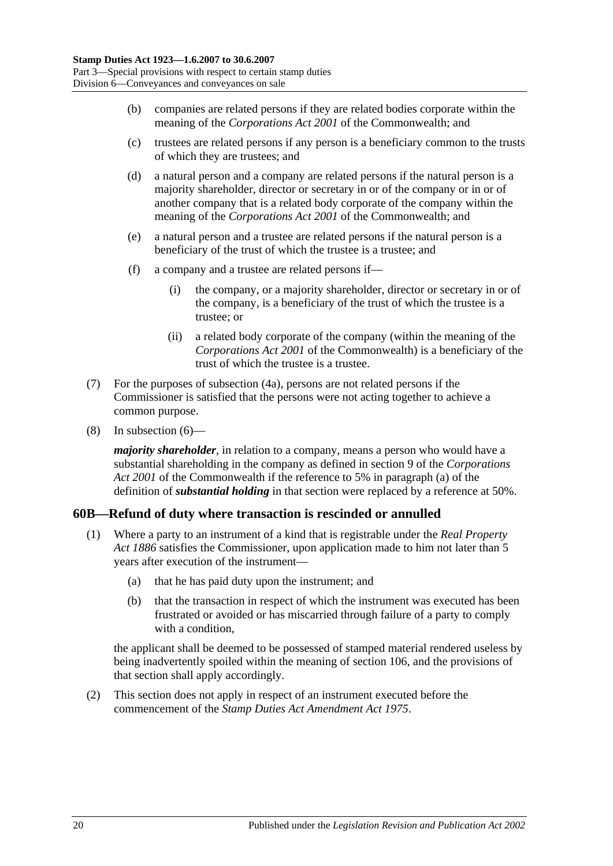- (b) companies are related persons if they are related bodies corporate within the meaning of the *Corporations Act 2001* of the Commonwealth; and
- (c) trustees are related persons if any person is a beneficiary common to the trusts of which they are trustees; and
- (d) a natural person and a company are related persons if the natural person is a majority shareholder, director or secretary in or of the company or in or of another company that is a related body corporate of the company within the meaning of the *Corporations Act 2001* of the Commonwealth; and
- (e) a natural person and a trustee are related persons if the natural person is a beneficiary of the trust of which the trustee is a trustee; and
- (f) a company and a trustee are related persons if—
	- (i) the company, or a majority shareholder, director or secretary in or of the company, is a beneficiary of the trust of which the trustee is a trustee; or
	- (ii) a related body corporate of the company (within the meaning of the *Corporations Act 2001* of the Commonwealth) is a beneficiary of the trust of which the trustee is a trustee.
- <span id="page-37-0"></span>(7) For the purposes of [subsection](#page-36-1) (4a), persons are not related persons if the Commissioner is satisfied that the persons were not acting together to achieve a common purpose.
- (8) In [subsection](#page-36-2) (6)—

*majority shareholder*, in relation to a company, means a person who would have a substantial shareholding in the company as defined in section 9 of the *Corporations Act 2001* of the Commonwealth if the reference to 5% in paragraph (a) of the definition of *substantial holding* in that section were replaced by a reference at 50%.

# **60B—Refund of duty where transaction is rescinded or annulled**

- (1) Where a party to an instrument of a kind that is registrable under the *[Real Property](http://www.legislation.sa.gov.au/index.aspx?action=legref&type=act&legtitle=Real%20Property%20Act%201886)  Act [1886](http://www.legislation.sa.gov.au/index.aspx?action=legref&type=act&legtitle=Real%20Property%20Act%201886)* satisfies the Commissioner, upon application made to him not later than 5 years after execution of the instrument—
	- (a) that he has paid duty upon the instrument; and
	- (b) that the transaction in respect of which the instrument was executed has been frustrated or avoided or has miscarried through failure of a party to comply with a condition.

the applicant shall be deemed to be possessed of stamped material rendered useless by being inadvertently spoiled within the meaning of [section](#page-98-0) 106, and the provisions of that section shall apply accordingly.

(2) This section does not apply in respect of an instrument executed before the commencement of the *[Stamp Duties Act Amendment Act](http://www.legislation.sa.gov.au/index.aspx?action=legref&type=act&legtitle=Stamp%20Duties%20Act%20Amendment%20Act%201975) 1975*.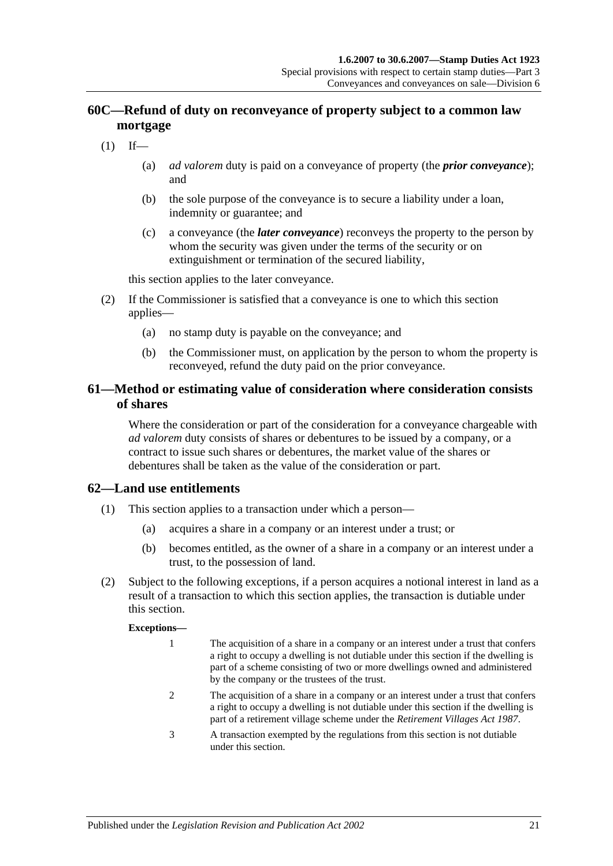# **60C—Refund of duty on reconveyance of property subject to a common law mortgage**

- $(1)$  If—
	- (a) *ad valorem* duty is paid on a conveyance of property (the *prior conveyance*); and
	- (b) the sole purpose of the conveyance is to secure a liability under a loan, indemnity or guarantee; and
	- (c) a conveyance (the *later conveyance*) reconveys the property to the person by whom the security was given under the terms of the security or on extinguishment or termination of the secured liability,

this section applies to the later conveyance.

- (2) If the Commissioner is satisfied that a conveyance is one to which this section applies—
	- (a) no stamp duty is payable on the conveyance; and
	- (b) the Commissioner must, on application by the person to whom the property is reconveyed, refund the duty paid on the prior conveyance.

## **61—Method or estimating value of consideration where consideration consists of shares**

Where the consideration or part of the consideration for a conveyance chargeable with *ad valorem* duty consists of shares or debentures to be issued by a company, or a contract to issue such shares or debentures, the market value of the shares or debentures shall be taken as the value of the consideration or part.

## **62—Land use entitlements**

- (1) This section applies to a transaction under which a person—
	- (a) acquires a share in a company or an interest under a trust; or
	- (b) becomes entitled, as the owner of a share in a company or an interest under a trust, to the possession of land.
- (2) Subject to the following exceptions, if a person acquires a notional interest in land as a result of a transaction to which this section applies, the transaction is dutiable under this section.

#### **Exceptions—**

- 1 The acquisition of a share in a company or an interest under a trust that confers a right to occupy a dwelling is not dutiable under this section if the dwelling is part of a scheme consisting of two or more dwellings owned and administered by the company or the trustees of the trust.
- 2 The acquisition of a share in a company or an interest under a trust that confers a right to occupy a dwelling is not dutiable under this section if the dwelling is part of a retirement village scheme under the *[Retirement Villages Act](http://www.legislation.sa.gov.au/index.aspx?action=legref&type=act&legtitle=Retirement%20Villages%20Act%201987) 1987*.
- 3 A transaction exempted by the regulations from this section is not dutiable under this section.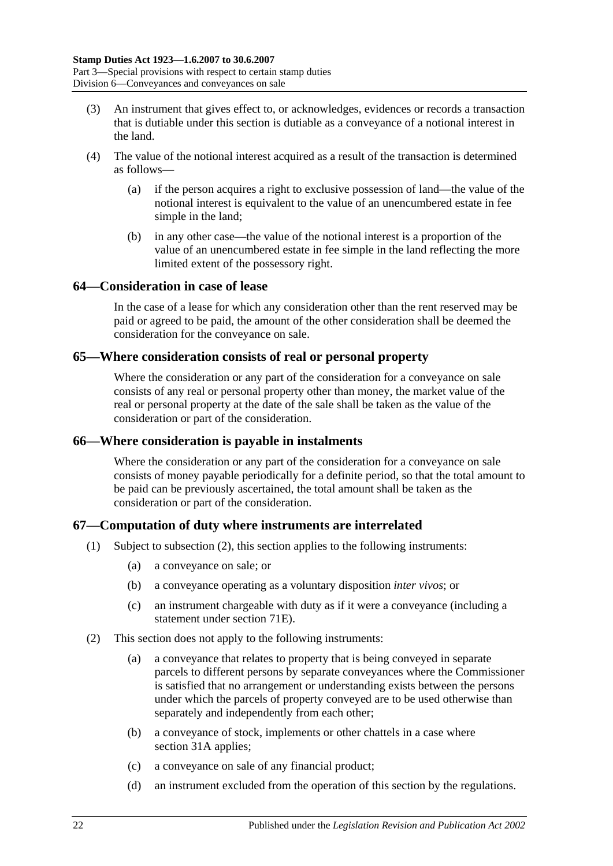- (3) An instrument that gives effect to, or acknowledges, evidences or records a transaction that is dutiable under this section is dutiable as a conveyance of a notional interest in the land.
- (4) The value of the notional interest acquired as a result of the transaction is determined as follows—
	- (a) if the person acquires a right to exclusive possession of land—the value of the notional interest is equivalent to the value of an unencumbered estate in fee simple in the land;
	- (b) in any other case—the value of the notional interest is a proportion of the value of an unencumbered estate in fee simple in the land reflecting the more limited extent of the possessory right.

### **64—Consideration in case of lease**

In the case of a lease for which any consideration other than the rent reserved may be paid or agreed to be paid, the amount of the other consideration shall be deemed the consideration for the conveyance on sale.

### **65—Where consideration consists of real or personal property**

Where the consideration or any part of the consideration for a conveyance on sale consists of any real or personal property other than money, the market value of the real or personal property at the date of the sale shall be taken as the value of the consideration or part of the consideration.

### **66—Where consideration is payable in instalments**

Where the consideration or any part of the consideration for a conveyance on sale consists of money payable periodically for a definite period, so that the total amount to be paid can be previously ascertained, the total amount shall be taken as the consideration or part of the consideration.

## **67—Computation of duty where instruments are interrelated**

- (1) Subject to [subsection](#page-39-0) (2), this section applies to the following instruments:
	- (a) a conveyance on sale; or
	- (b) a conveyance operating as a voluntary disposition *inter vivos*; or
	- (c) an instrument chargeable with duty as if it were a conveyance (including a statement under [section](#page-64-0) 71E).
- <span id="page-39-0"></span>(2) This section does not apply to the following instruments:
	- (a) a conveyance that relates to property that is being conveyed in separate parcels to different persons by separate conveyances where the Commissioner is satisfied that no arrangement or understanding exists between the persons under which the parcels of property conveyed are to be used otherwise than separately and independently from each other;
	- (b) a conveyance of stock, implements or other chattels in a case where [section](#page-19-0) 31A applies;
	- (c) a conveyance on sale of any financial product;
	- (d) an instrument excluded from the operation of this section by the regulations.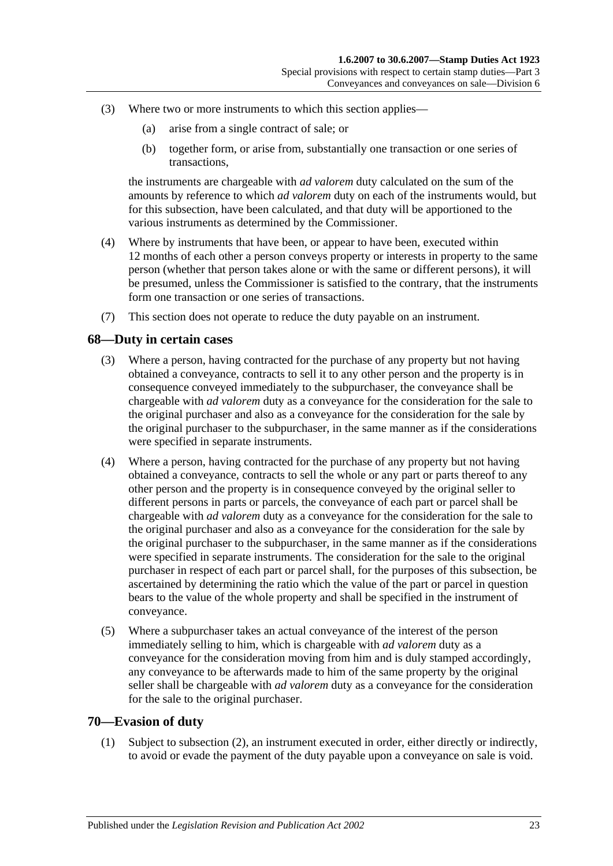- (3) Where two or more instruments to which this section applies—
	- (a) arise from a single contract of sale; or
	- (b) together form, or arise from, substantially one transaction or one series of transactions,

the instruments are chargeable with *ad valorem* duty calculated on the sum of the amounts by reference to which *ad valorem* duty on each of the instruments would, but for this subsection, have been calculated, and that duty will be apportioned to the various instruments as determined by the Commissioner.

- (4) Where by instruments that have been, or appear to have been, executed within 12 months of each other a person conveys property or interests in property to the same person (whether that person takes alone or with the same or different persons), it will be presumed, unless the Commissioner is satisfied to the contrary, that the instruments form one transaction or one series of transactions.
- (7) This section does not operate to reduce the duty payable on an instrument.

### **68—Duty in certain cases**

- (3) Where a person, having contracted for the purchase of any property but not having obtained a conveyance, contracts to sell it to any other person and the property is in consequence conveyed immediately to the subpurchaser, the conveyance shall be chargeable with *ad valorem* duty as a conveyance for the consideration for the sale to the original purchaser and also as a conveyance for the consideration for the sale by the original purchaser to the subpurchaser, in the same manner as if the considerations were specified in separate instruments.
- (4) Where a person, having contracted for the purchase of any property but not having obtained a conveyance, contracts to sell the whole or any part or parts thereof to any other person and the property is in consequence conveyed by the original seller to different persons in parts or parcels, the conveyance of each part or parcel shall be chargeable with *ad valorem* duty as a conveyance for the consideration for the sale to the original purchaser and also as a conveyance for the consideration for the sale by the original purchaser to the subpurchaser, in the same manner as if the considerations were specified in separate instruments. The consideration for the sale to the original purchaser in respect of each part or parcel shall, for the purposes of this subsection, be ascertained by determining the ratio which the value of the part or parcel in question bears to the value of the whole property and shall be specified in the instrument of conveyance.
- (5) Where a subpurchaser takes an actual conveyance of the interest of the person immediately selling to him, which is chargeable with *ad valorem* duty as a conveyance for the consideration moving from him and is duly stamped accordingly, any conveyance to be afterwards made to him of the same property by the original seller shall be chargeable with *ad valorem* duty as a conveyance for the consideration for the sale to the original purchaser.

### <span id="page-40-0"></span>**70—Evasion of duty**

(1) Subject to [subsection](#page-41-0) (2), an instrument executed in order, either directly or indirectly, to avoid or evade the payment of the duty payable upon a conveyance on sale is void.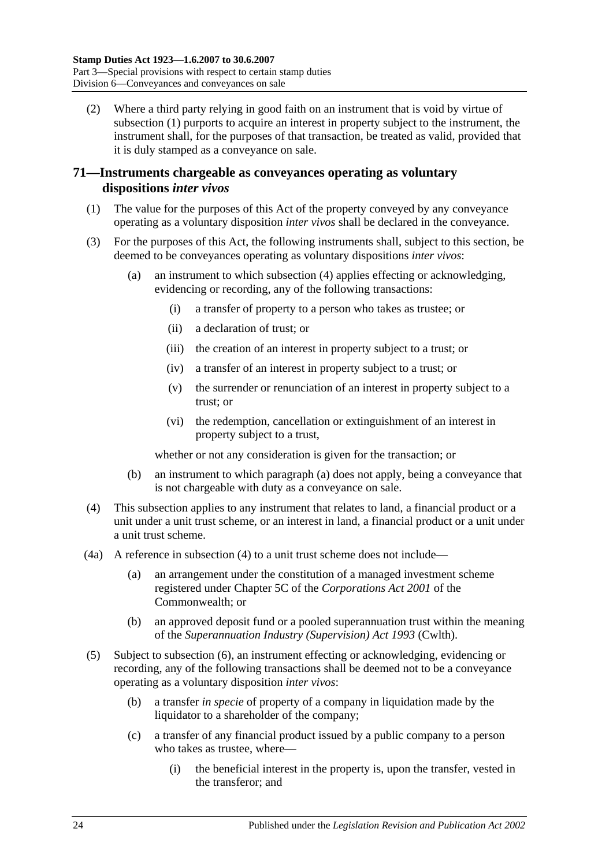<span id="page-41-0"></span>(2) Where a third party relying in good faith on an instrument that is void by virtue of [subsection](#page-40-0) (1) purports to acquire an interest in property subject to the instrument, the instrument shall, for the purposes of that transaction, be treated as valid, provided that it is duly stamped as a conveyance on sale.

## **71—Instruments chargeable as conveyances operating as voluntary dispositions** *inter vivos*

- (1) The value for the purposes of this Act of the property conveyed by any conveyance operating as a voluntary disposition *inter vivos* shall be declared in the conveyance.
- <span id="page-41-2"></span>(3) For the purposes of this Act, the following instruments shall, subject to this section, be deemed to be conveyances operating as voluntary dispositions *inter vivos*:
	- (a) an instrument to which [subsection](#page-41-1) (4) applies effecting or acknowledging, evidencing or recording, any of the following transactions:
		- (i) a transfer of property to a person who takes as trustee; or
		- (ii) a declaration of trust; or
		- (iii) the creation of an interest in property subject to a trust; or
		- (iv) a transfer of an interest in property subject to a trust; or
		- (v) the surrender or renunciation of an interest in property subject to a trust; or
		- (vi) the redemption, cancellation or extinguishment of an interest in property subject to a trust,

whether or not any consideration is given for the transaction; or

- (b) an instrument to which [paragraph](#page-41-2) (a) does not apply, being a conveyance that is not chargeable with duty as a conveyance on sale.
- <span id="page-41-1"></span>(4) This subsection applies to any instrument that relates to land, a financial product or a unit under a unit trust scheme, or an interest in land, a financial product or a unit under a unit trust scheme.
- (4a) A reference in [subsection](#page-41-1) (4) to a unit trust scheme does not include—
	- (a) an arrangement under the constitution of a managed investment scheme registered under Chapter 5C of the *Corporations Act 2001* of the Commonwealth; or
	- (b) an approved deposit fund or a pooled superannuation trust within the meaning of the *Superannuation Industry (Supervision) Act 1993* (Cwlth).
- <span id="page-41-3"></span>(5) Subject to [subsection](#page-43-0) (6), an instrument effecting or acknowledging, evidencing or recording, any of the following transactions shall be deemed not to be a conveyance operating as a voluntary disposition *inter vivos*:
	- (b) a transfer *in specie* of property of a company in liquidation made by the liquidator to a shareholder of the company;
	- (c) a transfer of any financial product issued by a public company to a person who takes as trustee, where—
		- (i) the beneficial interest in the property is, upon the transfer, vested in the transferor; and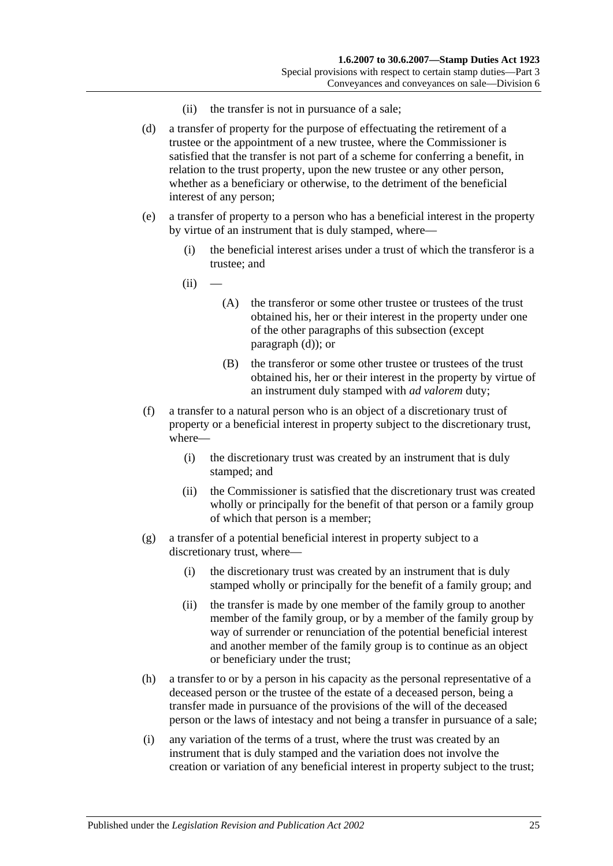- (ii) the transfer is not in pursuance of a sale;
- <span id="page-42-0"></span>(d) a transfer of property for the purpose of effectuating the retirement of a trustee or the appointment of a new trustee, where the Commissioner is satisfied that the transfer is not part of a scheme for conferring a benefit, in relation to the trust property, upon the new trustee or any other person, whether as a beneficiary or otherwise, to the detriment of the beneficial interest of any person;
- <span id="page-42-1"></span>(e) a transfer of property to a person who has a beneficial interest in the property by virtue of an instrument that is duly stamped, where—
	- (i) the beneficial interest arises under a trust of which the transferor is a trustee; and
	- $(ii)$ 
		- (A) the transferor or some other trustee or trustees of the trust obtained his, her or their interest in the property under one of the other paragraphs of this subsection (except [paragraph](#page-42-0) (d)); or
		- (B) the transferor or some other trustee or trustees of the trust obtained his, her or their interest in the property by virtue of an instrument duly stamped with *ad valorem* duty;
- (f) a transfer to a natural person who is an object of a discretionary trust of property or a beneficial interest in property subject to the discretionary trust, where—
	- (i) the discretionary trust was created by an instrument that is duly stamped; and
	- (ii) the Commissioner is satisfied that the discretionary trust was created wholly or principally for the benefit of that person or a family group of which that person is a member;
- (g) a transfer of a potential beneficial interest in property subject to a discretionary trust, where—
	- (i) the discretionary trust was created by an instrument that is duly stamped wholly or principally for the benefit of a family group; and
	- (ii) the transfer is made by one member of the family group to another member of the family group, or by a member of the family group by way of surrender or renunciation of the potential beneficial interest and another member of the family group is to continue as an object or beneficiary under the trust;
- (h) a transfer to or by a person in his capacity as the personal representative of a deceased person or the trustee of the estate of a deceased person, being a transfer made in pursuance of the provisions of the will of the deceased person or the laws of intestacy and not being a transfer in pursuance of a sale;
- (i) any variation of the terms of a trust, where the trust was created by an instrument that is duly stamped and the variation does not involve the creation or variation of any beneficial interest in property subject to the trust;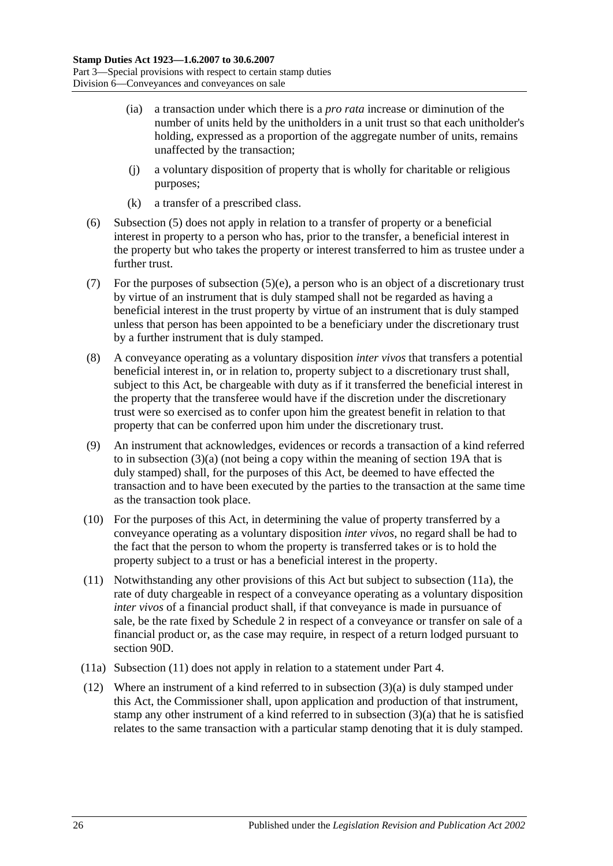- (ia) a transaction under which there is a *pro rata* increase or diminution of the number of units held by the unitholders in a unit trust so that each unitholder's holding, expressed as a proportion of the aggregate number of units, remains unaffected by the transaction;
- (j) a voluntary disposition of property that is wholly for charitable or religious purposes;
- (k) a transfer of a prescribed class.
- <span id="page-43-0"></span>(6) [Subsection](#page-41-3) (5) does not apply in relation to a transfer of property or a beneficial interest in property to a person who has, prior to the transfer, a beneficial interest in the property but who takes the property or interest transferred to him as trustee under a further trust.
- (7) For the purposes of [subsection](#page-42-1) (5)(e), a person who is an object of a discretionary trust by virtue of an instrument that is duly stamped shall not be regarded as having a beneficial interest in the trust property by virtue of an instrument that is duly stamped unless that person has been appointed to be a beneficiary under the discretionary trust by a further instrument that is duly stamped.
- (8) A conveyance operating as a voluntary disposition *inter vivos* that transfers a potential beneficial interest in, or in relation to, property subject to a discretionary trust shall, subject to this Act, be chargeable with duty as if it transferred the beneficial interest in the property that the transferee would have if the discretion under the discretionary trust were so exercised as to confer upon him the greatest benefit in relation to that property that can be conferred upon him under the discretionary trust.
- (9) An instrument that acknowledges, evidences or records a transaction of a kind referred to in [subsection](#page-41-2) (3)(a) (not being a copy within the meaning of [section](#page-14-0) 19A that is duly stamped) shall, for the purposes of this Act, be deemed to have effected the transaction and to have been executed by the parties to the transaction at the same time as the transaction took place.
- (10) For the purposes of this Act, in determining the value of property transferred by a conveyance operating as a voluntary disposition *inter vivos*, no regard shall be had to the fact that the person to whom the property is transferred takes or is to hold the property subject to a trust or has a beneficial interest in the property.
- <span id="page-43-2"></span>(11) Notwithstanding any other provisions of this Act but subject to [subsection](#page-43-1) (11a), the rate of duty chargeable in respect of a conveyance operating as a voluntary disposition *inter vivos* of a financial product shall, if that conveyance is made in pursuance of sale, be the rate fixed by [Schedule 2](#page-102-0) in respect of a conveyance or transfer on sale of a financial product or, as the case may require, in respect of a return lodged pursuant to [section](#page-78-0) 90D.
- <span id="page-43-1"></span>(11a) [Subsection](#page-43-2) (11) does not apply in relation to a statement under [Part 4.](#page-86-0)
- <span id="page-43-3"></span>(12) Where an instrument of a kind referred to in [subsection](#page-41-2) (3)(a) is duly stamped under this Act, the Commissioner shall, upon application and production of that instrument, stamp any other instrument of a kind referred to in [subsection](#page-41-2) (3)(a) that he is satisfied relates to the same transaction with a particular stamp denoting that it is duly stamped.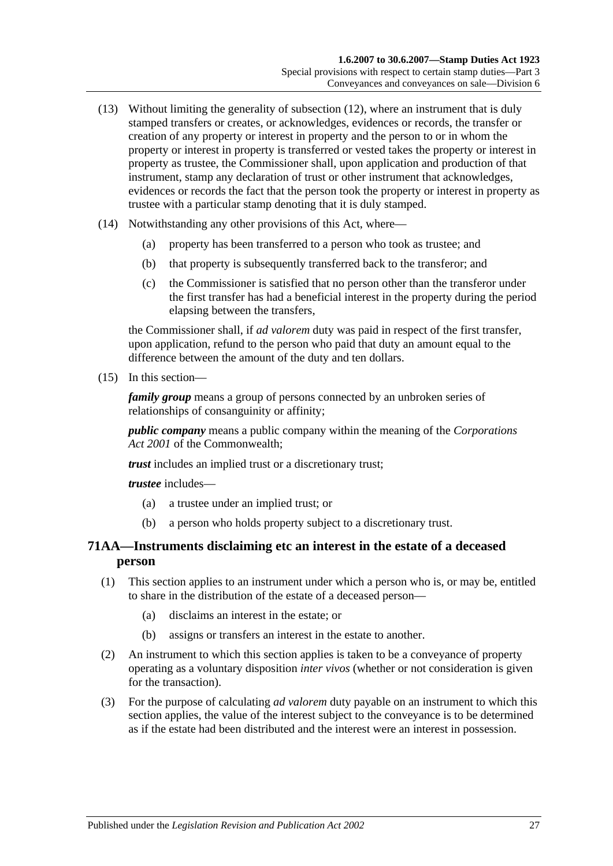- (13) Without limiting the generality of [subsection](#page-43-3) (12), where an instrument that is duly stamped transfers or creates, or acknowledges, evidences or records, the transfer or creation of any property or interest in property and the person to or in whom the property or interest in property is transferred or vested takes the property or interest in property as trustee, the Commissioner shall, upon application and production of that instrument, stamp any declaration of trust or other instrument that acknowledges, evidences or records the fact that the person took the property or interest in property as trustee with a particular stamp denoting that it is duly stamped.
- (14) Notwithstanding any other provisions of this Act, where—
	- (a) property has been transferred to a person who took as trustee; and
	- (b) that property is subsequently transferred back to the transferor; and
	- (c) the Commissioner is satisfied that no person other than the transferor under the first transfer has had a beneficial interest in the property during the period elapsing between the transfers,

the Commissioner shall, if *ad valorem* duty was paid in respect of the first transfer, upon application, refund to the person who paid that duty an amount equal to the difference between the amount of the duty and ten dollars.

<span id="page-44-0"></span>(15) In this section—

*family group* means a group of persons connected by an unbroken series of relationships of consanguinity or affinity;

*public company* means a public company within the meaning of the *Corporations Act 2001* of the Commonwealth;

*trust* includes an implied trust or a discretionary trust;

*trustee* includes—

- (a) a trustee under an implied trust; or
- (b) a person who holds property subject to a discretionary trust.

# **71AA—Instruments disclaiming etc an interest in the estate of a deceased person**

- (1) This section applies to an instrument under which a person who is, or may be, entitled to share in the distribution of the estate of a deceased person—
	- (a) disclaims an interest in the estate; or
	- (b) assigns or transfers an interest in the estate to another.
- (2) An instrument to which this section applies is taken to be a conveyance of property operating as a voluntary disposition *inter vivos* (whether or not consideration is given for the transaction).
- (3) For the purpose of calculating *ad valorem* duty payable on an instrument to which this section applies, the value of the interest subject to the conveyance is to be determined as if the estate had been distributed and the interest were an interest in possession.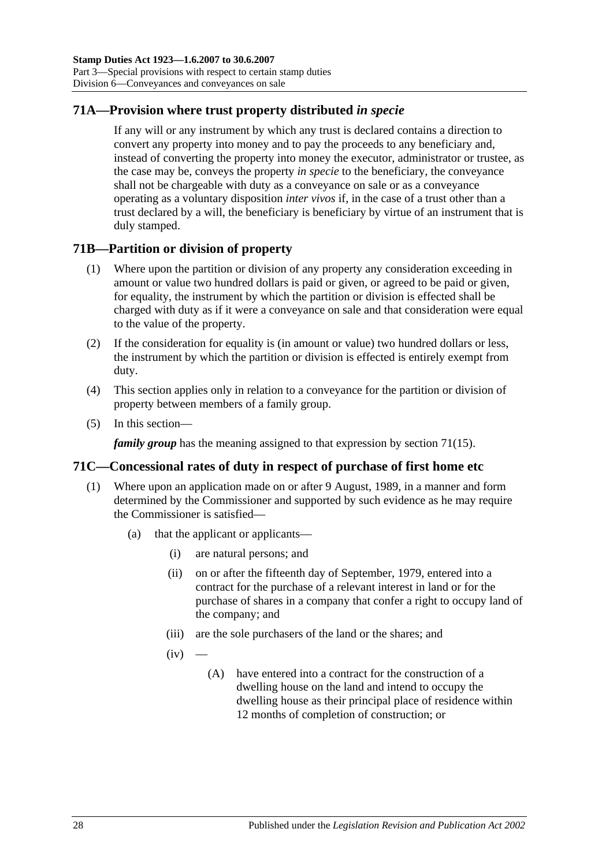# **71A—Provision where trust property distributed** *in specie*

If any will or any instrument by which any trust is declared contains a direction to convert any property into money and to pay the proceeds to any beneficiary and, instead of converting the property into money the executor, administrator or trustee, as the case may be, conveys the property *in specie* to the beneficiary, the conveyance shall not be chargeable with duty as a conveyance on sale or as a conveyance operating as a voluntary disposition *inter vivos* if, in the case of a trust other than a trust declared by a will, the beneficiary is beneficiary by virtue of an instrument that is duly stamped.

## **71B—Partition or division of property**

- (1) Where upon the partition or division of any property any consideration exceeding in amount or value two hundred dollars is paid or given, or agreed to be paid or given, for equality, the instrument by which the partition or division is effected shall be charged with duty as if it were a conveyance on sale and that consideration were equal to the value of the property.
- (2) If the consideration for equality is (in amount or value) two hundred dollars or less, the instrument by which the partition or division is effected is entirely exempt from duty.
- (4) This section applies only in relation to a conveyance for the partition or division of property between members of a family group.
- (5) In this section—

*family group* has the meaning assigned to that expression by [section](#page-44-0) 71(15).

## **71C—Concessional rates of duty in respect of purchase of first home etc**

- <span id="page-45-1"></span><span id="page-45-0"></span>(1) Where upon an application made on or after 9 August, 1989, in a manner and form determined by the Commissioner and supported by such evidence as he may require the Commissioner is satisfied—
	- (a) that the applicant or applicants—
		- (i) are natural persons; and
		- (ii) on or after the fifteenth day of September, 1979, entered into a contract for the purchase of a relevant interest in land or for the purchase of shares in a company that confer a right to occupy land of the company; and
		- (iii) are the sole purchasers of the land or the shares; and
		- $(iv)$ 
			- (A) have entered into a contract for the construction of a dwelling house on the land and intend to occupy the dwelling house as their principal place of residence within 12 months of completion of construction; or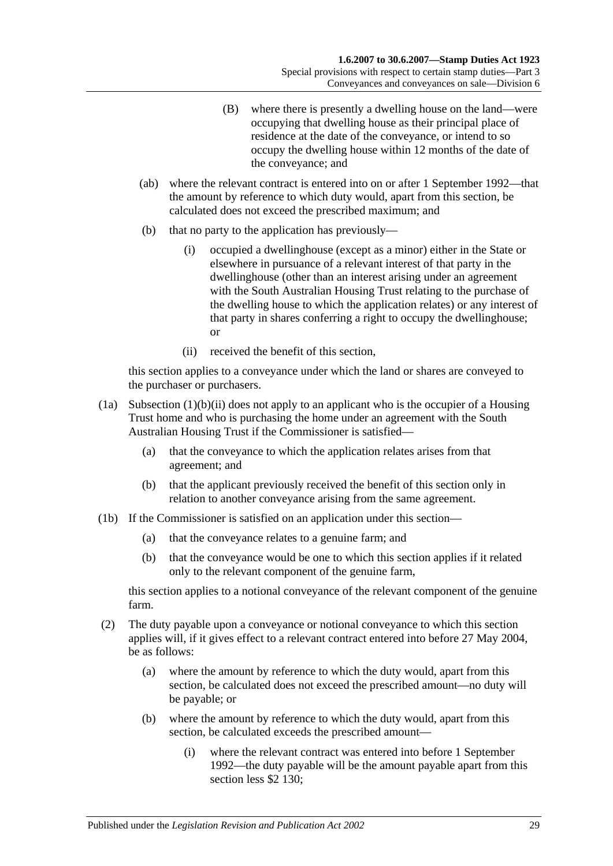- (B) where there is presently a dwelling house on the land—were occupying that dwelling house as their principal place of residence at the date of the conveyance, or intend to so occupy the dwelling house within 12 months of the date of the conveyance; and
- (ab) where the relevant contract is entered into on or after 1 September 1992—that the amount by reference to which duty would, apart from this section, be calculated does not exceed the prescribed maximum; and
- (b) that no party to the application has previously—
	- (i) occupied a dwellinghouse (except as a minor) either in the State or elsewhere in pursuance of a relevant interest of that party in the dwellinghouse (other than an interest arising under an agreement with the South Australian Housing Trust relating to the purchase of the dwelling house to which the application relates) or any interest of that party in shares conferring a right to occupy the dwellinghouse; or
	- (ii) received the benefit of this section,

<span id="page-46-0"></span>this section applies to a conveyance under which the land or shares are conveyed to the purchaser or purchasers.

- (1a) [Subsection](#page-46-0) (1)(b)(ii) does not apply to an applicant who is the occupier of a Housing Trust home and who is purchasing the home under an agreement with the South Australian Housing Trust if the Commissioner is satisfied—
	- (a) that the conveyance to which the application relates arises from that agreement; and
	- (b) that the applicant previously received the benefit of this section only in relation to another conveyance arising from the same agreement.
- (1b) If the Commissioner is satisfied on an application under this section—
	- (a) that the conveyance relates to a genuine farm; and
	- (b) that the conveyance would be one to which this section applies if it related only to the relevant component of the genuine farm,

this section applies to a notional conveyance of the relevant component of the genuine farm.

- (2) The duty payable upon a conveyance or notional conveyance to which this section applies will, if it gives effect to a relevant contract entered into before 27 May 2004, be as follows:
	- (a) where the amount by reference to which the duty would, apart from this section, be calculated does not exceed the prescribed amount—no duty will be payable; or
	- (b) where the amount by reference to which the duty would, apart from this section, be calculated exceeds the prescribed amount—
		- (i) where the relevant contract was entered into before 1 September 1992—the duty payable will be the amount payable apart from this section less \$2 130: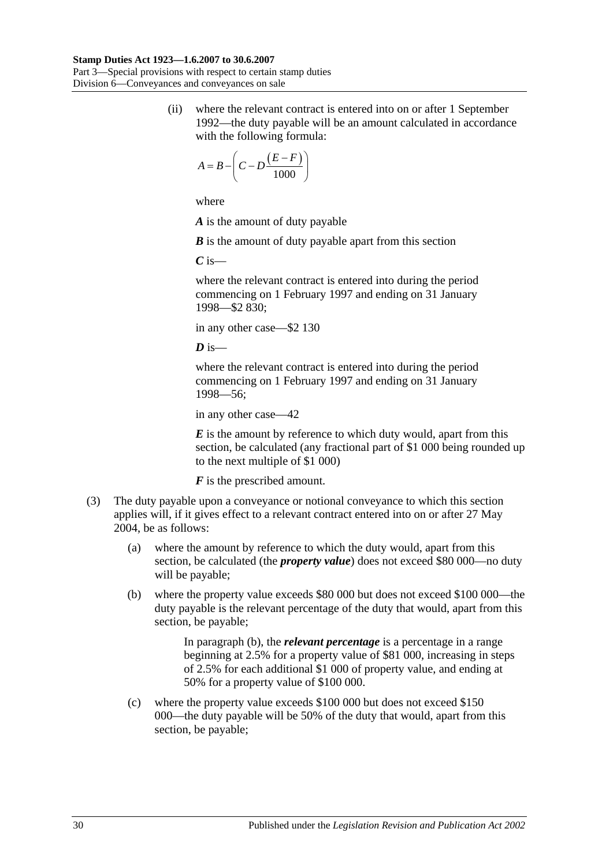(ii) where the relevant contract is entered into on or after 1 September 1992—the duty payable will be an amount calculated in accordance with the following formula:

$$
A = B - \left(C - D \frac{(E - F)}{1000}\right)
$$

where

*A* is the amount of duty payable

*B* is the amount of duty payable apart from this section

*C* is—

where the relevant contract is entered into during the period commencing on 1 February 1997 and ending on 31 January 1998—\$2 830;

in any other case—\$2 130

 $\overline{D}$  is—

where the relevant contract is entered into during the period commencing on 1 February 1997 and ending on 31 January 1998—56;

in any other case—42

*E* is the amount by reference to which duty would, apart from this section, be calculated (any fractional part of \$1 000 being rounded up to the next multiple of \$1 000)

*F* is the prescribed amount.

- <span id="page-47-0"></span>(3) The duty payable upon a conveyance or notional conveyance to which this section applies will, if it gives effect to a relevant contract entered into on or after 27 May 2004, be as follows:
	- (a) where the amount by reference to which the duty would, apart from this section, be calculated (the *property value*) does not exceed \$80 000—no duty will be payable;
	- (b) where the property value exceeds \$80 000 but does not exceed \$100 000—the duty payable is the relevant percentage of the duty that would, apart from this section, be payable;

In [paragraph](#page-47-0) (b), the *relevant percentage* is a percentage in a range beginning at 2.5% for a property value of \$81 000, increasing in steps of 2.5% for each additional \$1 000 of property value, and ending at 50% for a property value of \$100 000.

(c) where the property value exceeds \$100 000 but does not exceed \$150 000—the duty payable will be 50% of the duty that would, apart from this section, be payable;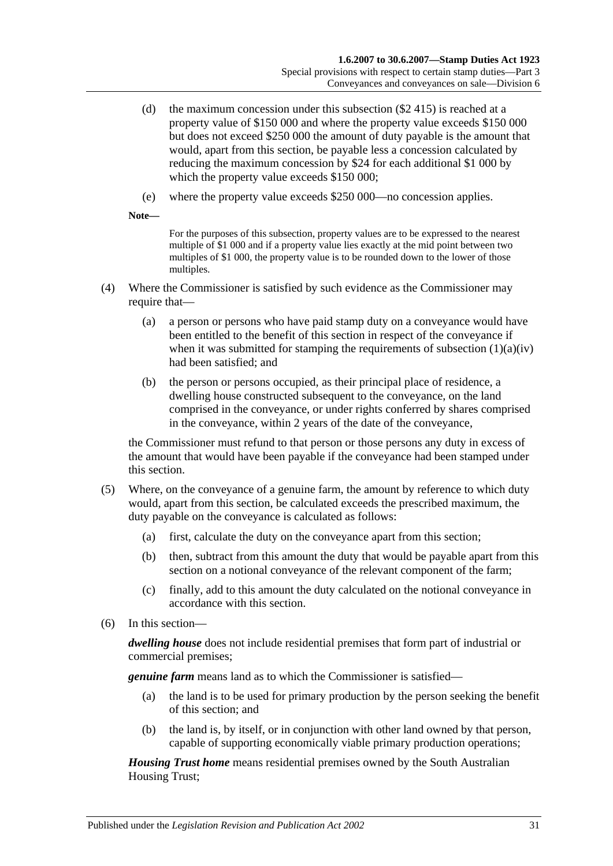- (d) the maximum concession under this subsection (\$2 415) is reached at a property value of \$150 000 and where the property value exceeds \$150 000 but does not exceed \$250 000 the amount of duty payable is the amount that would, apart from this section, be payable less a concession calculated by reducing the maximum concession by \$24 for each additional \$1 000 by which the property value exceeds \$150 000;
- (e) where the property value exceeds \$250 000—no concession applies.

**Note—**

For the purposes of this subsection, property values are to be expressed to the nearest multiple of \$1 000 and if a property value lies exactly at the mid point between two multiples of \$1 000, the property value is to be rounded down to the lower of those multiples.

- (4) Where the Commissioner is satisfied by such evidence as the Commissioner may require that—
	- (a) a person or persons who have paid stamp duty on a conveyance would have been entitled to the benefit of this section in respect of the conveyance if when it was submitted for stamping the requirements of [subsection](#page-45-0)  $(1)(a)(iv)$ had been satisfied; and
	- (b) the person or persons occupied, as their principal place of residence, a dwelling house constructed subsequent to the conveyance, on the land comprised in the conveyance, or under rights conferred by shares comprised in the conveyance, within 2 years of the date of the conveyance,

the Commissioner must refund to that person or those persons any duty in excess of the amount that would have been payable if the conveyance had been stamped under this section.

- (5) Where, on the conveyance of a genuine farm, the amount by reference to which duty would, apart from this section, be calculated exceeds the prescribed maximum, the duty payable on the conveyance is calculated as follows:
	- (a) first, calculate the duty on the conveyance apart from this section;
	- (b) then, subtract from this amount the duty that would be payable apart from this section on a notional conveyance of the relevant component of the farm;
	- (c) finally, add to this amount the duty calculated on the notional conveyance in accordance with this section.
- (6) In this section—

*dwelling house* does not include residential premises that form part of industrial or commercial premises;

*genuine farm* means land as to which the Commissioner is satisfied—

- (a) the land is to be used for primary production by the person seeking the benefit of this section; and
- (b) the land is, by itself, or in conjunction with other land owned by that person, capable of supporting economically viable primary production operations;

*Housing Trust home* means residential premises owned by the South Australian Housing Trust;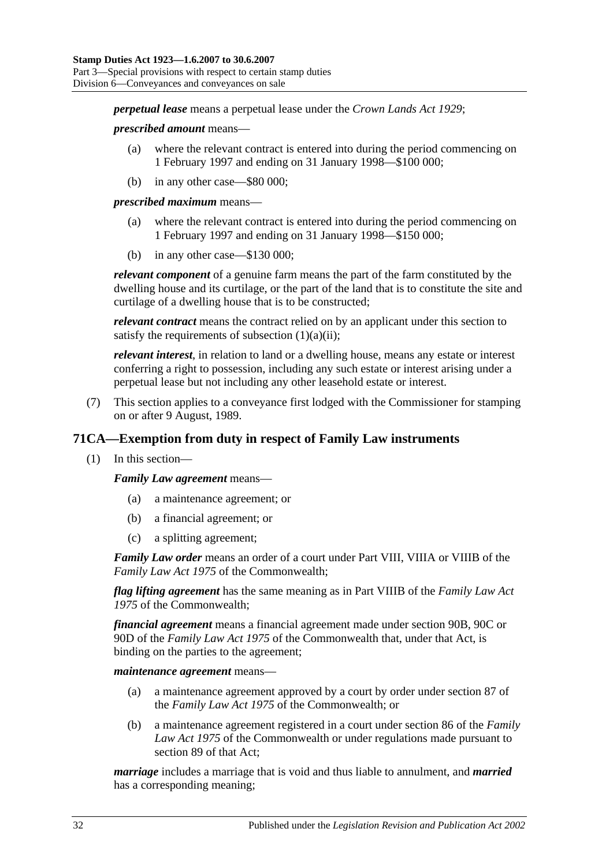*perpetual lease* means a perpetual lease under the *[Crown Lands Act](http://www.legislation.sa.gov.au/index.aspx?action=legref&type=act&legtitle=Crown%20Lands%20Act%201929) 1929*;

#### *prescribed amount* means—

- (a) where the relevant contract is entered into during the period commencing on 1 February 1997 and ending on 31 January 1998—\$100 000;
- (b) in any other case—\$80 000;

*prescribed maximum* means—

- (a) where the relevant contract is entered into during the period commencing on 1 February 1997 and ending on 31 January 1998—\$150 000;
- (b) in any other case—\$130 000;

*relevant component* of a genuine farm means the part of the farm constituted by the dwelling house and its curtilage, or the part of the land that is to constitute the site and curtilage of a dwelling house that is to be constructed;

*relevant contract* means the contract relied on by an applicant under this section to satisfy the requirements of [subsection](#page-45-1)  $(1)(a)(ii)$ ;

*relevant interest*, in relation to land or a dwelling house, means any estate or interest conferring a right to possession, including any such estate or interest arising under a perpetual lease but not including any other leasehold estate or interest.

(7) This section applies to a conveyance first lodged with the Commissioner for stamping on or after 9 August, 1989.

## **71CA—Exemption from duty in respect of Family Law instruments**

(1) In this section—

*Family Law agreement* means—

- (a) a maintenance agreement; or
- (b) a financial agreement; or
- (c) a splitting agreement;

*Family Law order* means an order of a court under Part VIII, VIIIA or VIIIB of the *Family Law Act 1975* of the Commonwealth;

*flag lifting agreement* has the same meaning as in Part VIIIB of the *Family Law Act 1975* of the Commonwealth;

*financial agreement* means a financial agreement made under section 90B, 90C or 90D of the *Family Law Act 1975* of the Commonwealth that, under that Act, is binding on the parties to the agreement;

*maintenance agreement* means—

- (a) a maintenance agreement approved by a court by order under section 87 of the *Family Law Act 1975* of the Commonwealth; or
- (b) a maintenance agreement registered in a court under section 86 of the *Family Law Act 1975* of the Commonwealth or under regulations made pursuant to section 89 of that Act;

*marriage* includes a marriage that is void and thus liable to annulment, and *married* has a corresponding meaning;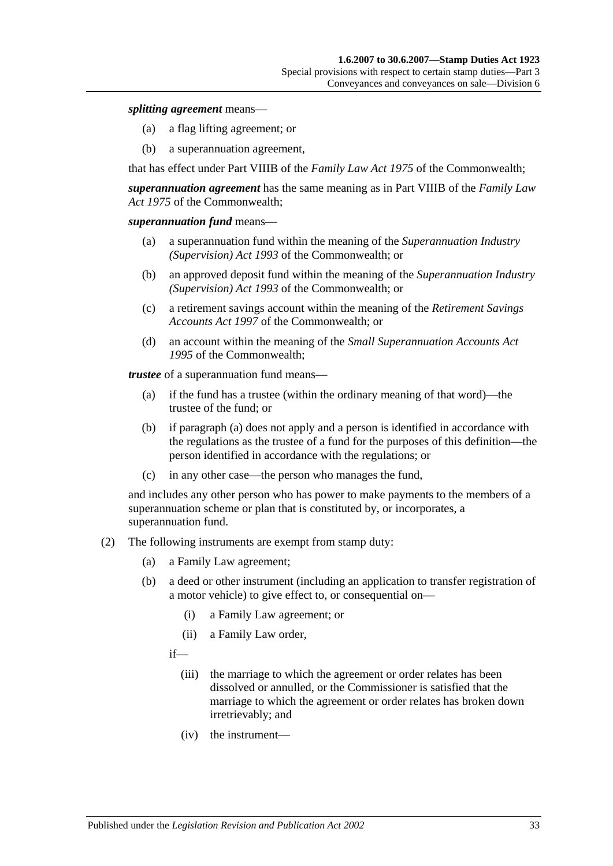#### *splitting agreement* means—

- (a) a flag lifting agreement; or
- (b) a superannuation agreement,

that has effect under Part VIIIB of the *Family Law Act 1975* of the Commonwealth;

*superannuation agreement* has the same meaning as in Part VIIIB of the *Family Law Act 1975* of the Commonwealth;

#### *superannuation fund* means—

- (a) a superannuation fund within the meaning of the *Superannuation Industry (Supervision) Act 1993* of the Commonwealth; or
- (b) an approved deposit fund within the meaning of the *Superannuation Industry (Supervision) Act 1993* of the Commonwealth; or
- (c) a retirement savings account within the meaning of the *Retirement Savings Accounts Act 1997* of the Commonwealth; or
- (d) an account within the meaning of the *Small Superannuation Accounts Act 1995* of the Commonwealth;

<span id="page-50-0"></span>*trustee* of a superannuation fund means—

- (a) if the fund has a trustee (within the ordinary meaning of that word)—the trustee of the fund; or
- (b) if [paragraph](#page-50-0) (a) does not apply and a person is identified in accordance with the regulations as the trustee of a fund for the purposes of this definition—the person identified in accordance with the regulations; or
- (c) in any other case—the person who manages the fund,

and includes any other person who has power to make payments to the members of a superannuation scheme or plan that is constituted by, or incorporates, a superannuation fund.

- (2) The following instruments are exempt from stamp duty:
	- (a) a Family Law agreement;
	- (b) a deed or other instrument (including an application to transfer registration of a motor vehicle) to give effect to, or consequential on—
		- (i) a Family Law agreement; or
		- (ii) a Family Law order,
		- if—
			- (iii) the marriage to which the agreement or order relates has been dissolved or annulled, or the Commissioner is satisfied that the marriage to which the agreement or order relates has broken down irretrievably; and
			- (iv) the instrument—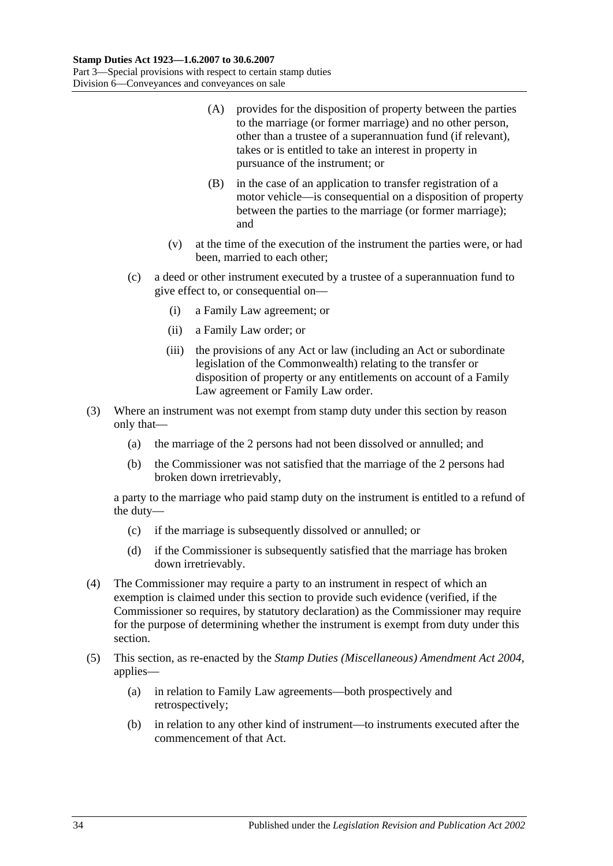- (A) provides for the disposition of property between the parties to the marriage (or former marriage) and no other person, other than a trustee of a superannuation fund (if relevant), takes or is entitled to take an interest in property in pursuance of the instrument; or
- (B) in the case of an application to transfer registration of a motor vehicle—is consequential on a disposition of property between the parties to the marriage (or former marriage); and
- (v) at the time of the execution of the instrument the parties were, or had been, married to each other;
- (c) a deed or other instrument executed by a trustee of a superannuation fund to give effect to, or consequential on—
	- (i) a Family Law agreement; or
	- (ii) a Family Law order; or
	- (iii) the provisions of any Act or law (including an Act or subordinate legislation of the Commonwealth) relating to the transfer or disposition of property or any entitlements on account of a Family Law agreement or Family Law order.
- (3) Where an instrument was not exempt from stamp duty under this section by reason only that—
	- (a) the marriage of the 2 persons had not been dissolved or annulled; and
	- (b) the Commissioner was not satisfied that the marriage of the 2 persons had broken down irretrievably,

a party to the marriage who paid stamp duty on the instrument is entitled to a refund of the duty—

- (c) if the marriage is subsequently dissolved or annulled; or
- (d) if the Commissioner is subsequently satisfied that the marriage has broken down irretrievably.
- (4) The Commissioner may require a party to an instrument in respect of which an exemption is claimed under this section to provide such evidence (verified, if the Commissioner so requires, by statutory declaration) as the Commissioner may require for the purpose of determining whether the instrument is exempt from duty under this section.
- (5) This section, as re-enacted by the *[Stamp Duties \(Miscellaneous\) Amendment Act 2004](http://www.legislation.sa.gov.au/index.aspx?action=legref&type=act&legtitle=Stamp%20Duties%20(Miscellaneous)%20Amendment%20Act%202004)*, applies—
	- (a) in relation to Family Law agreements—both prospectively and retrospectively;
	- (b) in relation to any other kind of instrument—to instruments executed after the commencement of that Act.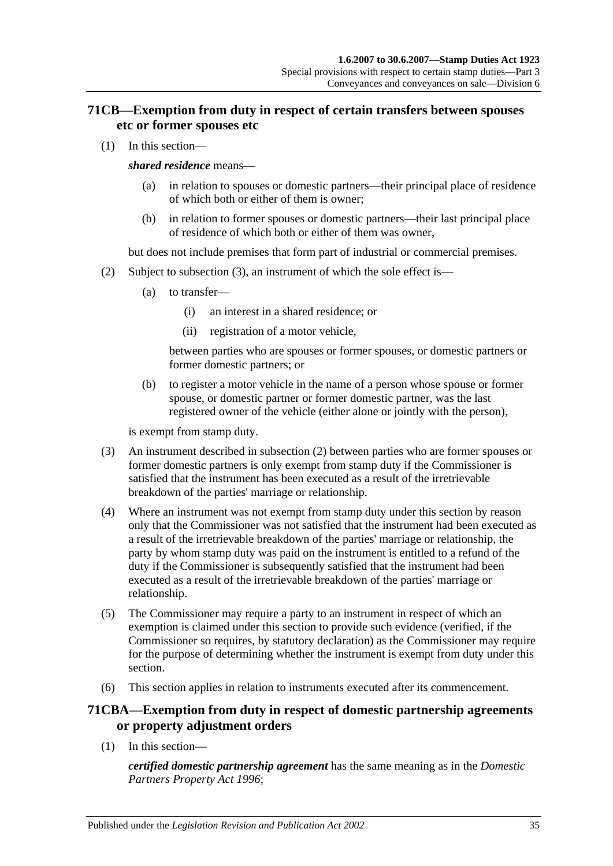# **71CB—Exemption from duty in respect of certain transfers between spouses etc or former spouses etc**

(1) In this section—

#### *shared residence* means—

- (a) in relation to spouses or domestic partners—their principal place of residence of which both or either of them is owner;
- (b) in relation to former spouses or domestic partners—their last principal place of residence of which both or either of them was owner,

but does not include premises that form part of industrial or commercial premises.

- (2) Subject to [subsection](#page-52-0) (3), an instrument of which the sole effect is—
	- (a) to transfer—
		- (i) an interest in a shared residence; or
		- (ii) registration of a motor vehicle,

between parties who are spouses or former spouses, or domestic partners or former domestic partners; or

(b) to register a motor vehicle in the name of a person whose spouse or former spouse, or domestic partner or former domestic partner, was the last registered owner of the vehicle (either alone or jointly with the person),

is exempt from stamp duty.

- <span id="page-52-0"></span>(3) An instrument described in subsection (2) between parties who are former spouses or former domestic partners is only exempt from stamp duty if the Commissioner is satisfied that the instrument has been executed as a result of the irretrievable breakdown of the parties' marriage or relationship.
- (4) Where an instrument was not exempt from stamp duty under this section by reason only that the Commissioner was not satisfied that the instrument had been executed as a result of the irretrievable breakdown of the parties' marriage or relationship, the party by whom stamp duty was paid on the instrument is entitled to a refund of the duty if the Commissioner is subsequently satisfied that the instrument had been executed as a result of the irretrievable breakdown of the parties' marriage or relationship.
- (5) The Commissioner may require a party to an instrument in respect of which an exemption is claimed under this section to provide such evidence (verified, if the Commissioner so requires, by statutory declaration) as the Commissioner may require for the purpose of determining whether the instrument is exempt from duty under this section.
- (6) This section applies in relation to instruments executed after its commencement.

# **71CBA—Exemption from duty in respect of domestic partnership agreements or property adjustment orders**

(1) In this section—

*certified domestic partnership agreement* has the same meaning as in the *[Domestic](http://www.legislation.sa.gov.au/index.aspx?action=legref&type=act&legtitle=Domestic%20Partners%20Property%20Act%201996)  [Partners Property Act](http://www.legislation.sa.gov.au/index.aspx?action=legref&type=act&legtitle=Domestic%20Partners%20Property%20Act%201996) 1996*;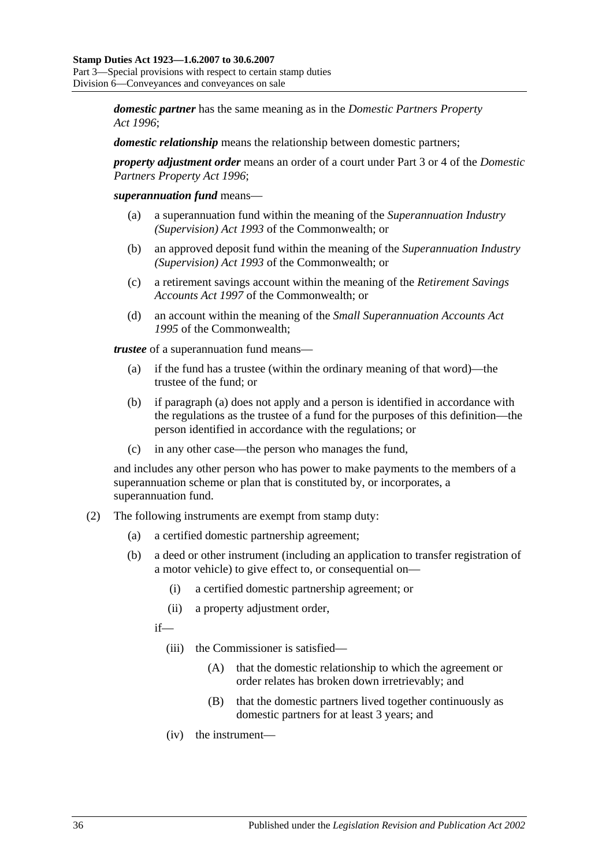Part 3—Special provisions with respect to certain stamp duties Division 6—Conveyances and conveyances on sale

> *domestic partner* has the same meaning as in the *[Domestic Partners Property](http://www.legislation.sa.gov.au/index.aspx?action=legref&type=act&legtitle=Domestic%20Partners%20Property%20Act%201996)  Act [1996](http://www.legislation.sa.gov.au/index.aspx?action=legref&type=act&legtitle=Domestic%20Partners%20Property%20Act%201996)*;

*domestic relationship* means the relationship between domestic partners;

*property adjustment order* means an order of a court under Part 3 or 4 of the *[Domestic](http://www.legislation.sa.gov.au/index.aspx?action=legref&type=act&legtitle=Domestic%20Partners%20Property%20Act%201996)  [Partners Property Act](http://www.legislation.sa.gov.au/index.aspx?action=legref&type=act&legtitle=Domestic%20Partners%20Property%20Act%201996) 1996*;

*superannuation fund* means—

- (a) a superannuation fund within the meaning of the *Superannuation Industry (Supervision) Act 1993* of the Commonwealth; or
- (b) an approved deposit fund within the meaning of the *Superannuation Industry (Supervision) Act 1993* of the Commonwealth; or
- (c) a retirement savings account within the meaning of the *Retirement Savings Accounts Act 1997* of the Commonwealth; or
- (d) an account within the meaning of the *Small Superannuation Accounts Act 1995* of the Commonwealth;

<span id="page-53-0"></span>*trustee* of a superannuation fund means—

- (a) if the fund has a trustee (within the ordinary meaning of that word)—the trustee of the fund; or
- (b) if [paragraph](#page-53-0) (a) does not apply and a person is identified in accordance with the regulations as the trustee of a fund for the purposes of this definition—the person identified in accordance with the regulations; or
- (c) in any other case—the person who manages the fund,

and includes any other person who has power to make payments to the members of a superannuation scheme or plan that is constituted by, or incorporates, a superannuation fund.

- (2) The following instruments are exempt from stamp duty:
	- (a) a certified domestic partnership agreement;
	- (b) a deed or other instrument (including an application to transfer registration of a motor vehicle) to give effect to, or consequential on—
		- (i) a certified domestic partnership agreement; or
		- (ii) a property adjustment order,

if—

- (iii) the Commissioner is satisfied—
	- (A) that the domestic relationship to which the agreement or order relates has broken down irretrievably; and
	- (B) that the domestic partners lived together continuously as domestic partners for at least 3 years; and
- (iv) the instrument—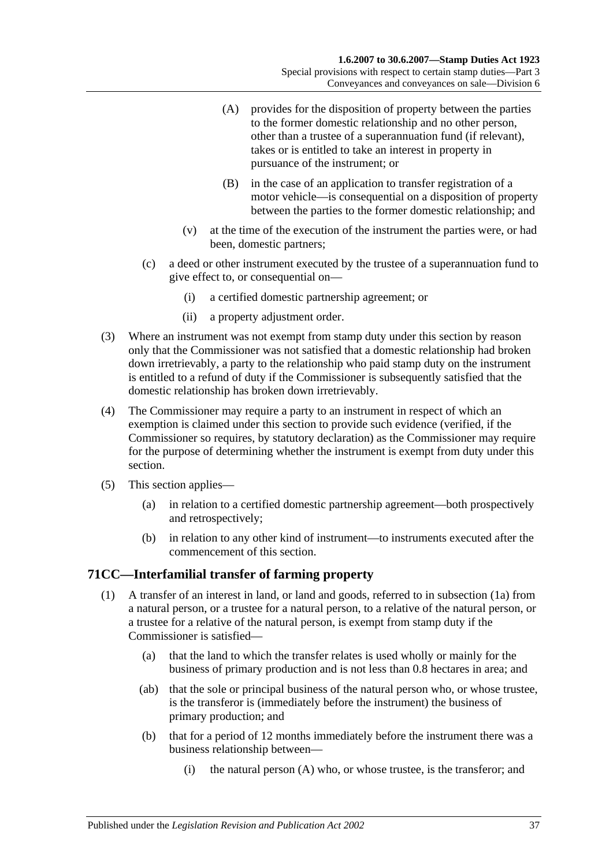- (A) provides for the disposition of property between the parties to the former domestic relationship and no other person, other than a trustee of a superannuation fund (if relevant), takes or is entitled to take an interest in property in pursuance of the instrument; or
- (B) in the case of an application to transfer registration of a motor vehicle—is consequential on a disposition of property between the parties to the former domestic relationship; and
- (v) at the time of the execution of the instrument the parties were, or had been, domestic partners;
- (c) a deed or other instrument executed by the trustee of a superannuation fund to give effect to, or consequential on—
	- (i) a certified domestic partnership agreement; or
	- (ii) a property adjustment order.
- (3) Where an instrument was not exempt from stamp duty under this section by reason only that the Commissioner was not satisfied that a domestic relationship had broken down irretrievably, a party to the relationship who paid stamp duty on the instrument is entitled to a refund of duty if the Commissioner is subsequently satisfied that the domestic relationship has broken down irretrievably.
- (4) The Commissioner may require a party to an instrument in respect of which an exemption is claimed under this section to provide such evidence (verified, if the Commissioner so requires, by statutory declaration) as the Commissioner may require for the purpose of determining whether the instrument is exempt from duty under this section.
- (5) This section applies—
	- (a) in relation to a certified domestic partnership agreement—both prospectively and retrospectively;
	- (b) in relation to any other kind of instrument—to instruments executed after the commencement of this section.

# <span id="page-54-0"></span>**71CC—Interfamilial transfer of farming property**

- <span id="page-54-1"></span>(1) A transfer of an interest in land, or land and goods, referred to in [subsection](#page-55-0) (1a) from a natural person, or a trustee for a natural person, to a relative of the natural person, or a trustee for a relative of the natural person, is exempt from stamp duty if the Commissioner is satisfied—
	- (a) that the land to which the transfer relates is used wholly or mainly for the business of primary production and is not less than 0.8 hectares in area; and
	- (ab) that the sole or principal business of the natural person who, or whose trustee, is the transferor is (immediately before the instrument) the business of primary production; and
	- (b) that for a period of 12 months immediately before the instrument there was a business relationship between—
		- (i) the natural person (A) who, or whose trustee, is the transferor; and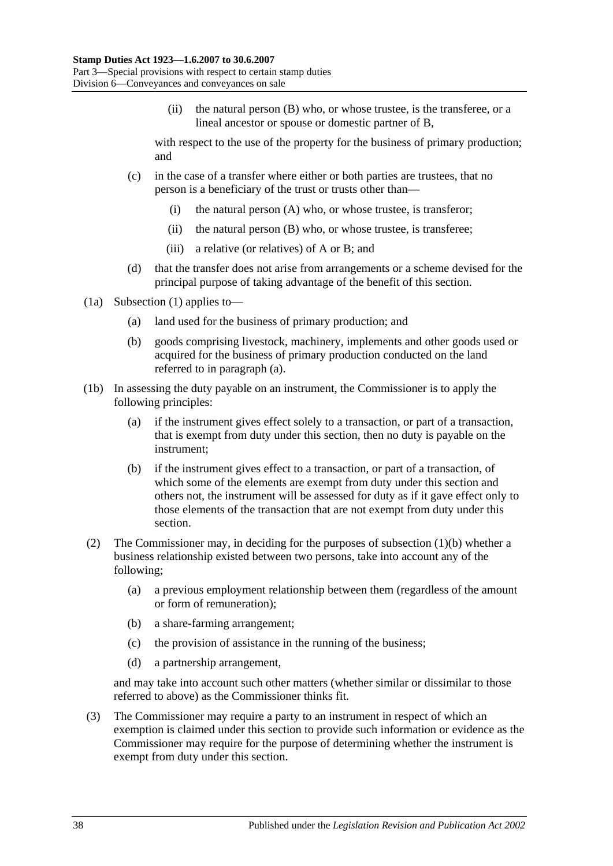(ii) the natural person (B) who, or whose trustee, is the transferee, or a lineal ancestor or spouse or domestic partner of B,

with respect to the use of the property for the business of primary production; and

- (c) in the case of a transfer where either or both parties are trustees, that no person is a beneficiary of the trust or trusts other than—
	- (i) the natural person (A) who, or whose trustee, is transferor;
	- (ii) the natural person (B) who, or whose trustee, is transferee;
	- (iii) a relative (or relatives) of A or B; and
- (d) that the transfer does not arise from arrangements or a scheme devised for the principal purpose of taking advantage of the benefit of this section.
- <span id="page-55-1"></span><span id="page-55-0"></span>(1a) [Subsection](#page-54-0) (1) applies to—
	- (a) land used for the business of primary production; and
	- (b) goods comprising livestock, machinery, implements and other goods used or acquired for the business of primary production conducted on the land referred to in [paragraph](#page-55-1) (a).
- (1b) In assessing the duty payable on an instrument, the Commissioner is to apply the following principles:
	- (a) if the instrument gives effect solely to a transaction, or part of a transaction, that is exempt from duty under this section, then no duty is payable on the instrument;
	- (b) if the instrument gives effect to a transaction, or part of a transaction, of which some of the elements are exempt from duty under this section and others not, the instrument will be assessed for duty as if it gave effect only to those elements of the transaction that are not exempt from duty under this section.
- (2) The Commissioner may, in deciding for the purposes of [subsection](#page-54-1) (1)(b) whether a business relationship existed between two persons, take into account any of the following;
	- (a) a previous employment relationship between them (regardless of the amount or form of remuneration);
	- (b) a share-farming arrangement;
	- (c) the provision of assistance in the running of the business;
	- (d) a partnership arrangement,

and may take into account such other matters (whether similar or dissimilar to those referred to above) as the Commissioner thinks fit.

(3) The Commissioner may require a party to an instrument in respect of which an exemption is claimed under this section to provide such information or evidence as the Commissioner may require for the purpose of determining whether the instrument is exempt from duty under this section.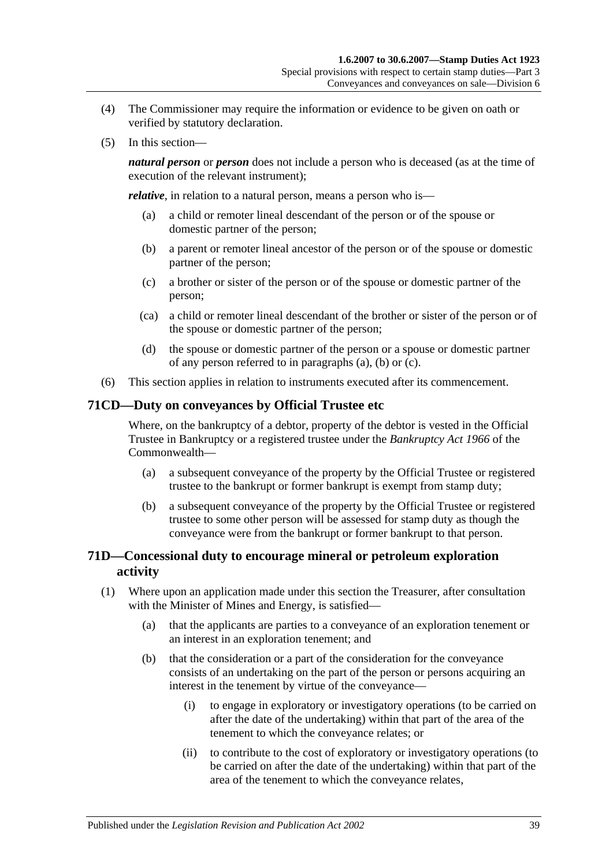- (4) The Commissioner may require the information or evidence to be given on oath or verified by statutory declaration.
- (5) In this section—

*natural person* or *person* does not include a person who is deceased (as at the time of execution of the relevant instrument);

<span id="page-56-0"></span>*relative*, in relation to a natural person, means a person who is—

- (a) a child or remoter lineal descendant of the person or of the spouse or domestic partner of the person;
- <span id="page-56-1"></span>(b) a parent or remoter lineal ancestor of the person or of the spouse or domestic partner of the person;
- <span id="page-56-2"></span>(c) a brother or sister of the person or of the spouse or domestic partner of the person;
- (ca) a child or remoter lineal descendant of the brother or sister of the person or of the spouse or domestic partner of the person;
- (d) the spouse or domestic partner of the person or a spouse or domestic partner of any person referred to in [paragraphs](#page-56-0) (a), [\(b\)](#page-56-1) or [\(c\).](#page-56-2)
- (6) This section applies in relation to instruments executed after its commencement.

### **71CD—Duty on conveyances by Official Trustee etc**

Where, on the bankruptcy of a debtor, property of the debtor is vested in the Official Trustee in Bankruptcy or a registered trustee under the *Bankruptcy Act 1966* of the Commonwealth—

- (a) a subsequent conveyance of the property by the Official Trustee or registered trustee to the bankrupt or former bankrupt is exempt from stamp duty;
- (b) a subsequent conveyance of the property by the Official Trustee or registered trustee to some other person will be assessed for stamp duty as though the conveyance were from the bankrupt or former bankrupt to that person.

## **71D—Concessional duty to encourage mineral or petroleum exploration activity**

- <span id="page-56-3"></span>(1) Where upon an application made under this section the Treasurer, after consultation with the Minister of Mines and Energy, is satisfied—
	- (a) that the applicants are parties to a conveyance of an exploration tenement or an interest in an exploration tenement; and
	- (b) that the consideration or a part of the consideration for the conveyance consists of an undertaking on the part of the person or persons acquiring an interest in the tenement by virtue of the conveyance—
		- (i) to engage in exploratory or investigatory operations (to be carried on after the date of the undertaking) within that part of the area of the tenement to which the conveyance relates; or
		- (ii) to contribute to the cost of exploratory or investigatory operations (to be carried on after the date of the undertaking) within that part of the area of the tenement to which the conveyance relates,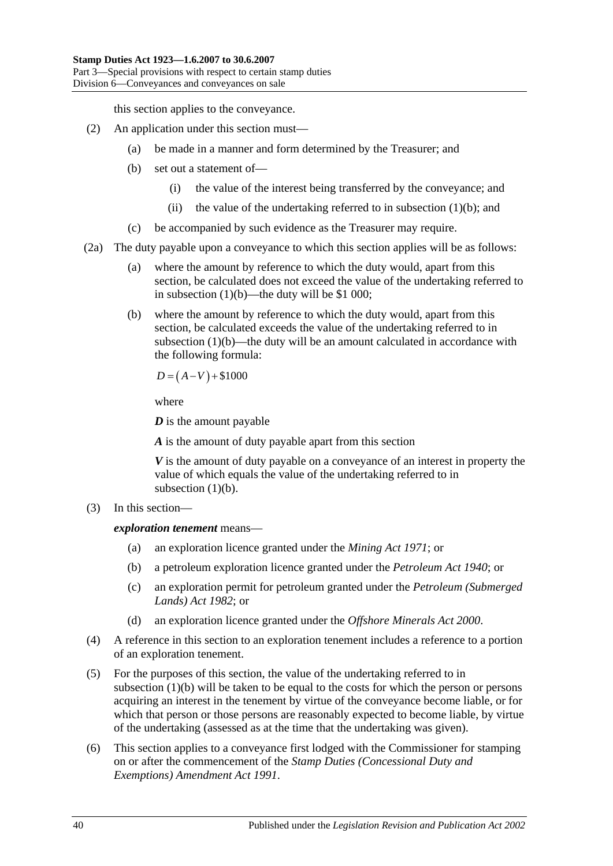this section applies to the conveyance.

- (2) An application under this section must—
	- (a) be made in a manner and form determined by the Treasurer; and
	- (b) set out a statement of—
		- (i) the value of the interest being transferred by the conveyance; and
		- (ii) the value of the undertaking referred to in [subsection](#page-56-3)  $(1)(b)$ ; and
	- (c) be accompanied by such evidence as the Treasurer may require.
- (2a) The duty payable upon a conveyance to which this section applies will be as follows:
	- (a) where the amount by reference to which the duty would, apart from this section, be calculated does not exceed the value of the undertaking referred to in [subsection](#page-56-3)  $(1)(b)$ —the duty will be \$1 000;
	- (b) where the amount by reference to which the duty would, apart from this section, be calculated exceeds the value of the undertaking referred to in [subsection](#page-56-3) (1)(b)—the duty will be an amount calculated in accordance with the following formula:

$$
D = (A - V) + $1000
$$

where

*D* is the amount payable

*A* is the amount of duty payable apart from this section

*V* is the amount of duty payable on a conveyance of an interest in property the value of which equals the value of the undertaking referred to in [subsection](#page-56-3)  $(1)(b)$ .

(3) In this section—

*exploration tenement* means—

- (a) an exploration licence granted under the *[Mining Act](http://www.legislation.sa.gov.au/index.aspx?action=legref&type=act&legtitle=Mining%20Act%201971) 1971*; or
- (b) a petroleum exploration licence granted under the *[Petroleum Act](http://www.legislation.sa.gov.au/index.aspx?action=legref&type=act&legtitle=Petroleum%20Act%201940) 1940*; or
- (c) an exploration permit for petroleum granted under the *[Petroleum \(Submerged](http://www.legislation.sa.gov.au/index.aspx?action=legref&type=act&legtitle=Petroleum%20(Submerged%20Lands)%20Act%201982)  [Lands\) Act](http://www.legislation.sa.gov.au/index.aspx?action=legref&type=act&legtitle=Petroleum%20(Submerged%20Lands)%20Act%201982) 1982*; or
- (d) an exploration licence granted under the *[Offshore Minerals Act](http://www.legislation.sa.gov.au/index.aspx?action=legref&type=act&legtitle=Offshore%20Minerals%20Act%202000) 2000*.
- (4) A reference in this section to an exploration tenement includes a reference to a portion of an exploration tenement.
- (5) For the purposes of this section, the value of the undertaking referred to in [subsection](#page-56-3) (1)(b) will be taken to be equal to the costs for which the person or persons acquiring an interest in the tenement by virtue of the conveyance become liable, or for which that person or those persons are reasonably expected to become liable, by virtue of the undertaking (assessed as at the time that the undertaking was given).
- (6) This section applies to a conveyance first lodged with the Commissioner for stamping on or after the commencement of the *[Stamp Duties \(Concessional Duty and](http://www.legislation.sa.gov.au/index.aspx?action=legref&type=act&legtitle=Stamp%20Duties%20(Concessional%20Duty%20and%20Exemptions)%20Amendment%20Act%201991)  [Exemptions\) Amendment Act](http://www.legislation.sa.gov.au/index.aspx?action=legref&type=act&legtitle=Stamp%20Duties%20(Concessional%20Duty%20and%20Exemptions)%20Amendment%20Act%201991) 1991*.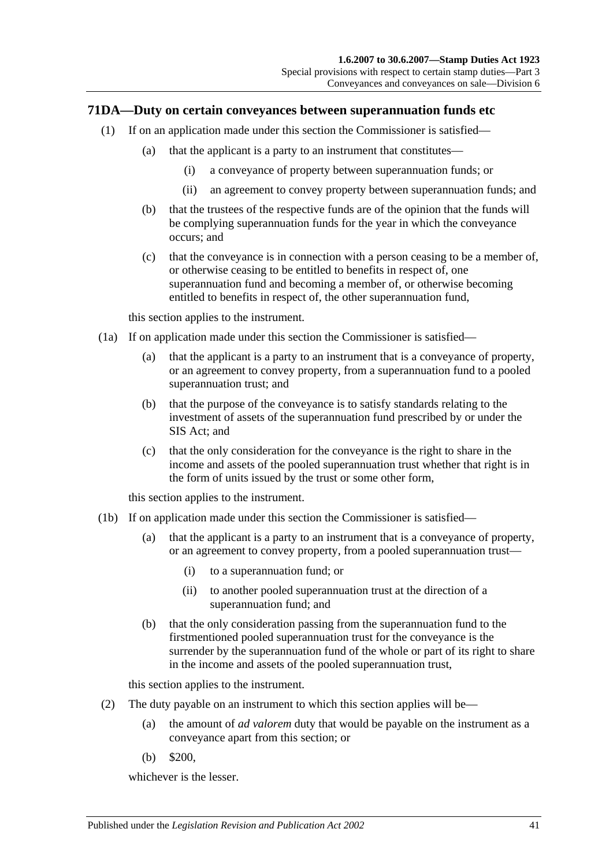## <span id="page-58-0"></span>**71DA—Duty on certain conveyances between superannuation funds etc**

- (1) If on an application made under this section the Commissioner is satisfied—
	- (a) that the applicant is a party to an instrument that constitutes—
		- (i) a conveyance of property between superannuation funds; or
		- (ii) an agreement to convey property between superannuation funds; and
	- (b) that the trustees of the respective funds are of the opinion that the funds will be complying superannuation funds for the year in which the conveyance occurs; and
	- (c) that the conveyance is in connection with a person ceasing to be a member of, or otherwise ceasing to be entitled to benefits in respect of, one superannuation fund and becoming a member of, or otherwise becoming entitled to benefits in respect of, the other superannuation fund,

this section applies to the instrument.

- <span id="page-58-1"></span>(1a) If on application made under this section the Commissioner is satisfied—
	- (a) that the applicant is a party to an instrument that is a conveyance of property, or an agreement to convey property, from a superannuation fund to a pooled superannuation trust; and
	- (b) that the purpose of the conveyance is to satisfy standards relating to the investment of assets of the superannuation fund prescribed by or under the SIS Act; and
	- (c) that the only consideration for the conveyance is the right to share in the income and assets of the pooled superannuation trust whether that right is in the form of units issued by the trust or some other form,

this section applies to the instrument.

- <span id="page-58-2"></span>(1b) If on application made under this section the Commissioner is satisfied—
	- (a) that the applicant is a party to an instrument that is a conveyance of property, or an agreement to convey property, from a pooled superannuation trust—
		- (i) to a superannuation fund; or
		- (ii) to another pooled superannuation trust at the direction of a superannuation fund; and
	- (b) that the only consideration passing from the superannuation fund to the firstmentioned pooled superannuation trust for the conveyance is the surrender by the superannuation fund of the whole or part of its right to share in the income and assets of the pooled superannuation trust,

this section applies to the instrument.

- (2) The duty payable on an instrument to which this section applies will be—
	- (a) the amount of *ad valorem* duty that would be payable on the instrument as a conveyance apart from this section; or
	- (b) \$200,

whichever is the lesser.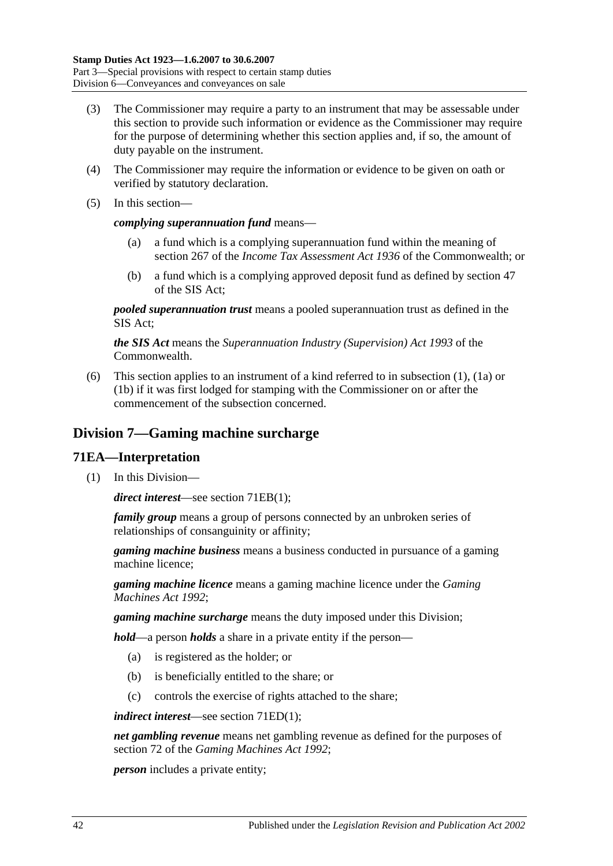- (3) The Commissioner may require a party to an instrument that may be assessable under this section to provide such information or evidence as the Commissioner may require for the purpose of determining whether this section applies and, if so, the amount of duty payable on the instrument.
- (4) The Commissioner may require the information or evidence to be given on oath or verified by statutory declaration.
- (5) In this section—

#### *complying superannuation fund* means—

- (a) a fund which is a complying superannuation fund within the meaning of section 267 of the *Income Tax Assessment Act 1936* of the Commonwealth; or
- (b) a fund which is a complying approved deposit fund as defined by section 47 of the SIS Act;

*pooled superannuation trust* means a pooled superannuation trust as defined in the SIS Act;

*the SIS Act* means the *Superannuation Industry (Supervision) Act 1993* of the Commonwealth.

(6) This section applies to an instrument of a kind referred to in [subsection](#page-58-0) (1), [\(1a\)](#page-58-1) or [\(1b\)](#page-58-2) if it was first lodged for stamping with the Commissioner on or after the commencement of the subsection concerned.

# **Division 7—Gaming machine surcharge**

### **71EA—Interpretation**

(1) In this Division—

*direct interest*—see section [71EB\(1\);](#page-60-0)

*family group* means a group of persons connected by an unbroken series of relationships of consanguinity or affinity;

*gaming machine business* means a business conducted in pursuance of a gaming machine licence;

*gaming machine licence* means a gaming machine licence under the *[Gaming](http://www.legislation.sa.gov.au/index.aspx?action=legref&type=act&legtitle=Gaming%20Machines%20Act%201992)  [Machines Act](http://www.legislation.sa.gov.au/index.aspx?action=legref&type=act&legtitle=Gaming%20Machines%20Act%201992) 1992*;

*gaming machine surcharge* means the duty imposed under this Division;

*hold*—a person *holds* a share in a private entity if the person—

- (a) is registered as the holder; or
- (b) is beneficially entitled to the share; or
- (c) controls the exercise of rights attached to the share;

*indirect interest*—see section [71ED\(1\);](#page-61-0)

*net gambling revenue* means net gambling revenue as defined for the purposes of section 72 of the *[Gaming Machines Act](http://www.legislation.sa.gov.au/index.aspx?action=legref&type=act&legtitle=Gaming%20Machines%20Act%201992) 1992*;

*person* includes a private entity;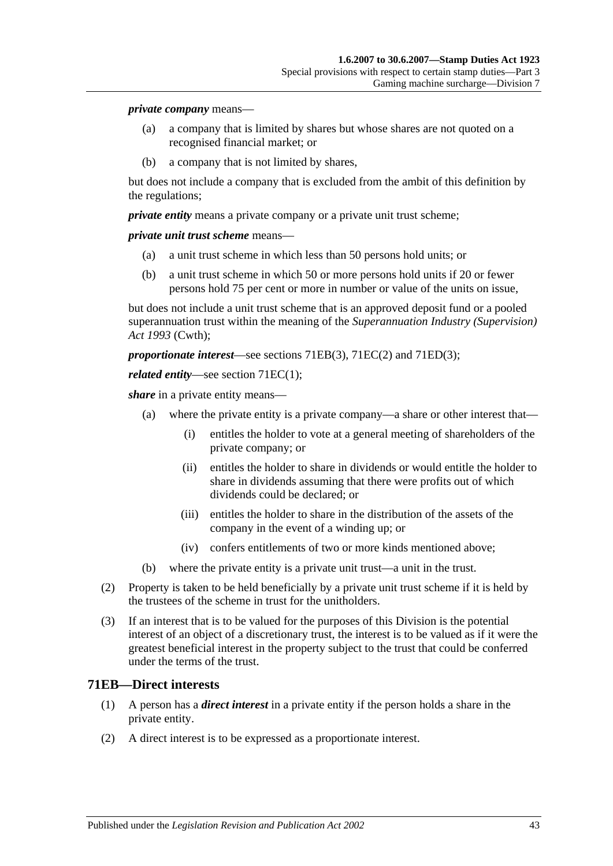#### *private company* means—

- (a) a company that is limited by shares but whose shares are not quoted on a recognised financial market; or
- (b) a company that is not limited by shares,

but does not include a company that is excluded from the ambit of this definition by the regulations;

*private entity* means a private company or a private unit trust scheme;

*private unit trust scheme* means—

- (a) a unit trust scheme in which less than 50 persons hold units; or
- (b) a unit trust scheme in which 50 or more persons hold units if 20 or fewer persons hold 75 per cent or more in number or value of the units on issue,

but does not include a unit trust scheme that is an approved deposit fund or a pooled superannuation trust within the meaning of the *Superannuation Industry (Supervision) Act 1993* (Cwth);

*proportionate interest*—see sections [71EB\(3\),](#page-61-1) [71EC\(2\)](#page-61-2) and [71ED\(3\);](#page-61-3)

#### *related entity*—see section [71EC\(1\);](#page-61-4)

*share* in a private entity means—

- (a) where the private entity is a private company—a share or other interest that—
	- (i) entitles the holder to vote at a general meeting of shareholders of the private company; or
	- (ii) entitles the holder to share in dividends or would entitle the holder to share in dividends assuming that there were profits out of which dividends could be declared; or
	- (iii) entitles the holder to share in the distribution of the assets of the company in the event of a winding up; or
	- (iv) confers entitlements of two or more kinds mentioned above;
- (b) where the private entity is a private unit trust—a unit in the trust.
- (2) Property is taken to be held beneficially by a private unit trust scheme if it is held by the trustees of the scheme in trust for the unitholders.
- (3) If an interest that is to be valued for the purposes of this Division is the potential interest of an object of a discretionary trust, the interest is to be valued as if it were the greatest beneficial interest in the property subject to the trust that could be conferred under the terms of the trust.

### <span id="page-60-0"></span>**71EB—Direct interests**

- (1) A person has a *direct interest* in a private entity if the person holds a share in the private entity.
- (2) A direct interest is to be expressed as a proportionate interest.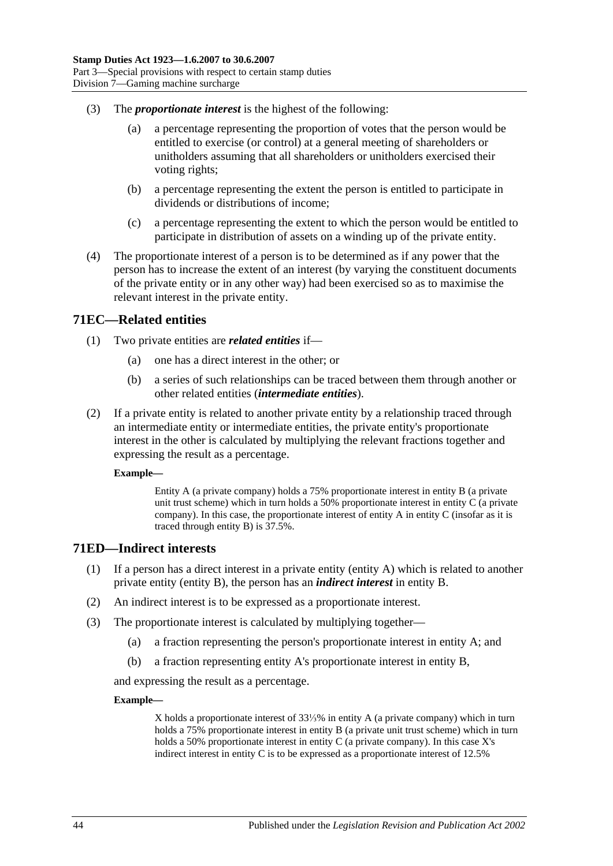- <span id="page-61-1"></span>(3) The *proportionate interest* is the highest of the following:
	- (a) a percentage representing the proportion of votes that the person would be entitled to exercise (or control) at a general meeting of shareholders or unitholders assuming that all shareholders or unitholders exercised their voting rights;
	- (b) a percentage representing the extent the person is entitled to participate in dividends or distributions of income;
	- (c) a percentage representing the extent to which the person would be entitled to participate in distribution of assets on a winding up of the private entity.
- (4) The proportionate interest of a person is to be determined as if any power that the person has to increase the extent of an interest (by varying the constituent documents of the private entity or in any other way) had been exercised so as to maximise the relevant interest in the private entity.

### <span id="page-61-4"></span>**71EC—Related entities**

- (1) Two private entities are *related entities* if—
	- (a) one has a direct interest in the other; or
	- (b) a series of such relationships can be traced between them through another or other related entities (*intermediate entities*).
- <span id="page-61-2"></span>(2) If a private entity is related to another private entity by a relationship traced through an intermediate entity or intermediate entities, the private entity's proportionate interest in the other is calculated by multiplying the relevant fractions together and expressing the result as a percentage.

#### **Example—**

Entity A (a private company) holds a 75% proportionate interest in entity B (a private unit trust scheme) which in turn holds a 50% proportionate interest in entity C (a private company). In this case, the proportionate interest of entity A in entity C (insofar as it is traced through entity B) is 37.5%.

### <span id="page-61-0"></span>**71ED—Indirect interests**

- (1) If a person has a direct interest in a private entity (entity A) which is related to another private entity (entity B), the person has an *indirect interest* in entity B.
- (2) An indirect interest is to be expressed as a proportionate interest.
- <span id="page-61-3"></span>(3) The proportionate interest is calculated by multiplying together—
	- (a) a fraction representing the person's proportionate interest in entity A; and
	- (b) a fraction representing entity A's proportionate interest in entity B,

and expressing the result as a percentage.

#### **Example—**

X holds a proportionate interest of 33⅓% in entity A (a private company) which in turn holds a 75% proportionate interest in entity B (a private unit trust scheme) which in turn holds a 50% proportionate interest in entity C (a private company). In this case X's indirect interest in entity C is to be expressed as a proportionate interest of 12.5%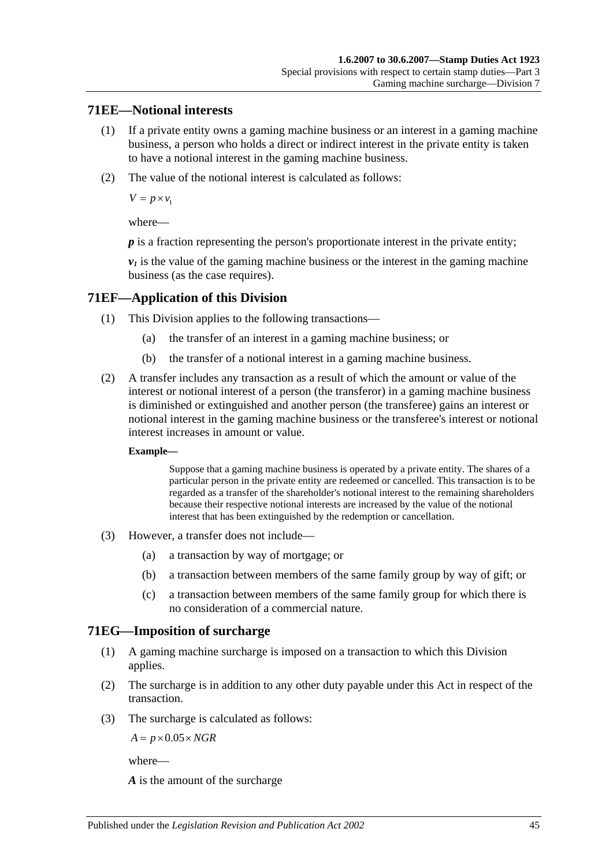# **71EE—Notional interests**

- (1) If a private entity owns a gaming machine business or an interest in a gaming machine business, a person who holds a direct or indirect interest in the private entity is taken to have a notional interest in the gaming machine business.
- (2) The value of the notional interest is calculated as follows:

 $V = p \times v_1$ 

where—

*p* is a fraction representing the person's proportionate interest in the private entity;

 $v_1$  is the value of the gaming machine business or the interest in the gaming machine business (as the case requires).

## **71EF—Application of this Division**

- (1) This Division applies to the following transactions—
	- (a) the transfer of an interest in a gaming machine business; or
	- (b) the transfer of a notional interest in a gaming machine business.
- (2) A transfer includes any transaction as a result of which the amount or value of the interest or notional interest of a person (the transferor) in a gaming machine business is diminished or extinguished and another person (the transferee) gains an interest or notional interest in the gaming machine business or the transferee's interest or notional interest increases in amount or value.

#### **Example—**

Suppose that a gaming machine business is operated by a private entity. The shares of a particular person in the private entity are redeemed or cancelled. This transaction is to be regarded as a transfer of the shareholder's notional interest to the remaining shareholders because their respective notional interests are increased by the value of the notional interest that has been extinguished by the redemption or cancellation.

- (3) However, a transfer does not include—
	- (a) a transaction by way of mortgage; or
	- (b) a transaction between members of the same family group by way of gift; or
	- (c) a transaction between members of the same family group for which there is no consideration of a commercial nature.

## **71EG—Imposition of surcharge**

- (1) A gaming machine surcharge is imposed on a transaction to which this Division applies.
- (2) The surcharge is in addition to any other duty payable under this Act in respect of the transaction.
- (3) The surcharge is calculated as follows:

 $A = p \times 0.05 \times NGR$ 

where—

*A* is the amount of the surcharge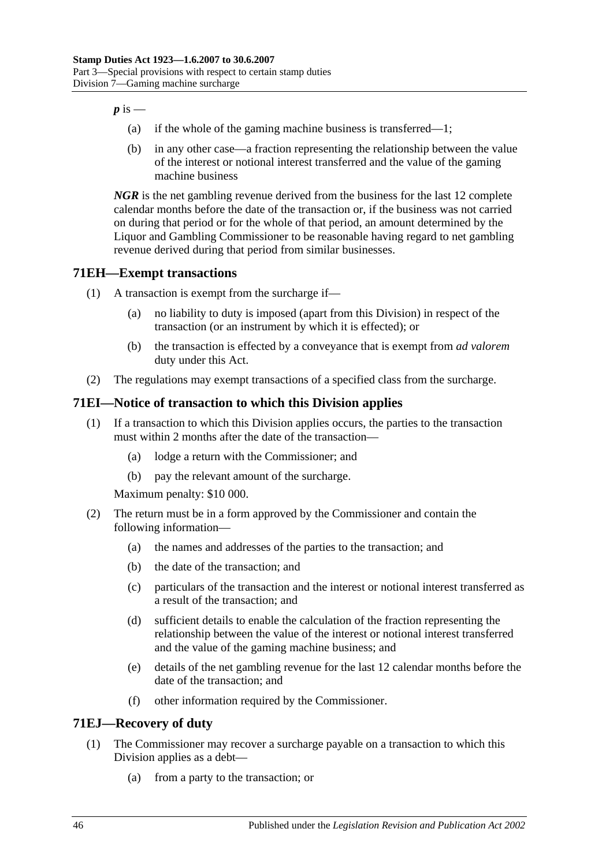$p$  is  $-$ 

- (a) if the whole of the gaming machine business is transferred—1;
- (b) in any other case—a fraction representing the relationship between the value of the interest or notional interest transferred and the value of the gaming machine business

*NGR* is the net gambling revenue derived from the business for the last 12 complete calendar months before the date of the transaction or, if the business was not carried on during that period or for the whole of that period, an amount determined by the Liquor and Gambling Commissioner to be reasonable having regard to net gambling revenue derived during that period from similar businesses.

# **71EH—Exempt transactions**

- (1) A transaction is exempt from the surcharge if—
	- (a) no liability to duty is imposed (apart from this Division) in respect of the transaction (or an instrument by which it is effected); or
	- (b) the transaction is effected by a conveyance that is exempt from *ad valorem* duty under this Act.
- (2) The regulations may exempt transactions of a specified class from the surcharge.

# **71EI—Notice of transaction to which this Division applies**

- (1) If a transaction to which this Division applies occurs, the parties to the transaction must within 2 months after the date of the transaction—
	- (a) lodge a return with the Commissioner; and
	- (b) pay the relevant amount of the surcharge.

Maximum penalty: \$10 000.

- (2) The return must be in a form approved by the Commissioner and contain the following information—
	- (a) the names and addresses of the parties to the transaction; and
	- (b) the date of the transaction; and
	- (c) particulars of the transaction and the interest or notional interest transferred as a result of the transaction; and
	- (d) sufficient details to enable the calculation of the fraction representing the relationship between the value of the interest or notional interest transferred and the value of the gaming machine business; and
	- (e) details of the net gambling revenue for the last 12 calendar months before the date of the transaction; and
	- (f) other information required by the Commissioner.

## **71EJ—Recovery of duty**

- (1) The Commissioner may recover a surcharge payable on a transaction to which this Division applies as a debt—
	- (a) from a party to the transaction; or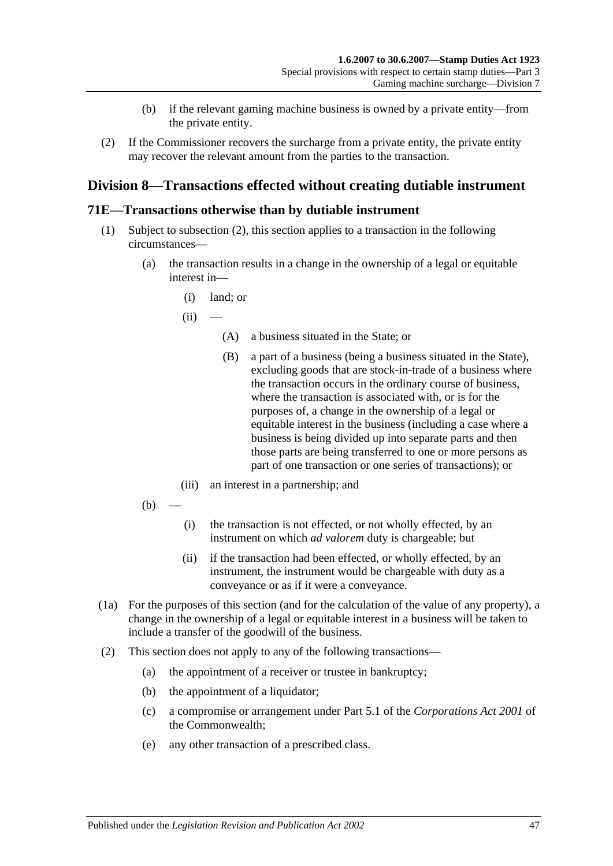- (b) if the relevant gaming machine business is owned by a private entity—from the private entity.
- (2) If the Commissioner recovers the surcharge from a private entity, the private entity may recover the relevant amount from the parties to the transaction.

# **Division 8—Transactions effected without creating dutiable instrument**

## <span id="page-64-0"></span>**71E—Transactions otherwise than by dutiable instrument**

- (1) Subject to [subsection](#page-64-1) (2), this section applies to a transaction in the following circumstances—
	- (a) the transaction results in a change in the ownership of a legal or equitable interest in—
		- (i) land; or
		- $(ii)$ 
			- (A) a business situated in the State; or
			- (B) a part of a business (being a business situated in the State), excluding goods that are stock-in-trade of a business where the transaction occurs in the ordinary course of business, where the transaction is associated with, or is for the purposes of, a change in the ownership of a legal or equitable interest in the business (including a case where a business is being divided up into separate parts and then those parts are being transferred to one or more persons as part of one transaction or one series of transactions); or
		- (iii) an interest in a partnership; and
	- $(b)$
- (i) the transaction is not effected, or not wholly effected, by an instrument on which *ad valorem* duty is chargeable; but
- (ii) if the transaction had been effected, or wholly effected, by an instrument, the instrument would be chargeable with duty as a conveyance or as if it were a conveyance.
- (1a) For the purposes of this section (and for the calculation of the value of any property), a change in the ownership of a legal or equitable interest in a business will be taken to include a transfer of the goodwill of the business.
- <span id="page-64-1"></span>(2) This section does not apply to any of the following transactions—
	- (a) the appointment of a receiver or trustee in bankruptcy;
	- (b) the appointment of a liquidator;
	- (c) a compromise or arrangement under Part 5.1 of the *Corporations Act 2001* of the Commonwealth;
	- (e) any other transaction of a prescribed class.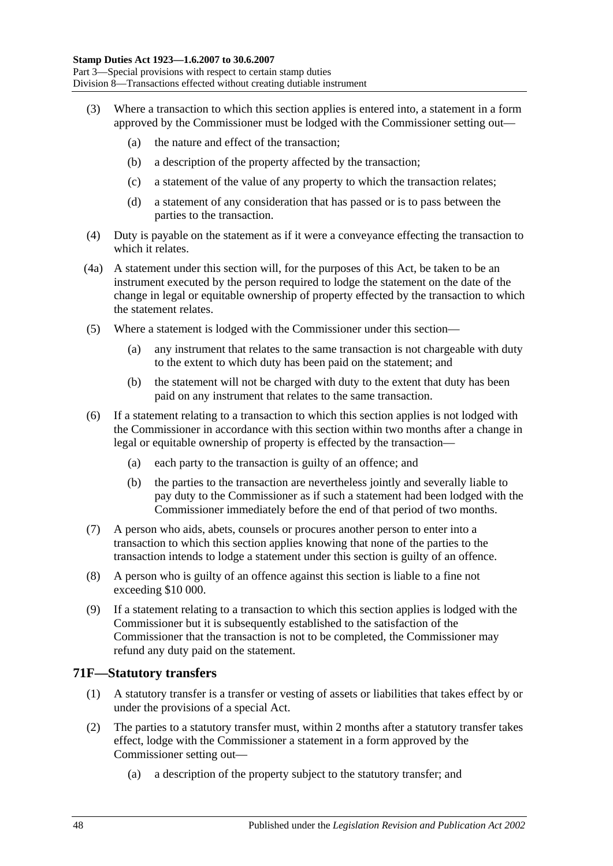- (3) Where a transaction to which this section applies is entered into, a statement in a form approved by the Commissioner must be lodged with the Commissioner setting out—
	- (a) the nature and effect of the transaction;
	- (b) a description of the property affected by the transaction;
	- (c) a statement of the value of any property to which the transaction relates;
	- (d) a statement of any consideration that has passed or is to pass between the parties to the transaction.
- (4) Duty is payable on the statement as if it were a conveyance effecting the transaction to which it relates.
- (4a) A statement under this section will, for the purposes of this Act, be taken to be an instrument executed by the person required to lodge the statement on the date of the change in legal or equitable ownership of property effected by the transaction to which the statement relates.
- (5) Where a statement is lodged with the Commissioner under this section—
	- (a) any instrument that relates to the same transaction is not chargeable with duty to the extent to which duty has been paid on the statement; and
	- (b) the statement will not be charged with duty to the extent that duty has been paid on any instrument that relates to the same transaction.
- (6) If a statement relating to a transaction to which this section applies is not lodged with the Commissioner in accordance with this section within two months after a change in legal or equitable ownership of property is effected by the transaction—
	- (a) each party to the transaction is guilty of an offence; and
	- (b) the parties to the transaction are nevertheless jointly and severally liable to pay duty to the Commissioner as if such a statement had been lodged with the Commissioner immediately before the end of that period of two months.
- (7) A person who aids, abets, counsels or procures another person to enter into a transaction to which this section applies knowing that none of the parties to the transaction intends to lodge a statement under this section is guilty of an offence.
- (8) A person who is guilty of an offence against this section is liable to a fine not exceeding \$10 000.
- (9) If a statement relating to a transaction to which this section applies is lodged with the Commissioner but it is subsequently established to the satisfaction of the Commissioner that the transaction is not to be completed, the Commissioner may refund any duty paid on the statement.

## **71F—Statutory transfers**

- (1) A statutory transfer is a transfer or vesting of assets or liabilities that takes effect by or under the provisions of a special Act.
- (2) The parties to a statutory transfer must, within 2 months after a statutory transfer takes effect, lodge with the Commissioner a statement in a form approved by the Commissioner setting out—
	- (a) a description of the property subject to the statutory transfer; and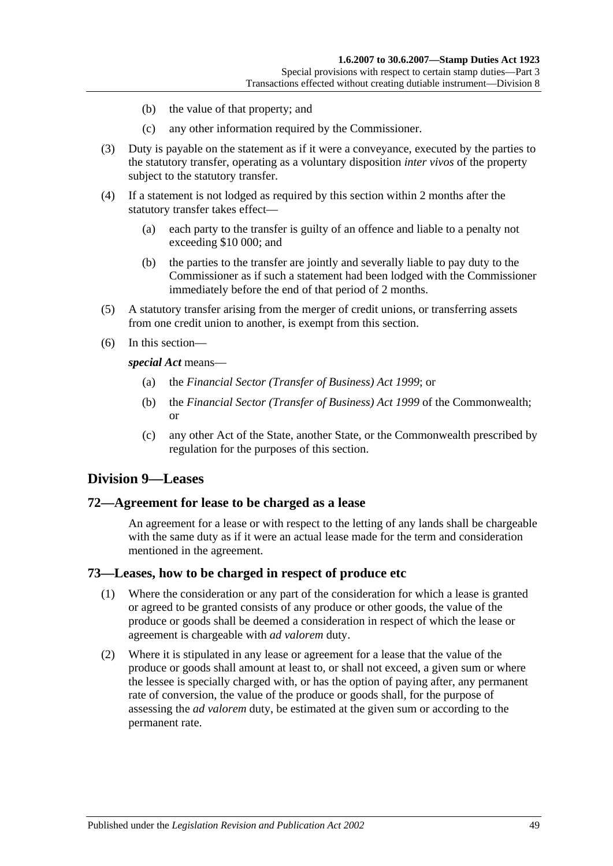- (b) the value of that property; and
- (c) any other information required by the Commissioner.
- (3) Duty is payable on the statement as if it were a conveyance, executed by the parties to the statutory transfer, operating as a voluntary disposition *inter vivos* of the property subject to the statutory transfer.
- (4) If a statement is not lodged as required by this section within 2 months after the statutory transfer takes effect—
	- (a) each party to the transfer is guilty of an offence and liable to a penalty not exceeding \$10 000; and
	- (b) the parties to the transfer are jointly and severally liable to pay duty to the Commissioner as if such a statement had been lodged with the Commissioner immediately before the end of that period of 2 months.
- (5) A statutory transfer arising from the merger of credit unions, or transferring assets from one credit union to another, is exempt from this section.
- (6) In this section—

*special Act* means—

- (a) the *[Financial Sector \(Transfer of Business\) Act](http://www.legislation.sa.gov.au/index.aspx?action=legref&type=act&legtitle=Financial%20Sector%20(Transfer%20of%20Business)%20Act%201999) 1999*; or
- (b) the *Financial Sector (Transfer of Business) Act 1999* of the Commonwealth; or
- (c) any other Act of the State, another State, or the Commonwealth prescribed by regulation for the purposes of this section.

## **Division 9—Leases**

### **72—Agreement for lease to be charged as a lease**

An agreement for a lease or with respect to the letting of any lands shall be chargeable with the same duty as if it were an actual lease made for the term and consideration mentioned in the agreement.

### **73—Leases, how to be charged in respect of produce etc**

- (1) Where the consideration or any part of the consideration for which a lease is granted or agreed to be granted consists of any produce or other goods, the value of the produce or goods shall be deemed a consideration in respect of which the lease or agreement is chargeable with *ad valorem* duty.
- (2) Where it is stipulated in any lease or agreement for a lease that the value of the produce or goods shall amount at least to, or shall not exceed, a given sum or where the lessee is specially charged with, or has the option of paying after, any permanent rate of conversion, the value of the produce or goods shall, for the purpose of assessing the *ad valorem* duty, be estimated at the given sum or according to the permanent rate.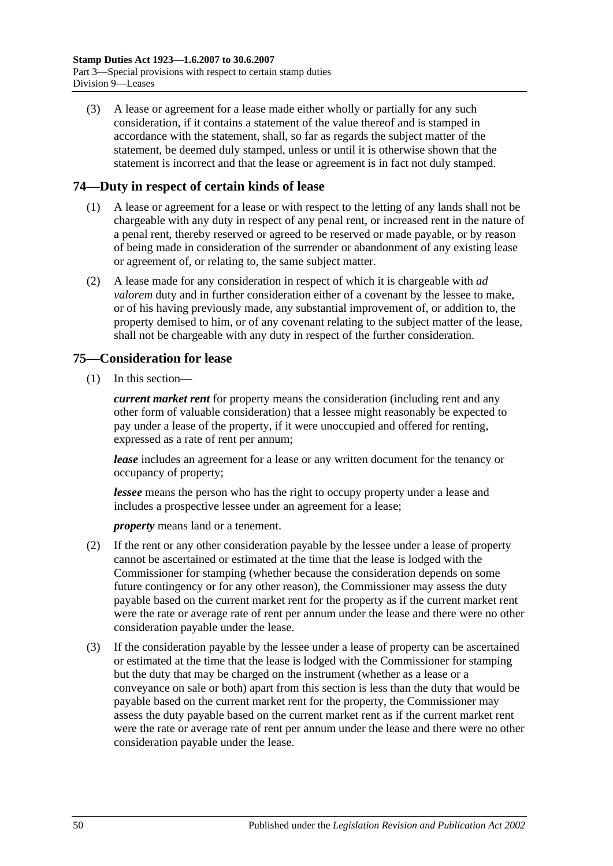(3) A lease or agreement for a lease made either wholly or partially for any such consideration, if it contains a statement of the value thereof and is stamped in accordance with the statement, shall, so far as regards the subject matter of the statement, be deemed duly stamped, unless or until it is otherwise shown that the statement is incorrect and that the lease or agreement is in fact not duly stamped.

# **74—Duty in respect of certain kinds of lease**

- (1) A lease or agreement for a lease or with respect to the letting of any lands shall not be chargeable with any duty in respect of any penal rent, or increased rent in the nature of a penal rent, thereby reserved or agreed to be reserved or made payable, or by reason of being made in consideration of the surrender or abandonment of any existing lease or agreement of, or relating to, the same subject matter.
- (2) A lease made for any consideration in respect of which it is chargeable with *ad valorem* duty and in further consideration either of a covenant by the lessee to make, or of his having previously made, any substantial improvement of, or addition to, the property demised to him, or of any covenant relating to the subject matter of the lease, shall not be chargeable with any duty in respect of the further consideration.

## **75—Consideration for lease**

(1) In this section—

*current market rent* for property means the consideration (including rent and any other form of valuable consideration) that a lessee might reasonably be expected to pay under a lease of the property, if it were unoccupied and offered for renting, expressed as a rate of rent per annum;

*lease* includes an agreement for a lease or any written document for the tenancy or occupancy of property;

*lessee* means the person who has the right to occupy property under a lease and includes a prospective lessee under an agreement for a lease;

*property* means land or a tenement.

- (2) If the rent or any other consideration payable by the lessee under a lease of property cannot be ascertained or estimated at the time that the lease is lodged with the Commissioner for stamping (whether because the consideration depends on some future contingency or for any other reason), the Commissioner may assess the duty payable based on the current market rent for the property as if the current market rent were the rate or average rate of rent per annum under the lease and there were no other consideration payable under the lease.
- (3) If the consideration payable by the lessee under a lease of property can be ascertained or estimated at the time that the lease is lodged with the Commissioner for stamping but the duty that may be charged on the instrument (whether as a lease or a conveyance on sale or both) apart from this section is less than the duty that would be payable based on the current market rent for the property, the Commissioner may assess the duty payable based on the current market rent as if the current market rent were the rate or average rate of rent per annum under the lease and there were no other consideration payable under the lease.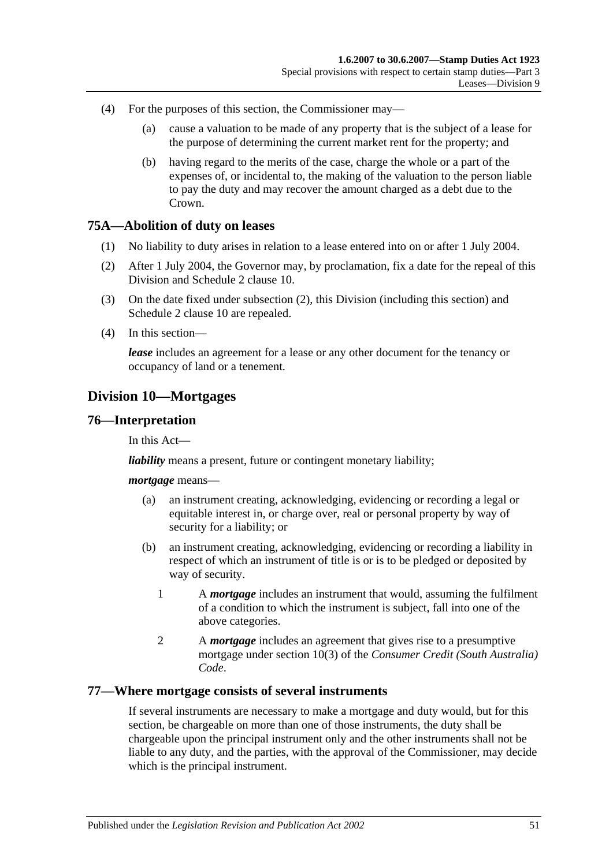- (4) For the purposes of this section, the Commissioner may—
	- (a) cause a valuation to be made of any property that is the subject of a lease for the purpose of determining the current market rent for the property; and
	- (b) having regard to the merits of the case, charge the whole or a part of the expenses of, or incidental to, the making of the valuation to the person liable to pay the duty and may recover the amount charged as a debt due to the Crown.

### **75A—Abolition of duty on leases**

- (1) No liability to duty arises in relation to a lease entered into on or after 1 July 2004.
- <span id="page-68-0"></span>(2) After 1 July 2004, the Governor may, by proclamation, fix a date for the repeal of this Division and Schedule 2 clause 10.
- (3) On the date fixed under [subsection](#page-68-0) (2), this Division (including this section) and Schedule 2 clause 10 are repealed.
- (4) In this section—

*lease* includes an agreement for a lease or any other document for the tenancy or occupancy of land or a tenement.

# **Division 10—Mortgages**

### **76—Interpretation**

In this Act—

*liability* means a present, future or contingent monetary liability;

#### *mortgage* means—

- (a) an instrument creating, acknowledging, evidencing or recording a legal or equitable interest in, or charge over, real or personal property by way of security for a liability; or
- (b) an instrument creating, acknowledging, evidencing or recording a liability in respect of which an instrument of title is or is to be pledged or deposited by way of security.
	- 1 A *mortgage* includes an instrument that would, assuming the fulfilment of a condition to which the instrument is subject, fall into one of the above categories.
	- 2 A *mortgage* includes an agreement that gives rise to a presumptive mortgage under section 10(3) of the *Consumer Credit (South Australia) Code*.

### **77—Where mortgage consists of several instruments**

If several instruments are necessary to make a mortgage and duty would, but for this section, be chargeable on more than one of those instruments, the duty shall be chargeable upon the principal instrument only and the other instruments shall not be liable to any duty, and the parties, with the approval of the Commissioner, may decide which is the principal instrument.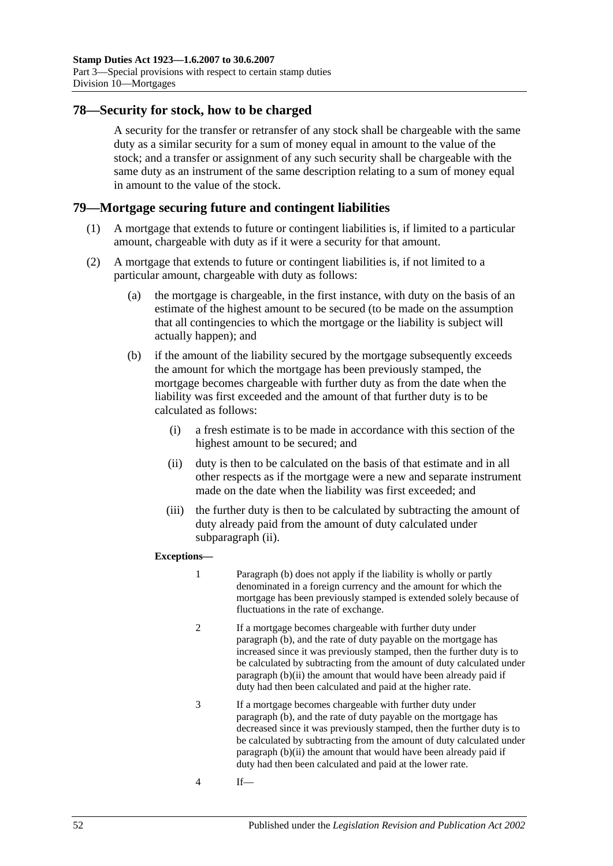## **78—Security for stock, how to be charged**

A security for the transfer or retransfer of any stock shall be chargeable with the same duty as a similar security for a sum of money equal in amount to the value of the stock; and a transfer or assignment of any such security shall be chargeable with the same duty as an instrument of the same description relating to a sum of money equal in amount to the value of the stock.

## **79—Mortgage securing future and contingent liabilities**

- (1) A mortgage that extends to future or contingent liabilities is, if limited to a particular amount, chargeable with duty as if it were a security for that amount.
- <span id="page-69-2"></span><span id="page-69-1"></span>(2) A mortgage that extends to future or contingent liabilities is, if not limited to a particular amount, chargeable with duty as follows:
	- (a) the mortgage is chargeable, in the first instance, with duty on the basis of an estimate of the highest amount to be secured (to be made on the assumption that all contingencies to which the mortgage or the liability is subject will actually happen); and
	- (b) if the amount of the liability secured by the mortgage subsequently exceeds the amount for which the mortgage has been previously stamped, the mortgage becomes chargeable with further duty as from the date when the liability was first exceeded and the amount of that further duty is to be calculated as follows:
		- (i) a fresh estimate is to be made in accordance with this section of the highest amount to be secured; and
		- (ii) duty is then to be calculated on the basis of that estimate and in all other respects as if the mortgage were a new and separate instrument made on the date when the liability was first exceeded; and
		- (iii) the further duty is then to be calculated by subtracting the amount of duty already paid from the amount of duty calculated under [subparagraph](#page-69-0) (ii).

#### <span id="page-69-0"></span>**Exceptions—**

- 1 [Paragraph](#page-69-1) (b) does not apply if the liability is wholly or partly denominated in a foreign currency and the amount for which the mortgage has been previously stamped is extended solely because of fluctuations in the rate of exchange.
- 2 If a mortgage becomes chargeable with further duty under [paragraph](#page-69-1) (b), and the rate of duty payable on the mortgage has increased since it was previously stamped, then the further duty is to be calculated by subtracting from the amount of duty calculated under [paragraph](#page-69-0) (b)(ii) the amount that would have been already paid if duty had then been calculated and paid at the higher rate.
- 3 If a mortgage becomes chargeable with further duty under [paragraph](#page-69-1) (b), and the rate of duty payable on the mortgage has decreased since it was previously stamped, then the further duty is to be calculated by subtracting from the amount of duty calculated under [paragraph](#page-69-0) (b)(ii) the amount that would have been already paid if duty had then been calculated and paid at the lower rate.
- 4 If—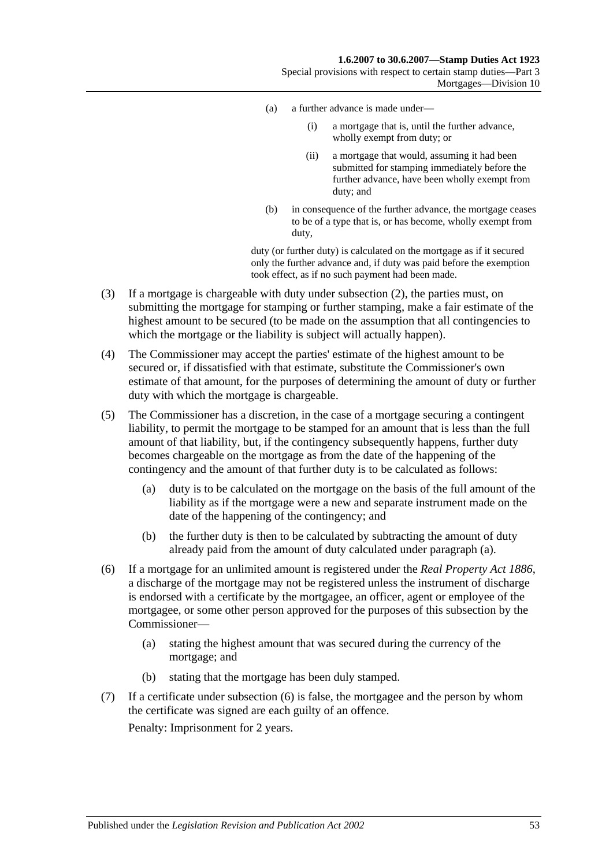- (a) a further advance is made under—
	- (i) a mortgage that is, until the further advance, wholly exempt from duty; or
	- (ii) a mortgage that would, assuming it had been submitted for stamping immediately before the further advance, have been wholly exempt from duty; and
- (b) in consequence of the further advance, the mortgage ceases to be of a type that is, or has become, wholly exempt from duty,

duty (or further duty) is calculated on the mortgage as if it secured only the further advance and, if duty was paid before the exemption took effect, as if no such payment had been made.

- (3) If a mortgage is chargeable with duty under [subsection](#page-69-2) (2), the parties must, on submitting the mortgage for stamping or further stamping, make a fair estimate of the highest amount to be secured (to be made on the assumption that all contingencies to which the mortgage or the liability is subject will actually happen).
- (4) The Commissioner may accept the parties' estimate of the highest amount to be secured or, if dissatisfied with that estimate, substitute the Commissioner's own estimate of that amount, for the purposes of determining the amount of duty or further duty with which the mortgage is chargeable.
- <span id="page-70-0"></span>(5) The Commissioner has a discretion, in the case of a mortgage securing a contingent liability, to permit the mortgage to be stamped for an amount that is less than the full amount of that liability, but, if the contingency subsequently happens, further duty becomes chargeable on the mortgage as from the date of the happening of the contingency and the amount of that further duty is to be calculated as follows:
	- (a) duty is to be calculated on the mortgage on the basis of the full amount of the liability as if the mortgage were a new and separate instrument made on the date of the happening of the contingency; and
	- (b) the further duty is then to be calculated by subtracting the amount of duty already paid from the amount of duty calculated under [paragraph](#page-70-0) (a).
- <span id="page-70-1"></span>(6) If a mortgage for an unlimited amount is registered under the *[Real Property Act](http://www.legislation.sa.gov.au/index.aspx?action=legref&type=act&legtitle=Real%20Property%20Act%201886) 1886*, a discharge of the mortgage may not be registered unless the instrument of discharge is endorsed with a certificate by the mortgagee, an officer, agent or employee of the mortgagee, or some other person approved for the purposes of this subsection by the Commissioner—
	- (a) stating the highest amount that was secured during the currency of the mortgage; and
	- (b) stating that the mortgage has been duly stamped.
- (7) If a certificate under [subsection](#page-70-1) (6) is false, the mortgagee and the person by whom the certificate was signed are each guilty of an offence.

Penalty: Imprisonment for 2 years.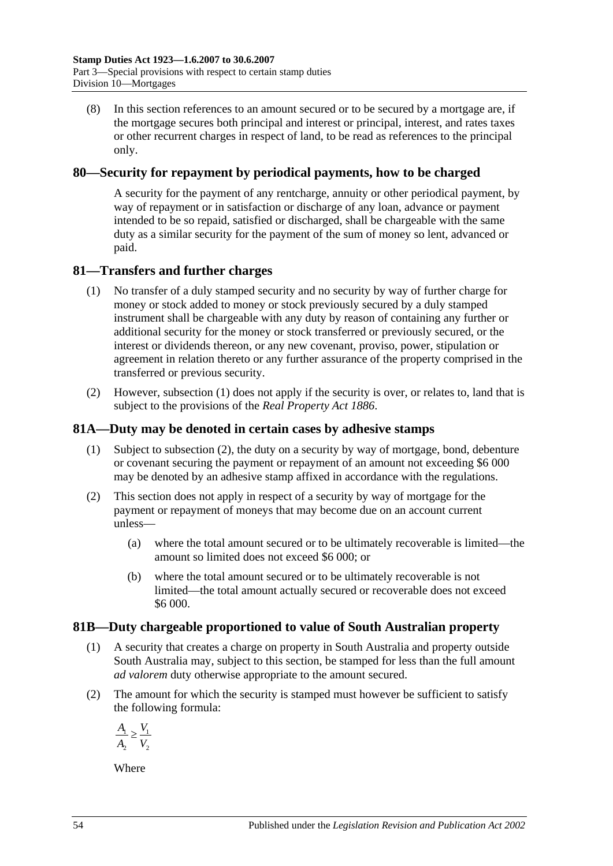(8) In this section references to an amount secured or to be secured by a mortgage are, if the mortgage secures both principal and interest or principal, interest, and rates taxes or other recurrent charges in respect of land, to be read as references to the principal only.

## **80—Security for repayment by periodical payments, how to be charged**

A security for the payment of any rentcharge, annuity or other periodical payment, by way of repayment or in satisfaction or discharge of any loan, advance or payment intended to be so repaid, satisfied or discharged, shall be chargeable with the same duty as a similar security for the payment of the sum of money so lent, advanced or paid.

# <span id="page-71-0"></span>**81—Transfers and further charges**

- (1) No transfer of a duly stamped security and no security by way of further charge for money or stock added to money or stock previously secured by a duly stamped instrument shall be chargeable with any duty by reason of containing any further or additional security for the money or stock transferred or previously secured, or the interest or dividends thereon, or any new covenant, proviso, power, stipulation or agreement in relation thereto or any further assurance of the property comprised in the transferred or previous security.
- (2) However, [subsection](#page-71-0) (1) does not apply if the security is over, or relates to, land that is subject to the provisions of the *[Real Property Act](http://www.legislation.sa.gov.au/index.aspx?action=legref&type=act&legtitle=Real%20Property%20Act%201886) 1886*.

# **81A—Duty may be denoted in certain cases by adhesive stamps**

- (1) Subject to [subsection](#page-71-1) (2), the duty on a security by way of mortgage, bond, debenture or covenant securing the payment or repayment of an amount not exceeding \$6 000 may be denoted by an adhesive stamp affixed in accordance with the regulations.
- <span id="page-71-1"></span>(2) This section does not apply in respect of a security by way of mortgage for the payment or repayment of moneys that may become due on an account current unless—
	- (a) where the total amount secured or to be ultimately recoverable is limited—the amount so limited does not exceed \$6 000; or
	- (b) where the total amount secured or to be ultimately recoverable is not limited—the total amount actually secured or recoverable does not exceed \$6 000.

## **81B—Duty chargeable proportioned to value of South Australian property**

- (1) A security that creates a charge on property in South Australia and property outside South Australia may, subject to this section, be stamped for less than the full amount *ad valorem* duty otherwise appropriate to the amount secured.
- (2) The amount for which the security is stamped must however be sufficient to satisfy the following formula:

$$
\frac{A_1}{A_2} \ge \frac{V_1}{V_2}
$$

Where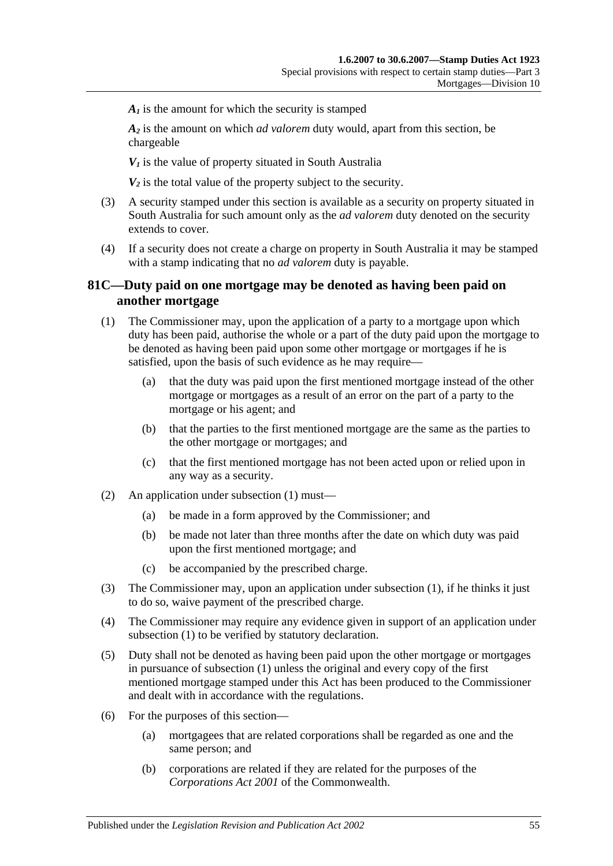$A<sub>i</sub>$  is the amount for which the security is stamped

*A2* is the amount on which *ad valorem* duty would, apart from this section, be chargeable

 $V_1$  is the value of property situated in South Australia

 $V_2$  is the total value of the property subject to the security.

- (3) A security stamped under this section is available as a security on property situated in South Australia for such amount only as the *ad valorem* duty denoted on the security extends to cover.
- (4) If a security does not create a charge on property in South Australia it may be stamped with a stamp indicating that no *ad valorem* duty is payable.

#### **81C—Duty paid on one mortgage may be denoted as having been paid on another mortgage**

- <span id="page-72-0"></span>(1) The Commissioner may, upon the application of a party to a mortgage upon which duty has been paid, authorise the whole or a part of the duty paid upon the mortgage to be denoted as having been paid upon some other mortgage or mortgages if he is satisfied, upon the basis of such evidence as he may require—
	- (a) that the duty was paid upon the first mentioned mortgage instead of the other mortgage or mortgages as a result of an error on the part of a party to the mortgage or his agent; and
	- (b) that the parties to the first mentioned mortgage are the same as the parties to the other mortgage or mortgages; and
	- (c) that the first mentioned mortgage has not been acted upon or relied upon in any way as a security.
- (2) An application under [subsection](#page-72-0) (1) must—
	- (a) be made in a form approved by the Commissioner; and
	- (b) be made not later than three months after the date on which duty was paid upon the first mentioned mortgage; and
	- (c) be accompanied by the prescribed charge.
- (3) The Commissioner may, upon an application under [subsection](#page-72-0) (1), if he thinks it just to do so, waive payment of the prescribed charge.
- (4) The Commissioner may require any evidence given in support of an application under [subsection](#page-72-0) (1) to be verified by statutory declaration.
- (5) Duty shall not be denoted as having been paid upon the other mortgage or mortgages in pursuance of [subsection](#page-72-0) (1) unless the original and every copy of the first mentioned mortgage stamped under this Act has been produced to the Commissioner and dealt with in accordance with the regulations.
- (6) For the purposes of this section—
	- (a) mortgagees that are related corporations shall be regarded as one and the same person; and
	- (b) corporations are related if they are related for the purposes of the *Corporations Act 2001* of the Commonwealth.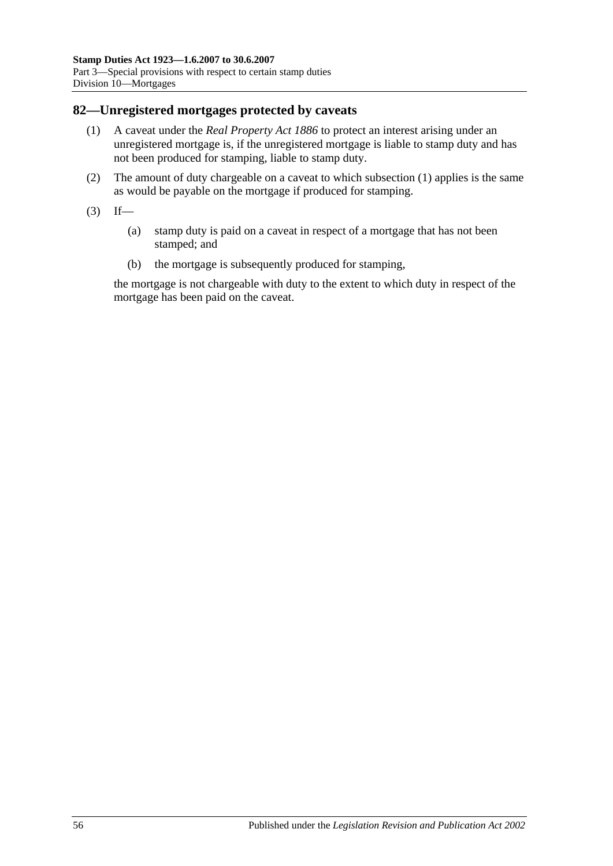#### <span id="page-73-0"></span>**82—Unregistered mortgages protected by caveats**

- (1) A caveat under the *[Real Property Act](http://www.legislation.sa.gov.au/index.aspx?action=legref&type=act&legtitle=Real%20Property%20Act%201886) 1886* to protect an interest arising under an unregistered mortgage is, if the unregistered mortgage is liable to stamp duty and has not been produced for stamping, liable to stamp duty.
- (2) The amount of duty chargeable on a caveat to which [subsection](#page-73-0) (1) applies is the same as would be payable on the mortgage if produced for stamping.
- $(3)$  If—
	- (a) stamp duty is paid on a caveat in respect of a mortgage that has not been stamped; and
	- (b) the mortgage is subsequently produced for stamping,

the mortgage is not chargeable with duty to the extent to which duty in respect of the mortgage has been paid on the caveat.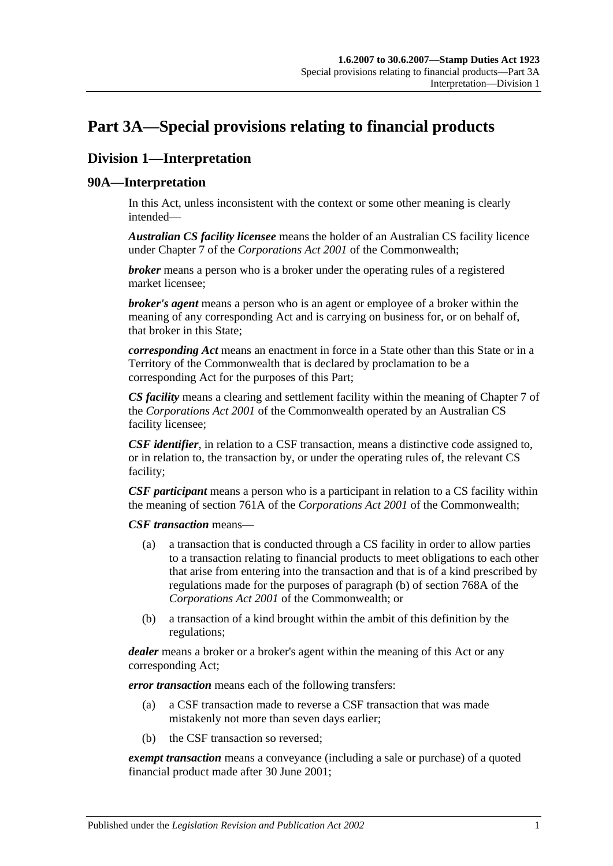# <span id="page-74-0"></span>**Part 3A—Special provisions relating to financial products**

# **Division 1—Interpretation**

## **90A—Interpretation**

In this Act, unless inconsistent with the context or some other meaning is clearly intended—

*Australian CS facility licensee* means the holder of an Australian CS facility licence under Chapter 7 of the *Corporations Act 2001* of the Commonwealth;

*broker* means a person who is a broker under the operating rules of a registered market licensee;

*broker's agent* means a person who is an agent or employee of a broker within the meaning of any corresponding Act and is carrying on business for, or on behalf of, that broker in this State;

*corresponding Act* means an enactment in force in a State other than this State or in a Territory of the Commonwealth that is declared by proclamation to be a corresponding Act for the purposes of this Part;

*CS facility* means a clearing and settlement facility within the meaning of Chapter 7 of the *Corporations Act 2001* of the Commonwealth operated by an Australian CS facility licensee;

*CSF identifier*, in relation to a CSF transaction, means a distinctive code assigned to, or in relation to, the transaction by, or under the operating rules of, the relevant CS facility;

*CSF participant* means a person who is a participant in relation to a CS facility within the meaning of section 761A of the *Corporations Act 2001* of the Commonwealth;

*CSF transaction* means—

- (a) a transaction that is conducted through a CS facility in order to allow parties to a transaction relating to financial products to meet obligations to each other that arise from entering into the transaction and that is of a kind prescribed by regulations made for the purposes of paragraph (b) of section 768A of the *Corporations Act 2001* of the Commonwealth; or
- (b) a transaction of a kind brought within the ambit of this definition by the regulations;

*dealer* means a broker or a broker's agent within the meaning of this Act or any corresponding Act;

*error transaction* means each of the following transfers:

- (a) a CSF transaction made to reverse a CSF transaction that was made mistakenly not more than seven days earlier;
- (b) the CSF transaction so reversed;

*exempt transaction* means a conveyance (including a sale or purchase) of a quoted financial product made after 30 June 2001;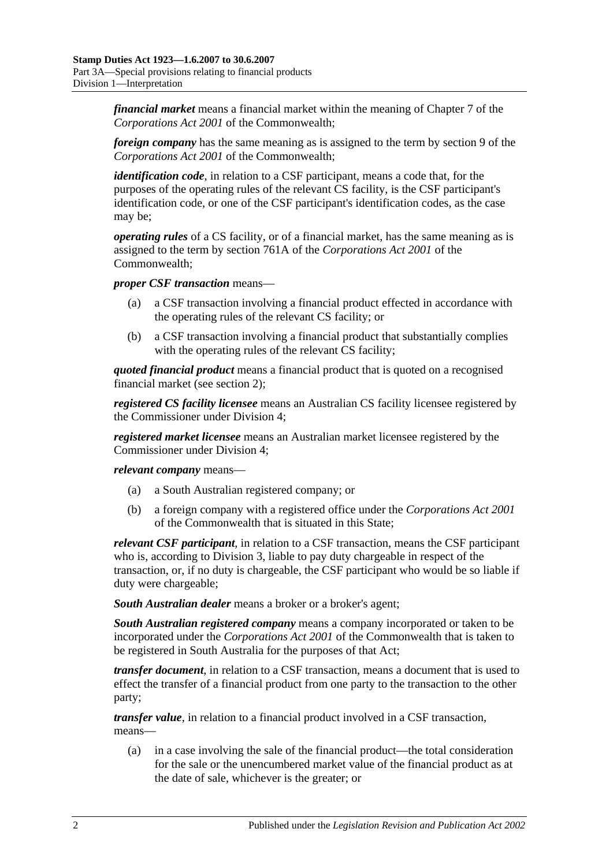*financial market* means a financial market within the meaning of Chapter 7 of the *Corporations Act 2001* of the Commonwealth;

*foreign company* has the same meaning as is assigned to the term by section 9 of the *Corporations Act 2001* of the Commonwealth;

*identification code*, in relation to a CSF participant, means a code that, for the purposes of the operating rules of the relevant CS facility, is the CSF participant's identification code, or one of the CSF participant's identification codes, as the case may be;

*operating rules* of a CS facility, or of a financial market, has the same meaning as is assigned to the term by section 761A of the *Corporations Act 2001* of the Commonwealth;

*proper CSF transaction* means—

- (a) a CSF transaction involving a financial product effected in accordance with the operating rules of the relevant CS facility; or
- (b) a CSF transaction involving a financial product that substantially complies with the operating rules of the relevant CS facility;

*quoted financial product* means a financial product that is quoted on a recognised financial market (see [section](#page-6-0) 2);

*registered CS facility licensee* means an Australian CS facility licensee registered by the Commissioner under [Division 4;](#page-84-0)

*registered market licensee* means an Australian market licensee registered by the Commissioner under [Division 4;](#page-84-0)

*relevant company* means—

- (a) a South Australian registered company; or
- (b) a foreign company with a registered office under the *Corporations Act 2001* of the Commonwealth that is situated in this State;

*relevant CSF participant*, in relation to a CSF transaction, means the CSF participant who is, according to [Division 3,](#page-81-0) liable to pay duty chargeable in respect of the transaction, or, if no duty is chargeable, the CSF participant who would be so liable if duty were chargeable;

*South Australian dealer* means a broker or a broker's agent;

*South Australian registered company* means a company incorporated or taken to be incorporated under the *Corporations Act 2001* of the Commonwealth that is taken to be registered in South Australia for the purposes of that Act;

*transfer document*, in relation to a CSF transaction, means a document that is used to effect the transfer of a financial product from one party to the transaction to the other party;

*transfer value*, in relation to a financial product involved in a CSF transaction, means—

(a) in a case involving the sale of the financial product—the total consideration for the sale or the unencumbered market value of the financial product as at the date of sale, whichever is the greater; or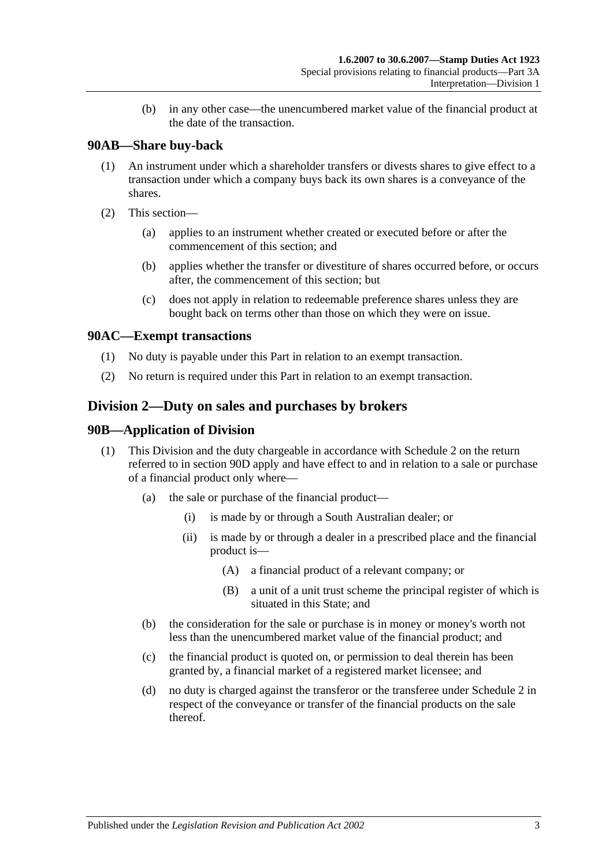(b) in any other case—the unencumbered market value of the financial product at the date of the transaction.

## **90AB—Share buy-back**

- (1) An instrument under which a shareholder transfers or divests shares to give effect to a transaction under which a company buys back its own shares is a conveyance of the shares.
- (2) This section—
	- (a) applies to an instrument whether created or executed before or after the commencement of this section; and
	- (b) applies whether the transfer or divestiture of shares occurred before, or occurs after, the commencement of this section; but
	- (c) does not apply in relation to redeemable preference shares unless they are bought back on terms other than those on which they were on issue.

## **90AC—Exempt transactions**

- (1) No duty is payable under this Part in relation to an exempt transaction.
- (2) No return is required under this Part in relation to an exempt transaction.

# <span id="page-76-0"></span>**Division 2—Duty on sales and purchases by brokers**

#### **90B—Application of Division**

- (1) This Division and the duty chargeable in accordance with [Schedule 2](#page-102-0) on the return referred to in [section](#page-78-0) 90D apply and have effect to and in relation to a sale or purchase of a financial product only where—
	- (a) the sale or purchase of the financial product—
		- (i) is made by or through a South Australian dealer; or
		- (ii) is made by or through a dealer in a prescribed place and the financial product is—
			- (A) a financial product of a relevant company; or
			- (B) a unit of a unit trust scheme the principal register of which is situated in this State; and
	- (b) the consideration for the sale or purchase is in money or money's worth not less than the unencumbered market value of the financial product; and
	- (c) the financial product is quoted on, or permission to deal therein has been granted by, a financial market of a registered market licensee; and
	- (d) no duty is charged against the transferor or the transferee under [Schedule 2](#page-102-0) in respect of the conveyance or transfer of the financial products on the sale thereof.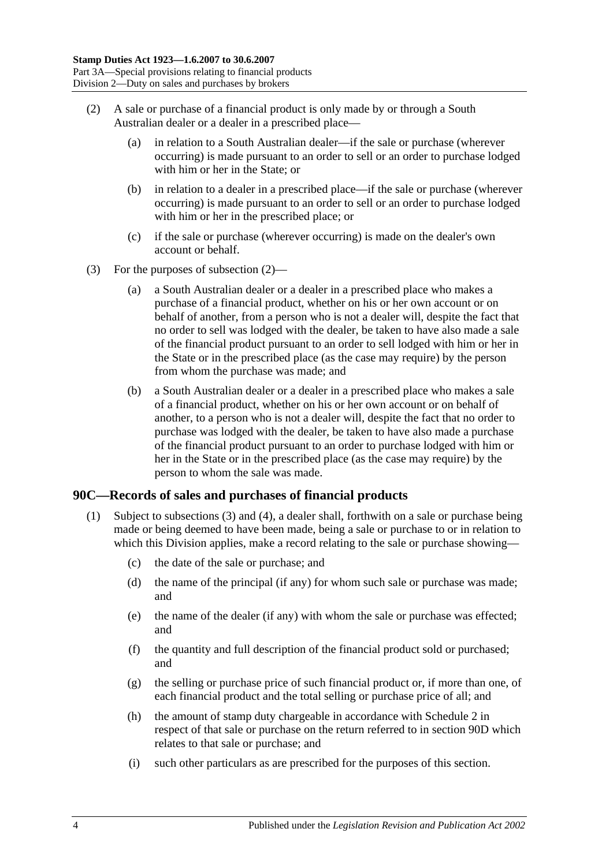- <span id="page-77-0"></span>(2) A sale or purchase of a financial product is only made by or through a South Australian dealer or a dealer in a prescribed place—
	- (a) in relation to a South Australian dealer—if the sale or purchase (wherever occurring) is made pursuant to an order to sell or an order to purchase lodged with him or her in the State; or
	- (b) in relation to a dealer in a prescribed place—if the sale or purchase (wherever occurring) is made pursuant to an order to sell or an order to purchase lodged with him or her in the prescribed place; or
	- (c) if the sale or purchase (wherever occurring) is made on the dealer's own account or behalf.
- (3) For the purposes of [subsection](#page-77-0) (2)—
	- (a) a South Australian dealer or a dealer in a prescribed place who makes a purchase of a financial product, whether on his or her own account or on behalf of another, from a person who is not a dealer will, despite the fact that no order to sell was lodged with the dealer, be taken to have also made a sale of the financial product pursuant to an order to sell lodged with him or her in the State or in the prescribed place (as the case may require) by the person from whom the purchase was made; and
	- (b) a South Australian dealer or a dealer in a prescribed place who makes a sale of a financial product, whether on his or her own account or on behalf of another, to a person who is not a dealer will, despite the fact that no order to purchase was lodged with the dealer, be taken to have also made a purchase of the financial product pursuant to an order to purchase lodged with him or her in the State or in the prescribed place (as the case may require) by the person to whom the sale was made.

## <span id="page-77-2"></span><span id="page-77-1"></span>**90C—Records of sales and purchases of financial products**

- (1) Subject to [subsections](#page-78-1) (3) and [\(4\),](#page-78-2) a dealer shall, forthwith on a sale or purchase being made or being deemed to have been made, being a sale or purchase to or in relation to which this Division applies, make a record relating to the sale or purchase showing—
	- (c) the date of the sale or purchase; and
	- (d) the name of the principal (if any) for whom such sale or purchase was made; and
	- (e) the name of the dealer (if any) with whom the sale or purchase was effected; and
	- (f) the quantity and full description of the financial product sold or purchased; and
	- (g) the selling or purchase price of such financial product or, if more than one, of each financial product and the total selling or purchase price of all; and
	- (h) the amount of stamp duty chargeable in accordance with [Schedule 2](#page-102-0) in respect of that sale or purchase on the return referred to in [section](#page-78-0) 90D which relates to that sale or purchase; and
	- (i) such other particulars as are prescribed for the purposes of this section.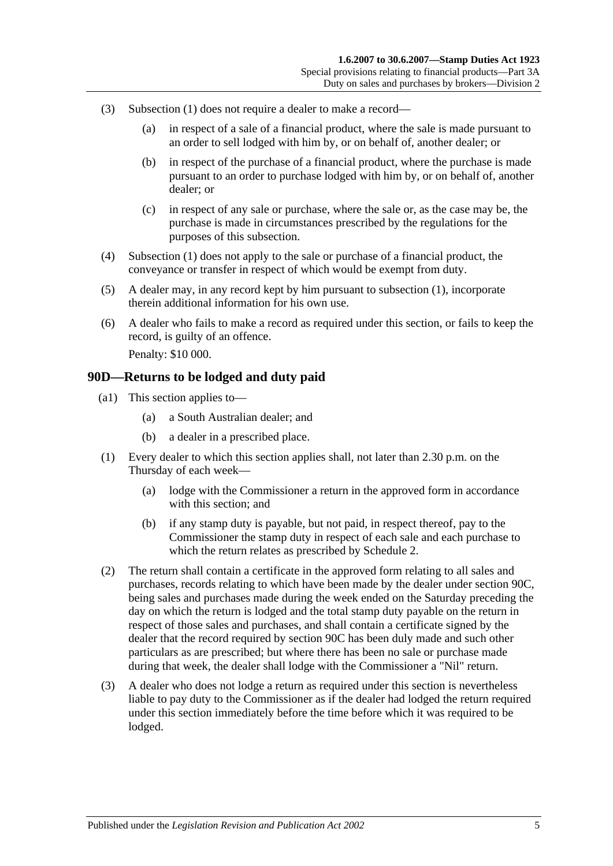- <span id="page-78-1"></span>(3) [Subsection](#page-77-1) (1) does not require a dealer to make a record—
	- (a) in respect of a sale of a financial product, where the sale is made pursuant to an order to sell lodged with him by, or on behalf of, another dealer; or
	- (b) in respect of the purchase of a financial product, where the purchase is made pursuant to an order to purchase lodged with him by, or on behalf of, another dealer; or
	- (c) in respect of any sale or purchase, where the sale or, as the case may be, the purchase is made in circumstances prescribed by the regulations for the purposes of this subsection.
- <span id="page-78-2"></span>(4) [Subsection](#page-77-1) (1) does not apply to the sale or purchase of a financial product, the conveyance or transfer in respect of which would be exempt from duty.
- (5) A dealer may, in any record kept by him pursuant to [subsection](#page-77-1) (1), incorporate therein additional information for his own use.
- (6) A dealer who fails to make a record as required under this section, or fails to keep the record, is guilty of an offence. Penalty: \$10 000.

#### <span id="page-78-0"></span>**90D—Returns to be lodged and duty paid**

- (a1) This section applies to—
	- (a) a South Australian dealer; and
	- (b) a dealer in a prescribed place.
- (1) Every dealer to which this section applies shall, not later than 2.30 p.m. on the Thursday of each week—
	- (a) lodge with the Commissioner a return in the approved form in accordance with this section; and
	- (b) if any stamp duty is payable, but not paid, in respect thereof, pay to the Commissioner the stamp duty in respect of each sale and each purchase to which the return relates as prescribed by [Schedule 2.](#page-102-0)
- (2) The return shall contain a certificate in the approved form relating to all sales and purchases, records relating to which have been made by the dealer under [section](#page-77-2) 90C, being sales and purchases made during the week ended on the Saturday preceding the day on which the return is lodged and the total stamp duty payable on the return in respect of those sales and purchases, and shall contain a certificate signed by the dealer that the record required by [section](#page-77-2) 90C has been duly made and such other particulars as are prescribed; but where there has been no sale or purchase made during that week, the dealer shall lodge with the Commissioner a "Nil" return.
- (3) A dealer who does not lodge a return as required under this section is nevertheless liable to pay duty to the Commissioner as if the dealer had lodged the return required under this section immediately before the time before which it was required to be lodged.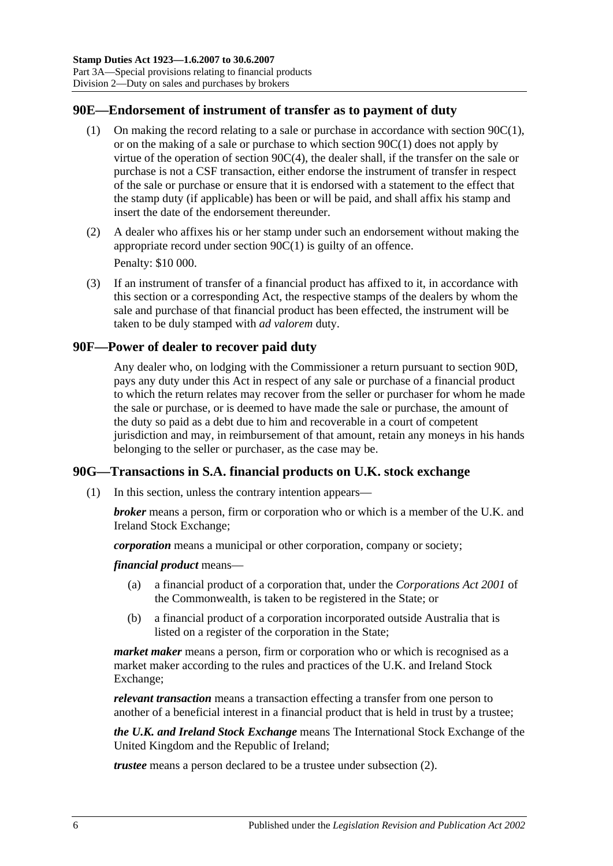## **90E—Endorsement of instrument of transfer as to payment of duty**

- (1) On making the record relating to a sale or purchase in accordance with [section](#page-77-1) 90C(1), or on the making of a sale or purchase to which [section](#page-77-1) 90C(1) does not apply by virtue of the operation of section [90C\(4\),](#page-78-2) the dealer shall, if the transfer on the sale or purchase is not a CSF transaction, either endorse the instrument of transfer in respect of the sale or purchase or ensure that it is endorsed with a statement to the effect that the stamp duty (if applicable) has been or will be paid, and shall affix his stamp and insert the date of the endorsement thereunder.
- (2) A dealer who affixes his or her stamp under such an endorsement without making the appropriate record under [section](#page-77-1) 90C(1) is guilty of an offence. Penalty: \$10 000.
- <span id="page-79-0"></span>(3) If an instrument of transfer of a financial product has affixed to it, in accordance with this section or a corresponding Act, the respective stamps of the dealers by whom the sale and purchase of that financial product has been effected, the instrument will be taken to be duly stamped with *ad valorem* duty.

## **90F—Power of dealer to recover paid duty**

Any dealer who, on lodging with the Commissioner a return pursuant to [section](#page-78-0) 90D, pays any duty under this Act in respect of any sale or purchase of a financial product to which the return relates may recover from the seller or purchaser for whom he made the sale or purchase, or is deemed to have made the sale or purchase, the amount of the duty so paid as a debt due to him and recoverable in a court of competent jurisdiction and may, in reimbursement of that amount, retain any moneys in his hands belonging to the seller or purchaser, as the case may be.

# **90G—Transactions in S.A. financial products on U.K. stock exchange**

(1) In this section, unless the contrary intention appears—

*broker* means a person, firm or corporation who or which is a member of the U.K. and Ireland Stock Exchange;

*corporation* means a municipal or other corporation, company or society;

*financial product* means—

- (a) a financial product of a corporation that, under the *Corporations Act 2001* of the Commonwealth, is taken to be registered in the State; or
- (b) a financial product of a corporation incorporated outside Australia that is listed on a register of the corporation in the State;

*market maker* means a person, firm or corporation who or which is recognised as a market maker according to the rules and practices of the U.K. and Ireland Stock Exchange;

*relevant transaction* means a transaction effecting a transfer from one person to another of a beneficial interest in a financial product that is held in trust by a trustee;

*the U.K. and Ireland Stock Exchange* means The International Stock Exchange of the United Kingdom and the Republic of Ireland;

*trustee* means a person declared to be a trustee under [subsection](#page-80-0) (2).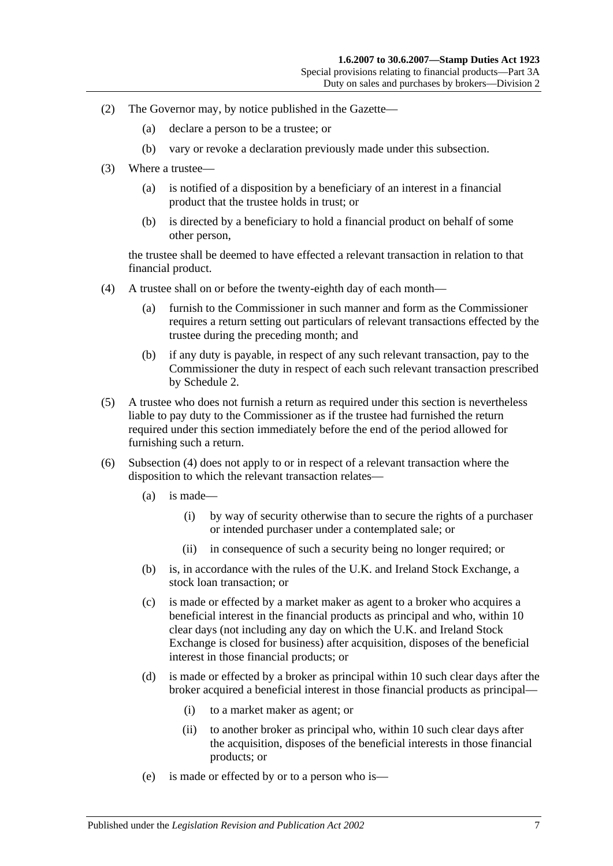- <span id="page-80-0"></span>(2) The Governor may, by notice published in the Gazette—
	- (a) declare a person to be a trustee; or
	- (b) vary or revoke a declaration previously made under this subsection.
- (3) Where a trustee—
	- (a) is notified of a disposition by a beneficiary of an interest in a financial product that the trustee holds in trust; or
	- (b) is directed by a beneficiary to hold a financial product on behalf of some other person,

the trustee shall be deemed to have effected a relevant transaction in relation to that financial product.

- <span id="page-80-1"></span>(4) A trustee shall on or before the twenty-eighth day of each month—
	- (a) furnish to the Commissioner in such manner and form as the Commissioner requires a return setting out particulars of relevant transactions effected by the trustee during the preceding month; and
	- (b) if any duty is payable, in respect of any such relevant transaction, pay to the Commissioner the duty in respect of each such relevant transaction prescribed by [Schedule 2.](#page-102-0)
- (5) A trustee who does not furnish a return as required under this section is nevertheless liable to pay duty to the Commissioner as if the trustee had furnished the return required under this section immediately before the end of the period allowed for furnishing such a return.
- (6) [Subsection](#page-80-1) (4) does not apply to or in respect of a relevant transaction where the disposition to which the relevant transaction relates—
	- (a) is made—
		- (i) by way of security otherwise than to secure the rights of a purchaser or intended purchaser under a contemplated sale; or
		- (ii) in consequence of such a security being no longer required; or
	- (b) is, in accordance with the rules of the U.K. and Ireland Stock Exchange, a stock loan transaction; or
	- (c) is made or effected by a market maker as agent to a broker who acquires a beneficial interest in the financial products as principal and who, within 10 clear days (not including any day on which the U.K. and Ireland Stock Exchange is closed for business) after acquisition, disposes of the beneficial interest in those financial products; or
	- (d) is made or effected by a broker as principal within 10 such clear days after the broker acquired a beneficial interest in those financial products as principal—
		- (i) to a market maker as agent; or
		- (ii) to another broker as principal who, within 10 such clear days after the acquisition, disposes of the beneficial interests in those financial products; or
	- (e) is made or effected by or to a person who is—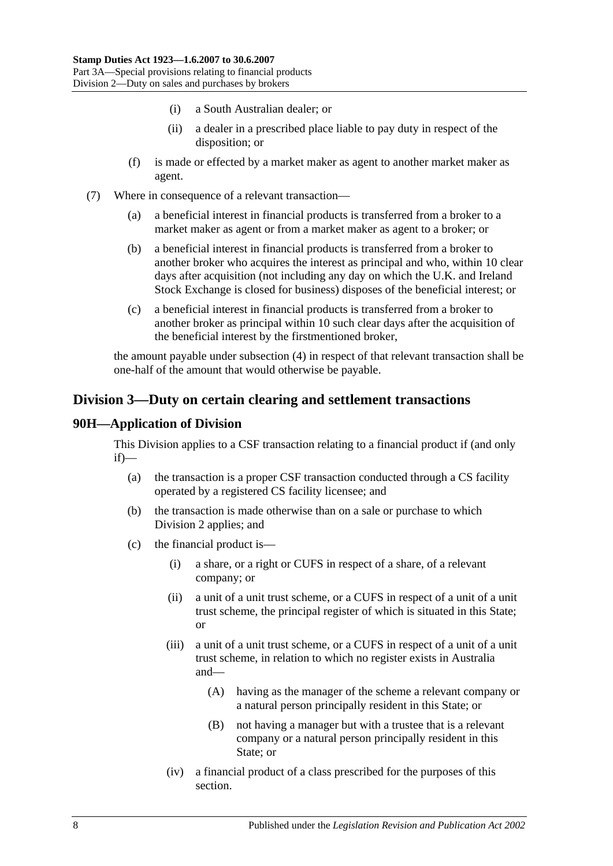- (i) a South Australian dealer; or
- (ii) a dealer in a prescribed place liable to pay duty in respect of the disposition; or
- (f) is made or effected by a market maker as agent to another market maker as agent.
- (7) Where in consequence of a relevant transaction—
	- (a) a beneficial interest in financial products is transferred from a broker to a market maker as agent or from a market maker as agent to a broker; or
	- (b) a beneficial interest in financial products is transferred from a broker to another broker who acquires the interest as principal and who, within 10 clear days after acquisition (not including any day on which the U.K. and Ireland Stock Exchange is closed for business) disposes of the beneficial interest; or
	- (c) a beneficial interest in financial products is transferred from a broker to another broker as principal within 10 such clear days after the acquisition of the beneficial interest by the firstmentioned broker,

the amount payable under [subsection](#page-80-1) (4) in respect of that relevant transaction shall be one-half of the amount that would otherwise be payable.

# <span id="page-81-0"></span>**Division 3—Duty on certain clearing and settlement transactions**

## **90H—Application of Division**

This Division applies to a CSF transaction relating to a financial product if (and only if)—

- (a) the transaction is a proper CSF transaction conducted through a CS facility operated by a registered CS facility licensee; and
- (b) the transaction is made otherwise than on a sale or purchase to which [Division 2](#page-76-0) applies; and
- (c) the financial product is—
	- (i) a share, or a right or CUFS in respect of a share, of a relevant company; or
	- (ii) a unit of a unit trust scheme, or a CUFS in respect of a unit of a unit trust scheme, the principal register of which is situated in this State; or
	- (iii) a unit of a unit trust scheme, or a CUFS in respect of a unit of a unit trust scheme, in relation to which no register exists in Australia and—
		- (A) having as the manager of the scheme a relevant company or a natural person principally resident in this State; or
		- (B) not having a manager but with a trustee that is a relevant company or a natural person principally resident in this State; or
	- (iv) a financial product of a class prescribed for the purposes of this section.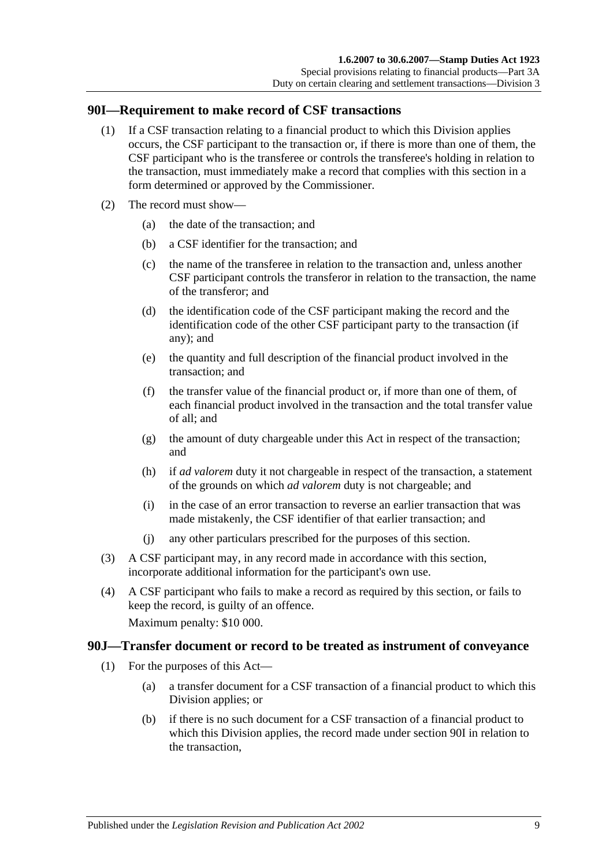#### <span id="page-82-0"></span>**90I—Requirement to make record of CSF transactions**

- (1) If a CSF transaction relating to a financial product to which this Division applies occurs, the CSF participant to the transaction or, if there is more than one of them, the CSF participant who is the transferee or controls the transferee's holding in relation to the transaction, must immediately make a record that complies with this section in a form determined or approved by the Commissioner.
- (2) The record must show—
	- (a) the date of the transaction; and
	- (b) a CSF identifier for the transaction; and
	- (c) the name of the transferee in relation to the transaction and, unless another CSF participant controls the transferor in relation to the transaction, the name of the transferor; and
	- (d) the identification code of the CSF participant making the record and the identification code of the other CSF participant party to the transaction (if any); and
	- (e) the quantity and full description of the financial product involved in the transaction; and
	- (f) the transfer value of the financial product or, if more than one of them, of each financial product involved in the transaction and the total transfer value of all; and
	- (g) the amount of duty chargeable under this Act in respect of the transaction; and
	- (h) if *ad valorem* duty it not chargeable in respect of the transaction, a statement of the grounds on which *ad valorem* duty is not chargeable; and
	- (i) in the case of an error transaction to reverse an earlier transaction that was made mistakenly, the CSF identifier of that earlier transaction; and
	- (j) any other particulars prescribed for the purposes of this section.
- (3) A CSF participant may, in any record made in accordance with this section, incorporate additional information for the participant's own use.
- (4) A CSF participant who fails to make a record as required by this section, or fails to keep the record, is guilty of an offence.

Maximum penalty: \$10 000.

#### <span id="page-82-1"></span>**90J—Transfer document or record to be treated as instrument of conveyance**

- (1) For the purposes of this Act—
	- (a) a transfer document for a CSF transaction of a financial product to which this Division applies; or
	- (b) if there is no such document for a CSF transaction of a financial product to which this Division applies, the record made under [section](#page-82-0) 90I in relation to the transaction,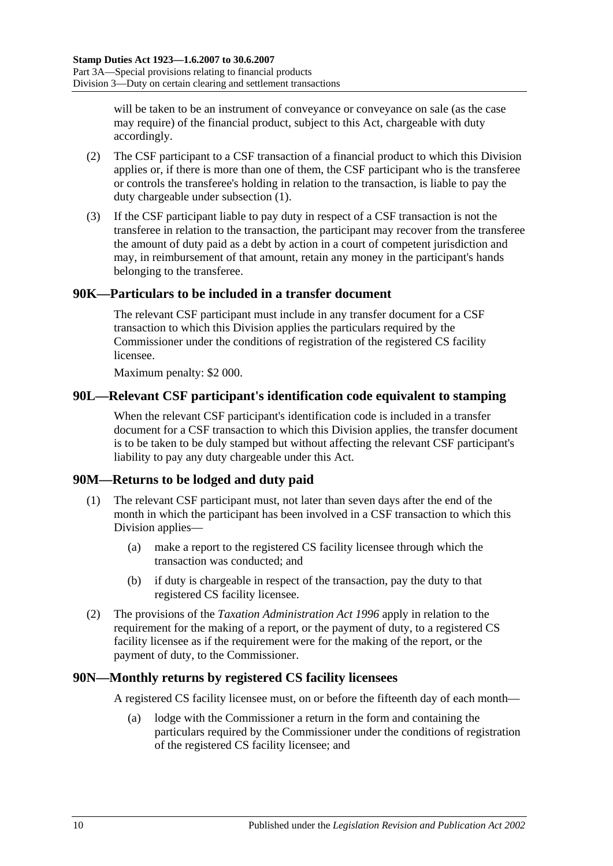will be taken to be an instrument of conveyance or conveyance on sale (as the case may require) of the financial product, subject to this Act, chargeable with duty accordingly.

- (2) The CSF participant to a CSF transaction of a financial product to which this Division applies or, if there is more than one of them, the CSF participant who is the transferee or controls the transferee's holding in relation to the transaction, is liable to pay the duty chargeable under [subsection](#page-82-1) (1).
- (3) If the CSF participant liable to pay duty in respect of a CSF transaction is not the transferee in relation to the transaction, the participant may recover from the transferee the amount of duty paid as a debt by action in a court of competent jurisdiction and may, in reimbursement of that amount, retain any money in the participant's hands belonging to the transferee.

## **90K—Particulars to be included in a transfer document**

The relevant CSF participant must include in any transfer document for a CSF transaction to which this Division applies the particulars required by the Commissioner under the conditions of registration of the registered CS facility licensee.

Maximum penalty: \$2 000.

## **90L—Relevant CSF participant's identification code equivalent to stamping**

When the relevant CSF participant's identification code is included in a transfer document for a CSF transaction to which this Division applies, the transfer document is to be taken to be duly stamped but without affecting the relevant CSF participant's liability to pay any duty chargeable under this Act.

## **90M—Returns to be lodged and duty paid**

- (1) The relevant CSF participant must, not later than seven days after the end of the month in which the participant has been involved in a CSF transaction to which this Division applies—
	- (a) make a report to the registered CS facility licensee through which the transaction was conducted; and
	- (b) if duty is chargeable in respect of the transaction, pay the duty to that registered CS facility licensee.
- (2) The provisions of the *[Taxation Administration Act](http://www.legislation.sa.gov.au/index.aspx?action=legref&type=act&legtitle=Taxation%20Administration%20Act%201996) 1996* apply in relation to the requirement for the making of a report, or the payment of duty, to a registered CS facility licensee as if the requirement were for the making of the report, or the payment of duty, to the Commissioner.

#### **90N—Monthly returns by registered CS facility licensees**

A registered CS facility licensee must, on or before the fifteenth day of each month—

(a) lodge with the Commissioner a return in the form and containing the particulars required by the Commissioner under the conditions of registration of the registered CS facility licensee; and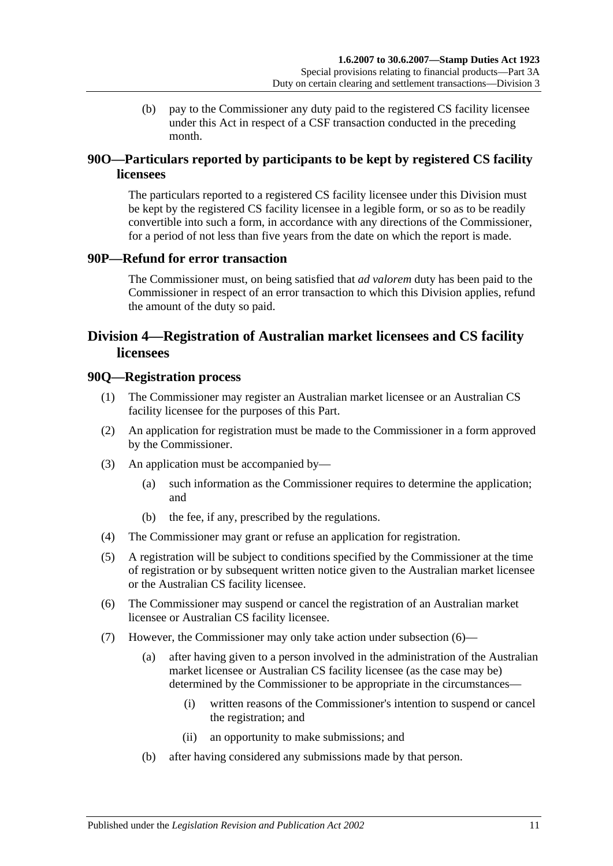(b) pay to the Commissioner any duty paid to the registered CS facility licensee under this Act in respect of a CSF transaction conducted in the preceding month.

# **90O—Particulars reported by participants to be kept by registered CS facility licensees**

The particulars reported to a registered CS facility licensee under this Division must be kept by the registered CS facility licensee in a legible form, or so as to be readily convertible into such a form, in accordance with any directions of the Commissioner, for a period of not less than five years from the date on which the report is made.

## **90P—Refund for error transaction**

The Commissioner must, on being satisfied that *ad valorem* duty has been paid to the Commissioner in respect of an error transaction to which this Division applies, refund the amount of the duty so paid.

# <span id="page-84-0"></span>**Division 4—Registration of Australian market licensees and CS facility licensees**

#### **90Q—Registration process**

- (1) The Commissioner may register an Australian market licensee or an Australian CS facility licensee for the purposes of this Part.
- (2) An application for registration must be made to the Commissioner in a form approved by the Commissioner.
- (3) An application must be accompanied by—
	- (a) such information as the Commissioner requires to determine the application; and
	- (b) the fee, if any, prescribed by the regulations.
- (4) The Commissioner may grant or refuse an application for registration.
- (5) A registration will be subject to conditions specified by the Commissioner at the time of registration or by subsequent written notice given to the Australian market licensee or the Australian CS facility licensee.
- <span id="page-84-1"></span>(6) The Commissioner may suspend or cancel the registration of an Australian market licensee or Australian CS facility licensee.
- <span id="page-84-2"></span>(7) However, the Commissioner may only take action under [subsection](#page-84-1) (6)—
	- (a) after having given to a person involved in the administration of the Australian market licensee or Australian CS facility licensee (as the case may be) determined by the Commissioner to be appropriate in the circumstances—
		- (i) written reasons of the Commissioner's intention to suspend or cancel the registration; and
		- (ii) an opportunity to make submissions; and
	- (b) after having considered any submissions made by that person.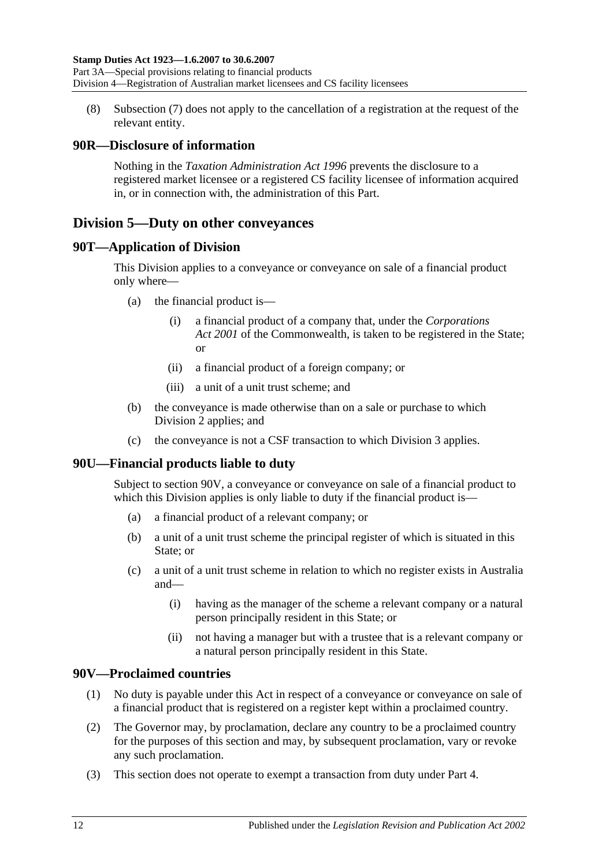(8) [Subsection](#page-84-2) (7) does not apply to the cancellation of a registration at the request of the relevant entity.

## **90R—Disclosure of information**

Nothing in the *[Taxation Administration Act](http://www.legislation.sa.gov.au/index.aspx?action=legref&type=act&legtitle=Taxation%20Administration%20Act%201996) 1996* prevents the disclosure to a registered market licensee or a registered CS facility licensee of information acquired in, or in connection with, the administration of this Part.

# <span id="page-85-1"></span>**Division 5—Duty on other conveyances**

## **90T—Application of Division**

This Division applies to a conveyance or conveyance on sale of a financial product only where—

- (a) the financial product is—
	- (i) a financial product of a company that, under the *Corporations Act 2001* of the Commonwealth, is taken to be registered in the State; or
	- (ii) a financial product of a foreign company; or
	- (iii) a unit of a unit trust scheme; and
- (b) the conveyance is made otherwise than on a sale or purchase to which [Division 2](#page-76-0) applies; and
- (c) the conveyance is not a CSF transaction to which [Division 3](#page-81-0) applies.

# **90U—Financial products liable to duty**

Subject to [section](#page-85-0) 90V, a conveyance or conveyance on sale of a financial product to which this Division applies is only liable to duty if the financial product is—

- (a) a financial product of a relevant company; or
- (b) a unit of a unit trust scheme the principal register of which is situated in this State; or
- (c) a unit of a unit trust scheme in relation to which no register exists in Australia and—
	- (i) having as the manager of the scheme a relevant company or a natural person principally resident in this State; or
	- (ii) not having a manager but with a trustee that is a relevant company or a natural person principally resident in this State.

## <span id="page-85-0"></span>**90V—Proclaimed countries**

- (1) No duty is payable under this Act in respect of a conveyance or conveyance on sale of a financial product that is registered on a register kept within a proclaimed country.
- (2) The Governor may, by proclamation, declare any country to be a proclaimed country for the purposes of this section and may, by subsequent proclamation, vary or revoke any such proclamation.
- (3) This section does not operate to exempt a transaction from duty under [Part 4.](#page-86-0)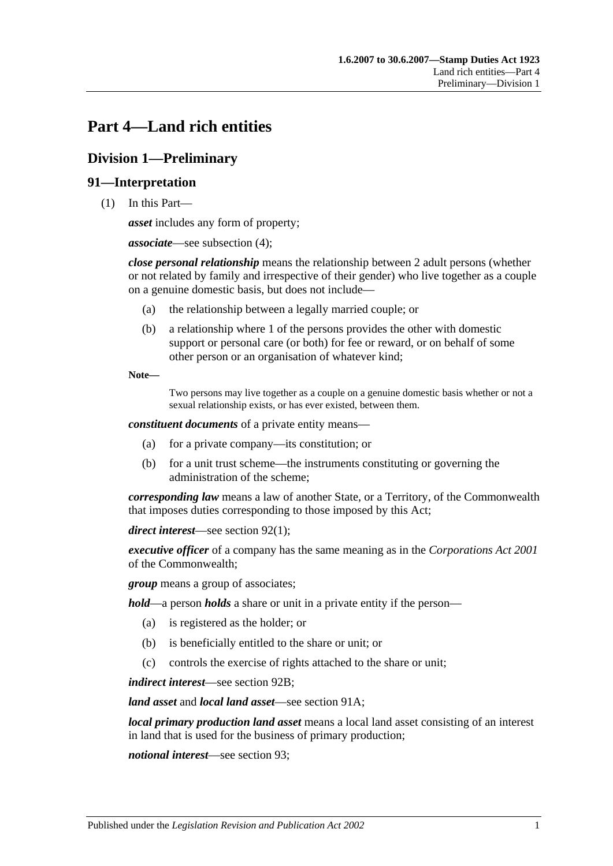# <span id="page-86-0"></span>**Part 4—Land rich entities**

# **Division 1—Preliminary**

## **91—Interpretation**

(1) In this Part—

*asset* includes any form of property;

*associate*—see [subsection](#page-88-0) (4);

*close personal relationship* means the relationship between 2 adult persons (whether or not related by family and irrespective of their gender) who live together as a couple on a genuine domestic basis, but does not include—

- (a) the relationship between a legally married couple; or
- (b) a relationship where 1 of the persons provides the other with domestic support or personal care (or both) for fee or reward, or on behalf of some other person or an organisation of whatever kind;

**Note—**

Two persons may live together as a couple on a genuine domestic basis whether or not a sexual relationship exists, or has ever existed, between them.

*constituent documents* of a private entity means—

- (a) for a private company—its constitution; or
- (b) for a unit trust scheme—the instruments constituting or governing the administration of the scheme;

*corresponding law* means a law of another State, or a Territory, of the Commonwealth that imposes duties corresponding to those imposed by this Act;

*direct interest*—see [section](#page-89-0) 92(1);

*executive officer* of a company has the same meaning as in the *Corporations Act 2001* of the Commonwealth;

*group* means a group of associates;

*hold*—a person *holds* a share or unit in a private entity if the person—

- (a) is registered as the holder; or
- (b) is beneficially entitled to the share or unit; or
- (c) controls the exercise of rights attached to the share or unit;

*indirect interest*—see [section](#page-90-0) 92B;

*land asset* and *local land asset*—see [section](#page-88-1) 91A;

*local primary production land asset* means a local land asset consisting of an interest in land that is used for the business of primary production;

*notional interest*—see [section](#page-90-1) 93;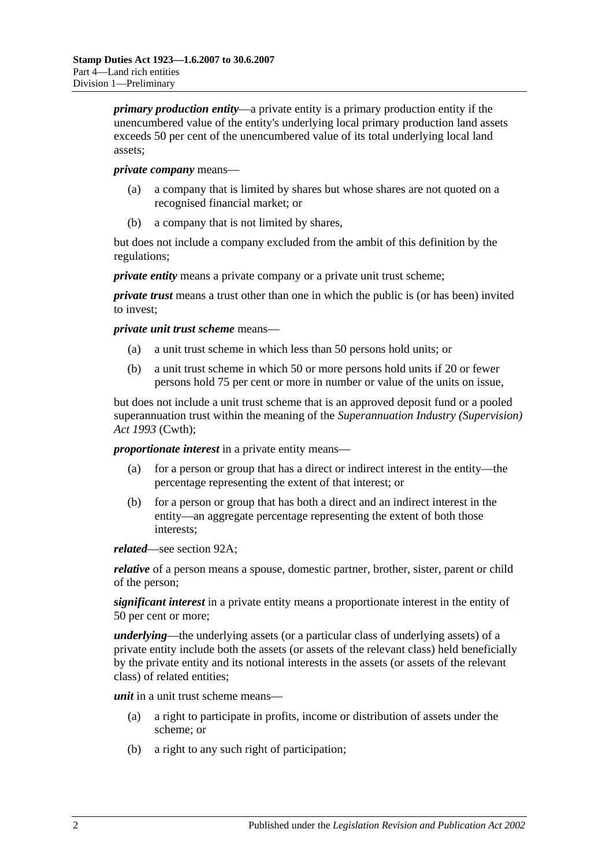*primary production entity*—a private entity is a primary production entity if the unencumbered value of the entity's underlying local primary production land assets exceeds 50 per cent of the unencumbered value of its total underlying local land assets;

#### *private company* means—

- (a) a company that is limited by shares but whose shares are not quoted on a recognised financial market; or
- (b) a company that is not limited by shares,

but does not include a company excluded from the ambit of this definition by the regulations;

*private entity* means a private company or a private unit trust scheme;

*private trust* means a trust other than one in which the public is (or has been) invited to invest;

*private unit trust scheme* means—

- (a) a unit trust scheme in which less than 50 persons hold units; or
- (b) a unit trust scheme in which 50 or more persons hold units if 20 or fewer persons hold 75 per cent or more in number or value of the units on issue,

but does not include a unit trust scheme that is an approved deposit fund or a pooled superannuation trust within the meaning of the *Superannuation Industry (Supervision) Act 1993* (Cwth);

*proportionate interest* in a private entity means—

- (a) for a person or group that has a direct or indirect interest in the entity—the percentage representing the extent of that interest; or
- (b) for a person or group that has both a direct and an indirect interest in the entity—an aggregate percentage representing the extent of both those interests;

*related*—see [section](#page-89-1) 92A;

*relative* of a person means a spouse, domestic partner, brother, sister, parent or child of the person;

*significant interest* in a private entity means a proportionate interest in the entity of 50 per cent or more;

*underlying*—the underlying assets (or a particular class of underlying assets) of a private entity include both the assets (or assets of the relevant class) held beneficially by the private entity and its notional interests in the assets (or assets of the relevant class) of related entities;

*unit* in a unit trust scheme means—

- (a) a right to participate in profits, income or distribution of assets under the scheme; or
- (b) a right to any such right of participation;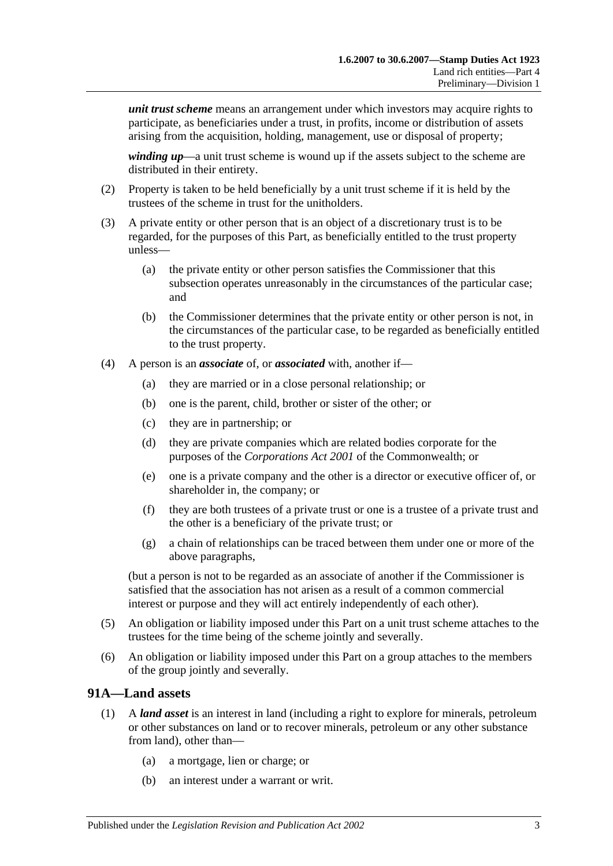*unit trust scheme* means an arrangement under which investors may acquire rights to participate, as beneficiaries under a trust, in profits, income or distribution of assets arising from the acquisition, holding, management, use or disposal of property;

*winding up*—a unit trust scheme is wound up if the assets subject to the scheme are distributed in their entirety.

- (2) Property is taken to be held beneficially by a unit trust scheme if it is held by the trustees of the scheme in trust for the unitholders.
- (3) A private entity or other person that is an object of a discretionary trust is to be regarded, for the purposes of this Part, as beneficially entitled to the trust property unless—
	- (a) the private entity or other person satisfies the Commissioner that this subsection operates unreasonably in the circumstances of the particular case; and
	- (b) the Commissioner determines that the private entity or other person is not, in the circumstances of the particular case, to be regarded as beneficially entitled to the trust property.
- <span id="page-88-0"></span>(4) A person is an *associate* of, or *associated* with, another if—
	- (a) they are married or in a close personal relationship; or
	- (b) one is the parent, child, brother or sister of the other; or
	- (c) they are in partnership; or
	- (d) they are private companies which are related bodies corporate for the purposes of the *Corporations Act 2001* of the Commonwealth; or
	- (e) one is a private company and the other is a director or executive officer of, or shareholder in, the company; or
	- (f) they are both trustees of a private trust or one is a trustee of a private trust and the other is a beneficiary of the private trust; or
	- (g) a chain of relationships can be traced between them under one or more of the above paragraphs,

(but a person is not to be regarded as an associate of another if the Commissioner is satisfied that the association has not arisen as a result of a common commercial interest or purpose and they will act entirely independently of each other).

- (5) An obligation or liability imposed under this Part on a unit trust scheme attaches to the trustees for the time being of the scheme jointly and severally.
- (6) An obligation or liability imposed under this Part on a group attaches to the members of the group jointly and severally.

#### <span id="page-88-1"></span>**91A—Land assets**

- (1) A *land asset* is an interest in land (including a right to explore for minerals, petroleum or other substances on land or to recover minerals, petroleum or any other substance from land), other than—
	- (a) a mortgage, lien or charge; or
	- (b) an interest under a warrant or writ.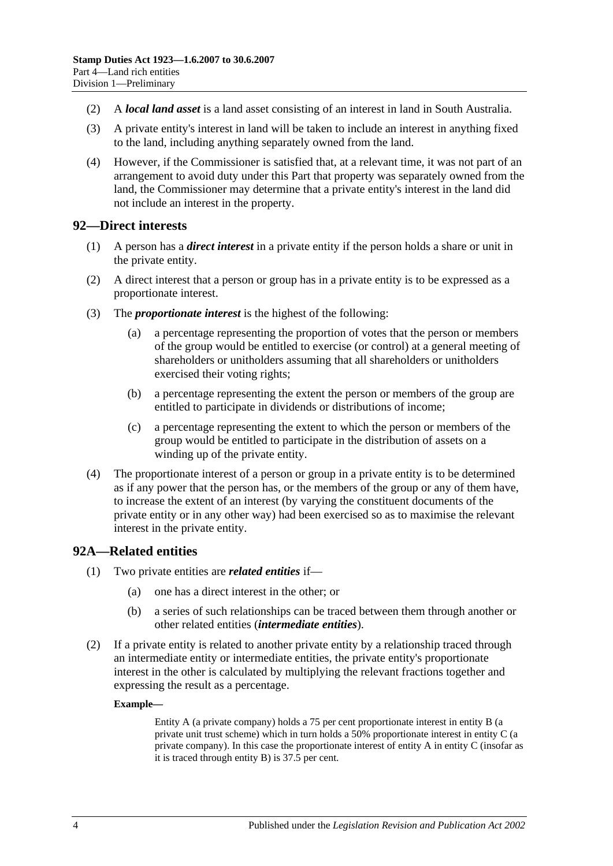- (2) A *local land asset* is a land asset consisting of an interest in land in South Australia.
- (3) A private entity's interest in land will be taken to include an interest in anything fixed to the land, including anything separately owned from the land.
- (4) However, if the Commissioner is satisfied that, at a relevant time, it was not part of an arrangement to avoid duty under this Part that property was separately owned from the land, the Commissioner may determine that a private entity's interest in the land did not include an interest in the property.

#### <span id="page-89-0"></span>**92—Direct interests**

- (1) A person has a *direct interest* in a private entity if the person holds a share or unit in the private entity.
- (2) A direct interest that a person or group has in a private entity is to be expressed as a proportionate interest.
- (3) The *proportionate interest* is the highest of the following:
	- (a) a percentage representing the proportion of votes that the person or members of the group would be entitled to exercise (or control) at a general meeting of shareholders or unitholders assuming that all shareholders or unitholders exercised their voting rights;
	- (b) a percentage representing the extent the person or members of the group are entitled to participate in dividends or distributions of income;
	- (c) a percentage representing the extent to which the person or members of the group would be entitled to participate in the distribution of assets on a winding up of the private entity.
- (4) The proportionate interest of a person or group in a private entity is to be determined as if any power that the person has, or the members of the group or any of them have, to increase the extent of an interest (by varying the constituent documents of the private entity or in any other way) had been exercised so as to maximise the relevant interest in the private entity.

## <span id="page-89-1"></span>**92A—Related entities**

- (1) Two private entities are *related entities* if—
	- (a) one has a direct interest in the other; or
	- (b) a series of such relationships can be traced between them through another or other related entities (*intermediate entities*).
- (2) If a private entity is related to another private entity by a relationship traced through an intermediate entity or intermediate entities, the private entity's proportionate interest in the other is calculated by multiplying the relevant fractions together and expressing the result as a percentage.

#### **Example—**

Entity A (a private company) holds a 75 per cent proportionate interest in entity B (a private unit trust scheme) which in turn holds a 50% proportionate interest in entity C (a private company). In this case the proportionate interest of entity A in entity C (insofar as it is traced through entity B) is 37.5 per cent.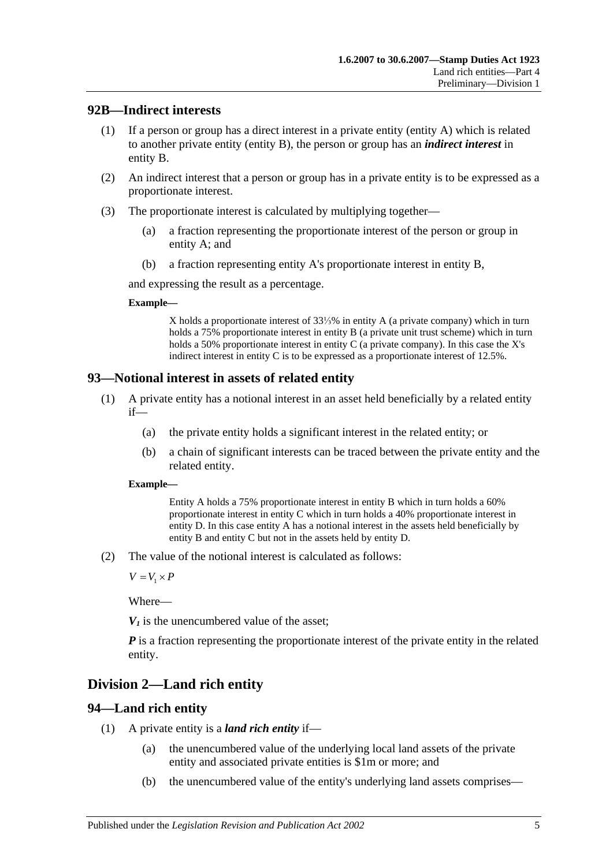## <span id="page-90-0"></span>**92B—Indirect interests**

- (1) If a person or group has a direct interest in a private entity (entity A) which is related to another private entity (entity B), the person or group has an *indirect interest* in entity B.
- (2) An indirect interest that a person or group has in a private entity is to be expressed as a proportionate interest.
- (3) The proportionate interest is calculated by multiplying together—
	- (a) a fraction representing the proportionate interest of the person or group in entity A; and
	- (b) a fraction representing entity A's proportionate interest in entity B,

and expressing the result as a percentage.

#### **Example—**

X holds a proportionate interest of 33⅓% in entity A (a private company) which in turn holds a 75% proportionate interest in entity B (a private unit trust scheme) which in turn holds a 50% proportionate interest in entity C (a private company). In this case the X's indirect interest in entity C is to be expressed as a proportionate interest of 12.5%.

## <span id="page-90-1"></span>**93—Notional interest in assets of related entity**

- (1) A private entity has a notional interest in an asset held beneficially by a related entity if—
	- (a) the private entity holds a significant interest in the related entity; or
	- (b) a chain of significant interests can be traced between the private entity and the related entity.

#### **Example—**

Entity A holds a 75% proportionate interest in entity B which in turn holds a 60% proportionate interest in entity C which in turn holds a 40% proportionate interest in entity D. In this case entity A has a notional interest in the assets held beneficially by entity B and entity C but not in the assets held by entity D.

(2) The value of the notional interest is calculated as follows:

 $V = V_1 \times P$ 

Where—

 $V_1$  is the unencumbered value of the asset:

*P* is a fraction representing the proportionate interest of the private entity in the related entity.

# **Division 2—Land rich entity**

## <span id="page-90-2"></span>**94—Land rich entity**

- (1) A private entity is a *land rich entity* if—
	- (a) the unencumbered value of the underlying local land assets of the private entity and associated private entities is \$1m or more; and
	- (b) the unencumbered value of the entity's underlying land assets comprises—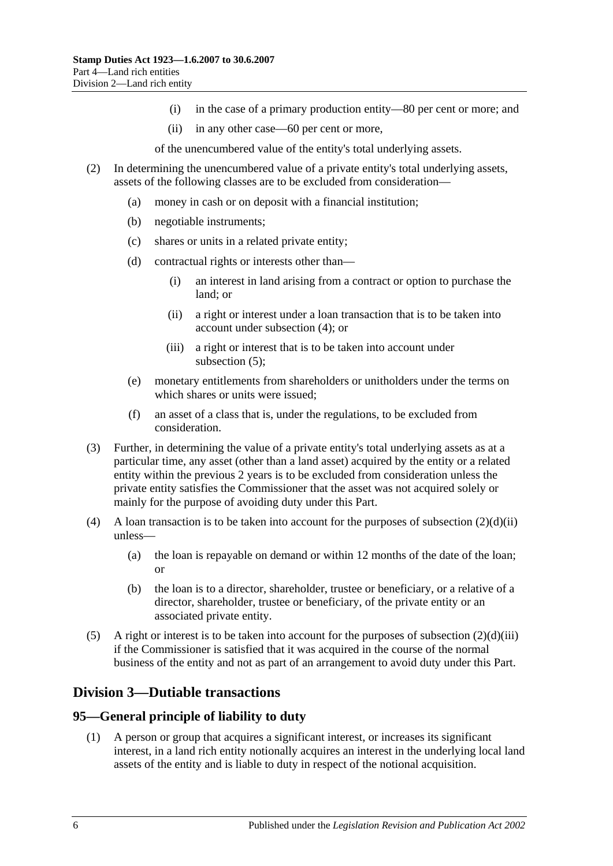- (i) in the case of a primary production entity—80 per cent or more; and
- (ii) in any other case—60 per cent or more,

of the unencumbered value of the entity's total underlying assets.

- <span id="page-91-2"></span>(2) In determining the unencumbered value of a private entity's total underlying assets, assets of the following classes are to be excluded from consideration—
	- (a) money in cash or on deposit with a financial institution;
	- (b) negotiable instruments;
	- (c) shares or units in a related private entity;
	- (d) contractual rights or interests other than—
		- (i) an interest in land arising from a contract or option to purchase the land; or
		- (ii) a right or interest under a loan transaction that is to be taken into account under [subsection](#page-91-0) (4); or
		- (iii) a right or interest that is to be taken into account under [subsection](#page-91-1) (5);
	- (e) monetary entitlements from shareholders or unitholders under the terms on which shares or units were issued;
	- (f) an asset of a class that is, under the regulations, to be excluded from consideration.
- <span id="page-91-3"></span>(3) Further, in determining the value of a private entity's total underlying assets as at a particular time, any asset (other than a land asset) acquired by the entity or a related entity within the previous 2 years is to be excluded from consideration unless the private entity satisfies the Commissioner that the asset was not acquired solely or mainly for the purpose of avoiding duty under this Part.
- <span id="page-91-0"></span>(4) A loan transaction is to be taken into account for the purposes of [subsection](#page-91-2)  $(2)(d)(ii)$ unless—
	- (a) the loan is repayable on demand or within 12 months of the date of the loan; or
	- (b) the loan is to a director, shareholder, trustee or beneficiary, or a relative of a director, shareholder, trustee or beneficiary, of the private entity or an associated private entity.
- <span id="page-91-1"></span>(5) A right or interest is to be taken into account for the purposes of [subsection](#page-91-3)  $(2)(d)(iii)$ if the Commissioner is satisfied that it was acquired in the course of the normal business of the entity and not as part of an arrangement to avoid duty under this Part.

# **Division 3—Dutiable transactions**

## **95—General principle of liability to duty**

(1) A person or group that acquires a significant interest, or increases its significant interest, in a land rich entity notionally acquires an interest in the underlying local land assets of the entity and is liable to duty in respect of the notional acquisition.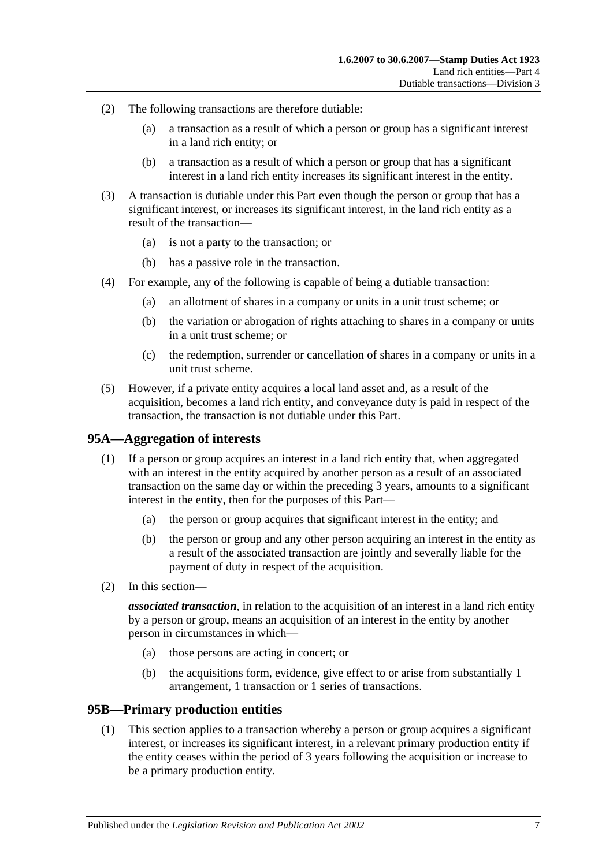- (2) The following transactions are therefore dutiable:
	- (a) a transaction as a result of which a person or group has a significant interest in a land rich entity; or
	- (b) a transaction as a result of which a person or group that has a significant interest in a land rich entity increases its significant interest in the entity.
- (3) A transaction is dutiable under this Part even though the person or group that has a significant interest, or increases its significant interest, in the land rich entity as a result of the transaction—
	- (a) is not a party to the transaction; or
	- (b) has a passive role in the transaction.
- (4) For example, any of the following is capable of being a dutiable transaction:
	- (a) an allotment of shares in a company or units in a unit trust scheme; or
	- (b) the variation or abrogation of rights attaching to shares in a company or units in a unit trust scheme; or
	- (c) the redemption, surrender or cancellation of shares in a company or units in a unit trust scheme.
- (5) However, if a private entity acquires a local land asset and, as a result of the acquisition, becomes a land rich entity, and conveyance duty is paid in respect of the transaction, the transaction is not dutiable under this Part.

#### **95A—Aggregation of interests**

- (1) If a person or group acquires an interest in a land rich entity that, when aggregated with an interest in the entity acquired by another person as a result of an associated transaction on the same day or within the preceding 3 years, amounts to a significant interest in the entity, then for the purposes of this Part—
	- (a) the person or group acquires that significant interest in the entity; and
	- (b) the person or group and any other person acquiring an interest in the entity as a result of the associated transaction are jointly and severally liable for the payment of duty in respect of the acquisition.
- (2) In this section—

*associated transaction*, in relation to the acquisition of an interest in a land rich entity by a person or group, means an acquisition of an interest in the entity by another person in circumstances in which—

- (a) those persons are acting in concert; or
- (b) the acquisitions form, evidence, give effect to or arise from substantially 1 arrangement, 1 transaction or 1 series of transactions.

#### <span id="page-92-0"></span>**95B—Primary production entities**

(1) This section applies to a transaction whereby a person or group acquires a significant interest, or increases its significant interest, in a relevant primary production entity if the entity ceases within the period of 3 years following the acquisition or increase to be a primary production entity.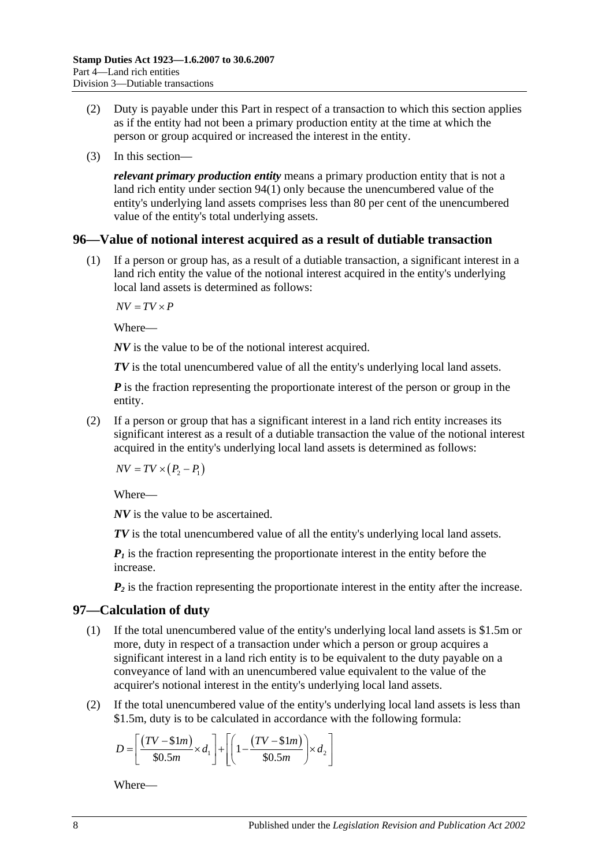- (2) Duty is payable under this Part in respect of a transaction to which this section applies as if the entity had not been a primary production entity at the time at which the person or group acquired or increased the interest in the entity.
- (3) In this section—

*relevant primary production entity* means a primary production entity that is not a land rich entity under [section](#page-90-2) 94(1) only because the unencumbered value of the entity's underlying land assets comprises less than 80 per cent of the unencumbered value of the entity's total underlying assets.

#### **96—Value of notional interest acquired as a result of dutiable transaction**

(1) If a person or group has, as a result of a dutiable transaction, a significant interest in a land rich entity the value of the notional interest acquired in the entity's underlying local land assets is determined as follows:

 $\overline{AV} = \overline{TV} \times \overline{P}$ 

Where—

*NV* is the value to be of the notional interest acquired.

*TV* is the total unencumbered value of all the entity's underlying local land assets.

*P* is the fraction representing the proportionate interest of the person or group in the entity.

(2) If a person or group that has a significant interest in a land rich entity increases its significant interest as a result of a dutiable transaction the value of the notional interest acquired in the entity's underlying local land assets is determined as follows:

 $NV = TV \times (P_2 - P_1)$ 

Where—

*NV* is the value to be ascertained.

*TV* is the total unencumbered value of all the entity's underlying local land assets.

 $P_1$  is the fraction representing the proportionate interest in the entity before the increase.

 $P_2$  is the fraction representing the proportionate interest in the entity after the increase.

## <span id="page-93-0"></span>**97—Calculation of duty**

- (1) If the total unencumbered value of the entity's underlying local land assets is \$1.5m or more, duty in respect of a transaction under which a person or group acquires a significant interest in a land rich entity is to be equivalent to the duty payable on a conveyance of land with an unencumbered value equivalent to the value of the acquirer's notional interest in the entity's underlying local land assets.
- (2) If the total unencumbered value of the entity's underlying local land assets is less than \$1.5m, duty is to be calculated in accordance with the following formula:

$$
D = \left[ \frac{(TV - $1m)}{$30.5m} \times d_1 \right] + \left[ \left( 1 - \frac{(TV - $1m)}{$30.5m} \right) \times d_2 \right]
$$

Where—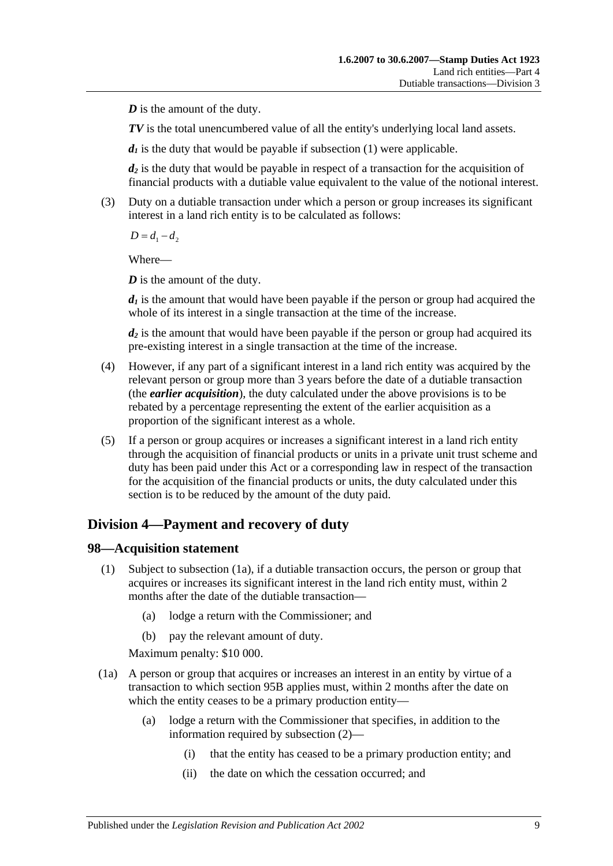*D* is the amount of the duty.

*TV* is the total unencumbered value of all the entity's underlying local land assets.

 $d_1$  is the duty that would be payable if [subsection](#page-93-0) (1) were applicable.

*d2* is the duty that would be payable in respect of a transaction for the acquisition of financial products with a dutiable value equivalent to the value of the notional interest.

(3) Duty on a dutiable transaction under which a person or group increases its significant interest in a land rich entity is to be calculated as follows:

 $D = d_1 - d_2$ 

Where—

*D* is the amount of the duty.

 $d_1$  is the amount that would have been payable if the person or group had acquired the whole of its interest in a single transaction at the time of the increase.

*d2* is the amount that would have been payable if the person or group had acquired its pre-existing interest in a single transaction at the time of the increase.

- (4) However, if any part of a significant interest in a land rich entity was acquired by the relevant person or group more than 3 years before the date of a dutiable transaction (the *earlier acquisition*), the duty calculated under the above provisions is to be rebated by a percentage representing the extent of the earlier acquisition as a proportion of the significant interest as a whole.
- (5) If a person or group acquires or increases a significant interest in a land rich entity through the acquisition of financial products or units in a private unit trust scheme and duty has been paid under this Act or a corresponding law in respect of the transaction for the acquisition of the financial products or units, the duty calculated under this section is to be reduced by the amount of the duty paid.

# **Division 4—Payment and recovery of duty**

## **98—Acquisition statement**

- (1) Subject to [subsection](#page-94-0) (1a), if a dutiable transaction occurs, the person or group that acquires or increases its significant interest in the land rich entity must, within 2 months after the date of the dutiable transaction—
	- (a) lodge a return with the Commissioner; and
	- (b) pay the relevant amount of duty.

Maximum penalty: \$10 000.

- <span id="page-94-0"></span>(1a) A person or group that acquires or increases an interest in an entity by virtue of a transaction to which [section](#page-92-0) 95B applies must, within 2 months after the date on which the entity ceases to be a primary production entity—
	- (a) lodge a return with the Commissioner that specifies, in addition to the information required by [subsection](#page-95-0) (2)—
		- (i) that the entity has ceased to be a primary production entity; and
		- (ii) the date on which the cessation occurred; and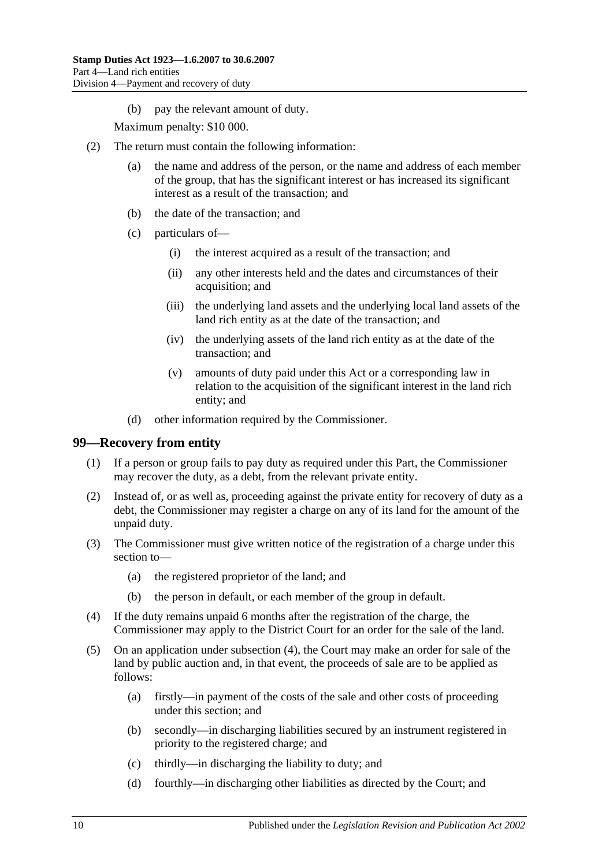(b) pay the relevant amount of duty.

Maximum penalty: \$10 000.

- <span id="page-95-0"></span>(2) The return must contain the following information:
	- (a) the name and address of the person, or the name and address of each member of the group, that has the significant interest or has increased its significant interest as a result of the transaction; and
	- (b) the date of the transaction; and
	- (c) particulars of—
		- (i) the interest acquired as a result of the transaction; and
		- (ii) any other interests held and the dates and circumstances of their acquisition; and
		- (iii) the underlying land assets and the underlying local land assets of the land rich entity as at the date of the transaction; and
		- (iv) the underlying assets of the land rich entity as at the date of the transaction; and
		- (v) amounts of duty paid under this Act or a corresponding law in relation to the acquisition of the significant interest in the land rich entity; and
	- (d) other information required by the Commissioner.

#### **99—Recovery from entity**

- (1) If a person or group fails to pay duty as required under this Part, the Commissioner may recover the duty, as a debt, from the relevant private entity.
- (2) Instead of, or as well as, proceeding against the private entity for recovery of duty as a debt, the Commissioner may register a charge on any of its land for the amount of the unpaid duty.
- (3) The Commissioner must give written notice of the registration of a charge under this section to—
	- (a) the registered proprietor of the land; and
	- (b) the person in default, or each member of the group in default.
- <span id="page-95-1"></span>(4) If the duty remains unpaid 6 months after the registration of the charge, the Commissioner may apply to the District Court for an order for the sale of the land.
- (5) On an application under [subsection](#page-95-1) (4), the Court may make an order for sale of the land by public auction and, in that event, the proceeds of sale are to be applied as follows:
	- (a) firstly—in payment of the costs of the sale and other costs of proceeding under this section; and
	- (b) secondly—in discharging liabilities secured by an instrument registered in priority to the registered charge; and
	- (c) thirdly—in discharging the liability to duty; and
	- (d) fourthly—in discharging other liabilities as directed by the Court; and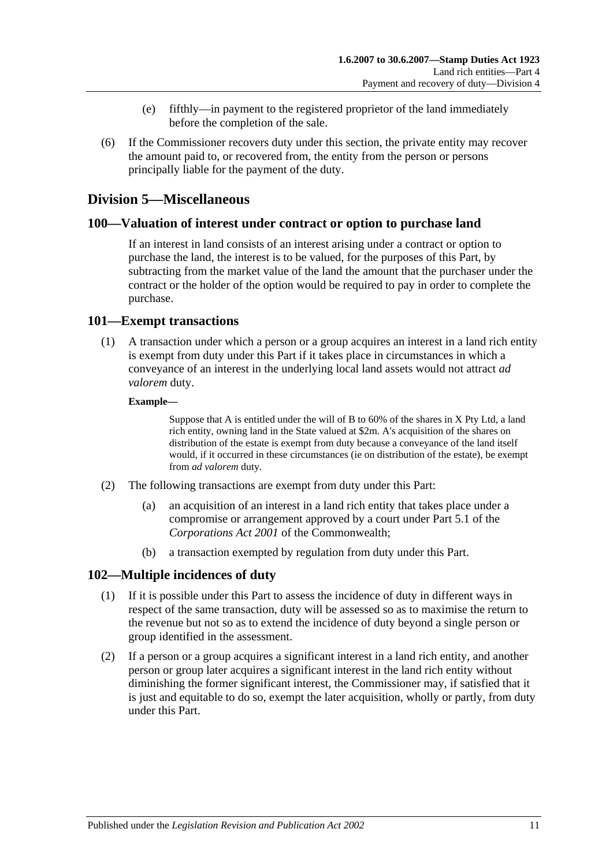- (e) fifthly—in payment to the registered proprietor of the land immediately before the completion of the sale.
- (6) If the Commissioner recovers duty under this section, the private entity may recover the amount paid to, or recovered from, the entity from the person or persons principally liable for the payment of the duty.

## **Division 5—Miscellaneous**

#### **100—Valuation of interest under contract or option to purchase land**

If an interest in land consists of an interest arising under a contract or option to purchase the land, the interest is to be valued, for the purposes of this Part, by subtracting from the market value of the land the amount that the purchaser under the contract or the holder of the option would be required to pay in order to complete the purchase.

#### **101—Exempt transactions**

(1) A transaction under which a person or a group acquires an interest in a land rich entity is exempt from duty under this Part if it takes place in circumstances in which a conveyance of an interest in the underlying local land assets would not attract *ad valorem* duty.

#### **Example—**

Suppose that A is entitled under the will of B to 60% of the shares in X Pty Ltd, a land rich entity, owning land in the State valued at \$2m. A's acquisition of the shares on distribution of the estate is exempt from duty because a conveyance of the land itself would, if it occurred in these circumstances (ie on distribution of the estate), be exempt from *ad valorem* duty.

- (2) The following transactions are exempt from duty under this Part:
	- (a) an acquisition of an interest in a land rich entity that takes place under a compromise or arrangement approved by a court under Part 5.1 of the *Corporations Act 2001* of the Commonwealth;
	- (b) a transaction exempted by regulation from duty under this Part.

## **102—Multiple incidences of duty**

- (1) If it is possible under this Part to assess the incidence of duty in different ways in respect of the same transaction, duty will be assessed so as to maximise the return to the revenue but not so as to extend the incidence of duty beyond a single person or group identified in the assessment.
- (2) If a person or a group acquires a significant interest in a land rich entity, and another person or group later acquires a significant interest in the land rich entity without diminishing the former significant interest, the Commissioner may, if satisfied that it is just and equitable to do so, exempt the later acquisition, wholly or partly, from duty under this Part.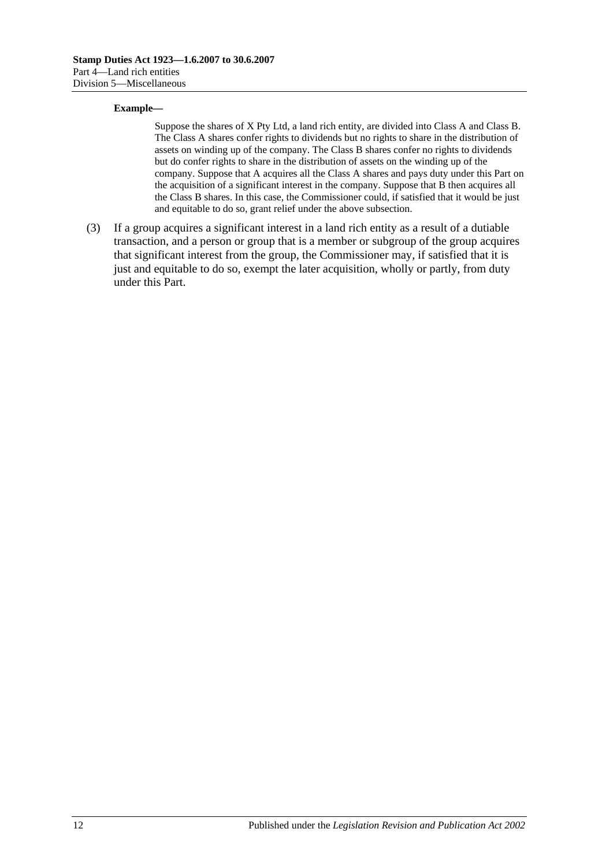#### **Example—**

Suppose the shares of X Pty Ltd, a land rich entity, are divided into Class A and Class B. The Class A shares confer rights to dividends but no rights to share in the distribution of assets on winding up of the company. The Class B shares confer no rights to dividends but do confer rights to share in the distribution of assets on the winding up of the company. Suppose that A acquires all the Class A shares and pays duty under this Part on the acquisition of a significant interest in the company. Suppose that B then acquires all the Class B shares. In this case, the Commissioner could, if satisfied that it would be just and equitable to do so, grant relief under the above subsection.

(3) If a group acquires a significant interest in a land rich entity as a result of a dutiable transaction, and a person or group that is a member or subgroup of the group acquires that significant interest from the group, the Commissioner may, if satisfied that it is just and equitable to do so, exempt the later acquisition, wholly or partly, from duty under this Part.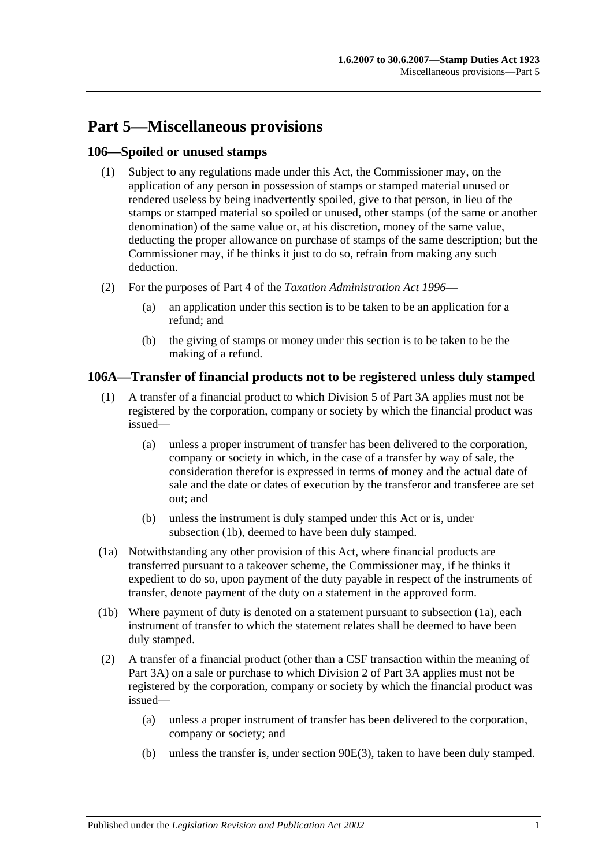# **Part 5—Miscellaneous provisions**

## **106—Spoiled or unused stamps**

- (1) Subject to any regulations made under this Act, the Commissioner may, on the application of any person in possession of stamps or stamped material unused or rendered useless by being inadvertently spoiled, give to that person, in lieu of the stamps or stamped material so spoiled or unused, other stamps (of the same or another denomination) of the same value or, at his discretion, money of the same value, deducting the proper allowance on purchase of stamps of the same description; but the Commissioner may, if he thinks it just to do so, refrain from making any such deduction.
- (2) For the purposes of Part 4 of the *[Taxation Administration Act](http://www.legislation.sa.gov.au/index.aspx?action=legref&type=act&legtitle=Taxation%20Administration%20Act%201996) 1996*
	- (a) an application under this section is to be taken to be an application for a refund; and
	- (b) the giving of stamps or money under this section is to be taken to be the making of a refund.

# **106A—Transfer of financial products not to be registered unless duly stamped**

- (1) A transfer of a financial product to which [Division 5](#page-85-1) of [Part 3A](#page-74-0) applies must not be registered by the corporation, company or society by which the financial product was issued—
	- (a) unless a proper instrument of transfer has been delivered to the corporation, company or society in which, in the case of a transfer by way of sale, the consideration therefor is expressed in terms of money and the actual date of sale and the date or dates of execution by the transferor and transferee are set out; and
	- (b) unless the instrument is duly stamped under this Act or is, under [subsection](#page-98-0) (1b), deemed to have been duly stamped.
- <span id="page-98-1"></span>(1a) Notwithstanding any other provision of this Act, where financial products are transferred pursuant to a takeover scheme, the Commissioner may, if he thinks it expedient to do so, upon payment of the duty payable in respect of the instruments of transfer, denote payment of the duty on a statement in the approved form.
- <span id="page-98-0"></span>(1b) Where payment of duty is denoted on a statement pursuant to [subsection](#page-98-1) (1a), each instrument of transfer to which the statement relates shall be deemed to have been duly stamped.
- (2) A transfer of a financial product (other than a CSF transaction within the meaning of [Part 3A\)](#page-74-0) on a sale or purchase to which [Division 2](#page-76-0) of [Part 3A](#page-74-0) applies must not be registered by the corporation, company or society by which the financial product was issued—
	- (a) unless a proper instrument of transfer has been delivered to the corporation, company or society; and
	- (b) unless the transfer is, under [section](#page-79-0) 90E(3), taken to have been duly stamped.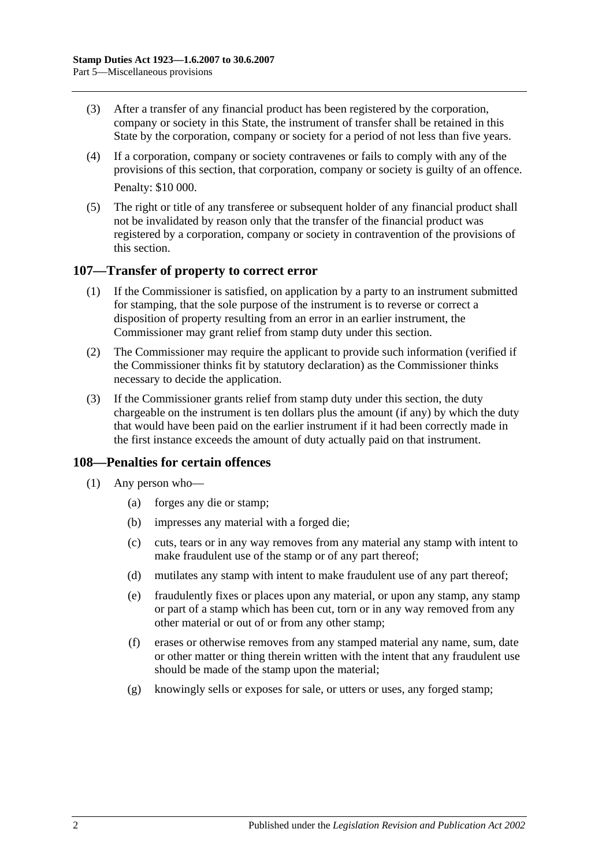- (3) After a transfer of any financial product has been registered by the corporation, company or society in this State, the instrument of transfer shall be retained in this State by the corporation, company or society for a period of not less than five years.
- (4) If a corporation, company or society contravenes or fails to comply with any of the provisions of this section, that corporation, company or society is guilty of an offence. Penalty: \$10 000.
- (5) The right or title of any transferee or subsequent holder of any financial product shall not be invalidated by reason only that the transfer of the financial product was registered by a corporation, company or society in contravention of the provisions of this section.

#### **107—Transfer of property to correct error**

- (1) If the Commissioner is satisfied, on application by a party to an instrument submitted for stamping, that the sole purpose of the instrument is to reverse or correct a disposition of property resulting from an error in an earlier instrument, the Commissioner may grant relief from stamp duty under this section.
- (2) The Commissioner may require the applicant to provide such information (verified if the Commissioner thinks fit by statutory declaration) as the Commissioner thinks necessary to decide the application.
- (3) If the Commissioner grants relief from stamp duty under this section, the duty chargeable on the instrument is ten dollars plus the amount (if any) by which the duty that would have been paid on the earlier instrument if it had been correctly made in the first instance exceeds the amount of duty actually paid on that instrument.

## **108—Penalties for certain offences**

- <span id="page-99-0"></span>(1) Any person who—
	- (a) forges any die or stamp;
	- (b) impresses any material with a forged die;
	- (c) cuts, tears or in any way removes from any material any stamp with intent to make fraudulent use of the stamp or of any part thereof;
	- (d) mutilates any stamp with intent to make fraudulent use of any part thereof;
	- (e) fraudulently fixes or places upon any material, or upon any stamp, any stamp or part of a stamp which has been cut, torn or in any way removed from any other material or out of or from any other stamp;
	- (f) erases or otherwise removes from any stamped material any name, sum, date or other matter or thing therein written with the intent that any fraudulent use should be made of the stamp upon the material;
	- (g) knowingly sells or exposes for sale, or utters or uses, any forged stamp;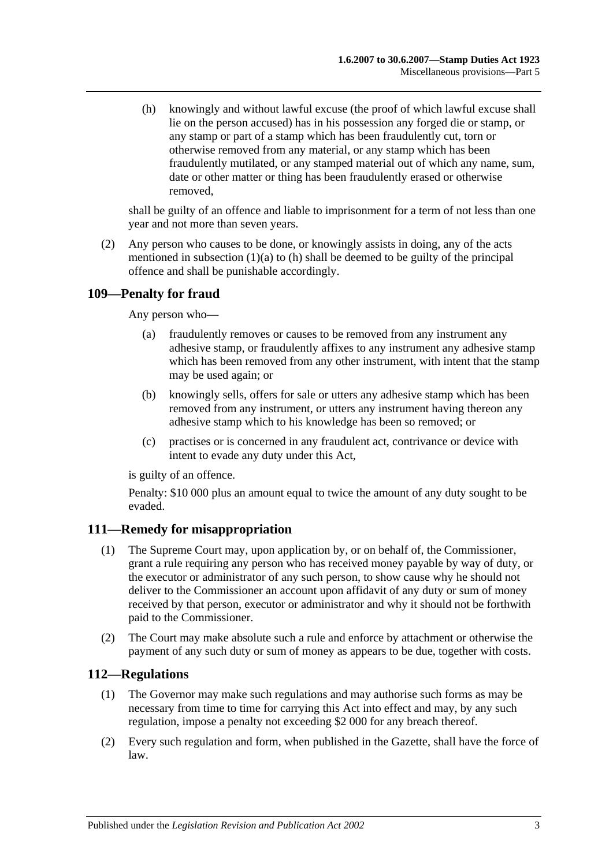<span id="page-100-0"></span>(h) knowingly and without lawful excuse (the proof of which lawful excuse shall lie on the person accused) has in his possession any forged die or stamp, or any stamp or part of a stamp which has been fraudulently cut, torn or otherwise removed from any material, or any stamp which has been fraudulently mutilated, or any stamped material out of which any name, sum, date or other matter or thing has been fraudulently erased or otherwise removed,

shall be guilty of an offence and liable to imprisonment for a term of not less than one year and not more than seven years.

(2) Any person who causes to be done, or knowingly assists in doing, any of the acts mentioned in [subsection](#page-99-0)  $(1)(a)$  to  $(h)$  shall be deemed to be guilty of the principal offence and shall be punishable accordingly.

# **109—Penalty for fraud**

Any person who—

- (a) fraudulently removes or causes to be removed from any instrument any adhesive stamp, or fraudulently affixes to any instrument any adhesive stamp which has been removed from any other instrument, with intent that the stamp may be used again; or
- (b) knowingly sells, offers for sale or utters any adhesive stamp which has been removed from any instrument, or utters any instrument having thereon any adhesive stamp which to his knowledge has been so removed; or
- (c) practises or is concerned in any fraudulent act, contrivance or device with intent to evade any duty under this Act,

is guilty of an offence.

Penalty: \$10 000 plus an amount equal to twice the amount of any duty sought to be evaded.

## **111—Remedy for misappropriation**

- (1) The Supreme Court may, upon application by, or on behalf of, the Commissioner, grant a rule requiring any person who has received money payable by way of duty, or the executor or administrator of any such person, to show cause why he should not deliver to the Commissioner an account upon affidavit of any duty or sum of money received by that person, executor or administrator and why it should not be forthwith paid to the Commissioner.
- (2) The Court may make absolute such a rule and enforce by attachment or otherwise the payment of any such duty or sum of money as appears to be due, together with costs.

# **112—Regulations**

- (1) The Governor may make such regulations and may authorise such forms as may be necessary from time to time for carrying this Act into effect and may, by any such regulation, impose a penalty not exceeding \$2 000 for any breach thereof.
- (2) Every such regulation and form, when published in the Gazette, shall have the force of law.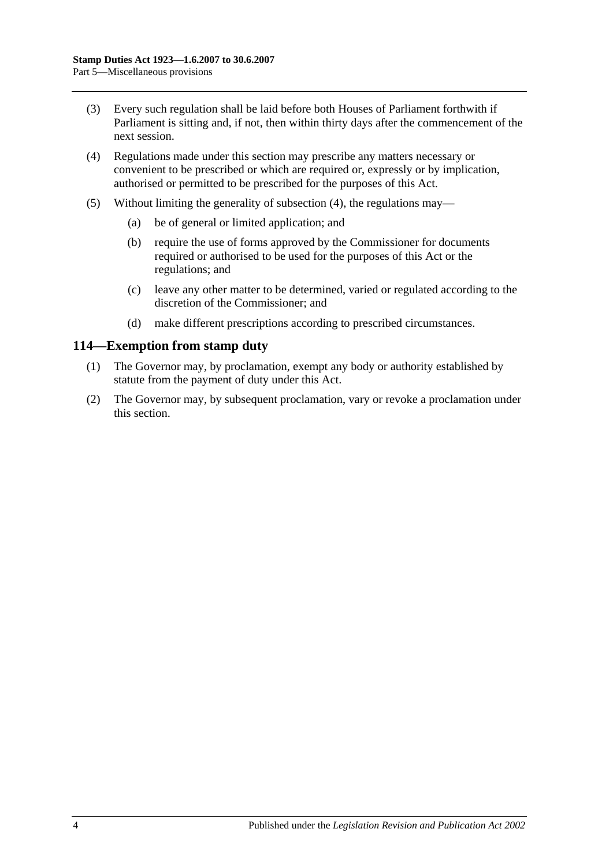- (3) Every such regulation shall be laid before both Houses of Parliament forthwith if Parliament is sitting and, if not, then within thirty days after the commencement of the next session.
- <span id="page-101-0"></span>(4) Regulations made under this section may prescribe any matters necessary or convenient to be prescribed or which are required or, expressly or by implication, authorised or permitted to be prescribed for the purposes of this Act.
- (5) Without limiting the generality of [subsection](#page-101-0) (4), the regulations may—
	- (a) be of general or limited application; and
	- (b) require the use of forms approved by the Commissioner for documents required or authorised to be used for the purposes of this Act or the regulations; and
	- (c) leave any other matter to be determined, varied or regulated according to the discretion of the Commissioner; and
	- (d) make different prescriptions according to prescribed circumstances.

## **114—Exemption from stamp duty**

- (1) The Governor may, by proclamation, exempt any body or authority established by statute from the payment of duty under this Act.
- (2) The Governor may, by subsequent proclamation, vary or revoke a proclamation under this section.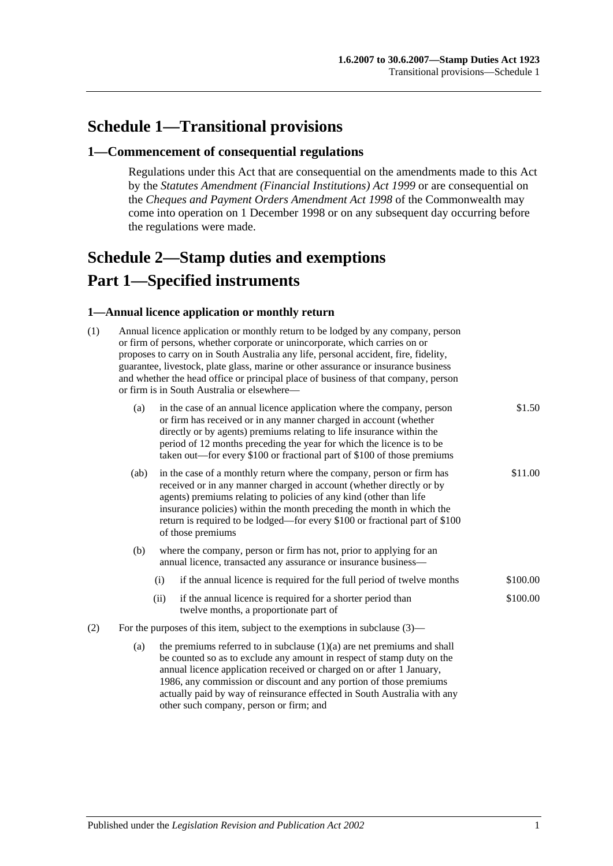# **Schedule 1—Transitional provisions**

#### **1—Commencement of consequential regulations**

Regulations under this Act that are consequential on the amendments made to this Act by the *[Statutes Amendment \(Financial Institutions\) Act](http://www.legislation.sa.gov.au/index.aspx?action=legref&type=act&legtitle=Statutes%20Amendment%20(Financial%20Institutions)%20Act%201999) 1999* or are consequential on the *Cheques and Payment Orders Amendment Act 1998* of the Commonwealth may come into operation on 1 December 1998 or on any subsequent day occurring before the regulations were made.

# <span id="page-102-0"></span>**Schedule 2—Stamp duties and exemptions Part 1—Specified instruments**

#### **1—Annual licence application or monthly return**

| (1) | Annual licence application or monthly return to be lodged by any company, person<br>or firm of persons, whether corporate or unincorporate, which carries on or<br>proposes to carry on in South Australia any life, personal accident, fire, fidelity,<br>guarantee, livestock, plate glass, marine or other assurance or insurance business<br>and whether the head office or principal place of business of that company, person<br>or firm is in South Australia or elsewhere- |                                                                                                                                                                                                                                                                                                                                                                                                  |                                                                                                       |          |  |  |
|-----|------------------------------------------------------------------------------------------------------------------------------------------------------------------------------------------------------------------------------------------------------------------------------------------------------------------------------------------------------------------------------------------------------------------------------------------------------------------------------------|--------------------------------------------------------------------------------------------------------------------------------------------------------------------------------------------------------------------------------------------------------------------------------------------------------------------------------------------------------------------------------------------------|-------------------------------------------------------------------------------------------------------|----------|--|--|
|     | (a)                                                                                                                                                                                                                                                                                                                                                                                                                                                                                | in the case of an annual licence application where the company, person<br>or firm has received or in any manner charged in account (whether<br>directly or by agents) premiums relating to life insurance within the<br>period of 12 months preceding the year for which the licence is to be<br>taken out—for every \$100 or fractional part of \$100 of those premiums                         | \$1.50                                                                                                |          |  |  |
|     | (ab)                                                                                                                                                                                                                                                                                                                                                                                                                                                                               | in the case of a monthly return where the company, person or firm has<br>received or in any manner charged in account (whether directly or by<br>agents) premiums relating to policies of any kind (other than life<br>insurance policies) within the month preceding the month in which the<br>return is required to be lodged—for every \$100 or fractional part of \$100<br>of those premiums |                                                                                                       |          |  |  |
|     | (b)                                                                                                                                                                                                                                                                                                                                                                                                                                                                                | where the company, person or firm has not, prior to applying for an<br>annual licence, transacted any assurance or insurance business-                                                                                                                                                                                                                                                           |                                                                                                       |          |  |  |
|     |                                                                                                                                                                                                                                                                                                                                                                                                                                                                                    | (i)                                                                                                                                                                                                                                                                                                                                                                                              | if the annual licence is required for the full period of twelve months                                | \$100.00 |  |  |
|     |                                                                                                                                                                                                                                                                                                                                                                                                                                                                                    | (ii)                                                                                                                                                                                                                                                                                                                                                                                             | if the annual licence is required for a shorter period than<br>twelve months, a proportionate part of | \$100.00 |  |  |
| (2) | For the purposes of this item, subject to the exemptions in subclause $(3)$ —                                                                                                                                                                                                                                                                                                                                                                                                      |                                                                                                                                                                                                                                                                                                                                                                                                  |                                                                                                       |          |  |  |
|     | (a)                                                                                                                                                                                                                                                                                                                                                                                                                                                                                | the premiums referred to in subclause $(1)(a)$ are net premiums and shall<br>be counted so as to exclude any amount in respect of stamp duty on the<br>annual licence application received or charged on or after 1 January,<br>1986, any commission or discount and any portion of those premiums<br>actually paid by way of reinsurance effected in South Australia with any                   |                                                                                                       |          |  |  |

other such company, person or firm; and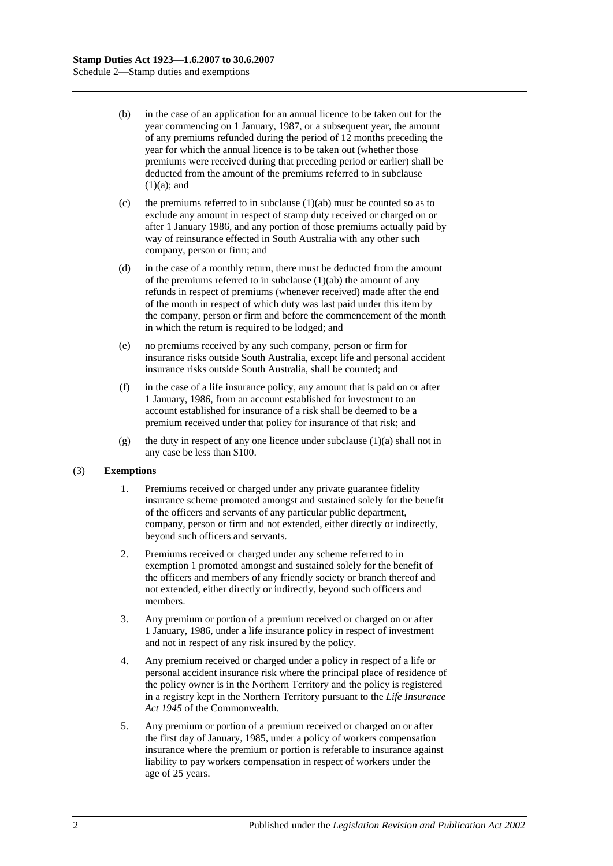- (b) in the case of an application for an annual licence to be taken out for the year commencing on 1 January, 1987, or a subsequent year, the amount of any premiums refunded during the period of 12 months preceding the year for which the annual licence is to be taken out (whether those premiums were received during that preceding period or earlier) shall be deducted from the amount of the premiums referred to in subclause  $(1)(a)$ ; and
- (c) the premiums referred to in subclause  $(1)(ab)$  must be counted so as to exclude any amount in respect of stamp duty received or charged on or after 1 January 1986, and any portion of those premiums actually paid by way of reinsurance effected in South Australia with any other such company, person or firm; and
- (d) in the case of a monthly return, there must be deducted from the amount of the premiums referred to in subclause  $(1)(ab)$  the amount of any refunds in respect of premiums (whenever received) made after the end of the month in respect of which duty was last paid under this item by the company, person or firm and before the commencement of the month in which the return is required to be lodged; and
- (e) no premiums received by any such company, person or firm for insurance risks outside South Australia, except life and personal accident insurance risks outside South Australia, shall be counted; and
- (f) in the case of a life insurance policy, any amount that is paid on or after 1 January, 1986, from an account established for investment to an account established for insurance of a risk shall be deemed to be a premium received under that policy for insurance of that risk; and
- (g) the duty in respect of any one licence under subclause  $(1)(a)$  shall not in any case be less than \$100.

#### (3) **Exemptions**

- 1. Premiums received or charged under any private guarantee fidelity insurance scheme promoted amongst and sustained solely for the benefit of the officers and servants of any particular public department, company, person or firm and not extended, either directly or indirectly, beyond such officers and servants.
- 2. Premiums received or charged under any scheme referred to in exemption 1 promoted amongst and sustained solely for the benefit of the officers and members of any friendly society or branch thereof and not extended, either directly or indirectly, beyond such officers and members.
- 3. Any premium or portion of a premium received or charged on or after 1 January, 1986, under a life insurance policy in respect of investment and not in respect of any risk insured by the policy.
- 4. Any premium received or charged under a policy in respect of a life or personal accident insurance risk where the principal place of residence of the policy owner is in the Northern Territory and the policy is registered in a registry kept in the Northern Territory pursuant to the *Life Insurance Act 1945* of the Commonwealth.
- 5. Any premium or portion of a premium received or charged on or after the first day of January, 1985, under a policy of workers compensation insurance where the premium or portion is referable to insurance against liability to pay workers compensation in respect of workers under the age of 25 years.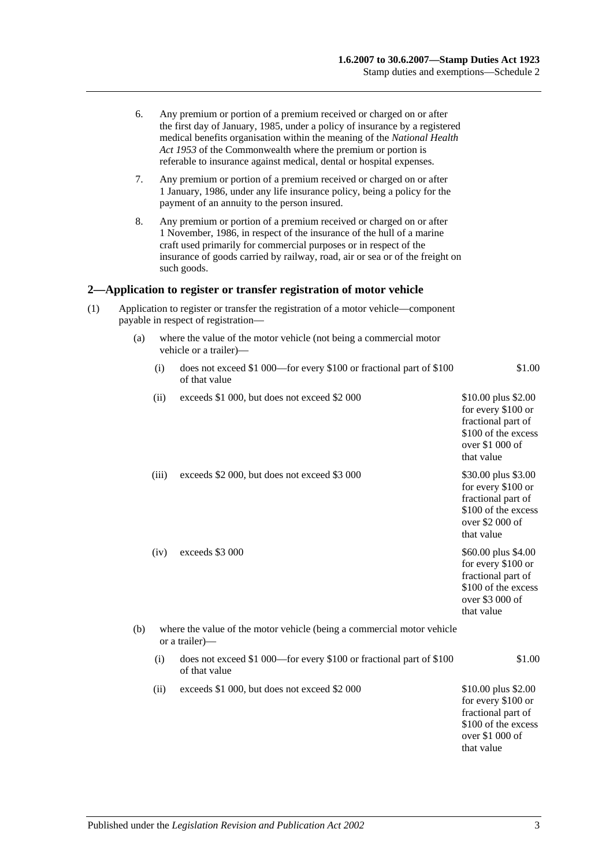|     | 6.  |                                                                                          | Any premium or portion of a premium received or charged on or after<br>the first day of January, 1985, under a policy of insurance by a registered<br>medical benefits organisation within the meaning of the National Health<br>Act 1953 of the Commonwealth where the premium or portion is<br>referable to insurance against medical, dental or hospital expenses. |                                                                                                                         |  |
|-----|-----|------------------------------------------------------------------------------------------|-----------------------------------------------------------------------------------------------------------------------------------------------------------------------------------------------------------------------------------------------------------------------------------------------------------------------------------------------------------------------|-------------------------------------------------------------------------------------------------------------------------|--|
|     | 7.  |                                                                                          | Any premium or portion of a premium received or charged on or after<br>1 January, 1986, under any life insurance policy, being a policy for the<br>payment of an annuity to the person insured.                                                                                                                                                                       |                                                                                                                         |  |
|     | 8.  |                                                                                          | Any premium or portion of a premium received or charged on or after<br>1 November, 1986, in respect of the insurance of the hull of a marine<br>craft used primarily for commercial purposes or in respect of the<br>insurance of goods carried by railway, road, air or sea or of the freight on<br>such goods.                                                      |                                                                                                                         |  |
|     |     |                                                                                          | 2—Application to register or transfer registration of motor vehicle                                                                                                                                                                                                                                                                                                   |                                                                                                                         |  |
| (1) |     |                                                                                          | Application to register or transfer the registration of a motor vehicle—component<br>payable in respect of registration-                                                                                                                                                                                                                                              |                                                                                                                         |  |
|     | (a) |                                                                                          | where the value of the motor vehicle (not being a commercial motor<br>vehicle or a trailer)-                                                                                                                                                                                                                                                                          |                                                                                                                         |  |
|     |     | (i)                                                                                      | does not exceed \$1 000—for every \$100 or fractional part of \$100<br>of that value                                                                                                                                                                                                                                                                                  | \$1.00                                                                                                                  |  |
|     |     | (ii)                                                                                     | exceeds \$1 000, but does not exceed \$2 000                                                                                                                                                                                                                                                                                                                          | \$10.00 plus \$2.00<br>for every \$100 or<br>fractional part of<br>\$100 of the excess<br>over \$1 000 of<br>that value |  |
|     |     | (iii)                                                                                    | exceeds \$2 000, but does not exceed \$3 000                                                                                                                                                                                                                                                                                                                          | \$30.00 plus \$3.00<br>for every \$100 or<br>fractional part of<br>\$100 of the excess<br>over \$2 000 of<br>that value |  |
|     |     | (iv)                                                                                     | exceeds \$3 000                                                                                                                                                                                                                                                                                                                                                       | \$60.00 plus \$4.00<br>for every \$100 or<br>fractional part of<br>\$100 of the excess<br>over \$3 000 of<br>that value |  |
|     | (b) | where the value of the motor vehicle (being a commercial motor vehicle<br>or a trailer)— |                                                                                                                                                                                                                                                                                                                                                                       |                                                                                                                         |  |
|     |     | (i)                                                                                      | does not exceed \$1 000—for every \$100 or fractional part of \$100<br>of that value                                                                                                                                                                                                                                                                                  | \$1.00                                                                                                                  |  |
|     |     | (ii)                                                                                     | exceeds \$1 000, but does not exceed \$2 000                                                                                                                                                                                                                                                                                                                          | \$10.00 plus \$2.00<br>for every \$100 or<br>fractional part of<br>\$100 of the excess<br>over \$1 000 of<br>that value |  |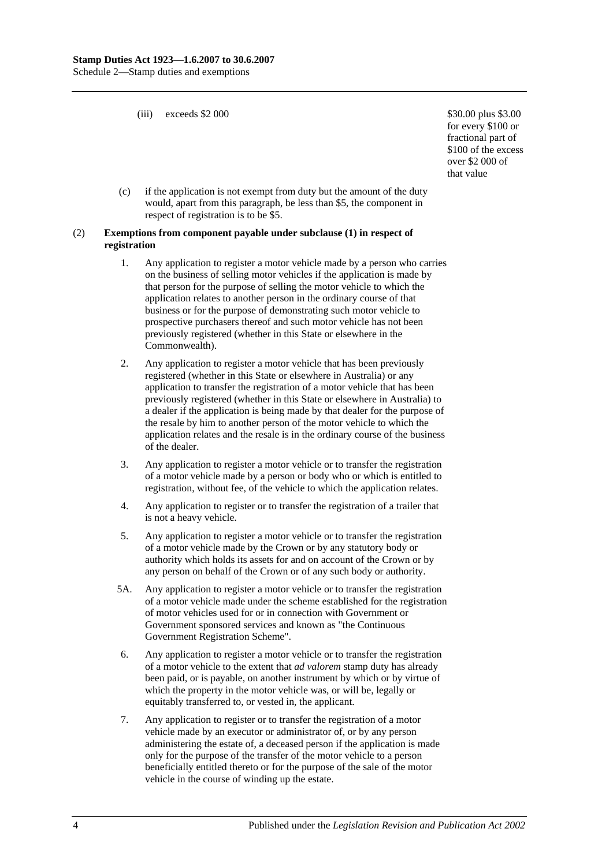(iii) exceeds  $$2\,000$   $$30.00 \, \text{plus } $3.00$ 

for every \$100 or fractional part of \$100 of the excess over \$2 000 of that value

(c) if the application is not exempt from duty but the amount of the duty would, apart from this paragraph, be less than \$5, the component in respect of registration is to be \$5.

#### (2) **Exemptions from component payable under subclause (1) in respect of registration**

- 1. Any application to register a motor vehicle made by a person who carries on the business of selling motor vehicles if the application is made by that person for the purpose of selling the motor vehicle to which the application relates to another person in the ordinary course of that business or for the purpose of demonstrating such motor vehicle to prospective purchasers thereof and such motor vehicle has not been previously registered (whether in this State or elsewhere in the Commonwealth).
- 2. Any application to register a motor vehicle that has been previously registered (whether in this State or elsewhere in Australia) or any application to transfer the registration of a motor vehicle that has been previously registered (whether in this State or elsewhere in Australia) to a dealer if the application is being made by that dealer for the purpose of the resale by him to another person of the motor vehicle to which the application relates and the resale is in the ordinary course of the business of the dealer.
- 3. Any application to register a motor vehicle or to transfer the registration of a motor vehicle made by a person or body who or which is entitled to registration, without fee, of the vehicle to which the application relates.
- 4. Any application to register or to transfer the registration of a trailer that is not a heavy vehicle.
- 5. Any application to register a motor vehicle or to transfer the registration of a motor vehicle made by the Crown or by any statutory body or authority which holds its assets for and on account of the Crown or by any person on behalf of the Crown or of any such body or authority.
- 5A. Any application to register a motor vehicle or to transfer the registration of a motor vehicle made under the scheme established for the registration of motor vehicles used for or in connection with Government or Government sponsored services and known as "the Continuous Government Registration Scheme".
- 6. Any application to register a motor vehicle or to transfer the registration of a motor vehicle to the extent that *ad valorem* stamp duty has already been paid, or is payable, on another instrument by which or by virtue of which the property in the motor vehicle was, or will be, legally or equitably transferred to, or vested in, the applicant.
- 7. Any application to register or to transfer the registration of a motor vehicle made by an executor or administrator of, or by any person administering the estate of, a deceased person if the application is made only for the purpose of the transfer of the motor vehicle to a person beneficially entitled thereto or for the purpose of the sale of the motor vehicle in the course of winding up the estate.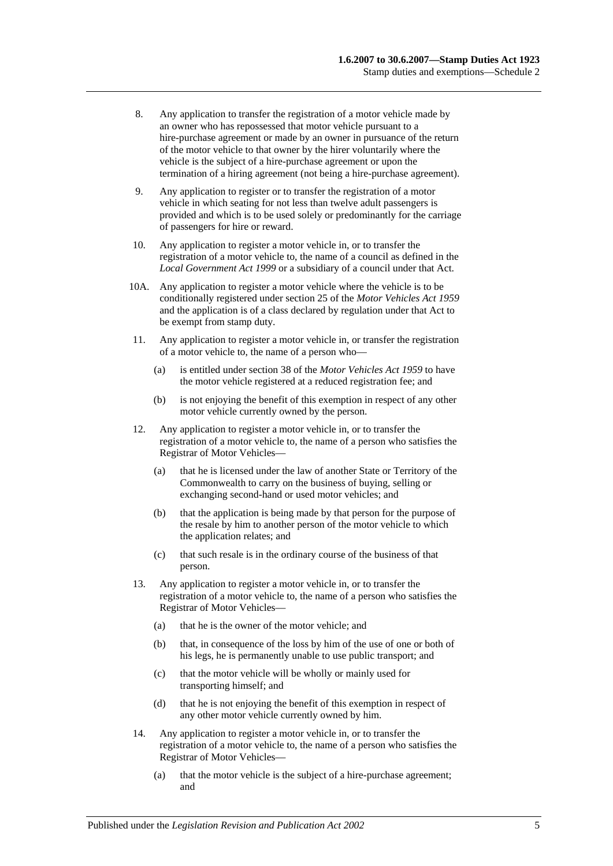- 8. Any application to transfer the registration of a motor vehicle made by an owner who has repossessed that motor vehicle pursuant to a hire-purchase agreement or made by an owner in pursuance of the return of the motor vehicle to that owner by the hirer voluntarily where the vehicle is the subject of a hire-purchase agreement or upon the termination of a hiring agreement (not being a hire-purchase agreement).
- 9. Any application to register or to transfer the registration of a motor vehicle in which seating for not less than twelve adult passengers is provided and which is to be used solely or predominantly for the carriage of passengers for hire or reward.
- 10. Any application to register a motor vehicle in, or to transfer the registration of a motor vehicle to, the name of a council as defined in the *[Local Government Act](http://www.legislation.sa.gov.au/index.aspx?action=legref&type=act&legtitle=Local%20Government%20Act%201999) 1999* or a subsidiary of a council under that Act.
- 10A. Any application to register a motor vehicle where the vehicle is to be conditionally registered under section 25 of the *[Motor Vehicles Act](http://www.legislation.sa.gov.au/index.aspx?action=legref&type=act&legtitle=Motor%20Vehicles%20Act%201959) 1959* and the application is of a class declared by regulation under that Act to be exempt from stamp duty.
- 11. Any application to register a motor vehicle in, or transfer the registration of a motor vehicle to, the name of a person who—
	- (a) is entitled under section 38 of the *[Motor Vehicles Act](http://www.legislation.sa.gov.au/index.aspx?action=legref&type=act&legtitle=Motor%20Vehicles%20Act%201959) 1959* to have the motor vehicle registered at a reduced registration fee; and
	- (b) is not enjoying the benefit of this exemption in respect of any other motor vehicle currently owned by the person.
- 12. Any application to register a motor vehicle in, or to transfer the registration of a motor vehicle to, the name of a person who satisfies the Registrar of Motor Vehicles—
	- (a) that he is licensed under the law of another State or Territory of the Commonwealth to carry on the business of buying, selling or exchanging second-hand or used motor vehicles; and
	- (b) that the application is being made by that person for the purpose of the resale by him to another person of the motor vehicle to which the application relates; and
	- (c) that such resale is in the ordinary course of the business of that person.
- 13. Any application to register a motor vehicle in, or to transfer the registration of a motor vehicle to, the name of a person who satisfies the Registrar of Motor Vehicles—
	- (a) that he is the owner of the motor vehicle; and
	- (b) that, in consequence of the loss by him of the use of one or both of his legs, he is permanently unable to use public transport; and
	- (c) that the motor vehicle will be wholly or mainly used for transporting himself; and
	- (d) that he is not enjoying the benefit of this exemption in respect of any other motor vehicle currently owned by him.
- 14. Any application to register a motor vehicle in, or to transfer the registration of a motor vehicle to, the name of a person who satisfies the Registrar of Motor Vehicles—
	- (a) that the motor vehicle is the subject of a hire-purchase agreement; and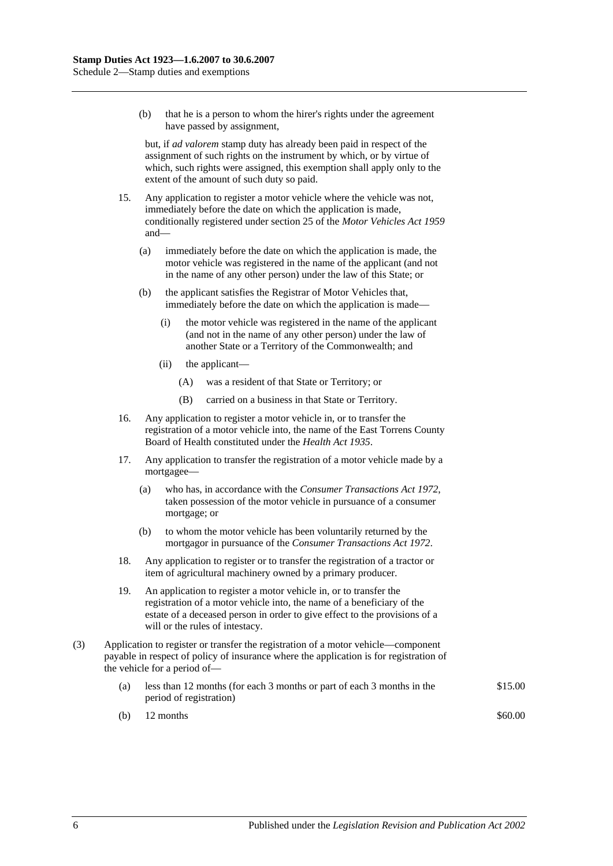(b) that he is a person to whom the hirer's rights under the agreement have passed by assignment,

but, if *ad valorem* stamp duty has already been paid in respect of the assignment of such rights on the instrument by which, or by virtue of which, such rights were assigned, this exemption shall apply only to the extent of the amount of such duty so paid.

- 15. Any application to register a motor vehicle where the vehicle was not, immediately before the date on which the application is made, conditionally registered under section 25 of the *[Motor Vehicles Act](http://www.legislation.sa.gov.au/index.aspx?action=legref&type=act&legtitle=Motor%20Vehicles%20Act%201959) 1959* and—
	- (a) immediately before the date on which the application is made, the motor vehicle was registered in the name of the applicant (and not in the name of any other person) under the law of this State; or
	- (b) the applicant satisfies the Registrar of Motor Vehicles that, immediately before the date on which the application is made—
		- (i) the motor vehicle was registered in the name of the applicant (and not in the name of any other person) under the law of another State or a Territory of the Commonwealth; and
		- (ii) the applicant—
			- (A) was a resident of that State or Territory; or
			- (B) carried on a business in that State or Territory.
- 16. Any application to register a motor vehicle in, or to transfer the registration of a motor vehicle into, the name of the East Torrens County Board of Health constituted under the *[Health Act](http://www.legislation.sa.gov.au/index.aspx?action=legref&type=act&legtitle=Health%20Act%201935) 1935*.
- 17. Any application to transfer the registration of a motor vehicle made by a mortgagee—
	- (a) who has, in accordance with the *[Consumer Transactions Act](http://www.legislation.sa.gov.au/index.aspx?action=legref&type=act&legtitle=Consumer%20Transactions%20Act%201972) 1972*, taken possession of the motor vehicle in pursuance of a consumer mortgage; or
	- (b) to whom the motor vehicle has been voluntarily returned by the mortgagor in pursuance of the *[Consumer Transactions Act](http://www.legislation.sa.gov.au/index.aspx?action=legref&type=act&legtitle=Consumer%20Transactions%20Act%201972) 1972*.
- 18. Any application to register or to transfer the registration of a tractor or item of agricultural machinery owned by a primary producer.
- 19. An application to register a motor vehicle in, or to transfer the registration of a motor vehicle into, the name of a beneficiary of the estate of a deceased person in order to give effect to the provisions of a will or the rules of intestacy.
- (3) Application to register or transfer the registration of a motor vehicle—component payable in respect of policy of insurance where the application is for registration of the vehicle for a period of—
	- (a) less than 12 months (for each 3 months or part of each 3 months in the period of registration) \$15.00
	- (b)  $12 \text{ months}$  \$60.00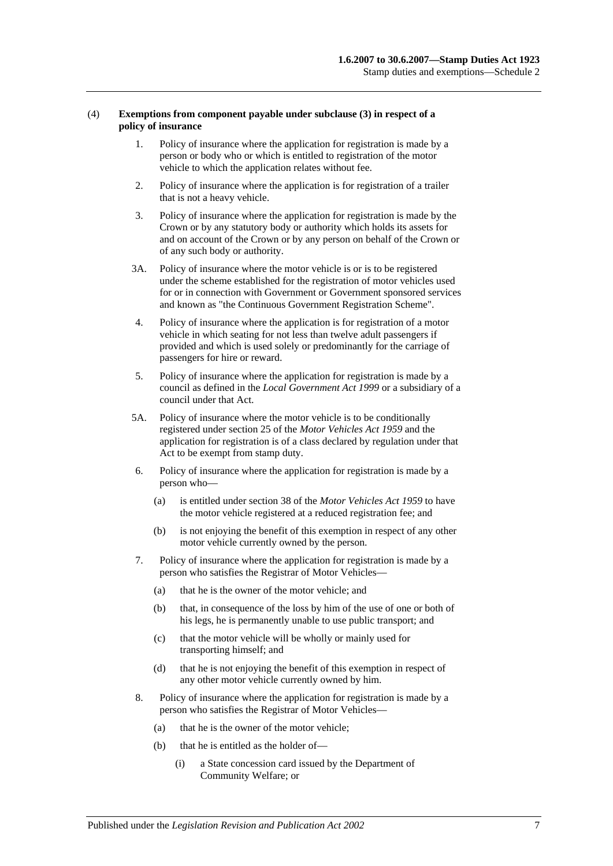### (4) **Exemptions from component payable under subclause (3) in respect of a policy of insurance**

- 1. Policy of insurance where the application for registration is made by a person or body who or which is entitled to registration of the motor vehicle to which the application relates without fee.
- 2. Policy of insurance where the application is for registration of a trailer that is not a heavy vehicle.
- 3. Policy of insurance where the application for registration is made by the Crown or by any statutory body or authority which holds its assets for and on account of the Crown or by any person on behalf of the Crown or of any such body or authority.
- 3A. Policy of insurance where the motor vehicle is or is to be registered under the scheme established for the registration of motor vehicles used for or in connection with Government or Government sponsored services and known as "the Continuous Government Registration Scheme".
- 4. Policy of insurance where the application is for registration of a motor vehicle in which seating for not less than twelve adult passengers if provided and which is used solely or predominantly for the carriage of passengers for hire or reward.
- 5. Policy of insurance where the application for registration is made by a council as defined in the *[Local Government Act](http://www.legislation.sa.gov.au/index.aspx?action=legref&type=act&legtitle=Local%20Government%20Act%201999) 1999* or a subsidiary of a council under that Act.
- 5A. Policy of insurance where the motor vehicle is to be conditionally registered under section 25 of the *[Motor Vehicles Act](http://www.legislation.sa.gov.au/index.aspx?action=legref&type=act&legtitle=Motor%20Vehicles%20Act%201959) 1959* and the application for registration is of a class declared by regulation under that Act to be exempt from stamp duty.
- 6. Policy of insurance where the application for registration is made by a person who—
	- (a) is entitled under section 38 of the *[Motor Vehicles Act](http://www.legislation.sa.gov.au/index.aspx?action=legref&type=act&legtitle=Motor%20Vehicles%20Act%201959) 1959* to have the motor vehicle registered at a reduced registration fee; and
	- (b) is not enjoying the benefit of this exemption in respect of any other motor vehicle currently owned by the person.
- 7. Policy of insurance where the application for registration is made by a person who satisfies the Registrar of Motor Vehicles—
	- (a) that he is the owner of the motor vehicle; and
	- (b) that, in consequence of the loss by him of the use of one or both of his legs, he is permanently unable to use public transport; and
	- (c) that the motor vehicle will be wholly or mainly used for transporting himself; and
	- (d) that he is not enjoying the benefit of this exemption in respect of any other motor vehicle currently owned by him.
- 8. Policy of insurance where the application for registration is made by a person who satisfies the Registrar of Motor Vehicles—
	- (a) that he is the owner of the motor vehicle;
	- (b) that he is entitled as the holder of—
		- (i) a State concession card issued by the Department of Community Welfare; or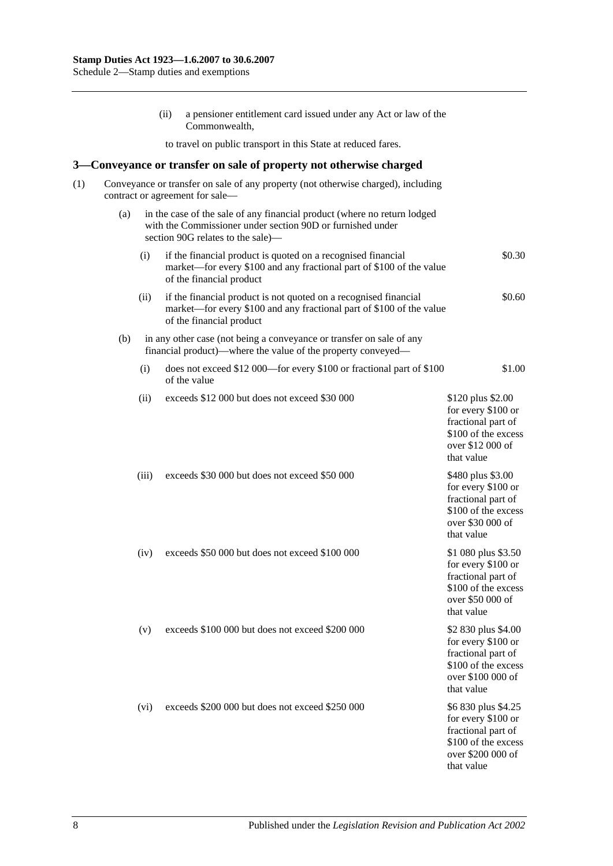(ii) a pensioner entitlement card issued under any Act or law of the Commonwealth, to travel on public transport in this State at reduced fares. **3—Conveyance or transfer on sale of property not otherwise charged** (1) Conveyance or transfer on sale of any property (not otherwise charged), including contract or agreement for sale— (a) in the case of the sale of any financial product (where no return lodged with the Commissioner under [section](#page-78-0) 90D or furnished under [section](#page-79-0) 90G relates to the sale)— (i) if the financial product is quoted on a recognised financial market—for every \$100 and any fractional part of \$100 of the value of the financial product \$0.30 (ii) if the financial product is not quoted on a recognised financial market—for every \$100 and any fractional part of \$100 of the value of the financial product \$0.60 (b) in any other case (not being a conveyance or transfer on sale of any financial product)—where the value of the property conveyed— (i) does not exceed \$12 000—for every \$100 or fractional part of \$100 of the value \$1.00 (ii) exceeds  $$12,000$  but does not exceed  $$30,000$  \$120 plus \$2.00 for every \$100 or fractional part of \$100 of the excess over \$12 000 of that value (iii) exceeds \$30 000 but does not exceed \$50 000 \$480 plus \$3.00 for every \$100 or fractional part of \$100 of the excess over \$30 000 of that value (iv) exceeds \$50 000 but does not exceed \$100 000 \$1 080 plus \$3.50 for every \$100 or fractional part of \$100 of the excess over \$50 000 of that value (v) exceeds \$100 000 but does not exceed \$200 000 \$2 830 plus \$4.00 for every \$100 or fractional part of \$100 of the excess over \$100 000 of that value (vi) exceeds  $$200,000$  but does not exceed  $$250,000$  \$6 830 plus \$4.25 for every \$100 or fractional part of \$100 of the excess over \$200 000 of that value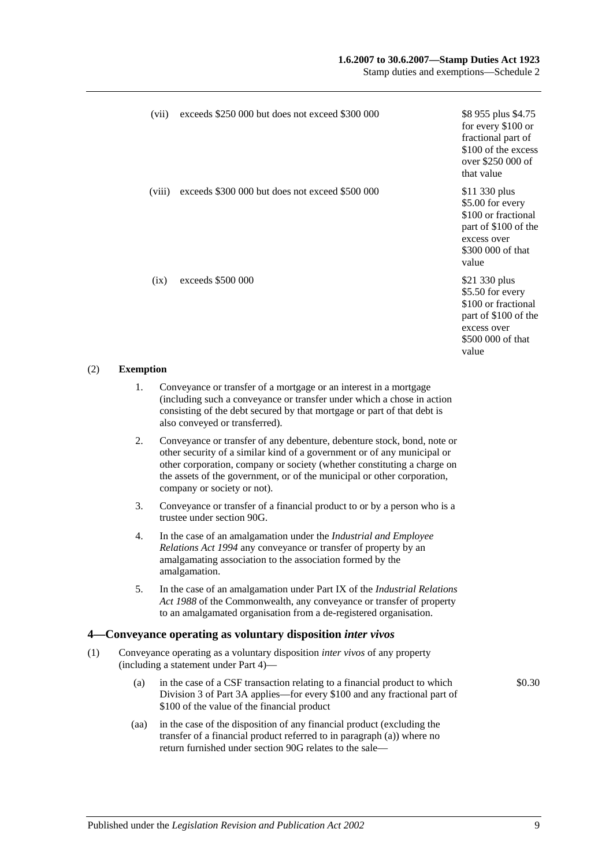### **1.6.2007 to 30.6.2007—Stamp Duties Act 1923**

Stamp duties and exemptions—Schedule 2

| (vii)  | exceeds \$250 000 but does not exceed \$300 000 | \$8 955 plus \$4.75<br>for every \$100 or<br>fractional part of<br>\$100 of the excess<br>over \$250 000 of<br>that value     |
|--------|-------------------------------------------------|-------------------------------------------------------------------------------------------------------------------------------|
| (viii) | exceeds \$300 000 but does not exceed \$500 000 | \$11 330 plus<br>\$5.00 for every<br>\$100 or fractional<br>part of \$100 of the<br>excess over<br>\$300 000 of that<br>value |
| (ix)   | exceeds $$500,000$                              | \$21 330 plus<br>\$5.50 for every<br>\$100 or fractional<br>part of \$100 of the<br>excess over<br>\$500,000 of that<br>value |

### (2) **Exemption**

- 1. Conveyance or transfer of a mortgage or an interest in a mortgage (including such a conveyance or transfer under which a chose in action consisting of the debt secured by that mortgage or part of that debt is also conveyed or transferred).
- 2. Conveyance or transfer of any debenture, debenture stock, bond, note or other security of a similar kind of a government or of any municipal or other corporation, company or society (whether constituting a charge on the assets of the government, or of the municipal or other corporation, company or society or not).
- 3. Conveyance or transfer of a financial product to or by a person who is a trustee unde[r section](#page-79-0) 90G.
- 4. In the case of an amalgamation under the *[Industrial and Employee](http://www.legislation.sa.gov.au/index.aspx?action=legref&type=act&legtitle=Industrial%20and%20Employee%20Relations%20Act%201994)  [Relations Act](http://www.legislation.sa.gov.au/index.aspx?action=legref&type=act&legtitle=Industrial%20and%20Employee%20Relations%20Act%201994) 1994* any conveyance or transfer of property by an amalgamating association to the association formed by the amalgamation.
- 5. In the case of an amalgamation under Part IX of the *Industrial Relations Act 1988* of the Commonwealth, any conveyance or transfer of property to an amalgamated organisation from a de-registered organisation.

### **4—Conveyance operating as voluntary disposition** *inter vivos*

- (1) Conveyance operating as a voluntary disposition *inter vivos* of any property (including a statement under [Part 4\)](#page-86-0)—
	- (a) in the case of a CSF transaction relating to a financial product to which [Division 3](#page-81-0) of [Part 3A](#page-74-0) applies—for every \$100 and any fractional part of \$100 of the value of the financial product
	- (aa) in the case of the disposition of any financial product (excluding the transfer of a financial product referred to in paragraph (a)) where no return furnished under [section](#page-79-0) 90G relates to the sale—

\$0.30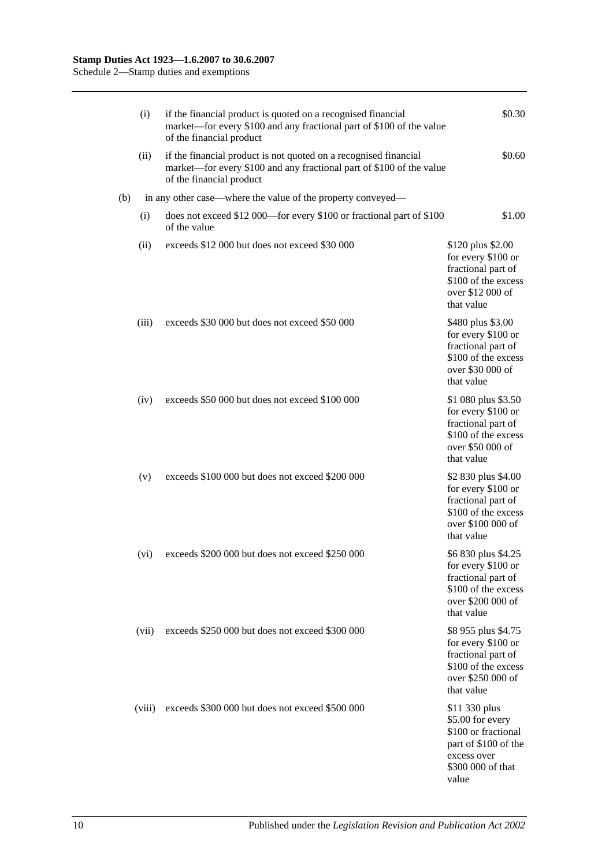|     | (i)    | if the financial product is quoted on a recognised financial<br>market—for every \$100 and any fractional part of \$100 of the value<br>of the financial product     | \$0.30                                                                                                                        |
|-----|--------|----------------------------------------------------------------------------------------------------------------------------------------------------------------------|-------------------------------------------------------------------------------------------------------------------------------|
|     | (ii)   | if the financial product is not quoted on a recognised financial<br>market—for every \$100 and any fractional part of \$100 of the value<br>of the financial product | \$0.60                                                                                                                        |
| (b) |        | in any other case—where the value of the property conveyed—                                                                                                          |                                                                                                                               |
|     | (i)    | does not exceed \$12 000—for every \$100 or fractional part of \$100<br>of the value                                                                                 | \$1.00                                                                                                                        |
|     | (ii)   | exceeds \$12 000 but does not exceed \$30 000                                                                                                                        | \$120 plus \$2.00<br>for every \$100 or<br>fractional part of<br>\$100 of the excess<br>over \$12 000 of<br>that value        |
|     | (iii)  | exceeds \$30 000 but does not exceed \$50 000                                                                                                                        | \$480 plus \$3.00<br>for every \$100 or<br>fractional part of<br>\$100 of the excess<br>over \$30 000 of<br>that value        |
|     | (iv)   | exceeds \$50 000 but does not exceed \$100 000                                                                                                                       | \$1 080 plus \$3.50<br>for every \$100 or<br>fractional part of<br>\$100 of the excess<br>over \$50 000 of<br>that value      |
|     | (v)    | exceeds \$100 000 but does not exceed \$200 000                                                                                                                      | \$2 830 plus \$4.00<br>for every \$100 or<br>fractional part of<br>\$100 of the excess<br>over \$100 000 of<br>that value     |
|     | (vi)   | exceeds \$200 000 but does not exceed \$250 000                                                                                                                      | \$6 830 plus \$4.25<br>for every \$100 or<br>fractional part of<br>\$100 of the excess<br>over \$200 000 of<br>that value     |
|     | (vii)  | exceeds \$250,000 but does not exceed \$300,000                                                                                                                      | \$8 955 plus \$4.75<br>for every \$100 or<br>fractional part of<br>\$100 of the excess<br>over \$250 000 of<br>that value     |
|     | (viii) | exceeds \$300 000 but does not exceed \$500 000                                                                                                                      | \$11 330 plus<br>\$5.00 for every<br>\$100 or fractional<br>part of \$100 of the<br>excess over<br>\$300 000 of that<br>value |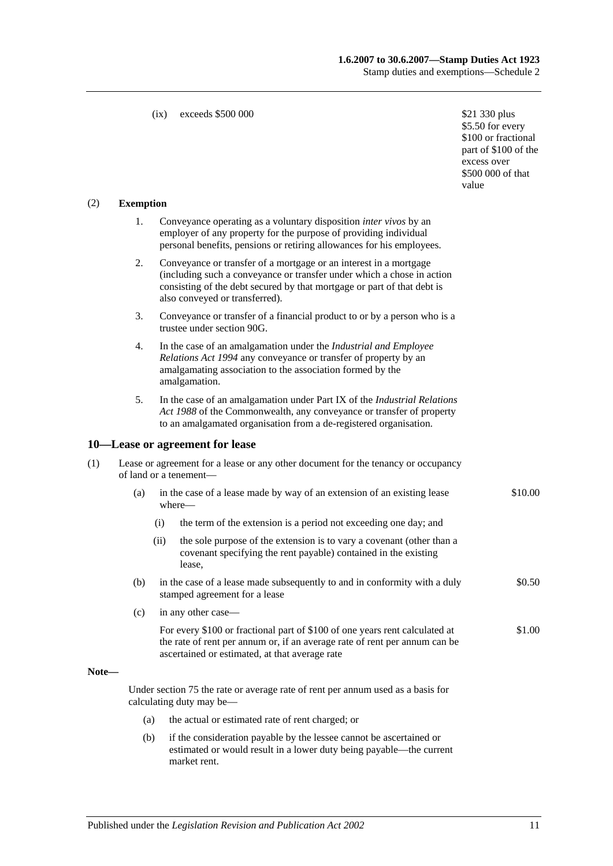### **1.6.2007 to 30.6.2007—Stamp Duties Act 1923** Stamp duties and exemptions—Schedule 2

#### (ix) exceeds  $$500,000$  \$21 330 plus

\$5.50 for every \$100 or fractional part of \$100 of the excess over \$500 000 of that value

### (2) **Exemption**

- 1. Conveyance operating as a voluntary disposition *inter vivos* by an employer of any property for the purpose of providing individual personal benefits, pensions or retiring allowances for his employees.
- 2. Conveyance or transfer of a mortgage or an interest in a mortgage (including such a conveyance or transfer under which a chose in action consisting of the debt secured by that mortgage or part of that debt is also conveyed or transferred).
- 3. Conveyance or transfer of a financial product to or by a person who is a trustee unde[r section](#page-79-0) 90G.
- 4. In the case of an amalgamation under the *[Industrial and Employee](http://www.legislation.sa.gov.au/index.aspx?action=legref&type=act&legtitle=Industrial%20and%20Employee%20Relations%20Act%201994)  [Relations Act](http://www.legislation.sa.gov.au/index.aspx?action=legref&type=act&legtitle=Industrial%20and%20Employee%20Relations%20Act%201994) 1994* any conveyance or transfer of property by an amalgamating association to the association formed by the amalgamation.
- 5. In the case of an amalgamation under Part IX of the *Industrial Relations Act 1988* of the Commonwealth, any conveyance or transfer of property to an amalgamated organisation from a de-registered organisation.

### **10—Lease or agreement for lease**

| (1) | Lease or agreement for a lease or any other document for the tenancy or occupancy |  |
|-----|-----------------------------------------------------------------------------------|--|
|     | of land or a tenement—                                                            |  |

- (a) in the case of a lease made by way of an extension of an existing lease where— \$10.00
	- (i) the term of the extension is a period not exceeding one day; and
	- (ii) the sole purpose of the extension is to vary a covenant (other than a covenant specifying the rent payable) contained in the existing lease,
- (b) in the case of a lease made subsequently to and in conformity with a duly stamped agreement for a lease \$0.50
- (c) in any other case—
	- For every \$100 or fractional part of \$100 of one years rent calculated at the rate of rent per annum or, if an average rate of rent per annum can be ascertained or estimated, at that average rate \$1.00

#### **Note—**

Under [section](#page-67-0) 75 the rate or average rate of rent per annum used as a basis for calculating duty may be—

- (a) the actual or estimated rate of rent charged; or
- (b) if the consideration payable by the lessee cannot be ascertained or estimated or would result in a lower duty being payable—the current market rent.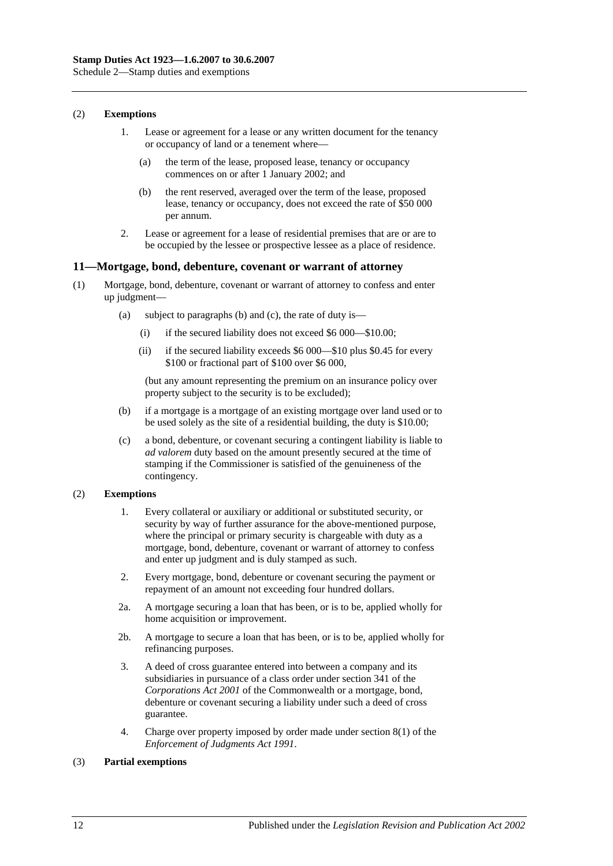Schedule 2—Stamp duties and exemptions

### (2) **Exemptions**

- 1. Lease or agreement for a lease or any written document for the tenancy or occupancy of land or a tenement where—
	- (a) the term of the lease, proposed lease, tenancy or occupancy commences on or after 1 January 2002; and
	- (b) the rent reserved, averaged over the term of the lease, proposed lease, tenancy or occupancy, does not exceed the rate of \$50 000 per annum.
- 2. Lease or agreement for a lease of residential premises that are or are to be occupied by the lessee or prospective lessee as a place of residence.

### **11—Mortgage, bond, debenture, covenant or warrant of attorney**

- (1) Mortgage, bond, debenture, covenant or warrant of attorney to confess and enter up judgment—
	- (a) subject to paragraphs (b) and (c), the rate of duty is—
		- (i) if the secured liability does not exceed \$6 000—\$10.00;
		- (ii) if the secured liability exceeds \$6 000—\$10 plus \$0.45 for every \$100 or fractional part of \$100 over \$6 000,

(but any amount representing the premium on an insurance policy over property subject to the security is to be excluded);

- (b) if a mortgage is a mortgage of an existing mortgage over land used or to be used solely as the site of a residential building, the duty is \$10.00;
- (c) a bond, debenture, or covenant securing a contingent liability is liable to *ad valorem* duty based on the amount presently secured at the time of stamping if the Commissioner is satisfied of the genuineness of the contingency.

### (2) **Exemptions**

- 1. Every collateral or auxiliary or additional or substituted security, or security by way of further assurance for the above-mentioned purpose, where the principal or primary security is chargeable with duty as a mortgage, bond, debenture, covenant or warrant of attorney to confess and enter up judgment and is duly stamped as such.
- 2. Every mortgage, bond, debenture or covenant securing the payment or repayment of an amount not exceeding four hundred dollars.
- 2a. A mortgage securing a loan that has been, or is to be, applied wholly for home acquisition or improvement.
- 2b. A mortgage to secure a loan that has been, or is to be, applied wholly for refinancing purposes.
- 3. A deed of cross guarantee entered into between a company and its subsidiaries in pursuance of a class order under section 341 of the *Corporations Act 2001* of the Commonwealth or a mortgage, bond, debenture or covenant securing a liability under such a deed of cross guarantee.
- 4. Charge over property imposed by order made under section 8(1) of the *[Enforcement of Judgments Act](http://www.legislation.sa.gov.au/index.aspx?action=legref&type=act&legtitle=Enforcement%20of%20Judgments%20Act%201991) 1991*.

### (3) **Partial exemptions**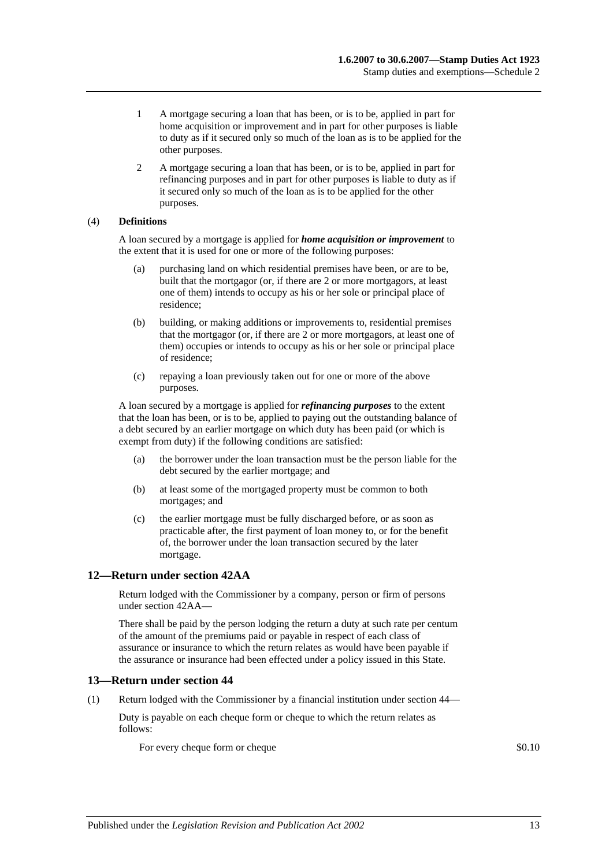- 1 A mortgage securing a loan that has been, or is to be, applied in part for home acquisition or improvement and in part for other purposes is liable to duty as if it secured only so much of the loan as is to be applied for the other purposes.
- 2 A mortgage securing a loan that has been, or is to be, applied in part for refinancing purposes and in part for other purposes is liable to duty as if it secured only so much of the loan as is to be applied for the other purposes.

### (4) **Definitions**

A loan secured by a mortgage is applied for *home acquisition or improvement* to the extent that it is used for one or more of the following purposes:

- (a) purchasing land on which residential premises have been, or are to be, built that the mortgagor (or, if there are 2 or more mortgagors, at least one of them) intends to occupy as his or her sole or principal place of residence;
- (b) building, or making additions or improvements to, residential premises that the mortgagor (or, if there are 2 or more mortgagors, at least one of them) occupies or intends to occupy as his or her sole or principal place of residence;
- (c) repaying a loan previously taken out for one or more of the above purposes.

A loan secured by a mortgage is applied for *refinancing purposes* to the extent that the loan has been, or is to be, applied to paying out the outstanding balance of a debt secured by an earlier mortgage on which duty has been paid (or which is exempt from duty) if the following conditions are satisfied:

- (a) the borrower under the loan transaction must be the person liable for the debt secured by the earlier mortgage; and
- (b) at least some of the mortgaged property must be common to both mortgages; and
- (c) the earlier mortgage must be fully discharged before, or as soon as practicable after, the first payment of loan money to, or for the benefit of, the borrower under the loan transaction secured by the later mortgage.

### **12—Return under section 42AA**

Return lodged with the Commissioner by a company, person or firm of persons unde[r section](#page-28-0) 42AA—

There shall be paid by the person lodging the return a duty at such rate per centum of the amount of the premiums paid or payable in respect of each class of assurance or insurance to which the return relates as would have been payable if the assurance or insurance had been effected under a policy issued in this State.

### **13—Return under section 44**

(1) Return lodged with the Commissioner by a financial institution under [section](#page-34-0) 44—

Duty is payable on each cheque form or cheque to which the return relates as follows:

For every cheque form or cheque  $\$0.10$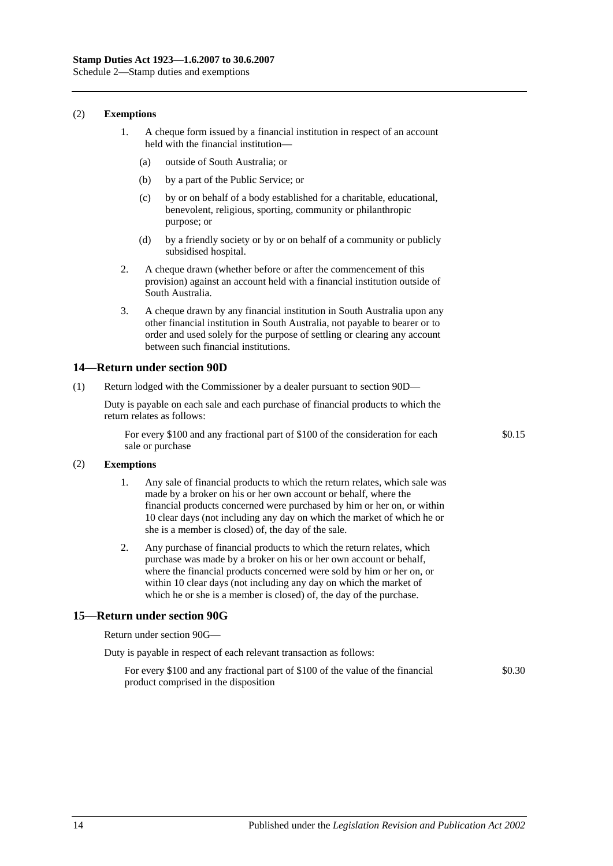Schedule 2—Stamp duties and exemptions

### (2) **Exemptions**

- 1. A cheque form issued by a financial institution in respect of an account held with the financial institution—
	- (a) outside of South Australia; or
	- (b) by a part of the Public Service; or
	- (c) by or on behalf of a body established for a charitable, educational, benevolent, religious, sporting, community or philanthropic purpose; or
	- (d) by a friendly society or by or on behalf of a community or publicly subsidised hospital.
- 2. A cheque drawn (whether before or after the commencement of this provision) against an account held with a financial institution outside of South Australia.
- 3. A cheque drawn by any financial institution in South Australia upon any other financial institution in South Australia, not payable to bearer or to order and used solely for the purpose of settling or clearing any account between such financial institutions.

### **14—Return under section 90D**

(1) Return lodged with the Commissioner by a dealer pursuant to [section](#page-78-0) 90D—

Duty is payable on each sale and each purchase of financial products to which the return relates as follows:

For every \$100 and any fractional part of \$100 of the consideration for each sale or purchase

\$0.15

### (2) **Exemptions**

- 1. Any sale of financial products to which the return relates, which sale was made by a broker on his or her own account or behalf, where the financial products concerned were purchased by him or her on, or within 10 clear days (not including any day on which the market of which he or she is a member is closed) of, the day of the sale.
- 2. Any purchase of financial products to which the return relates, which purchase was made by a broker on his or her own account or behalf, where the financial products concerned were sold by him or her on, or within 10 clear days (not including any day on which the market of which he or she is a member is closed) of, the day of the purchase.

### **15—Return under section 90G**

Return under [section](#page-79-0) 90G—

| Duty is payable in respect of each relevant transaction as follows: |  |
|---------------------------------------------------------------------|--|
|---------------------------------------------------------------------|--|

For every \$100 and any fractional part of \$100 of the value of the financial product comprised in the disposition \$0.30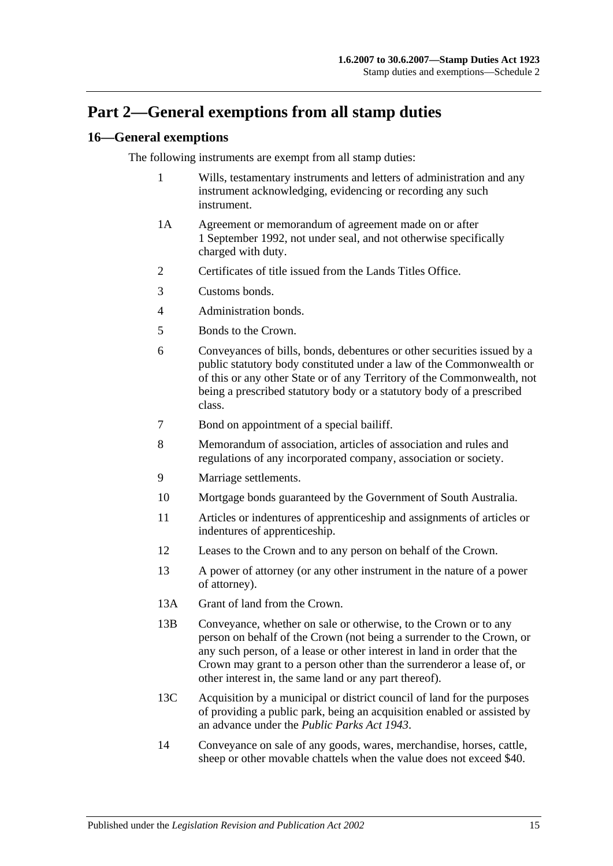## **Part 2—General exemptions from all stamp duties**

## **16—General exemptions**

The following instruments are exempt from all stamp duties:

- 1 Wills, testamentary instruments and letters of administration and any instrument acknowledging, evidencing or recording any such instrument.
- 1A Agreement or memorandum of agreement made on or after 1 September 1992, not under seal, and not otherwise specifically charged with duty.
- 2 Certificates of title issued from the Lands Titles Office.
- 3 Customs bonds.
- 4 Administration bonds.
- 5 Bonds to the Crown.
- 6 Conveyances of bills, bonds, debentures or other securities issued by a public statutory body constituted under a law of the Commonwealth or of this or any other State or of any Territory of the Commonwealth, not being a prescribed statutory body or a statutory body of a prescribed class.
- 7 Bond on appointment of a special bailiff.
- 8 Memorandum of association, articles of association and rules and regulations of any incorporated company, association or society.
- 9 Marriage settlements.
- 10 Mortgage bonds guaranteed by the Government of South Australia.
- 11 Articles or indentures of apprenticeship and assignments of articles or indentures of apprenticeship.
- 12 Leases to the Crown and to any person on behalf of the Crown.
- 13 A power of attorney (or any other instrument in the nature of a power of attorney).
- 13A Grant of land from the Crown.
- 13B Conveyance, whether on sale or otherwise, to the Crown or to any person on behalf of the Crown (not being a surrender to the Crown, or any such person, of a lease or other interest in land in order that the Crown may grant to a person other than the surrenderor a lease of, or other interest in, the same land or any part thereof).
- 13C Acquisition by a municipal or district council of land for the purposes of providing a public park, being an acquisition enabled or assisted by an advance under the *[Public Parks Act](http://www.legislation.sa.gov.au/index.aspx?action=legref&type=act&legtitle=Public%20Parks%20Act%201943) 1943*.
- 14 Conveyance on sale of any goods, wares, merchandise, horses, cattle, sheep or other movable chattels when the value does not exceed \$40.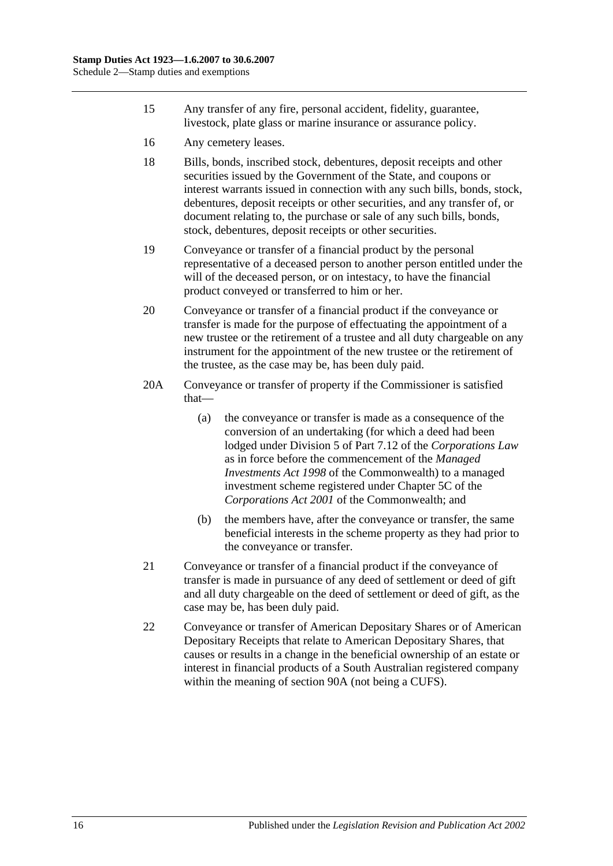- 15 Any transfer of any fire, personal accident, fidelity, guarantee, livestock, plate glass or marine insurance or assurance policy.
- 16 Any cemetery leases.
- 18 Bills, bonds, inscribed stock, debentures, deposit receipts and other securities issued by the Government of the State, and coupons or interest warrants issued in connection with any such bills, bonds, stock, debentures, deposit receipts or other securities, and any transfer of, or document relating to, the purchase or sale of any such bills, bonds, stock, debentures, deposit receipts or other securities.
- 19 Conveyance or transfer of a financial product by the personal representative of a deceased person to another person entitled under the will of the deceased person, or on intestacy, to have the financial product conveyed or transferred to him or her.
- 20 Conveyance or transfer of a financial product if the conveyance or transfer is made for the purpose of effectuating the appointment of a new trustee or the retirement of a trustee and all duty chargeable on any instrument for the appointment of the new trustee or the retirement of the trustee, as the case may be, has been duly paid.
- 20A Conveyance or transfer of property if the Commissioner is satisfied that—
	- (a) the conveyance or transfer is made as a consequence of the conversion of an undertaking (for which a deed had been lodged under Division 5 of Part 7.12 of the *Corporations Law* as in force before the commencement of the *Managed Investments Act 1998* of the Commonwealth) to a managed investment scheme registered under Chapter 5C of the *Corporations Act 2001* of the Commonwealth; and
	- (b) the members have, after the conveyance or transfer, the same beneficial interests in the scheme property as they had prior to the conveyance or transfer.
- 21 Conveyance or transfer of a financial product if the conveyance of transfer is made in pursuance of any deed of settlement or deed of gift and all duty chargeable on the deed of settlement or deed of gift, as the case may be, has been duly paid.
- 22 Conveyance or transfer of American Depositary Shares or of American Depositary Receipts that relate to American Depositary Shares, that causes or results in a change in the beneficial ownership of an estate or interest in financial products of a South Australian registered company within the meaning of [section](#page-74-1) 90A (not being a CUFS).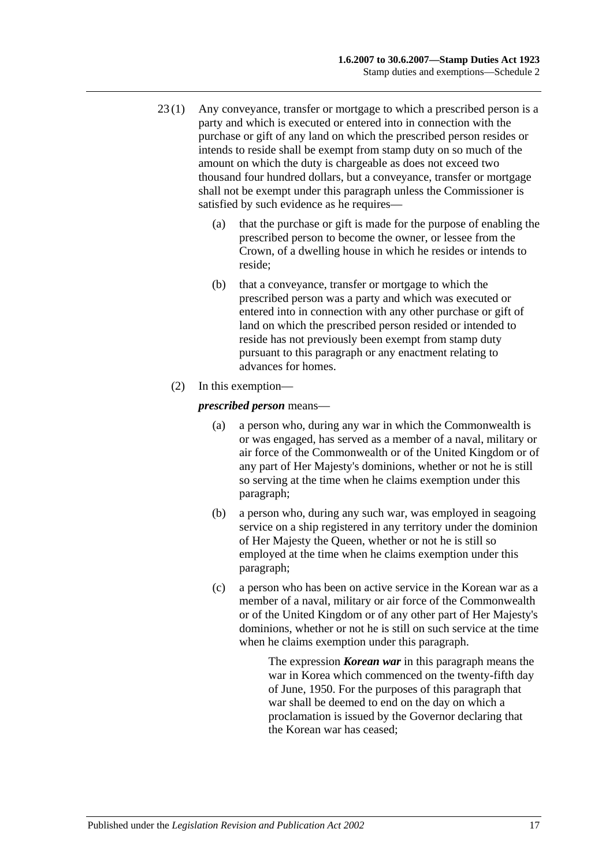- 23 (1) Any conveyance, transfer or mortgage to which a prescribed person is a party and which is executed or entered into in connection with the purchase or gift of any land on which the prescribed person resides or intends to reside shall be exempt from stamp duty on so much of the amount on which the duty is chargeable as does not exceed two thousand four hundred dollars, but a conveyance, transfer or mortgage shall not be exempt under this paragraph unless the Commissioner is satisfied by such evidence as he requires—
	- (a) that the purchase or gift is made for the purpose of enabling the prescribed person to become the owner, or lessee from the Crown, of a dwelling house in which he resides or intends to reside;
	- (b) that a conveyance, transfer or mortgage to which the prescribed person was a party and which was executed or entered into in connection with any other purchase or gift of land on which the prescribed person resided or intended to reside has not previously been exempt from stamp duty pursuant to this paragraph or any enactment relating to advances for homes.
	- (2) In this exemption—

<span id="page-118-0"></span>*prescribed person* means—

- (a) a person who, during any war in which the Commonwealth is or was engaged, has served as a member of a naval, military or air force of the Commonwealth or of the United Kingdom or of any part of Her Majesty's dominions, whether or not he is still so serving at the time when he claims exemption under this paragraph;
- <span id="page-118-1"></span>(b) a person who, during any such war, was employed in seagoing service on a ship registered in any territory under the dominion of Her Majesty the Queen, whether or not he is still so employed at the time when he claims exemption under this paragraph;
- <span id="page-118-2"></span>(c) a person who has been on active service in the Korean war as a member of a naval, military or air force of the Commonwealth or of the United Kingdom or of any other part of Her Majesty's dominions, whether or not he is still on such service at the time when he claims exemption under this paragraph.

The expression *Korean war* in this paragraph means the war in Korea which commenced on the twenty-fifth day of June, 1950. For the purposes of this paragraph that war shall be deemed to end on the day on which a proclamation is issued by the Governor declaring that the Korean war has ceased;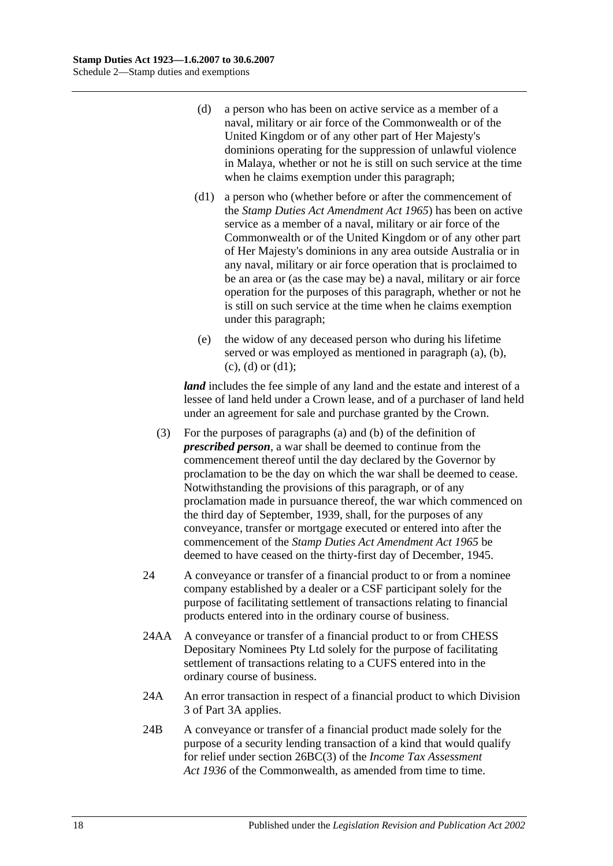- <span id="page-119-0"></span>(d) a person who has been on active service as a member of a naval, military or air force of the Commonwealth or of the United Kingdom or of any other part of Her Majesty's dominions operating for the suppression of unlawful violence in Malaya, whether or not he is still on such service at the time when he claims exemption under this paragraph;
- <span id="page-119-1"></span>(d1) a person who (whether before or after the commencement of the *[Stamp Duties Act Amendment Act](http://www.legislation.sa.gov.au/index.aspx?action=legref&type=act&legtitle=Stamp%20Duties%20Act%20Amendment%20Act%201965) 1965*) has been on active service as a member of a naval, military or air force of the Commonwealth or of the United Kingdom or of any other part of Her Majesty's dominions in any area outside Australia or in any naval, military or air force operation that is proclaimed to be an area or (as the case may be) a naval, military or air force operation for the purposes of this paragraph, whether or not he is still on such service at the time when he claims exemption under this paragraph;
- (e) the widow of any deceased person who during his lifetime served or was employed as mentioned in [paragraph](#page-118-0) (a), [\(b\),](#page-118-1)  $(c)$ ,  $(d)$  or  $(d1)$ ;

*land* includes the fee simple of any land and the estate and interest of a lessee of land held under a Crown lease, and of a purchaser of land held under an agreement for sale and purchase granted by the Crown.

- (3) For the purposes of [paragraphs](#page-118-0) (a) and [\(b\)](#page-118-1) of the definition of *prescribed person*, a war shall be deemed to continue from the commencement thereof until the day declared by the Governor by proclamation to be the day on which the war shall be deemed to cease. Notwithstanding the provisions of this paragraph, or of any proclamation made in pursuance thereof, the war which commenced on the third day of September, 1939, shall, for the purposes of any conveyance, transfer or mortgage executed or entered into after the commencement of the *[Stamp Duties Act Amendment Act](http://www.legislation.sa.gov.au/index.aspx?action=legref&type=act&legtitle=Stamp%20Duties%20Act%20Amendment%20Act%201965) 1965* be deemed to have ceased on the thirty-first day of December, 1945.
- 24 A conveyance or transfer of a financial product to or from a nominee company established by a dealer or a CSF participant solely for the purpose of facilitating settlement of transactions relating to financial products entered into in the ordinary course of business.
- 24AA A conveyance or transfer of a financial product to or from CHESS Depositary Nominees Pty Ltd solely for the purpose of facilitating settlement of transactions relating to a CUFS entered into in the ordinary course of business.
- 24A An error transaction in respect of a financial product to which [Division](#page-81-0)  [3](#page-81-0) of [Part 3A](#page-74-0) applies.
- 24B A conveyance or transfer of a financial product made solely for the purpose of a security lending transaction of a kind that would qualify for relief under section 26BC(3) of the *Income Tax Assessment*  Act 1936 of the Commonwealth, as amended from time to time.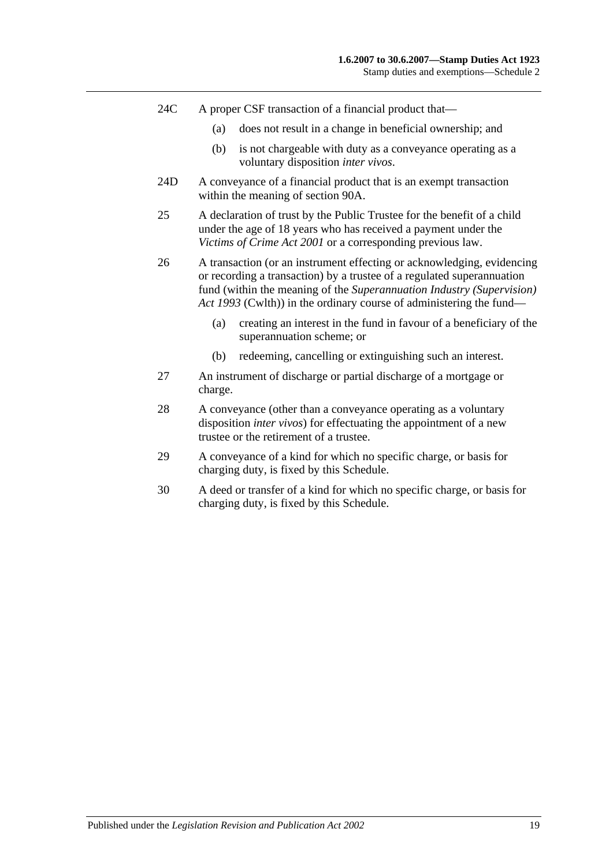- 24C A proper CSF transaction of a financial product that—
	- (a) does not result in a change in beneficial ownership; and
	- (b) is not chargeable with duty as a conveyance operating as a voluntary disposition *inter vivos*.
- 24D A conveyance of a financial product that is an exempt transaction within the meaning of [section](#page-74-1) 90A.
- 25 A declaration of trust by the Public Trustee for the benefit of a child under the age of 18 years who has received a payment under the *[Victims of Crime Act](http://www.legislation.sa.gov.au/index.aspx?action=legref&type=act&legtitle=Victims%20of%20Crime%20Act%202001) 2001* or a corresponding previous law.
- 26 A transaction (or an instrument effecting or acknowledging, evidencing or recording a transaction) by a trustee of a regulated superannuation fund (within the meaning of the *Superannuation Industry (Supervision) Act 1993* (Cwlth)) in the ordinary course of administering the fund—
	- (a) creating an interest in the fund in favour of a beneficiary of the superannuation scheme; or
	- (b) redeeming, cancelling or extinguishing such an interest.
- 27 An instrument of discharge or partial discharge of a mortgage or charge.
- 28 A conveyance (other than a conveyance operating as a voluntary disposition *inter vivos*) for effectuating the appointment of a new trustee or the retirement of a trustee.
- 29 A conveyance of a kind for which no specific charge, or basis for charging duty, is fixed by this Schedule.
- 30 A deed or transfer of a kind for which no specific charge, or basis for charging duty, is fixed by this Schedule.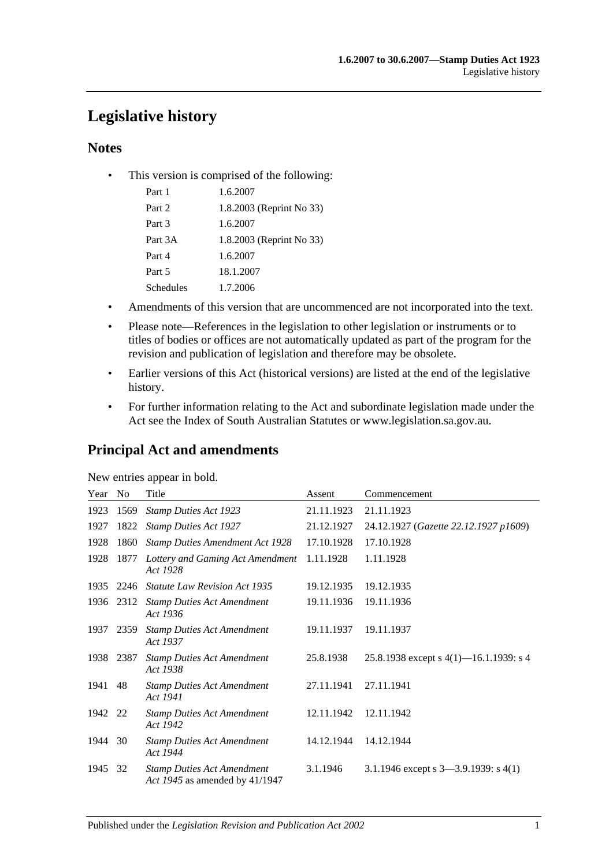## **Legislative history**

### **Notes**

• This version is comprised of the following:

| Part 1    | 1.6.2007                 |
|-----------|--------------------------|
| Part 2    | 1.8.2003 (Reprint No 33) |
| Part 3    | 1.6.2007                 |
| Part 3A   | 1.8.2003 (Reprint No 33) |
| Part 4    | 1.6.2007                 |
| Part 5    | 18.1.2007                |
| Schedules | 1.7.2006                 |

- Amendments of this version that are uncommenced are not incorporated into the text.
- Please note—References in the legislation to other legislation or instruments or to titles of bodies or offices are not automatically updated as part of the program for the revision and publication of legislation and therefore may be obsolete.
- Earlier versions of this Act (historical versions) are listed at the end of the legislative history.
- For further information relating to the Act and subordinate legislation made under the Act see the Index of South Australian Statutes or www.legislation.sa.gov.au.

## **Principal Act and amendments**

### New entries appear in bold.

| Year | No   | Title                                                               | Assent     | Commencement                              |
|------|------|---------------------------------------------------------------------|------------|-------------------------------------------|
| 1923 | 1569 | <b>Stamp Duties Act 1923</b>                                        | 21.11.1923 | 21.11.1923                                |
| 1927 | 1822 | <b>Stamp Duties Act 1927</b>                                        | 21.12.1927 | 24.12.1927 (Gazette 22.12.1927 p1609)     |
| 1928 | 1860 | <b>Stamp Duties Amendment Act 1928</b>                              | 17.10.1928 | 17.10.1928                                |
| 1928 | 1877 | Lottery and Gaming Act Amendment<br>Act 1928                        | 1.11.1928  | 1.11.1928                                 |
| 1935 | 2246 | <b>Statute Law Revision Act 1935</b>                                | 19.12.1935 | 19.12.1935                                |
| 1936 | 2312 | <b>Stamp Duties Act Amendment</b><br>Act 1936                       | 19.11.1936 | 19.11.1936                                |
| 1937 | 2359 | <b>Stamp Duties Act Amendment</b><br>Act 1937                       | 19.11.1937 | 19.11.1937                                |
| 1938 | 2387 | <b>Stamp Duties Act Amendment</b><br>Act 1938                       | 25.8.1938  | 25.8.1938 except s $4(1)$ —16.1.1939: s 4 |
| 1941 | 48   | <b>Stamp Duties Act Amendment</b><br>Act 1941                       | 27.11.1941 | 27.11.1941                                |
| 1942 | 22   | <b>Stamp Duties Act Amendment</b><br>Act 1942                       | 12.11.1942 | 12.11.1942                                |
| 1944 | 30   | <b>Stamp Duties Act Amendment</b><br>Act 1944                       | 14.12.1944 | 14.12.1944                                |
| 1945 | 32   | <b>Stamp Duties Act Amendment</b><br>Act 1945 as amended by 41/1947 | 3.1.1946   | 3.1.1946 except s $3-3.9.1939$ : s $4(1)$ |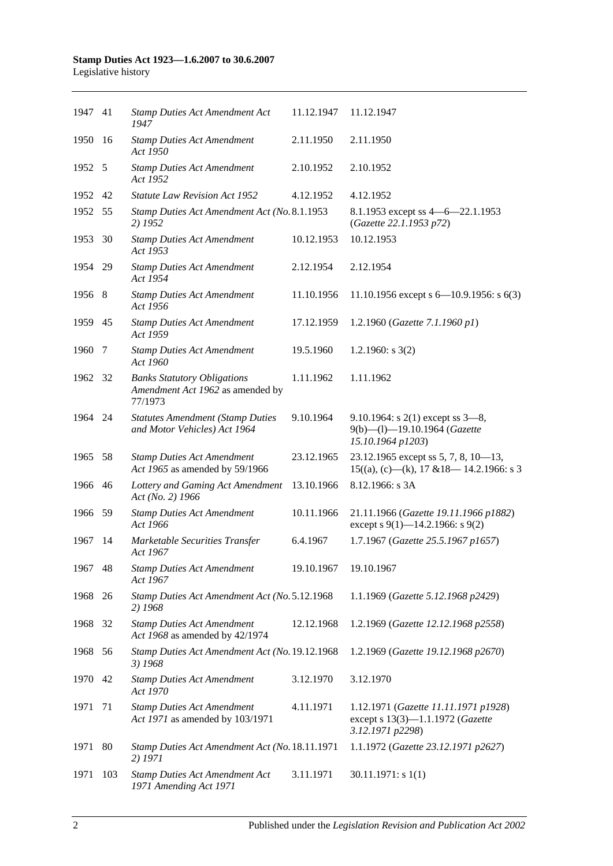| 1947 41 |      | <b>Stamp Duties Act Amendment Act</b><br>1947                                     | 11.12.1947 | 11.12.1947                                                                                   |
|---------|------|-----------------------------------------------------------------------------------|------------|----------------------------------------------------------------------------------------------|
| 1950    | -16  | <b>Stamp Duties Act Amendment</b><br>Act 1950                                     | 2.11.1950  | 2.11.1950                                                                                    |
| 1952 5  |      | <b>Stamp Duties Act Amendment</b><br>Act 1952                                     | 2.10.1952  | 2.10.1952                                                                                    |
| 1952 42 |      | <b>Statute Law Revision Act 1952</b>                                              | 4.12.1952  | 4.12.1952                                                                                    |
| 1952 55 |      | Stamp Duties Act Amendment Act (No. 8.1.1953<br>2) 1952                           |            | 8.1.1953 except ss 4 - 6 - 22.1.1953<br>(Gazette 22.1.1953 p72)                              |
| 1953    | 30   | <b>Stamp Duties Act Amendment</b><br>Act 1953                                     | 10.12.1953 | 10.12.1953                                                                                   |
| 1954 29 |      | <b>Stamp Duties Act Amendment</b><br>Act 1954                                     | 2.12.1954  | 2.12.1954                                                                                    |
| 1956 8  |      | <b>Stamp Duties Act Amendment</b><br>Act 1956                                     | 11.10.1956 | 11.10.1956 except s $6-10.9.1956$ : s $6(3)$                                                 |
| 1959 45 |      | <b>Stamp Duties Act Amendment</b><br>Act 1959                                     | 17.12.1959 | 1.2.1960 (Gazette 7.1.1960 p1)                                                               |
| 1960    | 7    | <b>Stamp Duties Act Amendment</b><br>Act 1960                                     | 19.5.1960  | 1.2.1960: $s$ 3(2)                                                                           |
| 1962 32 |      | <b>Banks Statutory Obligations</b><br>Amendment Act 1962 as amended by<br>77/1973 | 1.11.1962  | 1.11.1962                                                                                    |
| 1964 24 |      | <b>Statutes Amendment (Stamp Duties</b><br>and Motor Vehicles) Act 1964           | 9.10.1964  | 9.10.1964: s $2(1)$ except ss $3-8$ ,<br>9(b)-(l)-19.10.1964 (Gazette<br>15.10.1964 p1203)   |
| 1965    | - 58 | <b>Stamp Duties Act Amendment</b><br>Act 1965 as amended by 59/1966               | 23.12.1965 | 23.12.1965 except ss 5, 7, 8, $10-13$ ,<br>$15((a), (c)$ —(k), 17 & 18—14.2.1966: s 3        |
| 1966 46 |      | Lottery and Gaming Act Amendment<br>Act (No. 2) 1966                              | 13.10.1966 | 8.12.1966: s 3A                                                                              |
| 1966 59 |      | <b>Stamp Duties Act Amendment</b><br>Act 1966                                     | 10.11.1966 | 21.11.1966 (Gazette 19.11.1966 p1882)<br>except s 9(1)–14.2.1966: s 9(2)                     |
| 1967    | -14  | Marketable Securities Transfer<br>Act 1967                                        | 6.4.1967   | 1.7.1967 (Gazette 25.5.1967 p1657)                                                           |
| 1967 48 |      | <b>Stamp Duties Act Amendment</b><br>Act 1967                                     | 19.10.1967 | 19.10.1967                                                                                   |
| 1968    | 26   | Stamp Duties Act Amendment Act (No. 5.12.1968<br>2) 1968                          |            | 1.1.1969 (Gazette 5.12.1968 p2429)                                                           |
| 1968    | 32   | <b>Stamp Duties Act Amendment</b><br>Act 1968 as amended by 42/1974               | 12.12.1968 | 1.2.1969 (Gazette 12.12.1968 p2558)                                                          |
| 1968    | 56   | Stamp Duties Act Amendment Act (No. 19.12.1968<br>3) 1968                         |            | 1.2.1969 (Gazette 19.12.1968 p2670)                                                          |
| 1970    | 42   | <b>Stamp Duties Act Amendment</b><br>Act 1970                                     | 3.12.1970  | 3.12.1970                                                                                    |
| 1971    | 71   | <b>Stamp Duties Act Amendment</b><br>Act 1971 as amended by 103/1971              | 4.11.1971  | 1.12.1971 (Gazette 11.11.1971 p1928)<br>except s 13(3)-1.1.1972 (Gazette<br>3.12.1971 p2298) |
| 1971    | 80   | Stamp Duties Act Amendment Act (No. 18.11.1971<br>2) 1971                         |            | 1.1.1972 (Gazette 23.12.1971 p2627)                                                          |
| 1971    | 103  | <b>Stamp Duties Act Amendment Act</b><br>1971 Amending Act 1971                   | 3.11.1971  | $30.11.1971$ : s 1(1)                                                                        |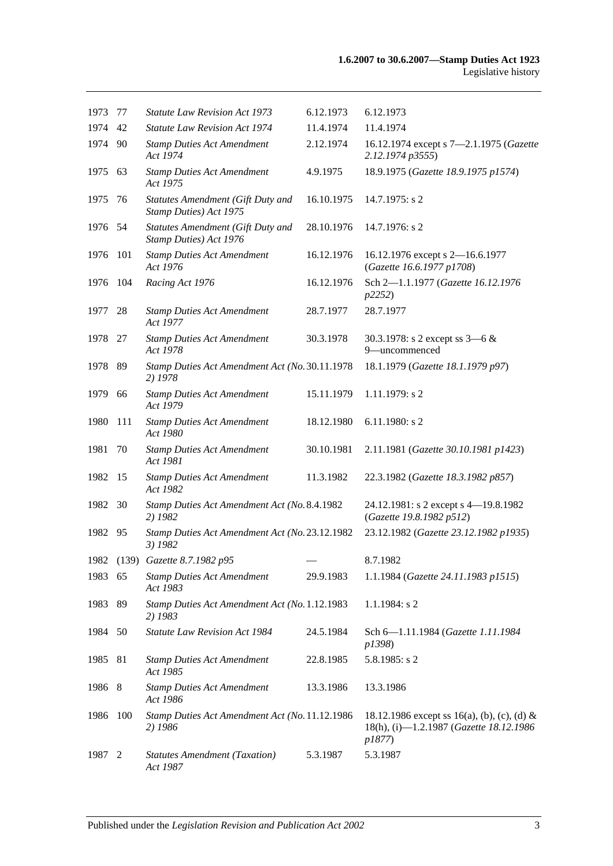| 1973    | 77  | <b>Statute Law Revision Act 1973</b>                        | 6.12.1973  | 6.12.1973                                                                                        |
|---------|-----|-------------------------------------------------------------|------------|--------------------------------------------------------------------------------------------------|
| 1974    | 42  | <b>Statute Law Revision Act 1974</b>                        | 11.4.1974  | 11.4.1974                                                                                        |
| 1974 90 |     | <b>Stamp Duties Act Amendment</b><br>Act 1974               | 2.12.1974  | 16.12.1974 except s 7-2.1.1975 (Gazette<br>2.12.1974 p3555)                                      |
| 1975 63 |     | <b>Stamp Duties Act Amendment</b><br>Act 1975               | 4.9.1975   | 18.9.1975 (Gazette 18.9.1975 p1574)                                                              |
| 1975    | 76  | Statutes Amendment (Gift Duty and<br>Stamp Duties) Act 1975 | 16.10.1975 | $14.7.1975$ : s 2                                                                                |
| 1976 54 |     | Statutes Amendment (Gift Duty and<br>Stamp Duties) Act 1976 | 28.10.1976 | 14.7.1976: s 2                                                                                   |
| 1976    | 101 | <b>Stamp Duties Act Amendment</b><br>Act 1976               | 16.12.1976 | 16.12.1976 except s 2-16.6.1977<br>(Gazette 16.6.1977 p1708)                                     |
| 1976    | 104 | Racing Act 1976                                             | 16.12.1976 | Sch 2-1.1.1977 (Gazette 16.12.1976<br>p2252)                                                     |
| 1977    | 28  | <b>Stamp Duties Act Amendment</b><br>Act 1977               | 28.7.1977  | 28.7.1977                                                                                        |
| 1978 27 |     | <b>Stamp Duties Act Amendment</b><br>Act 1978               | 30.3.1978  | 30.3.1978: s 2 except ss $3-6 &$<br>9-uncommenced                                                |
| 1978 89 |     | Stamp Duties Act Amendment Act (No. 30.11.1978)<br>2) 1978  |            | 18.1.1979 (Gazette 18.1.1979 p97)                                                                |
| 1979    | 66  | <b>Stamp Duties Act Amendment</b><br>Act 1979               | 15.11.1979 | 1.11.1979: s 2                                                                                   |
| 1980    | 111 | <b>Stamp Duties Act Amendment</b><br>Act 1980               | 18.12.1980 | $6.11.1980$ : s 2                                                                                |
| 1981    | 70  | <b>Stamp Duties Act Amendment</b><br>Act 1981               | 30.10.1981 | 2.11.1981 (Gazette 30.10.1981 p1423)                                                             |
| 1982    | -15 | <b>Stamp Duties Act Amendment</b><br>Act 1982               | 11.3.1982  | 22.3.1982 (Gazette 18.3.1982 p857)                                                               |
| 1982    | 30  | Stamp Duties Act Amendment Act (No. 8.4.1982<br>2) 1982     |            | 24.12.1981: s 2 except s 4-19.8.1982<br>(Gazette 19.8.1982 p512)                                 |
| 1982    | 95  | Stamp Duties Act Amendment Act (No. 23.12.1982<br>3) 1982   |            | 23.12.1982 (Gazette 23.12.1982 p1935)                                                            |
|         |     | 1982 (139) Gazette 8.7.1982 p95                             |            | 8.7.1982                                                                                         |
| 1983 65 |     | <b>Stamp Duties Act Amendment</b><br>Act 1983               | 29.9.1983  | 1.1.1984 (Gazette 24.11.1983 p1515)                                                              |
| 1983    | 89  | Stamp Duties Act Amendment Act (No. 1.12.1983<br>2) 1983    |            | 1.1.1984: s 2                                                                                    |
| 1984    | 50  | Statute Law Revision Act 1984                               | 24.5.1984  | Sch 6-1.11.1984 (Gazette 1.11.1984<br>p1398)                                                     |
| 1985    | 81  | <b>Stamp Duties Act Amendment</b><br>Act 1985               | 22.8.1985  | $5.8.1985$ : s 2                                                                                 |
| 1986    | 8   | <b>Stamp Duties Act Amendment</b><br>Act 1986               | 13.3.1986  | 13.3.1986                                                                                        |
| 1986    | 100 | Stamp Duties Act Amendment Act (No. 11.12.1986<br>2) 1986   |            | 18.12.1986 except ss 16(a), (b), (c), (d) &<br>18(h), (i)-1.2.1987 (Gazette 18.12.1986<br>p1877) |
| 1987    | 2   | <b>Statutes Amendment (Taxation)</b><br>Act 1987            | 5.3.1987   | 5.3.1987                                                                                         |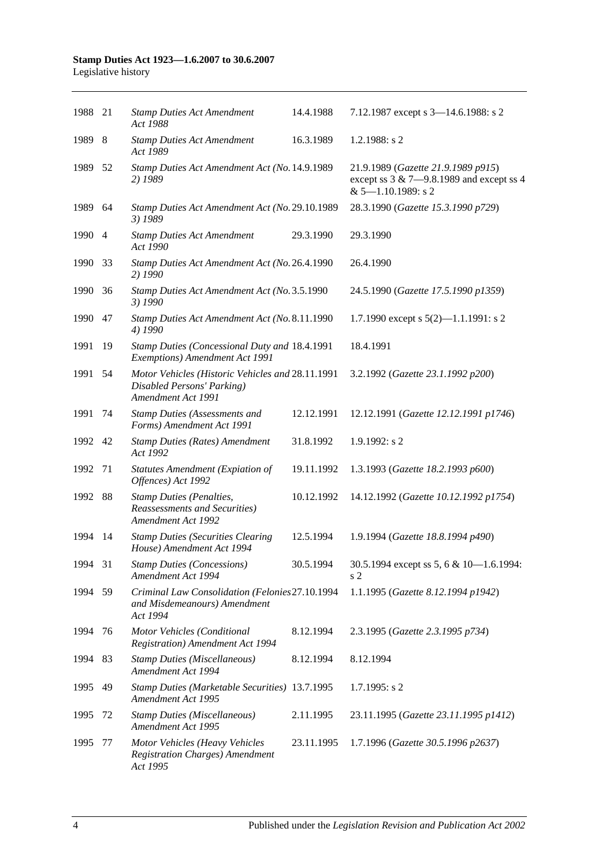# **Stamp Duties Act 1923—1.6.2007 to 30.6.2007**

|  | Legislative history |
|--|---------------------|

| 1988 21 |      | <b>Stamp Duties Act Amendment</b><br>Act 1988                                                        | 14.4.1988  | 7.12.1987 except s 3-14.6.1988: s 2                                                                           |
|---------|------|------------------------------------------------------------------------------------------------------|------------|---------------------------------------------------------------------------------------------------------------|
| 1989    | 8    | <b>Stamp Duties Act Amendment</b><br>Act 1989                                                        | 16.3.1989  | $1.2.1988: s$ 2                                                                                               |
| 1989    | 52   | Stamp Duties Act Amendment Act (No. 14.9.1989<br>2) 1989                                             |            | 21.9.1989 (Gazette 21.9.1989 p915)<br>except ss $3 & 7 - 9.8.1989$ and except ss 4<br>$& 5 - 1.10.1989$ : s 2 |
| 1989    | 64   | Stamp Duties Act Amendment Act (No. 29.10.1989<br>3) 1989                                            |            | 28.3.1990 (Gazette 15.3.1990 p729)                                                                            |
| 1990 4  |      | <b>Stamp Duties Act Amendment</b><br>Act 1990                                                        | 29.3.1990  | 29.3.1990                                                                                                     |
| 1990    | 33   | Stamp Duties Act Amendment Act (No. 26.4.1990<br>2) 1990                                             |            | 26.4.1990                                                                                                     |
| 1990    | 36   | Stamp Duties Act Amendment Act (No. 3.5.1990<br>3) 1990                                              |            | 24.5.1990 (Gazette 17.5.1990 p1359)                                                                           |
| 1990    | 47   | Stamp Duties Act Amendment Act (No. 8.11.1990<br>4) 1990                                             |            | 1.7.1990 except s $5(2)$ —1.1.1991: s 2                                                                       |
| 1991    | 19   | Stamp Duties (Concessional Duty and 18.4.1991<br>Exemptions) Amendment Act 1991                      |            | 18.4.1991                                                                                                     |
| 1991    | 54   | Motor Vehicles (Historic Vehicles and 28.11.1991<br>Disabled Persons' Parking)<br>Amendment Act 1991 |            | 3.2.1992 (Gazette 23.1.1992 p200)                                                                             |
| 1991    | 74   | Stamp Duties (Assessments and<br>Forms) Amendment Act 1991                                           | 12.12.1991 | 12.12.1991 (Gazette 12.12.1991 p1746)                                                                         |
| 1992    | 42   | <b>Stamp Duties (Rates) Amendment</b><br>Act 1992                                                    | 31.8.1992  | 1.9.1992: s2                                                                                                  |
| 1992    | 71   | <b>Statutes Amendment (Expiation of</b><br>Offences) Act 1992                                        | 19.11.1992 | 1.3.1993 (Gazette 18.2.1993 p600)                                                                             |
| 1992    | 88   | <b>Stamp Duties (Penalties,</b><br>Reassessments and Securities)<br>Amendment Act 1992               | 10.12.1992 | 14.12.1992 (Gazette 10.12.1992 p1754)                                                                         |
| 1994    | - 14 | <b>Stamp Duties (Securities Clearing</b><br>House) Amendment Act 1994                                | 12.5.1994  | 1.9.1994 (Gazette 18.8.1994 p490)                                                                             |
| 1994 31 |      | <b>Stamp Duties (Concessions)</b><br>Amendment Act 1994                                              | 30.5.1994  | 30.5.1994 except ss 5, 6 & 10-1.6.1994:<br>s 2                                                                |
| 1994    | 59   | Criminal Law Consolidation (Felonies27.10.1994<br>and Misdemeanours) Amendment<br>Act 1994           |            | 1.1.1995 (Gazette 8.12.1994 p1942)                                                                            |
| 1994    | 76   | Motor Vehicles (Conditional<br><b>Registration</b> ) Amendment Act 1994                              | 8.12.1994  | 2.3.1995 (Gazette 2.3.1995 p734)                                                                              |
| 1994    | 83   | <b>Stamp Duties (Miscellaneous)</b><br>Amendment Act 1994                                            | 8.12.1994  | 8.12.1994                                                                                                     |
| 1995    | 49   | Stamp Duties (Marketable Securities) 13.7.1995<br>Amendment Act 1995                                 |            | $1.7.1995$ : s 2                                                                                              |
| 1995    | 72   | <b>Stamp Duties (Miscellaneous)</b><br>Amendment Act 1995                                            | 2.11.1995  | 23.11.1995 (Gazette 23.11.1995 p1412)                                                                         |
| 1995    | 77   | Motor Vehicles (Heavy Vehicles<br><b>Registration Charges)</b> Amendment<br>Act 1995                 | 23.11.1995 | 1.7.1996 (Gazette 30.5.1996 p2637)                                                                            |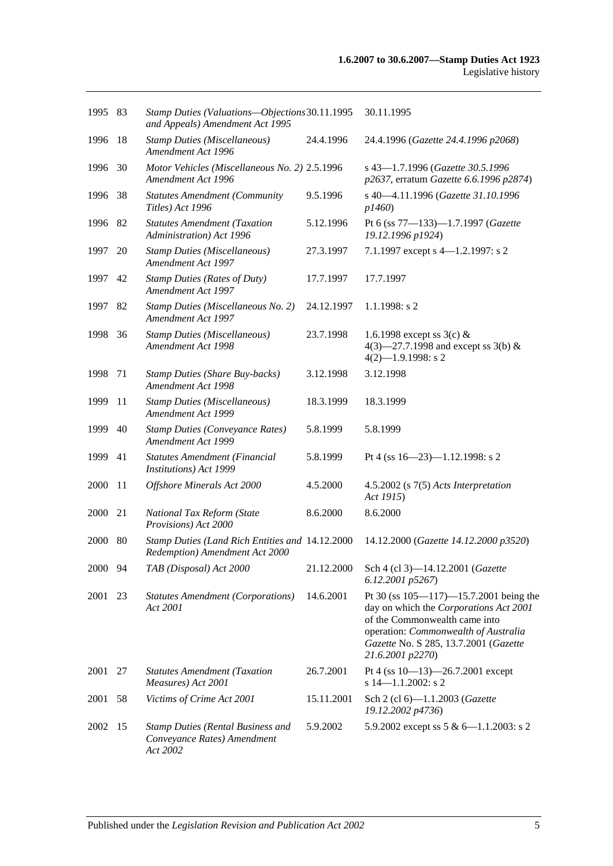| 1995 83 |     | Stamp Duties (Valuations-Objections 30.11.1995<br>and Appeals) Amendment Act 1995   |            | 30.11.1995                                                                                                                                                                                                             |
|---------|-----|-------------------------------------------------------------------------------------|------------|------------------------------------------------------------------------------------------------------------------------------------------------------------------------------------------------------------------------|
| 1996    | -18 | <b>Stamp Duties (Miscellaneous)</b><br>Amendment Act 1996                           | 24.4.1996  | 24.4.1996 (Gazette 24.4.1996 p2068)                                                                                                                                                                                    |
| 1996 30 |     | Motor Vehicles (Miscellaneous No. 2) 2.5.1996<br>Amendment Act 1996                 |            | s 43-1.7.1996 (Gazette 30.5.1996<br>p2637, erratum Gazette 6.6.1996 p2874)                                                                                                                                             |
| 1996    | 38  | <b>Statutes Amendment (Community</b><br>Titles) Act 1996                            | 9.5.1996   | s 40-4.11.1996 (Gazette 31.10.1996<br>p1460)                                                                                                                                                                           |
| 1996 82 |     | <b>Statutes Amendment (Taxation</b><br>Administration) Act 1996                     | 5.12.1996  | Pt 6 (ss 77-133)-1.7.1997 (Gazette<br>19.12.1996 p1924)                                                                                                                                                                |
| 1997    | 20  | <b>Stamp Duties (Miscellaneous)</b><br>Amendment Act 1997                           | 27.3.1997  | 7.1.1997 except s 4-1.2.1997: s 2                                                                                                                                                                                      |
| 1997    | 42  | <b>Stamp Duties (Rates of Duty)</b><br>Amendment Act 1997                           | 17.7.1997  | 17.7.1997                                                                                                                                                                                                              |
| 1997    | 82  | Stamp Duties (Miscellaneous No. 2)<br>Amendment Act 1997                            | 24.12.1997 | $1.1.1998$ : s 2                                                                                                                                                                                                       |
| 1998    | 36  | <b>Stamp Duties (Miscellaneous)</b><br>Amendment Act 1998                           | 23.7.1998  | 1.6.1998 except ss $3(c)$ &<br>4(3)–27.7.1998 and except ss 3(b) $&$<br>$4(2)$ -1.9.1998: s 2                                                                                                                          |
| 1998    | 71  | <b>Stamp Duties (Share Buy-backs)</b><br>Amendment Act 1998                         | 3.12.1998  | 3.12.1998                                                                                                                                                                                                              |
| 1999    | 11  | <b>Stamp Duties (Miscellaneous)</b><br>Amendment Act 1999                           | 18.3.1999  | 18.3.1999                                                                                                                                                                                                              |
| 1999    | 40  | <b>Stamp Duties (Conveyance Rates)</b><br>Amendment Act 1999                        | 5.8.1999   | 5.8.1999                                                                                                                                                                                                               |
| 1999    | 41  | Statutes Amendment (Financial<br>Institutions) Act 1999                             | 5.8.1999   | Pt 4 (ss $16 - 23$ )-1.12.1998: s 2                                                                                                                                                                                    |
| 2000    | 11  | Offshore Minerals Act 2000                                                          | 4.5.2000   | $4.5.2002$ (s $7(5)$ Acts Interpretation<br>Act 1915)                                                                                                                                                                  |
| 2000    | 21  | National Tax Reform (State<br>Provisions) Act 2000                                  | 8.6.2000   | 8.6.2000                                                                                                                                                                                                               |
| 2000    | 80  | Stamp Duties (Land Rich Entities and 14.12.2000<br>Redemption) Amendment Act 2000   |            | 14.12.2000 (Gazette 14.12.2000 p3520)                                                                                                                                                                                  |
| 2000 94 |     | TAB (Disposal) Act 2000                                                             | 21.12.2000 | Sch 4 (cl 3)-14.12.2001 (Gazette<br>6.12.2001 p5267)                                                                                                                                                                   |
| 2001    | 23  | <b>Statutes Amendment (Corporations)</b><br>Act 2001                                | 14.6.2001  | Pt 30 (ss 105-117)-15.7.2001 being the<br>day on which the Corporations Act 2001<br>of the Commonwealth came into<br>operation: Commonwealth of Australia<br>Gazette No. S 285, 13.7.2001 (Gazette<br>21.6.2001 p2270) |
| 2001    | 27  | <b>Statutes Amendment (Taxation</b><br>Measures) Act 2001                           | 26.7.2001  | Pt 4 (ss $10-13$ )-26.7.2001 except<br>s $14 - 1.1.2002$ : s 2                                                                                                                                                         |
| 2001    | 58  | Victims of Crime Act 2001                                                           | 15.11.2001 | Sch 2 (cl 6)-1.1.2003 (Gazette<br>19.12.2002 p4736)                                                                                                                                                                    |
| 2002    | -15 | <b>Stamp Duties (Rental Business and</b><br>Conveyance Rates) Amendment<br>Act 2002 | 5.9.2002   | 5.9.2002 except ss $5 & 6 - 1.1.2003$ : s 2                                                                                                                                                                            |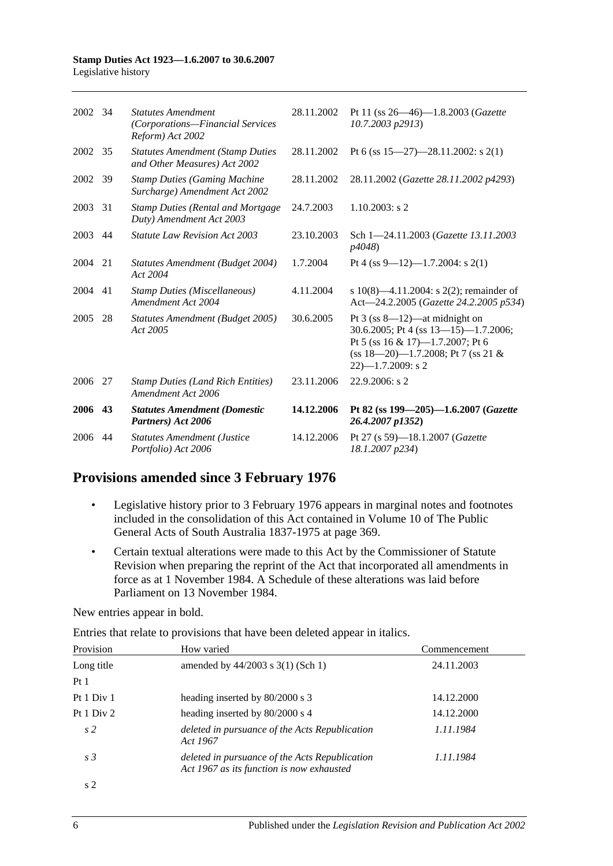| 2002 34 |    | <b>Statutes Amendment</b><br>(Corporations-Financial Services<br>Reform) Act 2002 | 28.11.2002 | Pt 11 (ss 26-46)-1.8.2003 (Gazette<br>10.7.2003 p2913)                                                                                                                             |
|---------|----|-----------------------------------------------------------------------------------|------------|------------------------------------------------------------------------------------------------------------------------------------------------------------------------------------|
| 2002    | 35 | <b>Statutes Amendment (Stamp Duties)</b><br>and Other Measures) Act 2002          | 28.11.2002 | Pt 6 (ss $15-27$ )-28.11.2002: s 2(1)                                                                                                                                              |
| 2002    | 39 | <b>Stamp Duties (Gaming Machine</b><br>Surcharge) Amendment Act 2002              | 28.11.2002 | 28.11.2002 (Gazette 28.11.2002 p4293)                                                                                                                                              |
| 2003    | 31 | <b>Stamp Duties (Rental and Mortgage)</b><br>Duty) Amendment Act 2003             | 24.7.2003  | $1.10.2003$ : s 2                                                                                                                                                                  |
| 2003    | 44 | <b>Statute Law Revision Act 2003</b>                                              | 23.10.2003 | Sch 1-24.11.2003 (Gazette 13.11.2003<br>p4048)                                                                                                                                     |
| 2004    | 21 | Statutes Amendment (Budget 2004)<br>Act 2004                                      | 1.7.2004   | Pt 4 (ss 9—12)—1.7.2004: s 2(1)                                                                                                                                                    |
| 2004    | 41 | <b>Stamp Duties (Miscellaneous)</b><br>Amendment Act 2004                         | 4.11.2004  | s 10(8)—4.11.2004: s 2(2); remainder of<br>Act-24.2.2005 (Gazette 24.2.2005 p534)                                                                                                  |
| 2005    | 28 | Statutes Amendment (Budget 2005)<br>Act 2005                                      | 30.6.2005  | Pt $3$ (ss $8-12$ )—at midnight on<br>30.6.2005; Pt 4 (ss $13-15$ )-1.7.2006;<br>Pt 5 (ss 16 & 17)-1.7.2007; Pt 6<br>$(ss 18-20)$ -1.7.2008; Pt 7 (ss 21 &<br>$22$ )-1.7.2009: s 2 |
| 2006    | 27 | <b>Stamp Duties (Land Rich Entities)</b><br>Amendment Act 2006                    | 23.11.2006 | 22.9.2006: s 2                                                                                                                                                                     |
| 2006    | 43 | <b>Statutes Amendment (Domestic</b><br>Partners) Act 2006                         | 14.12.2006 | Pt 82 (ss $199 - 205$ ) -1.6.2007 ( <i>Gazette</i><br>26.4.2007 p1352)                                                                                                             |
| 2006    | 44 | <b>Statutes Amendment (Justice</b><br>Portfolio) Act 2006                         | 14.12.2006 | Pt 27 (s 59)-18.1.2007 (Gazette<br>18.1.2007 p234)                                                                                                                                 |

## **Provisions amended since 3 February 1976**

- Legislative history prior to 3 February 1976 appears in marginal notes and footnotes included in the consolidation of this Act contained in Volume 10 of The Public General Acts of South Australia 1837-1975 at page 369.
- Certain textual alterations were made to this Act by the Commissioner of Statute Revision when preparing the reprint of the Act that incorporated all amendments in force as at 1 November 1984. A Schedule of these alterations was laid before Parliament on 13 November 1984.

New entries appear in bold.

Entries that relate to provisions that have been deleted appear in italics.

| Provision      | How varied                                                                                  | Commencement |
|----------------|---------------------------------------------------------------------------------------------|--------------|
| Long title     | amended by $44/2003$ s $3(1)$ (Sch 1)                                                       | 24.11.2003   |
| Pt1            |                                                                                             |              |
| Pt 1 Div 1     | heading inserted by 80/2000 s 3                                                             | 14.12.2000   |
| Pt 1 Div 2     | heading inserted by 80/2000 s 4                                                             | 14.12.2000   |
| s <sub>2</sub> | deleted in pursuance of the Acts Republication<br>Act 1967                                  | 1.11.1984    |
| s <sub>3</sub> | deleted in pursuance of the Acts Republication<br>Act 1967 as its function is now exhausted | 1.11.1984    |
| s 2            |                                                                                             |              |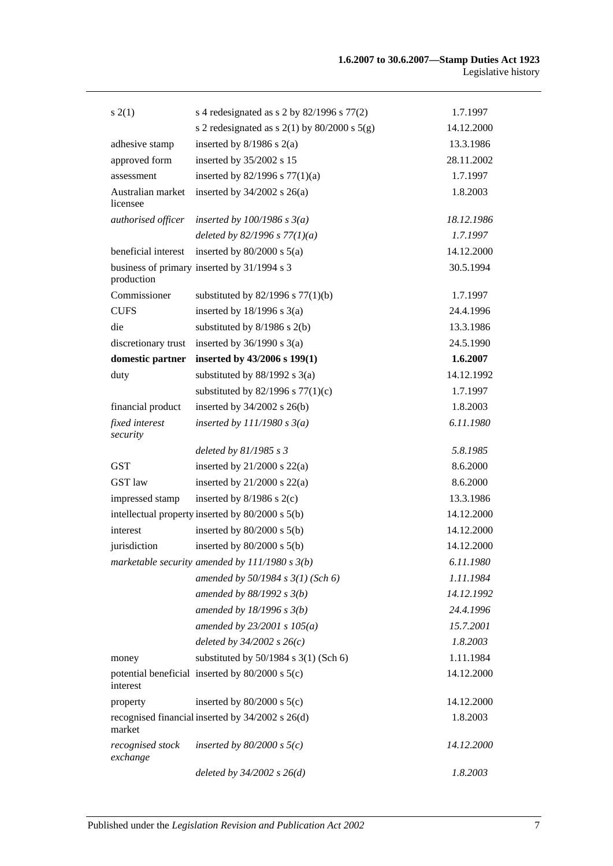| s(2(1))                       | s 4 redesignated as s 2 by $82/1996$ s $77(2)$     | 1.7.1997   |
|-------------------------------|----------------------------------------------------|------------|
|                               | s 2 redesignated as s $2(1)$ by $80/2000$ s $5(g)$ | 14.12.2000 |
| adhesive stamp                | inserted by $8/1986$ s $2(a)$                      | 13.3.1986  |
| approved form                 | inserted by 35/2002 s 15                           | 28.11.2002 |
| assessment                    | inserted by $82/1996$ s $77(1)(a)$                 | 1.7.1997   |
| Australian market<br>licensee | inserted by $34/2002$ s $26(a)$                    | 1.8.2003   |
| authorised officer            | inserted by $100/1986$ s $3(a)$                    | 18.12.1986 |
|                               | deleted by 82/1996 s $77(1)(a)$                    | 1.7.1997   |
| beneficial interest           | inserted by $80/2000$ s $5(a)$                     | 14.12.2000 |
| production                    | business of primary inserted by 31/1994 s 3        | 30.5.1994  |
| Commissioner                  | substituted by $82/1996$ s $77(1)(b)$              | 1.7.1997   |
| <b>CUFS</b>                   | inserted by $18/1996$ s $3(a)$                     | 24.4.1996  |
| die                           | substituted by $8/1986$ s $2(b)$                   | 13.3.1986  |
| discretionary trust           | inserted by $36/1990$ s $3(a)$                     | 24.5.1990  |
| domestic partner              | inserted by 43/2006 s 199(1)                       | 1.6.2007   |
| duty                          | substituted by $88/1992$ s $3(a)$                  | 14.12.1992 |
|                               | substituted by $82/1996$ s $77(1)(c)$              | 1.7.1997   |
| financial product             | inserted by $34/2002$ s $26(b)$                    | 1.8.2003   |
| fixed interest<br>security    | inserted by $111/1980 s 3(a)$                      | 6.11.1980  |
|                               | deleted by $81/1985 s 3$                           | 5.8.1985   |
| <b>GST</b>                    | inserted by $21/2000$ s $22(a)$                    | 8.6.2000   |
| GST law                       | inserted by $21/2000$ s $22(a)$                    | 8.6.2000   |
| impressed stamp               | inserted by $8/1986$ s $2(c)$                      | 13.3.1986  |
|                               | intellectual property inserted by 80/2000 s 5(b)   | 14.12.2000 |
| interest                      | inserted by $80/2000$ s $5(b)$                     | 14.12.2000 |
| jurisdiction                  | inserted by $80/2000$ s $5(b)$                     | 14.12.2000 |
|                               | marketable security amended by $111/1980 s 3(b)$   | 6.11.1980  |
|                               | amended by $50/1984$ s $3(1)$ (Sch 6)              | 1.11.1984  |
|                               | amended by $88/1992 s 3(b)$                        | 14.12.1992 |
|                               | amended by $18/1996 s 3(b)$                        | 24.4.1996  |
|                               | amended by $23/2001 s 105(a)$                      | 15.7.2001  |
|                               | deleted by $34/2002$ s $26(c)$                     | 1.8.2003   |
| money                         | substituted by $50/1984$ s $3(1)$ (Sch 6)          | 1.11.1984  |
| interest                      | potential beneficial inserted by 80/2000 s 5(c)    | 14.12.2000 |
| property                      | inserted by $80/2000$ s $5(c)$                     | 14.12.2000 |
| market                        | recognised financial inserted by 34/2002 s 26(d)   | 1.8.2003   |
| recognised stock<br>exchange  | inserted by $80/2000$ s $5(c)$                     | 14.12.2000 |
|                               | deleted by $34/2002$ s $26(d)$                     | 1.8.2003   |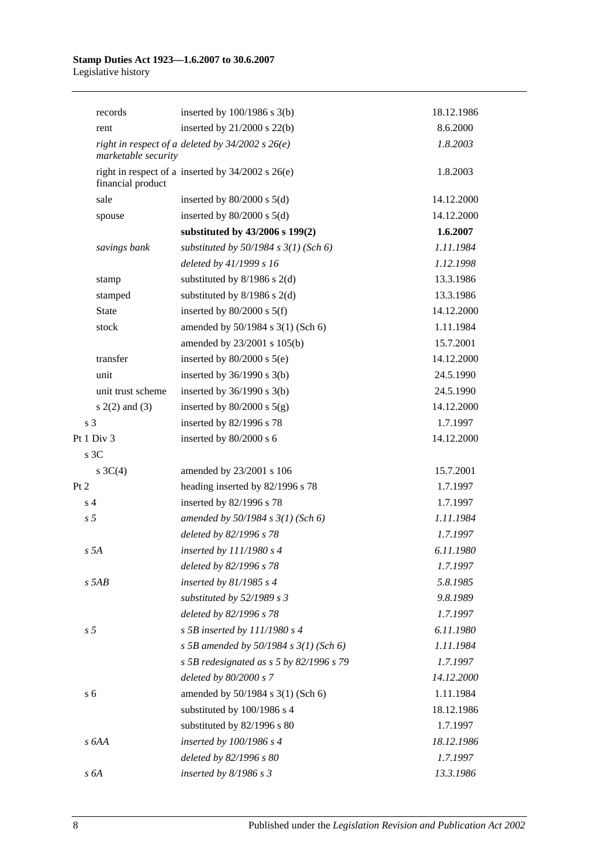| records             | inserted by $100/1986$ s $3(b)$                       | 18.12.1986 |
|---------------------|-------------------------------------------------------|------------|
| rent                | inserted by $21/2000$ s $22(b)$                       | 8.6.2000   |
| marketable security | right in respect of a deleted by $34/2002$ s $26(e)$  | 1.8.2003   |
| financial product   | right in respect of a inserted by $34/2002$ s $26(e)$ | 1.8.2003   |
| sale                | inserted by $80/2000$ s $5(d)$                        | 14.12.2000 |
| spouse              | inserted by $80/2000$ s $5(d)$                        | 14.12.2000 |
|                     | substituted by 43/2006 s 199(2)                       | 1.6.2007   |
| savings bank        | substituted by $50/1984$ s $3(1)$ (Sch 6)             | 1.11.1984  |
|                     | deleted by 41/1999 s 16                               | 1.12.1998  |
| stamp               | substituted by $8/1986$ s $2(d)$                      | 13.3.1986  |
| stamped             | substituted by $8/1986$ s $2(d)$                      | 13.3.1986  |
| <b>State</b>        | inserted by $80/2000$ s $5(f)$                        | 14.12.2000 |
| stock               | amended by 50/1984 s 3(1) (Sch 6)                     | 1.11.1984  |
|                     | amended by 23/2001 s 105(b)                           | 15.7.2001  |
| transfer            | inserted by $80/2000$ s $5(e)$                        | 14.12.2000 |
| unit                | inserted by $36/1990$ s $3(b)$                        | 24.5.1990  |
| unit trust scheme   | inserted by $36/1990$ s $3(b)$                        | 24.5.1990  |
| $s(2(2)$ and $(3)$  | inserted by $80/2000$ s $5(g)$                        | 14.12.2000 |
| s 3                 | inserted by 82/1996 s 78                              | 1.7.1997   |
| Pt 1 Div 3          | inserted by 80/2000 s 6                               | 14.12.2000 |
| s <sub>3C</sub>     |                                                       |            |
| s $3C(4)$           | amended by 23/2001 s 106                              | 15.7.2001  |
| Pt 2                | heading inserted by 82/1996 s 78                      | 1.7.1997   |
| s <sub>4</sub>      | inserted by 82/1996 s 78                              | 1.7.1997   |
| s <sub>5</sub>      | amended by 50/1984 s 3(1) (Sch 6)                     | 1.11.1984  |
|                     | deleted by 82/1996 s 78                               | 1.7.1997   |
| s 5A                | inserted by 111/1980 s 4                              | 6.11.1980  |
|                     | deleted by 82/1996 s 78                               | 1.7.1997   |
| $s$ 5AB             | inserted by $81/1985 s 4$                             | 5.8.1985   |
|                     | substituted by $52/1989$ s 3                          | 9.8.1989   |
|                     | deleted by 82/1996 s 78                               | 1.7.1997   |
| s <sub>5</sub>      | $s$ 5B inserted by 111/1980 $s$ 4                     | 6.11.1980  |
|                     | s 5B amended by 50/1984 s $3(1)$ (Sch 6)              | 1.11.1984  |
|                     | s 5B redesignated as $s$ 5 by 82/1996 s 79            | 1.7.1997   |
|                     | deleted by 80/2000 s 7                                | 14.12.2000 |
| s 6                 | amended by 50/1984 s 3(1) (Sch 6)                     | 1.11.1984  |
|                     | substituted by 100/1986 s 4                           | 18.12.1986 |
|                     | substituted by 82/1996 s 80                           | 1.7.1997   |
| s 6AA               | inserted by 100/1986 s 4                              | 18.12.1986 |
|                     | deleted by 82/1996 s 80                               | 1.7.1997   |
| s 6A                | inserted by $8/1986 s 3$                              | 13.3.1986  |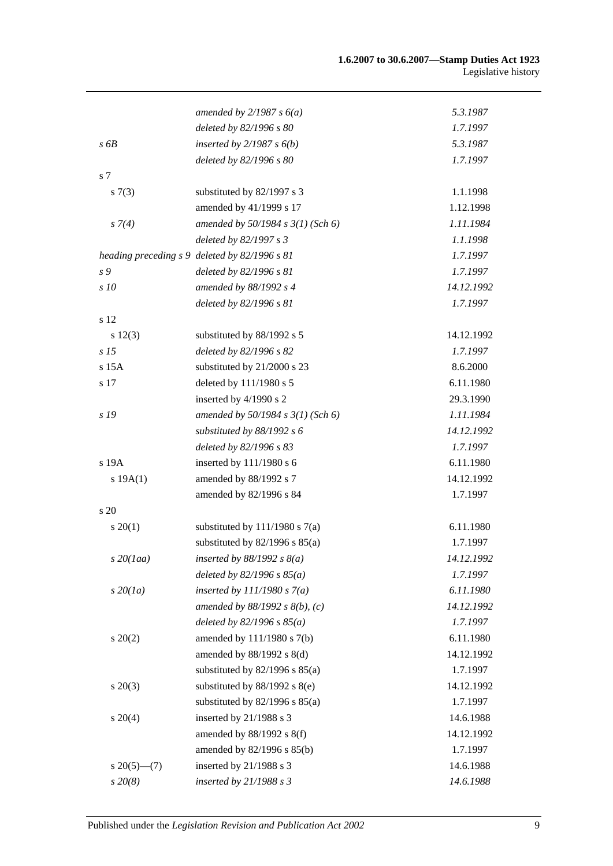|                   | amended by $2/1987 s 6(a)$                    | 5.3.1987   |
|-------------------|-----------------------------------------------|------------|
|                   | deleted by 82/1996 s 80                       | 1.7.1997   |
| s6B               | inserted by $2/1987 s 6(b)$                   | 5.3.1987   |
|                   | deleted by 82/1996 s 80                       | 1.7.1997   |
| s 7               |                                               |            |
| s(7(3))           | substituted by 82/1997 s 3                    | 1.1.1998   |
|                   | amended by 41/1999 s 17                       | 1.12.1998  |
| $s \, 7(4)$       | amended by $50/1984 s 3(1)$ (Sch 6)           | 1.11.1984  |
|                   | deleted by 82/1997 s 3                        | 1.1.1998   |
|                   | heading preceding s 9 deleted by 82/1996 s 81 | 1.7.1997   |
| s 9               | deleted by 82/1996 s 81                       | 1.7.1997   |
| s 10              | amended by 88/1992 s 4                        | 14.12.1992 |
|                   | deleted by 82/1996 s 81                       | 1.7.1997   |
| s 12              |                                               |            |
| s 12(3)           | substituted by 88/1992 s 5                    | 14.12.1992 |
| s <sub>15</sub>   | deleted by 82/1996 s 82                       | 1.7.1997   |
| s 15A             | substituted by 21/2000 s 23                   | 8.6.2000   |
| s 17              | deleted by 111/1980 s 5                       | 6.11.1980  |
|                   | inserted by 4/1990 s 2                        | 29.3.1990  |
| s 19              | amended by $50/1984$ s $3(1)$ (Sch 6)         | 1.11.1984  |
|                   | substituted by $88/1992 s 6$                  | 14.12.1992 |
|                   | deleted by 82/1996 s 83                       | 1.7.1997   |
| s 19A             | inserted by 111/1980 s 6                      | 6.11.1980  |
| s 19A(1)          | amended by 88/1992 s 7                        | 14.12.1992 |
|                   | amended by 82/1996 s 84                       | 1.7.1997   |
| s 20              |                                               |            |
| $s \ 20(1)$       | substituted by $111/1980$ s $7(a)$            | 6.11.1980  |
|                   | substituted by 82/1996 s 85(a)                | 1.7.1997   |
| $s\,20(1aa)$      | inserted by $88/1992$ s $8(a)$                | 14.12.1992 |
|                   | deleted by $82/1996 s 85(a)$                  | 1.7.1997   |
| $s\,20(1a)$       | inserted by $111/1980 s 7(a)$                 | 6.11.1980  |
|                   | amended by $88/1992 s 8(b)$ , (c)             | 14.12.1992 |
|                   | deleted by $82/1996 s 85(a)$                  | 1.7.1997   |
| $s\,20(2)$        | amended by 111/1980 s 7(b)                    | 6.11.1980  |
|                   | amended by $88/1992$ s $8(d)$                 | 14.12.1992 |
|                   | substituted by $82/1996$ s $85(a)$            | 1.7.1997   |
| $s\ 20(3)$        | substituted by $88/1992$ s $8(e)$             | 14.12.1992 |
|                   | substituted by $82/1996$ s $85(a)$            | 1.7.1997   |
| $s \ 20(4)$       | inserted by 21/1988 s 3                       | 14.6.1988  |
|                   | amended by $88/1992$ s $8(f)$                 | 14.12.1992 |
|                   | amended by 82/1996 s 85(b)                    | 1.7.1997   |
| $s \, 20(5)$ —(7) | inserted by 21/1988 s 3                       | 14.6.1988  |
| $s\,20(8)$        | inserted by $21/1988 s 3$                     | 14.6.1988  |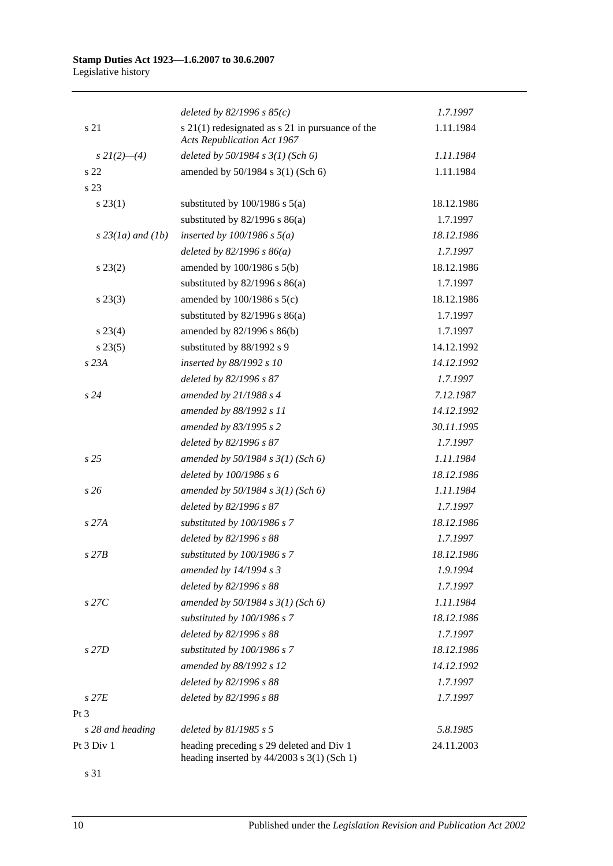|                     | deleted by $82/1996 s 85(c)$                                                               | 1.7.1997   |
|---------------------|--------------------------------------------------------------------------------------------|------------|
| s 21                | $s$ 21(1) redesignated as $s$ 21 in pursuance of the<br><b>Acts Republication Act 1967</b> | 1.11.1984  |
| $s\,2I(2)$ —(4)     | deleted by $50/1984$ s $3(1)$ (Sch 6)                                                      | 1.11.1984  |
| s 22                | amended by 50/1984 s 3(1) (Sch 6)                                                          | 1.11.1984  |
| s 23                |                                                                                            |            |
| $s\,23(1)$          | substituted by $100/1986$ s $5(a)$                                                         | 18.12.1986 |
|                     | substituted by $82/1996$ s $86(a)$                                                         | 1.7.1997   |
| $s$ 23(1a) and (1b) | inserted by $100/1986$ s $5(a)$                                                            | 18.12.1986 |
|                     | deleted by $82/1996 s 86(a)$                                                               | 1.7.1997   |
| $s\,23(2)$          | amended by $100/1986$ s $5(b)$                                                             | 18.12.1986 |
|                     | substituted by $82/1996$ s $86(a)$                                                         | 1.7.1997   |
| $s\,23(3)$          | amended by $100/1986$ s $5(c)$                                                             | 18.12.1986 |
|                     | substituted by $82/1996$ s $86(a)$                                                         | 1.7.1997   |
| $s\,23(4)$          | amended by 82/1996 s 86(b)                                                                 | 1.7.1997   |
| $s\,23(5)$          | substituted by 88/1992 s 9                                                                 | 14.12.1992 |
| $s$ 23 $A$          | inserted by 88/1992 s 10                                                                   | 14.12.1992 |
|                     | deleted by 82/1996 s 87                                                                    | 1.7.1997   |
| s24                 | amended by $21/1988 s 4$                                                                   | 7.12.1987  |
|                     | amended by 88/1992 s 11                                                                    | 14.12.1992 |
|                     | amended by 83/1995 s 2                                                                     | 30.11.1995 |
|                     | deleted by 82/1996 s 87                                                                    | 1.7.1997   |
| s <sub>25</sub>     | amended by $50/1984$ s $3(1)$ (Sch 6)                                                      | 1.11.1984  |
|                     | deleted by 100/1986 s 6                                                                    | 18.12.1986 |
| s26                 | amended by $50/1984$ s $3(1)$ (Sch 6)                                                      | 1.11.1984  |
|                     | deleted by 82/1996 s 87                                                                    | 1.7.1997   |
| s 27A               | substituted by 100/1986 s 7                                                                | 18.12.1986 |
|                     | deleted by 82/1996 s 88                                                                    | 1.7.1997   |
| $s$ 27 $B$          | substituted by 100/1986 s 7                                                                | 18.12.1986 |
|                     | amended by 14/1994 s 3                                                                     | 1.9.1994   |
|                     | deleted by 82/1996 s 88                                                                    | 1.7.1997   |
| $s$ 27 $C$          | amended by $50/1984$ s $3(1)$ (Sch 6)                                                      | 1.11.1984  |
|                     | substituted by 100/1986 s 7                                                                | 18.12.1986 |
|                     | deleted by 82/1996 s 88                                                                    | 1.7.1997   |
| s 27D               | substituted by 100/1986 s 7                                                                | 18.12.1986 |
|                     | amended by 88/1992 s 12                                                                    | 14.12.1992 |
|                     | deleted by 82/1996 s 88                                                                    | 1.7.1997   |
| $s$ 27 $E$          | deleted by 82/1996 s 88                                                                    | 1.7.1997   |
| Pt 3                |                                                                                            |            |
| s 28 and heading    | deleted by $81/1985 s 5$                                                                   | 5.8.1985   |
| Pt 3 Div 1          | heading preceding s 29 deleted and Div 1<br>heading inserted by $44/2003$ s 3(1) (Sch 1)   | 24.11.2003 |

s 31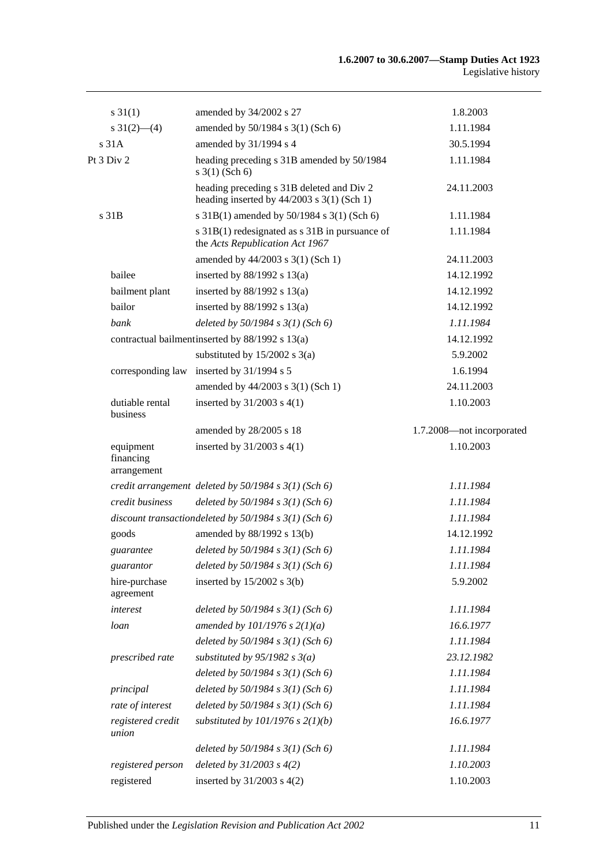| $s \, 31(1)$                          | amended by 34/2002 s 27                                                                   | 1.8.2003                  |
|---------------------------------------|-------------------------------------------------------------------------------------------|---------------------------|
| $s \frac{31(2)}{6}(4)$                | amended by 50/1984 s 3(1) (Sch 6)                                                         | 1.11.1984                 |
| s 31A                                 | amended by 31/1994 s 4                                                                    | 30.5.1994                 |
| Pt 3 Div 2                            | heading preceding s 31B amended by 50/1984<br>$s \; 3(1)$ (Sch 6)                         | 1.11.1984                 |
|                                       | heading preceding s 31B deleted and Div 2<br>heading inserted by $44/2003$ s 3(1) (Sch 1) | 24.11.2003                |
| s 31B                                 | s $31B(1)$ amended by $50/1984$ s $3(1)$ (Sch 6)                                          | 1.11.1984                 |
|                                       | s 31B(1) redesignated as s 31B in pursuance of<br>the Acts Republication Act 1967         | 1.11.1984                 |
|                                       | amended by 44/2003 s 3(1) (Sch 1)                                                         | 24.11.2003                |
| bailee                                | inserted by $88/1992$ s $13(a)$                                                           | 14.12.1992                |
| bailment plant                        | inserted by $88/1992$ s $13(a)$                                                           | 14.12.1992                |
| bailor                                | inserted by $88/1992$ s $13(a)$                                                           | 14.12.1992                |
| bank                                  | deleted by $50/1984$ s $3(1)$ (Sch 6)                                                     | 1.11.1984                 |
|                                       | contractual bailment inserted by 88/1992 s 13(a)                                          | 14.12.1992                |
|                                       | substituted by $15/2002$ s 3(a)                                                           | 5.9.2002                  |
| corresponding law                     | inserted by 31/1994 s 5                                                                   | 1.6.1994                  |
|                                       | amended by 44/2003 s 3(1) (Sch 1)                                                         | 24.11.2003                |
| dutiable rental<br>business           | inserted by $31/2003$ s $4(1)$                                                            | 1.10.2003                 |
|                                       | amended by 28/2005 s 18                                                                   | 1.7.2008-not incorporated |
| equipment<br>financing<br>arrangement | inserted by $31/2003$ s $4(1)$                                                            | 1.10.2003                 |
|                                       | credit arrangement deleted by $50/1984$ s $3(1)$ (Sch 6)                                  | 1.11.1984                 |
| credit business                       | deleted by $50/1984$ s $3(1)$ (Sch 6)                                                     | 1.11.1984                 |
|                                       | discount transactiondeleted by $50/1984$ s $3(1)$ (Sch 6)                                 | 1.11.1984                 |
| goods                                 | amended by 88/1992 s 13(b)                                                                | 14.12.1992                |
| guarantee                             | deleted by $50/1984$ s $3(1)$ (Sch 6)                                                     | 1.11.1984                 |
| guarantor                             | deleted by 50/1984 s 3(1) (Sch 6)                                                         | 1.11.1984                 |
| hire-purchase<br>agreement            | inserted by $15/2002$ s 3(b)                                                              | 5.9.2002                  |
| interest                              | deleted by $50/1984$ s $3(1)$ (Sch 6)                                                     | 1.11.1984                 |
| loan                                  | amended by $101/1976 s 2(1)(a)$                                                           | 16.6.1977                 |
|                                       | deleted by $50/1984$ s $3(1)$ (Sch 6)                                                     | 1.11.1984                 |
| prescribed rate                       | substituted by $95/1982$ s $3(a)$                                                         | 23.12.1982                |
|                                       | deleted by $50/1984 s 3(1)$ (Sch 6)                                                       | 1.11.1984                 |
| principal                             | deleted by $50/1984$ s $3(1)$ (Sch 6)                                                     | 1.11.1984                 |
| rate of interest                      | deleted by 50/1984 s 3(1) (Sch 6)                                                         | 1.11.1984                 |
| registered credit<br>union            | substituted by $101/1976$ s $2(1)(b)$                                                     | 16.6.1977                 |
|                                       | deleted by $50/1984$ s $3(1)$ (Sch 6)                                                     | 1.11.1984                 |
| registered person                     | deleted by $31/2003$ s $4(2)$                                                             | 1.10.2003                 |
| registered                            | inserted by $31/2003$ s $4(2)$                                                            | 1.10.2003                 |
|                                       |                                                                                           |                           |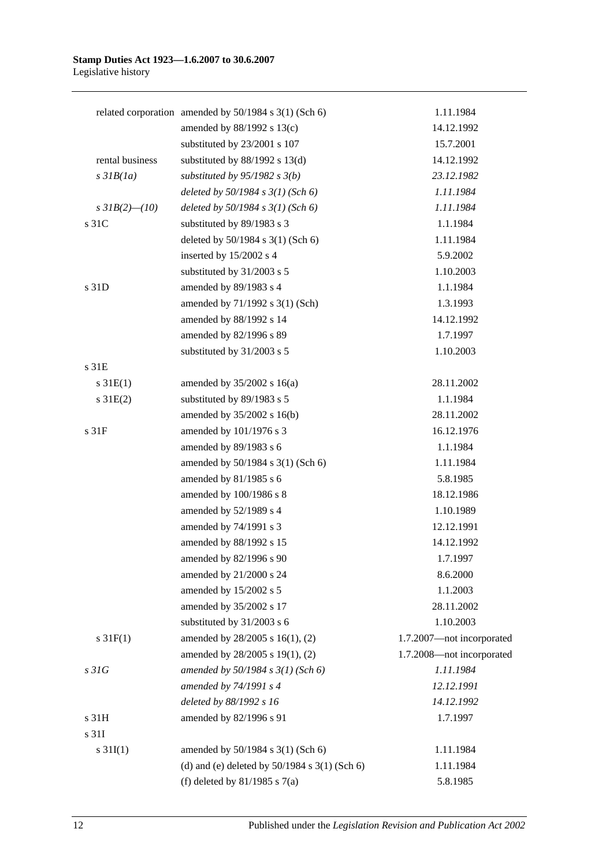|                     | related corporation amended by 50/1984 s 3(1) (Sch 6) | 1.11.1984                 |
|---------------------|-------------------------------------------------------|---------------------------|
|                     | amended by 88/1992 s 13(c)                            | 14.12.1992                |
|                     | substituted by 23/2001 s 107                          | 15.7.2001                 |
| rental business     | substituted by $88/1992$ s $13(d)$                    | 14.12.1992                |
| $s$ 31 $B(1a)$      | substituted by $95/1982$ s $3(b)$                     | 23.12.1982                |
|                     | deleted by $50/1984$ s $3(1)$ (Sch 6)                 | 1.11.1984                 |
| s $3IB(2)$ - $(10)$ | deleted by $50/1984$ s $3(1)$ (Sch 6)                 | 1.11.1984                 |
| s 31C               | substituted by 89/1983 s 3                            | 1.1.1984                  |
|                     | deleted by 50/1984 s 3(1) (Sch 6)                     | 1.11.1984                 |
|                     | inserted by 15/2002 s 4                               | 5.9.2002                  |
|                     | substituted by 31/2003 s 5                            | 1.10.2003                 |
| s 31D               | amended by 89/1983 s 4                                | 1.1.1984                  |
|                     | amended by 71/1992 s 3(1) (Sch)                       | 1.3.1993                  |
|                     | amended by 88/1992 s 14                               | 14.12.1992                |
|                     | amended by 82/1996 s 89                               | 1.7.1997                  |
|                     | substituted by 31/2003 s 5                            | 1.10.2003                 |
| s 31E               |                                                       |                           |
| $s \, 31E(1)$       | amended by $35/2002$ s 16(a)                          | 28.11.2002                |
| $s \, 31E(2)$       | substituted by 89/1983 s 5                            | 1.1.1984                  |
|                     | amended by 35/2002 s 16(b)                            | 28.11.2002                |
| s 31F               | amended by 101/1976 s 3                               | 16.12.1976                |
|                     | amended by 89/1983 s 6                                | 1.1.1984                  |
|                     | amended by 50/1984 s 3(1) (Sch 6)                     | 1.11.1984                 |
|                     | amended by 81/1985 s 6                                | 5.8.1985                  |
|                     | amended by 100/1986 s 8                               | 18.12.1986                |
|                     | amended by 52/1989 s 4                                | 1.10.1989                 |
|                     | amended by 74/1991 s 3                                | 12.12.1991                |
|                     | amended by 88/1992 s 15                               | 14.12.1992                |
|                     | amended by 82/1996 s 90                               | 1.7.1997                  |
|                     | amended by 21/2000 s 24                               | 8.6.2000                  |
|                     | amended by 15/2002 s 5                                | 1.1.2003                  |
|                     | amended by 35/2002 s 17                               | 28.11.2002                |
|                     | substituted by 31/2003 s 6                            | 1.10.2003                 |
| $s \, 31F(1)$       | amended by 28/2005 s 16(1), (2)                       | 1.7.2007-not incorporated |
|                     | amended by 28/2005 s 19(1), (2)                       | 1.7.2008-not incorporated |
| s31G                | amended by 50/1984 s 3(1) (Sch 6)                     | 1.11.1984                 |
|                     | amended by 74/1991 s 4                                | 12.12.1991                |
|                     | deleted by 88/1992 s 16                               | 14.12.1992                |
| s 31H               | amended by 82/1996 s 91                               | 1.7.1997                  |
| s 31I               |                                                       |                           |
| s $31I(1)$          | amended by 50/1984 s 3(1) (Sch 6)                     | 1.11.1984                 |
|                     | (d) and (e) deleted by $50/1984$ s $3(1)$ (Sch 6)     | 1.11.1984                 |
|                     | (f) deleted by $81/1985$ s $7(a)$                     | 5.8.1985                  |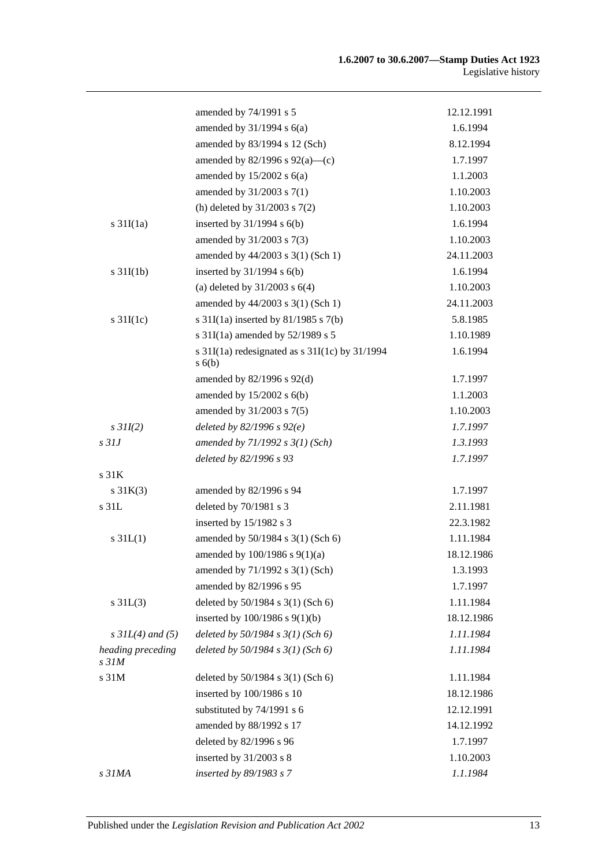|                                       | amended by 74/1991 s 5                                       | 12.12.1991 |
|---------------------------------------|--------------------------------------------------------------|------------|
|                                       | amended by $31/1994$ s $6(a)$                                | 1.6.1994   |
|                                       | amended by 83/1994 s 12 (Sch)                                | 8.12.1994  |
|                                       | amended by $82/1996$ s $92(a)$ —(c)                          | 1.7.1997   |
|                                       | amended by $15/2002$ s $6(a)$                                | 1.1.2003   |
|                                       | amended by 31/2003 s 7(1)                                    | 1.10.2003  |
|                                       | (h) deleted by $31/2003$ s $7(2)$                            | 1.10.2003  |
| s $31I(1a)$                           | inserted by $31/1994$ s $6(b)$                               | 1.6.1994   |
|                                       | amended by $31/2003$ s $7(3)$                                | 1.10.2003  |
|                                       | amended by 44/2003 s 3(1) (Sch 1)                            | 24.11.2003 |
| $s \frac{31I(1b)}{2}$                 | inserted by $31/1994$ s $6(b)$                               | 1.6.1994   |
|                                       | (a) deleted by $31/2003$ s $6(4)$                            | 1.10.2003  |
|                                       | amended by 44/2003 s 3(1) (Sch 1)                            | 24.11.2003 |
| s $31I(1c)$                           | s $31I(1a)$ inserted by $81/1985$ s $7(b)$                   | 5.8.1985   |
|                                       | s $31I(1a)$ amended by $52/1989$ s 5                         | 1.10.1989  |
|                                       | s $31I(1a)$ redesignated as s $31I(1c)$ by $31/1994$<br>s(6) | 1.6.1994   |
|                                       | amended by 82/1996 s 92(d)                                   | 1.7.1997   |
|                                       | amended by $15/2002$ s $6(b)$                                | 1.1.2003   |
|                                       | amended by 31/2003 s 7(5)                                    | 1.10.2003  |
| $s$ 31I(2)                            | deleted by $82/1996 s 92(e)$                                 | 1.7.1997   |
| s <sub>31J</sub>                      | amended by $71/1992 s 3(1)$ (Sch)                            | 1.3.1993   |
|                                       | deleted by 82/1996 s 93                                      | 1.7.1997   |
| s 31K                                 |                                                              |            |
| $s \, 31K(3)$                         | amended by 82/1996 s 94                                      | 1.7.1997   |
| s 31L                                 | deleted by 70/1981 s 3                                       | 2.11.1981  |
|                                       | inserted by 15/1982 s 3                                      | 22.3.1982  |
| s 31L(1)                              | amended by 50/1984 s 3(1) (Sch 6)                            | 1.11.1984  |
|                                       | amended by 100/1986 s 9(1)(a)                                | 18.12.1986 |
|                                       | amended by 71/1992 s 3(1) (Sch)                              | 1.3.1993   |
|                                       | amended by 82/1996 s 95                                      | 1.7.1997   |
| $s \, 31L(3)$                         | deleted by 50/1984 s 3(1) (Sch 6)                            | 1.11.1984  |
|                                       | inserted by $100/1986$ s $9(1)(b)$                           | 18.12.1986 |
| $s$ 31L(4) and (5)                    | deleted by $50/1984$ s $3(1)$ (Sch 6)                        | 1.11.1984  |
| heading preceding<br>s <sub>31M</sub> | deleted by $50/1984$ s $3(1)$ (Sch 6)                        | 1.11.1984  |
| s 31M                                 | deleted by $50/1984$ s $3(1)$ (Sch 6)                        | 1.11.1984  |
|                                       | inserted by 100/1986 s 10                                    | 18.12.1986 |
|                                       | substituted by 74/1991 s 6                                   | 12.12.1991 |
|                                       | amended by 88/1992 s 17                                      | 14.12.1992 |
|                                       | deleted by 82/1996 s 96                                      | 1.7.1997   |
|                                       | inserted by 31/2003 s 8                                      | 1.10.2003  |
| s 31MA                                | inserted by 89/1983 s 7                                      | 1.1.1984   |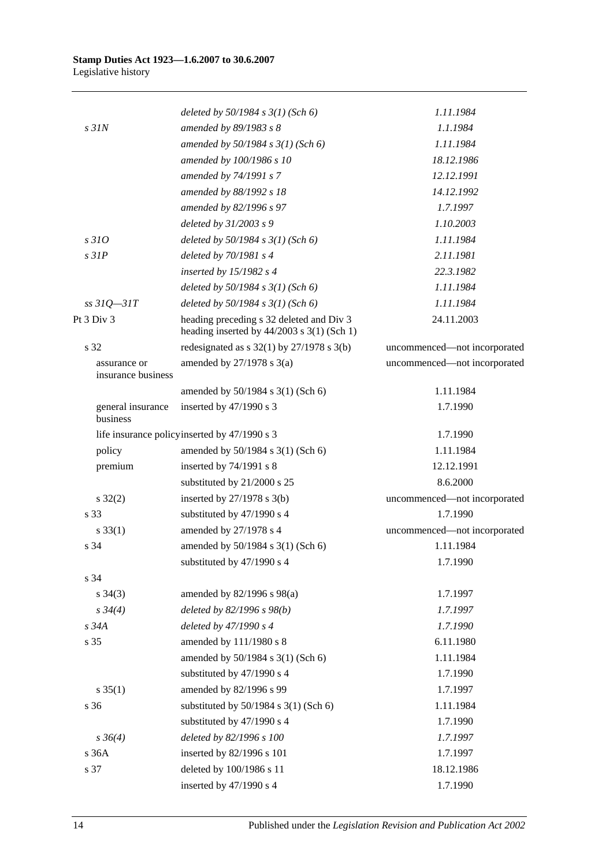|                                    | deleted by $50/1984$ s $3(1)$ (Sch 6)                                                    | 1.11.1984                    |
|------------------------------------|------------------------------------------------------------------------------------------|------------------------------|
| $s$ 31 $N$                         | amended by 89/1983 s 8                                                                   | 1.1.1984                     |
|                                    | amended by $50/1984 s 3(1)$ (Sch 6)                                                      | 1.11.1984                    |
|                                    | amended by 100/1986 s 10                                                                 | 18.12.1986                   |
|                                    | amended by 74/1991 s 7                                                                   | 12.12.1991                   |
|                                    | amended by 88/1992 s 18                                                                  | 14.12.1992                   |
|                                    | amended by 82/1996 s 97                                                                  | 1.7.1997                     |
|                                    | deleted by 31/2003 s 9                                                                   | 1.10.2003                    |
| s310                               | deleted by $50/1984$ s $3(1)$ (Sch 6)                                                    | 1.11.1984                    |
| $s$ 31 $P$                         | deleted by $70/1981 s4$                                                                  | 2.11.1981                    |
|                                    | inserted by $15/1982$ s 4                                                                | 22.3.1982                    |
|                                    | deleted by $50/1984$ s $3(1)$ (Sch 6)                                                    | 1.11.1984                    |
| $ss31Q - 31T$                      | deleted by $50/1984 s 3(1)$ (Sch 6)                                                      | 1.11.1984                    |
| Pt 3 Div 3                         | heading preceding s 32 deleted and Div 3<br>heading inserted by $44/2003$ s 3(1) (Sch 1) | 24.11.2003                   |
| s 32                               | redesignated as $s$ 32(1) by 27/1978 $s$ 3(b)                                            | uncommenced-not incorporated |
| assurance or<br>insurance business | amended by $27/1978$ s $3(a)$                                                            | uncommenced-not incorporated |
|                                    | amended by 50/1984 s 3(1) (Sch 6)                                                        | 1.11.1984                    |
| general insurance<br>business      | inserted by 47/1990 s 3                                                                  | 1.7.1990                     |
|                                    | life insurance policy inserted by 47/1990 s 3                                            | 1.7.1990                     |
| policy                             | amended by 50/1984 s 3(1) (Sch 6)                                                        | 1.11.1984                    |
| premium                            | inserted by 74/1991 s 8                                                                  | 12.12.1991                   |
|                                    | substituted by 21/2000 s 25                                                              | 8.6.2000                     |
| $s \, 32(2)$                       | inserted by $27/1978$ s 3(b)                                                             | uncommenced-not incorporated |
| s 33                               | substituted by 47/1990 s 4                                                               | 1.7.1990                     |
| $s \, 33(1)$                       | amended by 27/1978 s 4                                                                   | uncommenced-not incorporated |
| s 34                               | amended by 50/1984 s 3(1) (Sch 6)                                                        | 1.11.1984                    |
|                                    | substituted by 47/1990 s 4                                                               | 1.7.1990                     |
| s 34                               |                                                                                          |                              |
| $s \; 34(3)$                       | amended by $82/1996$ s $98(a)$                                                           | 1.7.1997                     |
| $s \, 34(4)$                       | deleted by 82/1996 s 98(b)                                                               | 1.7.1997                     |
| s 34A                              | deleted by 47/1990 s 4                                                                   | 1.7.1990                     |
| s 35                               | amended by 111/1980 s 8                                                                  | 6.11.1980                    |
|                                    | amended by 50/1984 s 3(1) (Sch 6)                                                        | 1.11.1984                    |
|                                    | substituted by 47/1990 s 4                                                               | 1.7.1990                     |
| $s \; 35(1)$                       | amended by 82/1996 s 99                                                                  | 1.7.1997                     |
| s 36                               | substituted by $50/1984$ s $3(1)$ (Sch 6)                                                | 1.11.1984                    |
|                                    | substituted by 47/1990 s 4                                                               | 1.7.1990                     |
| $s \, 36(4)$                       | deleted by 82/1996 s 100                                                                 | 1.7.1997                     |
| s 36A                              | inserted by 82/1996 s 101                                                                | 1.7.1997                     |
| s 37                               | deleted by 100/1986 s 11                                                                 | 18.12.1986                   |
|                                    | inserted by 47/1990 s 4                                                                  | 1.7.1990                     |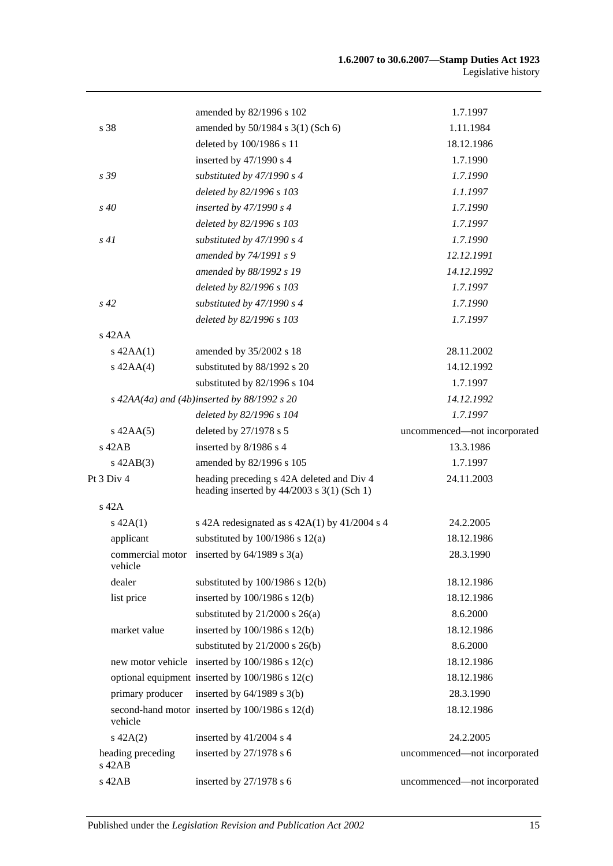|                                  | amended by 82/1996 s 102                                                                  | 1.7.1997                     |
|----------------------------------|-------------------------------------------------------------------------------------------|------------------------------|
| s 38                             | amended by 50/1984 s 3(1) (Sch 6)                                                         | 1.11.1984                    |
|                                  | deleted by 100/1986 s 11                                                                  | 18.12.1986                   |
|                                  | inserted by 47/1990 s 4                                                                   | 1.7.1990                     |
| s 39                             | substituted by $47/1990 s 4$                                                              | 1.7.1990                     |
|                                  | deleted by 82/1996 s 103                                                                  | 1.1.1997                     |
| $s\,40$                          | inserted by $47/1990 s 4$                                                                 | 1.7.1990                     |
|                                  | deleted by 82/1996 s 103                                                                  | 1.7.1997                     |
| s41                              | substituted by $47/1990 s 4$                                                              | 1.7.1990                     |
|                                  | amended by 74/1991 s 9                                                                    | 12.12.1991                   |
|                                  | amended by 88/1992 s 19                                                                   | 14.12.1992                   |
|                                  | deleted by 82/1996 s 103                                                                  | 1.7.1997                     |
| $s\,42$                          | substituted by $47/1990 s 4$                                                              | 1.7.1990                     |
|                                  | deleted by 82/1996 s 103                                                                  | 1.7.1997                     |
| $s$ 42AA                         |                                                                                           |                              |
| $s$ 42AA $(1)$                   | amended by 35/2002 s 18                                                                   | 28.11.2002                   |
| $s$ 42AA $(4)$                   | substituted by 88/1992 s 20                                                               | 14.12.1992                   |
|                                  | substituted by 82/1996 s 104                                                              | 1.7.1997                     |
|                                  | $s$ 42AA(4a) and (4b)inserted by 88/1992 s 20                                             | 14.12.1992                   |
|                                  | deleted by 82/1996 s 104                                                                  | 1.7.1997                     |
| $s$ 42AA $(5)$                   | deleted by 27/1978 s 5                                                                    | uncommenced-not incorporated |
| $s$ 42AB                         | inserted by 8/1986 s 4                                                                    | 13.3.1986                    |
| $s\ 42AB(3)$                     | amended by 82/1996 s 105                                                                  | 1.7.1997                     |
| Pt 3 Div 4                       | heading preceding s 42A deleted and Div 4<br>heading inserted by $44/2003$ s 3(1) (Sch 1) | 24.11.2003                   |
| $s$ 42A                          |                                                                                           |                              |
| $s\ 42A(1)$                      | s 42A redesignated as $s$ 42A(1) by 41/2004 s 4                                           | 24.2.2005                    |
| applicant                        | substituted by $100/1986$ s $12(a)$                                                       | 18.12.1986                   |
| vehicle                          | commercial motor inserted by $64/1989$ s $3(a)$                                           | 28.3.1990                    |
| dealer                           | substituted by $100/1986$ s $12(b)$                                                       | 18.12.1986                   |
| list price                       | inserted by 100/1986 s 12(b)                                                              | 18.12.1986                   |
|                                  | substituted by $21/2000$ s $26(a)$                                                        | 8.6.2000                     |
| market value                     | inserted by 100/1986 s 12(b)                                                              | 18.12.1986                   |
|                                  | substituted by $21/2000$ s $26(b)$                                                        | 8.6.2000                     |
|                                  | new motor vehicle inserted by 100/1986 s 12(c)                                            | 18.12.1986                   |
|                                  | optional equipment inserted by 100/1986 s 12(c)                                           | 18.12.1986                   |
| primary producer                 | inserted by $64/1989$ s $3(b)$                                                            | 28.3.1990                    |
| vehicle                          | second-hand motor inserted by 100/1986 s 12(d)                                            | 18.12.1986                   |
| $s\ 42A(2)$                      | inserted by 41/2004 s 4                                                                   | 24.2.2005                    |
| heading preceding<br>$s$ 42 $AB$ | inserted by 27/1978 s 6                                                                   | uncommenced-not incorporated |
| s 42AB                           | inserted by 27/1978 s 6                                                                   | uncommenced-not incorporated |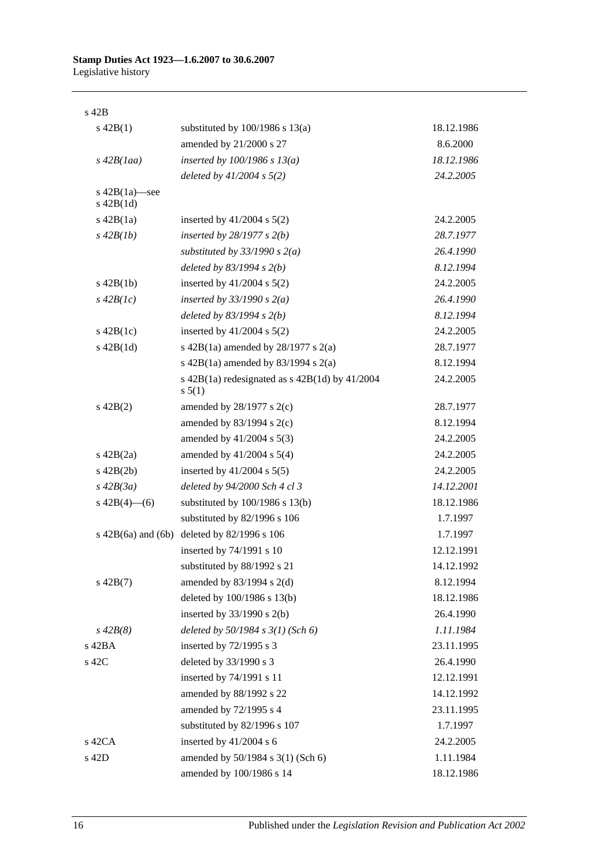## s 42B s 42B(1) substituted by 100/1986 s 13(a) 18.12.1986 amended by 21/2000 s 27 8.6.2000 *s 42B(1aa) inserted by 100/1986 s 13(a) 18.12.1986 deleted by 41/2004 s 5(2) 24.2.2005* s 42B(1a)—see s 42B(1d) s 42B(1a) inserted by 41/2004 s 5(2) 24.2.2005 *s 42B(1b) inserted by 28/1977 s 2(b) 28.7.1977 substituted by 33/1990 s 2(a) 26.4.1990 deleted by 83/1994 s 2(b) 8.12.1994* s 42B(1b) inserted by 41/2004 s 5(2) 24.2.2005 *s 42B(1c) inserted by 33/1990 s 2(a) 26.4.1990 deleted by 83/1994 s 2(b) 8.12.1994* s 42B(1c) inserted by 41/2004 s 5(2) 24.2.2005 s 42B(1d) s 42B(1a) amended by 28/1977 s 2(a) 28.7.1977 s  $42B(1a)$  amended by  $83/1994$  s  $2(a)$  8.12.1994 s 42B(1a) redesignated as s 42B(1d) by 41/2004  $s 5(1)$ 24.2.2005 s 42B(2) amended by 28/1977 s 2(c) 28.7.1977 amended by 83/1994 s 2(c) 8.12.1994 amended by 41/2004 s 5(3) 24.2.2005 s 42B(2a) amended by 41/2004 s 5(4) 24.2.2005 s 42B(2b) inserted by 41/2004 s 5(5) 24.2.2005 *s 42B(3a) deleted by 94/2000 Sch 4 cl 3 14.12.2001* s 42B(4)—(6) substituted by 100/1986 s 13(b) 18.12.1986 substituted by 82/1996 s 106 1.7.1997 s 42B(6a) and (6b) deleted by 82/1996 s 106 1.7.1997 inserted by 74/1991 s 10 12.12.1991 substituted by 88/1992 s 21 14.12.1992 s 42B(7) amended by 83/1994 s 2(d) 8.12.1994 deleted by 100/1986 s 13(b) 18.12.1986 inserted by 33/1990 s 2(b) 26.4.1990 *s 42B(8) deleted by 50/1984 s 3(1) (Sch 6) 1.11.1984* s 42BA inserted by 72/1995 s 3 23.11.1995 s 42C deleted by 33/1990 s 3 26.4.1990 inserted by 74/1991 s 11 12.12.1991 amended by 88/1992 s 22 14.12.1992 amended by 72/1995 s 4 23.11.1995 substituted by 82/1996 s 107 1.7.1997 s 42CA inserted by 41/2004 s 6 24.2.2005 s 42D amended by 50/1984 s 3(1) (Sch 6) 1.11.1984

amended by 100/1986 s 14 18.12.1986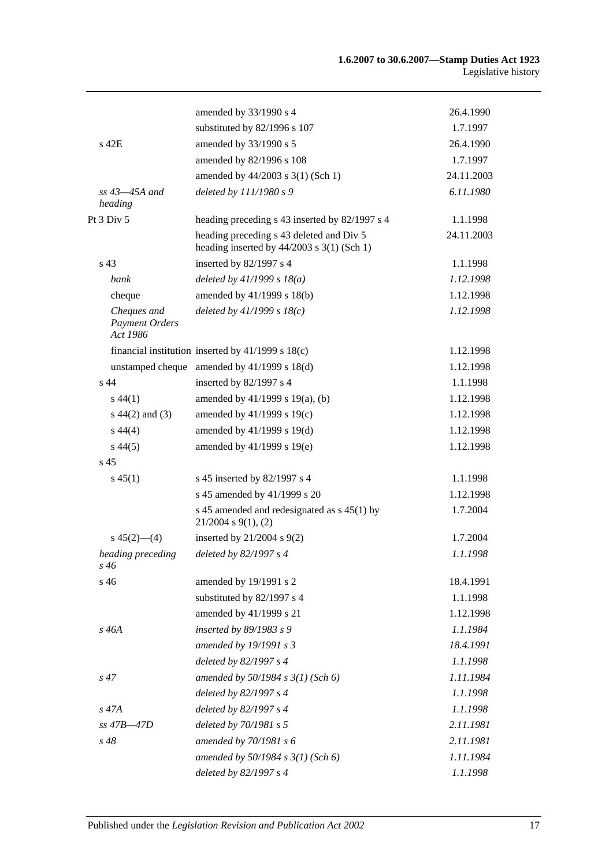|                                                  | amended by 33/1990 s 4                                                                   | 26.4.1990  |
|--------------------------------------------------|------------------------------------------------------------------------------------------|------------|
|                                                  | substituted by 82/1996 s 107                                                             | 1.7.1997   |
| $s$ 42 $E$                                       | amended by 33/1990 s 5                                                                   | 26.4.1990  |
|                                                  | amended by 82/1996 s 108                                                                 | 1.7.1997   |
|                                                  | amended by 44/2003 s 3(1) (Sch 1)                                                        | 24.11.2003 |
| ss 43-45A and<br>heading                         | deleted by 111/1980 s 9                                                                  | 6.11.1980  |
| Pt $3$ Div $5$                                   | heading preceding s 43 inserted by 82/1997 s 4                                           | 1.1.1998   |
|                                                  | heading preceding s 43 deleted and Div 5<br>heading inserted by $44/2003$ s 3(1) (Sch 1) | 24.11.2003 |
| s <sub>43</sub>                                  | inserted by 82/1997 s 4                                                                  | 1.1.1998   |
| bank                                             | deleted by $41/1999 s 18(a)$                                                             | 1.12.1998  |
| cheque                                           | amended by 41/1999 s 18(b)                                                               | 1.12.1998  |
| Cheques and<br><b>Payment Orders</b><br>Act 1986 | deleted by $41/1999 s 18(c)$                                                             | 1.12.1998  |
|                                                  | financial institution inserted by $41/1999$ s $18(c)$                                    | 1.12.1998  |
|                                                  | unstamped cheque amended by 41/1999 s 18(d)                                              | 1.12.1998  |
| s <sub>44</sub>                                  | inserted by 82/1997 s 4                                                                  | 1.1.1998   |
| $s\,44(1)$                                       | amended by 41/1999 s 19(a), (b)                                                          | 1.12.1998  |
| $s\ 44(2)$ and (3)                               | amended by 41/1999 s 19(c)                                                               | 1.12.1998  |
| $s\,44(4)$                                       | amended by $41/1999$ s $19(d)$                                                           | 1.12.1998  |
| $s\,44(5)$                                       | amended by 41/1999 s 19(e)                                                               | 1.12.1998  |
| s <sub>45</sub>                                  |                                                                                          |            |
| $s\,45(1)$                                       | s 45 inserted by 82/1997 s 4                                                             | 1.1.1998   |
|                                                  | s 45 amended by 41/1999 s 20                                                             | 1.12.1998  |
|                                                  | s 45 amended and redesignated as s 45(1) by<br>$21/2004$ s $9(1)$ , (2)                  | 1.7.2004   |
| $s\,45(2)$ (4)                                   | inserted by $21/2004$ s $9(2)$                                                           | 1.7.2004   |
| heading preceding<br>s 46                        | deleted by 82/1997 s 4                                                                   | 1.1.1998   |
| s 46                                             | amended by 19/1991 s 2                                                                   | 18.4.1991  |
|                                                  | substituted by 82/1997 s 4                                                               | 1.1.1998   |
|                                                  | amended by 41/1999 s 21                                                                  | 1.12.1998  |
| $s\,46A$                                         | inserted by 89/1983 s 9                                                                  | 1.1.1984   |
|                                                  | amended by 19/1991 s 3                                                                   | 18.4.1991  |
|                                                  | deleted by 82/1997 s 4                                                                   | 1.1.1998   |
| $s\,47$                                          | amended by $50/1984$ s $3(1)$ (Sch 6)                                                    | 1.11.1984  |
|                                                  | deleted by 82/1997 s 4                                                                   | 1.1.1998   |
| $s\,47A$                                         | deleted by 82/1997 s 4                                                                   | 1.1.1998   |
| $ss$ 47B $-47D$                                  | deleted by 70/1981 s 5                                                                   | 2.11.1981  |
| $s\,48$                                          | amended by 70/1981 s 6                                                                   | 2.11.1981  |
|                                                  | amended by $50/1984$ s $3(1)$ (Sch 6)                                                    | 1.11.1984  |
|                                                  | deleted by 82/1997 s 4                                                                   | 1.1.1998   |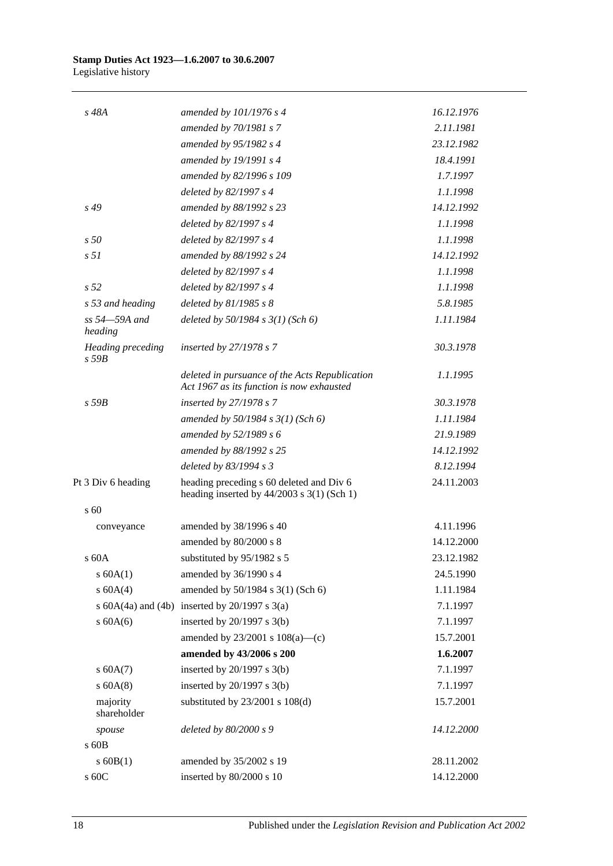| s 48A                           | amended by $101/1976$ s 4                                                                   | 16.12.1976 |
|---------------------------------|---------------------------------------------------------------------------------------------|------------|
|                                 | amended by 70/1981 s 7                                                                      | 2.11.1981  |
|                                 | amended by 95/1982 s 4                                                                      | 23.12.1982 |
|                                 | amended by 19/1991 s 4                                                                      | 18.4.1991  |
|                                 | amended by 82/1996 s 109                                                                    | 1.7.1997   |
|                                 | deleted by 82/1997 s 4                                                                      | 1.1.1998   |
| s 49                            | amended by 88/1992 s 23                                                                     | 14.12.1992 |
|                                 | deleted by 82/1997 s 4                                                                      | 1.1.1998   |
| s50                             | deleted by 82/1997 s 4                                                                      | 1.1.1998   |
| s <sub>51</sub>                 | amended by 88/1992 s 24                                                                     | 14.12.1992 |
|                                 | deleted by 82/1997 s 4                                                                      | 1.1.1998   |
| s <sub>52</sub>                 | deleted by 82/1997 s 4                                                                      | 1.1.1998   |
| s 53 and heading                | deleted by $81/1985 s 8$                                                                    | 5.8.1985   |
| ss 54–59A and<br>heading        | deleted by $50/1984$ s $3(1)$ (Sch 6)                                                       | 1.11.1984  |
| Heading preceding<br>$s$ 59 $B$ | inserted by $27/1978 s 7$                                                                   | 30.3.1978  |
|                                 | deleted in pursuance of the Acts Republication<br>Act 1967 as its function is now exhausted | 1.1.1995   |
| $s$ 59 $B$                      | inserted by 27/1978 s 7                                                                     | 30.3.1978  |
|                                 | amended by $50/1984$ s $3(1)$ (Sch 6)                                                       | 1.11.1984  |
|                                 | amended by 52/1989 s 6                                                                      | 21.9.1989  |
|                                 | amended by 88/1992 s 25                                                                     | 14.12.1992 |
|                                 | deleted by 83/1994 s 3                                                                      | 8.12.1994  |
| Pt 3 Div 6 heading              | heading preceding s 60 deleted and Div 6<br>heading inserted by $44/2003$ s 3(1) (Sch 1)    | 24.11.2003 |
| s 60                            |                                                                                             |            |
| conveyance                      | amended by 38/1996 s 40                                                                     | 4.11.1996  |
|                                 | amended by 80/2000 s 8                                                                      | 14.12.2000 |
| s 60A                           | substituted by 95/1982 s 5                                                                  | 23.12.1982 |
| s 60A(1)                        | amended by 36/1990 s 4                                                                      | 24.5.1990  |
| s 60A(4)                        | amended by 50/1984 s 3(1) (Sch 6)                                                           | 1.11.1984  |
|                                 | s $60A(4a)$ and $(4b)$ inserted by $20/1997$ s $3(a)$                                       | 7.1.1997   |
| $s$ 60A(6)                      | inserted by 20/1997 s 3(b)                                                                  | 7.1.1997   |
|                                 | amended by $23/2001$ s $108(a)$ —(c)                                                        | 15.7.2001  |
|                                 | amended by 43/2006 s 200                                                                    | 1.6.2007   |
| s 60A(7)                        | inserted by $20/1997$ s $3(b)$                                                              | 7.1.1997   |
| $s$ 60A(8)                      | inserted by $20/1997$ s $3(b)$                                                              | 7.1.1997   |
| majority<br>shareholder         | substituted by $23/2001$ s $108(d)$                                                         | 15.7.2001  |
| spouse                          | deleted by 80/2000 s 9                                                                      | 14.12.2000 |
| s 60B                           |                                                                                             |            |
| $s$ 60B(1)                      | amended by 35/2002 s 19                                                                     | 28.11.2002 |
| s 60C                           | inserted by 80/2000 s 10                                                                    | 14.12.2000 |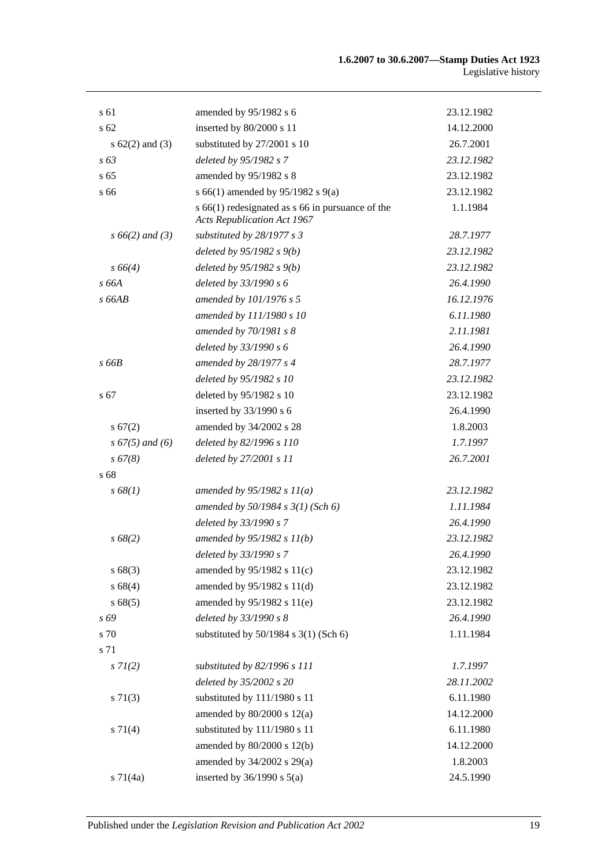| s 61                | amended by 95/1982 s 6                                                                     | 23.12.1982 |
|---------------------|--------------------------------------------------------------------------------------------|------------|
| s 62                | inserted by 80/2000 s 11                                                                   | 14.12.2000 |
| s $62(2)$ and $(3)$ | substituted by 27/2001 s 10                                                                | 26.7.2001  |
| $s\,63$             | deleted by 95/1982 s 7                                                                     | 23.12.1982 |
| s <sub>65</sub>     | amended by 95/1982 s 8                                                                     | 23.12.1982 |
| s 66                | s 66(1) amended by 95/1982 s 9(a)                                                          | 23.12.1982 |
|                     | $s$ 66(1) redesignated as $s$ 66 in pursuance of the<br><b>Acts Republication Act 1967</b> | 1.1.1984   |
| $s\,66(2)$ and (3)  | substituted by 28/1977 s 3                                                                 | 28.7.1977  |
|                     | deleted by $95/1982 s(9)$                                                                  | 23.12.1982 |
| $s\,66(4)$          | deleted by $95/1982 s 9(b)$                                                                | 23.12.1982 |
| s 66A               | deleted by 33/1990 s 6                                                                     | 26.4.1990  |
| s66AB               | amended by 101/1976 s 5                                                                    | 16.12.1976 |
|                     | amended by 111/1980 s 10                                                                   | 6.11.1980  |
|                     | amended by 70/1981 s 8                                                                     | 2.11.1981  |
|                     | deleted by 33/1990 s 6                                                                     | 26.4.1990  |
| $s$ 66 $B$          | amended by 28/1977 s 4                                                                     | 28.7.1977  |
|                     | deleted by 95/1982 s 10                                                                    | 23.12.1982 |
| s 67                | deleted by 95/1982 s 10                                                                    | 23.12.1982 |
|                     | inserted by 33/1990 s 6                                                                    | 26.4.1990  |
| $s \, 67(2)$        | amended by 34/2002 s 28                                                                    | 1.8.2003   |
| $s\,67(5)$ and (6)  | deleted by 82/1996 s 110                                                                   | 1.7.1997   |
| $s\,67(8)$          | deleted by 27/2001 s 11                                                                    | 26.7.2001  |
| s 68                |                                                                                            |            |
| s 68(1)             | amended by $95/1982 s 11(a)$                                                               | 23.12.1982 |
|                     | amended by $50/1984$ s $3(1)$ (Sch 6)                                                      | 1.11.1984  |
|                     | deleted by 33/1990 s 7                                                                     | 26.4.1990  |
| $s\,68(2)$          | amended by 95/1982 s 11(b)                                                                 | 23.12.1982 |
|                     | deleted by 33/1990 s 7                                                                     | 26.4.1990  |
| s 68(3)             | amended by 95/1982 s 11(c)                                                                 | 23.12.1982 |
| s68(4)              | amended by 95/1982 s 11(d)                                                                 | 23.12.1982 |
| s68(5)              | amended by 95/1982 s 11(e)                                                                 | 23.12.1982 |
| s 69                | deleted by 33/1990 s 8                                                                     | 26.4.1990  |
| s 70                | substituted by $50/1984$ s $3(1)$ (Sch 6)                                                  | 1.11.1984  |
| s 71                |                                                                                            |            |
| $s \, 7I(2)$        | substituted by 82/1996 s 111                                                               | 1.7.1997   |
|                     | deleted by 35/2002 s 20                                                                    | 28.11.2002 |
| $s \, 71(3)$        | substituted by 111/1980 s 11                                                               | 6.11.1980  |
|                     | amended by $80/2000$ s $12(a)$                                                             | 14.12.2000 |
| $s \, 71(4)$        | substituted by 111/1980 s 11                                                               | 6.11.1980  |
|                     | amended by 80/2000 s 12(b)                                                                 | 14.12.2000 |
|                     | amended by 34/2002 s 29(a)                                                                 | 1.8.2003   |
| $s \, 71(4a)$       | inserted by $36/1990$ s $5(a)$                                                             | 24.5.1990  |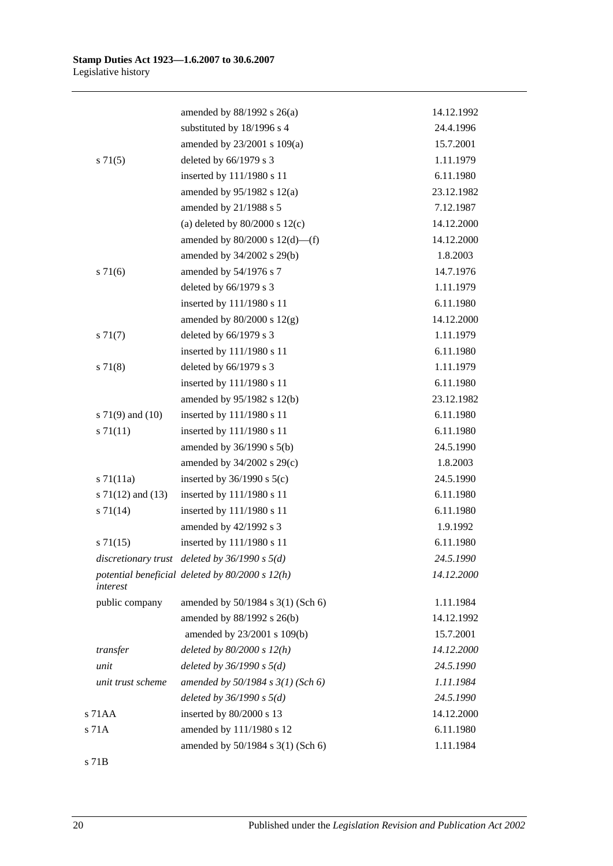|                            | amended by $88/1992$ s $26(a)$                    | 14.12.1992 |
|----------------------------|---------------------------------------------------|------------|
|                            | substituted by 18/1996 s 4                        | 24.4.1996  |
|                            | amended by 23/2001 s 109(a)                       | 15.7.2001  |
| $s \, 71(5)$               | deleted by 66/1979 s 3                            | 1.11.1979  |
|                            | inserted by 111/1980 s 11                         | 6.11.1980  |
|                            | amended by 95/1982 s 12(a)                        | 23.12.1982 |
|                            | amended by 21/1988 s 5                            | 7.12.1987  |
|                            | (a) deleted by $80/2000$ s $12(c)$                | 14.12.2000 |
|                            | amended by $80/2000$ s $12(d)$ —(f)               | 14.12.2000 |
|                            | amended by 34/2002 s 29(b)                        | 1.8.2003   |
| $s \, 71(6)$               | amended by 54/1976 s 7                            | 14.7.1976  |
|                            | deleted by 66/1979 s 3                            | 1.11.1979  |
|                            | inserted by 111/1980 s 11                         | 6.11.1980  |
|                            | amended by $80/2000$ s $12(g)$                    | 14.12.2000 |
| $s \, 71(7)$               | deleted by 66/1979 s 3                            | 1.11.1979  |
|                            | inserted by 111/1980 s 11                         | 6.11.1980  |
| $s \, 71(8)$               | deleted by 66/1979 s 3                            | 1.11.1979  |
|                            | inserted by 111/1980 s 11                         | 6.11.1980  |
|                            | amended by 95/1982 s 12(b)                        | 23.12.1982 |
| s $71(9)$ and $(10)$       | inserted by 111/1980 s 11                         | 6.11.1980  |
| $s \, 71(11)$              | inserted by 111/1980 s 11                         | 6.11.1980  |
|                            | amended by $36/1990$ s $5(b)$                     | 24.5.1990  |
|                            | amended by $34/2002$ s $29(c)$                    | 1.8.2003   |
| $s \, 71(11a)$             | inserted by $36/1990$ s $5(c)$                    | 24.5.1990  |
| s $71(12)$ and $(13)$      | inserted by 111/1980 s 11                         | 6.11.1980  |
| $s \, 71(14)$              | inserted by 111/1980 s 11                         | 6.11.1980  |
|                            | amended by 42/1992 s 3                            | 1.9.1992   |
| $s \, 71(15)$              | inserted by 111/1980 s 11                         | 6.11.1980  |
| <i>discretionary trust</i> | deleted by $36/1990 s 5(d)$                       | 24.5.1990  |
| interest                   | potential beneficial deleted by $80/2000 s 12(h)$ | 14.12.2000 |
| public company             | amended by 50/1984 s 3(1) (Sch 6)                 | 1.11.1984  |
|                            | amended by 88/1992 s 26(b)                        | 14.12.1992 |
|                            | amended by 23/2001 s 109(b)                       | 15.7.2001  |
| transfer                   | deleted by $80/2000 s 12(h)$                      | 14.12.2000 |
| unit                       | deleted by $36/1990 s 5(d)$                       | 24.5.1990  |
| unit trust scheme          | amended by 50/1984 s 3(1) (Sch 6)                 | 1.11.1984  |
|                            | deleted by $36/1990 s 5(d)$                       | 24.5.1990  |
| s 71AA                     | inserted by 80/2000 s 13                          | 14.12.2000 |
| s 71A                      | amended by 111/1980 s 12                          | 6.11.1980  |
|                            | amended by 50/1984 s 3(1) (Sch 6)                 | 1.11.1984  |
| s 71B                      |                                                   |            |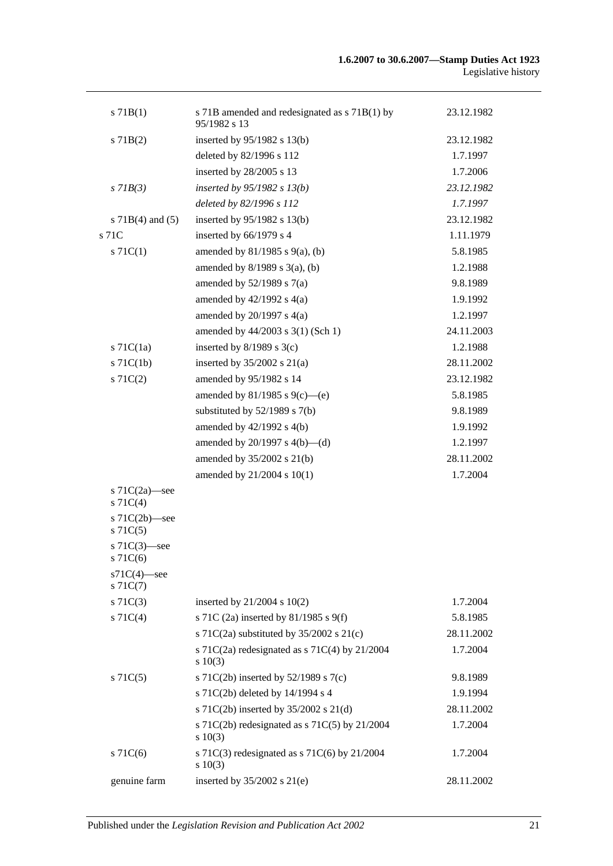| $s$ 71B(1)                        | s 71B amended and redesignated as s 71B(1) by<br>95/1982 s 13 | 23.12.1982 |
|-----------------------------------|---------------------------------------------------------------|------------|
| $s$ 71B(2)                        | inserted by 95/1982 s 13(b)                                   | 23.12.1982 |
|                                   | deleted by 82/1996 s 112                                      | 1.7.1997   |
|                                   | inserted by 28/2005 s 13                                      | 1.7.2006   |
| $s$ 71 $B(3)$                     | inserted by $95/1982$ s $13(b)$                               | 23.12.1982 |
|                                   | deleted by 82/1996 s 112                                      | 1.7.1997   |
| s $71B(4)$ and $(5)$              | inserted by $95/1982$ s 13(b)                                 | 23.12.1982 |
| s 71C                             | inserted by 66/1979 s 4                                       | 1.11.1979  |
| $s \, 71C(1)$                     | amended by $81/1985$ s $9(a)$ , (b)                           | 5.8.1985   |
|                                   | amended by $8/1989$ s $3(a)$ , (b)                            | 1.2.1988   |
|                                   | amended by $52/1989$ s $7(a)$                                 | 9.8.1989   |
|                                   | amended by $42/1992$ s $4(a)$                                 | 1.9.1992   |
|                                   | amended by $20/1997$ s $4(a)$                                 | 1.2.1997   |
|                                   | amended by 44/2003 s 3(1) (Sch 1)                             | 24.11.2003 |
| $s$ 71C(1a)                       | inserted by $8/1989$ s 3(c)                                   | 1.2.1988   |
| $s \, 71C(1b)$                    | inserted by $35/2002$ s $21(a)$                               | 28.11.2002 |
| $s \, 71C(2)$                     | amended by 95/1982 s 14                                       | 23.12.1982 |
|                                   | amended by 81/1985 s 9(c)—(e)                                 | 5.8.1985   |
|                                   | substituted by $52/1989$ s $7(b)$                             | 9.8.1989   |
|                                   | amended by 42/1992 s 4(b)                                     | 1.9.1992   |
|                                   | amended by $20/1997$ s $4(b)$ —(d)                            | 1.2.1997   |
|                                   | amended by 35/2002 s 21(b)                                    | 28.11.2002 |
|                                   | amended by 21/2004 s 10(1)                                    | 1.7.2004   |
| s $71C(2a)$ —see<br>$s \, 71C(4)$ |                                                               |            |
| s $71C(2b)$ —see<br>$s \, 71C(5)$ |                                                               |            |
| s $71C(3)$ -see<br>$s \, 71C(6)$  |                                                               |            |
| $s71C(4)$ -see<br>$s \, 71C(7)$   |                                                               |            |
| $s \, 71C(3)$                     | inserted by 21/2004 s 10(2)                                   | 1.7.2004   |
| $s \, 71C(4)$                     | s 71C (2a) inserted by 81/1985 s 9(f)                         | 5.8.1985   |
|                                   | s 71C(2a) substituted by $35/2002$ s 21(c)                    | 28.11.2002 |
|                                   | s 71C(2a) redesignated as s 71C(4) by $21/2004$<br>$s\ 10(3)$ | 1.7.2004   |
| $s \, 71C(5)$                     | s 71C(2b) inserted by $52/1989$ s 7(c)                        | 9.8.1989   |
|                                   | s 71C(2b) deleted by 14/1994 s 4                              | 1.9.1994   |
|                                   | s 71C(2b) inserted by 35/2002 s 21(d)                         | 28.11.2002 |
|                                   | s 71C(2b) redesignated as s 71C(5) by $21/2004$<br>$s\ 10(3)$ | 1.7.2004   |
| $s$ 71 $C(6)$                     | s 71C(3) redesignated as s 71C(6) by $21/2004$<br>s 10(3)     | 1.7.2004   |
| genuine farm                      | inserted by 35/2002 s 21(e)                                   | 28.11.2002 |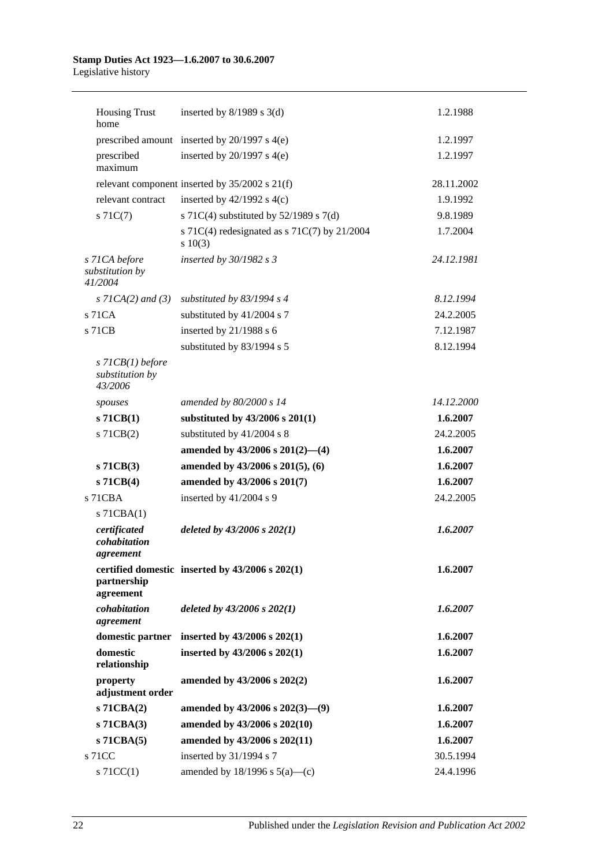| <b>Housing Trust</b><br>home                     | inserted by $8/1989$ s 3(d)                               | 1.2.1988   |
|--------------------------------------------------|-----------------------------------------------------------|------------|
|                                                  | prescribed amount inserted by $20/1997$ s $4(e)$          | 1.2.1997   |
| prescribed<br>maximum                            | inserted by $20/1997$ s $4(e)$                            | 1.2.1997   |
|                                                  | relevant component inserted by 35/2002 s 21(f)            | 28.11.2002 |
| relevant contract                                | inserted by $42/1992$ s $4(c)$                            | 1.9.1992   |
| $s \, 71C(7)$                                    | s 71C(4) substituted by $52/1989$ s 7(d)                  | 9.8.1989   |
|                                                  | s 71C(4) redesignated as s 71C(7) by $21/2004$<br>s 10(3) | 1.7.2004   |
| s 71CA before<br>substitution by<br>41/2004      | inserted by $30/1982$ s 3                                 | 24.12.1981 |
| s $7ICA(2)$ and $(3)$                            | substituted by $83/1994$ s 4                              | 8.12.1994  |
| s 71CA                                           | substituted by 41/2004 s 7                                | 24.2.2005  |
| $s$ 71 $CB$                                      | inserted by 21/1988 s 6                                   | 7.12.1987  |
|                                                  | substituted by 83/1994 s 5                                | 8.12.1994  |
| $s$ 71CB(1) before<br>substitution by<br>43/2006 |                                                           |            |
| spouses                                          | amended by 80/2000 s 14                                   | 14.12.2000 |
| $s$ 71 $CB(1)$                                   | substituted by 43/2006 s 201(1)                           | 1.6.2007   |
| s 71CB(2)                                        | substituted by 41/2004 s 8                                | 24.2.2005  |
|                                                  | amended by $43/2006$ s $201(2)$ —(4)                      | 1.6.2007   |
|                                                  |                                                           |            |
| $s$ 71 $CB(3)$                                   | amended by 43/2006 s 201(5), (6)                          | 1.6.2007   |
| $s$ 71 $CB(4)$                                   | amended by 43/2006 s 201(7)                               | 1.6.2007   |
| s 71CBA                                          | inserted by 41/2004 s 9                                   | 24.2.2005  |
| $s$ 71CBA $(1)$                                  |                                                           |            |
| certificated<br>cohabitation<br>agreement        | deleted by $43/2006$ s $202(1)$                           | 1.6.2007   |
| partnership<br>agreement                         | certified domestic inserted by 43/2006 s 202(1)           | 1.6.2007   |
| cohabitation<br>agreement                        | deleted by $43/2006$ s $202(1)$                           | 1.6.2007   |
| domestic partner                                 | inserted by $43/2006$ s $202(1)$                          | 1.6.2007   |
| domestic<br>relationship                         | inserted by 43/2006 s 202(1)                              | 1.6.2007   |
| property<br>adjustment order                     | amended by 43/2006 s 202(2)                               | 1.6.2007   |
| s 71CBA(2)                                       | amended by 43/2006 s 202(3)-(9)                           | 1.6.2007   |
| $s$ 71 $CBA(3)$                                  | amended by 43/2006 s 202(10)                              | 1.6.2007   |
| $s$ 71 $CBA(5)$                                  | amended by 43/2006 s 202(11)                              | 1.6.2007   |
| s 71CC                                           | inserted by 31/1994 s 7                                   | 30.5.1994  |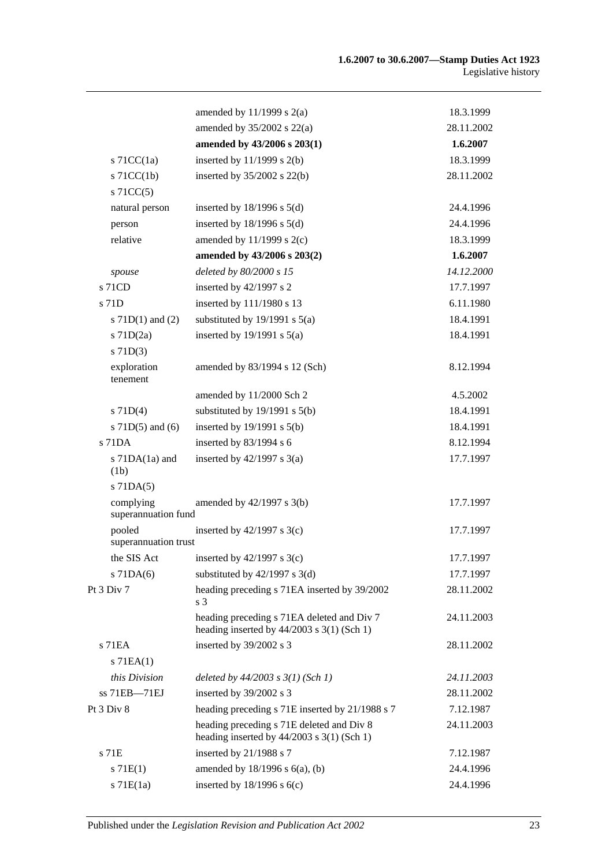|                                  | amended by $11/1999$ s $2(a)$                                                              | 18.3.1999  |
|----------------------------------|--------------------------------------------------------------------------------------------|------------|
|                                  | amended by $35/2002$ s $22(a)$                                                             | 28.11.2002 |
|                                  | amended by 43/2006 s 203(1)                                                                | 1.6.2007   |
| s $71CC(1a)$                     | inserted by $11/1999$ s $2(b)$                                                             | 18.3.1999  |
| $s$ 71CC(1b)                     | inserted by $35/2002$ s $22(b)$                                                            | 28.11.2002 |
| $s$ 71CC(5)                      |                                                                                            |            |
| natural person                   | inserted by $18/1996$ s $5(d)$                                                             | 24.4.1996  |
| person                           | inserted by $18/1996$ s $5(d)$                                                             | 24.4.1996  |
| relative                         | amended by $11/1999$ s $2(c)$                                                              | 18.3.1999  |
|                                  | amended by 43/2006 s 203(2)                                                                | 1.6.2007   |
| spouse                           | deleted by 80/2000 s 15                                                                    | 14.12.2000 |
| $s$ 71CD                         | inserted by 42/1997 s 2                                                                    | 17.7.1997  |
| s 71D                            | inserted by 111/1980 s 13                                                                  | 6.11.1980  |
| s $71D(1)$ and $(2)$             | substituted by $19/1991$ s $5(a)$                                                          | 18.4.1991  |
| s 71D(2a)                        | inserted by $19/1991$ s $5(a)$                                                             | 18.4.1991  |
| $s$ 71D(3)                       |                                                                                            |            |
| exploration<br>tenement          | amended by 83/1994 s 12 (Sch)                                                              | 8.12.1994  |
|                                  | amended by 11/2000 Sch 2                                                                   | 4.5.2002   |
| $s$ 71D(4)                       | substituted by $19/1991$ s $5(b)$                                                          | 18.4.1991  |
| s $71D(5)$ and $(6)$             | inserted by $19/1991$ s $5(b)$                                                             | 18.4.1991  |
| s 71DA                           | inserted by 83/1994 s 6                                                                    | 8.12.1994  |
| s $71DA(1a)$ and<br>(1b)         | inserted by $42/1997$ s $3(a)$                                                             | 17.7.1997  |
| $s$ 71DA $(5)$                   |                                                                                            |            |
| complying<br>superannuation fund | amended by 42/1997 s 3(b)                                                                  | 17.7.1997  |
| pooled<br>superannuation trust   | inserted by $42/1997$ s 3(c)                                                               | 17.7.1997  |
| the SIS Act                      | inserted by $42/1997$ s 3(c)                                                               | 17.7.1997  |
| $s$ 71DA $(6)$                   | substituted by $42/1997$ s 3(d)                                                            | 17.7.1997  |
| Pt 3 Div 7                       | heading preceding s 71EA inserted by 39/2002<br>s <sub>3</sub>                             | 28.11.2002 |
|                                  | heading preceding s 71EA deleted and Div 7<br>heading inserted by $44/2003$ s 3(1) (Sch 1) | 24.11.2003 |
| s 71EA                           | inserted by 39/2002 s 3                                                                    | 28.11.2002 |
| $s$ 71EA $(1)$                   |                                                                                            |            |
| this Division                    | deleted by $44/2003$ s $3(1)$ (Sch 1)                                                      | 24.11.2003 |
| ss 71EB-71EJ                     | inserted by 39/2002 s 3                                                                    | 28.11.2002 |
| Pt 3 Div 8                       | heading preceding s 71E inserted by 21/1988 s 7                                            | 7.12.1987  |
|                                  | heading preceding s 71E deleted and Div 8<br>heading inserted by $44/2003$ s 3(1) (Sch 1)  | 24.11.2003 |
| s 71E                            | inserted by $21/1988$ s 7                                                                  | 7.12.1987  |
| s 71E(1)                         | amended by $18/1996$ s $6(a)$ , (b)                                                        | 24.4.1996  |
| $s$ 71 $E(1a)$                   | inserted by $18/1996$ s $6(c)$                                                             | 24.4.1996  |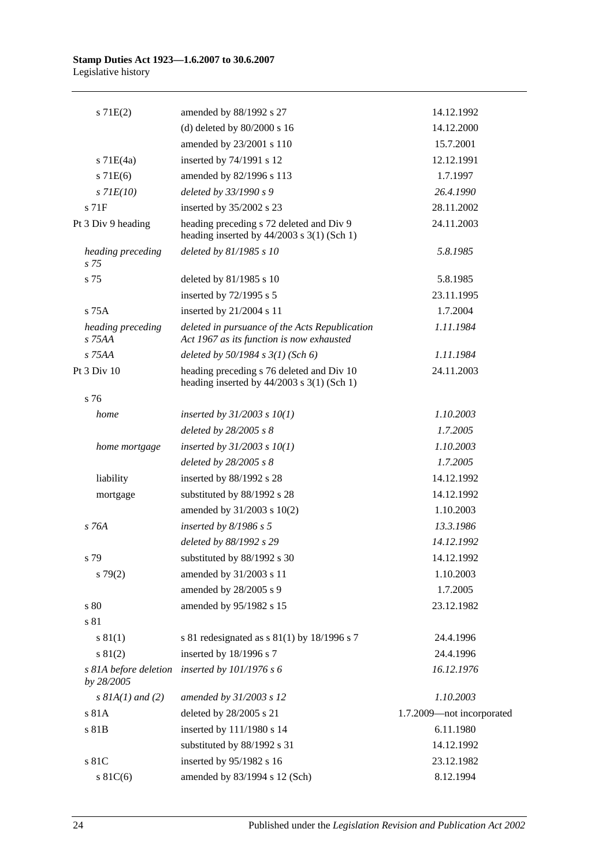| s 71E(2)                            | amended by 88/1992 s 27                                                                     | 14.12.1992                |
|-------------------------------------|---------------------------------------------------------------------------------------------|---------------------------|
|                                     | (d) deleted by $80/2000$ s 16                                                               | 14.12.2000                |
|                                     | amended by 23/2001 s 110                                                                    | 15.7.2001                 |
| s 71E(4a)                           | inserted by 74/1991 s 12                                                                    | 12.12.1991                |
| $s$ 71 $E(6)$                       | amended by 82/1996 s 113                                                                    | 1.7.1997                  |
| $s$ 71 $E(10)$                      | deleted by 33/1990 s 9                                                                      | 26.4.1990                 |
| $s$ 71 $F$                          | inserted by 35/2002 s 23                                                                    | 28.11.2002                |
| Pt 3 Div 9 heading                  | heading preceding s 72 deleted and Div 9<br>heading inserted by 44/2003 s 3(1) (Sch 1)      | 24.11.2003                |
| heading preceding<br>$s\,75$        | deleted by 81/1985 s 10                                                                     | 5.8.1985                  |
| s 75                                | deleted by 81/1985 s 10                                                                     | 5.8.1985                  |
|                                     | inserted by $72/1995$ s 5                                                                   | 23.11.1995                |
| s 75A                               | inserted by 21/2004 s 11                                                                    | 1.7.2004                  |
| heading preceding<br>$s$ 75AA       | deleted in pursuance of the Acts Republication<br>Act 1967 as its function is now exhausted | 1.11.1984                 |
| s 75AA                              | deleted by $50/1984$ s $3(1)$ (Sch 6)                                                       | 1.11.1984                 |
| Pt 3 Div 10                         | heading preceding s 76 deleted and Div 10<br>heading inserted by $44/2003$ s 3(1) (Sch 1)   | 24.11.2003                |
| s 76                                |                                                                                             |                           |
| home                                | inserted by $31/2003$ s $10(1)$                                                             | 1.10.2003                 |
|                                     | deleted by $28/2005 s 8$                                                                    | 1.7.2005                  |
| home mortgage                       | inserted by $31/2003$ s $10(1)$                                                             | 1.10.2003                 |
|                                     | deleted by $28/2005 s 8$                                                                    | 1.7.2005                  |
| liability                           | inserted by 88/1992 s 28                                                                    | 14.12.1992                |
| mortgage                            | substituted by 88/1992 s 28                                                                 | 14.12.1992                |
|                                     | amended by 31/2003 s 10(2)                                                                  | 1.10.2003                 |
| s 76A                               | inserted by $8/1986 s 5$                                                                    | 13.3.1986                 |
|                                     | deleted by 88/1992 s 29                                                                     | 14.12.1992                |
| s 79                                | substituted by 88/1992 s 30                                                                 | 14.12.1992                |
| s79(2)                              | amended by 31/2003 s 11                                                                     | 1.10.2003                 |
|                                     | amended by 28/2005 s 9                                                                      | 1.7.2005                  |
| s 80                                | amended by 95/1982 s 15                                                                     | 23.12.1982                |
| s 81                                |                                                                                             |                           |
| s 81(1)                             | s 81 redesignated as $s$ 81(1) by 18/1996 s 7                                               | 24.4.1996                 |
| s 81(2)                             | inserted by 18/1996 s 7                                                                     | 24.4.1996                 |
| s 81A before deletion<br>by 28/2005 | inserted by $101/1976 s 6$                                                                  | 16.12.1976                |
| $s\delta I A(I)$ and (2)            | amended by 31/2003 s 12                                                                     | 1.10.2003                 |
| s 81A                               | deleted by 28/2005 s 21                                                                     | 1.7.2009-not incorporated |
| s 81B                               | inserted by 111/1980 s 14                                                                   | 6.11.1980                 |
|                                     | substituted by 88/1992 s 31                                                                 | 14.12.1992                |
| s 81C                               | inserted by 95/1982 s 16                                                                    | 23.12.1982                |
| s $81C(6)$                          | amended by 83/1994 s 12 (Sch)                                                               | 8.12.1994                 |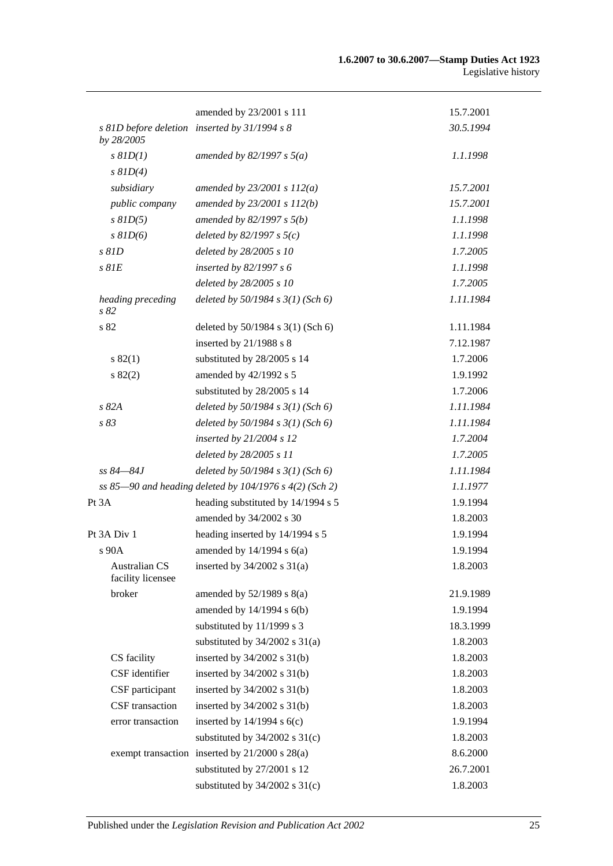|                                    | amended by 23/2001 s 111                                | 15.7.2001 |
|------------------------------------|---------------------------------------------------------|-----------|
| by 28/2005                         | s 81D before deletion inserted by 31/1994 s 8           | 30.5.1994 |
| $s$ $81D(1)$                       | amended by 82/1997 s $5(a)$                             | 1.1.1998  |
| $s$ $81D(4)$                       |                                                         |           |
| subsidiary                         | amended by $23/2001 s 112(a)$                           | 15.7.2001 |
| public company                     | amended by 23/2001 s 112(b)                             | 15.7.2001 |
| $s$ $81D(5)$                       | amended by $82/1997 s 5(b)$                             | 1.1.1998  |
| $s$ $81D(6)$                       | deleted by $82/1997 s 5(c)$                             | 1.1.1998  |
| $s$ $81D$                          | deleted by 28/2005 s 10                                 | 1.7.2005  |
| $s$ $81E$                          | inserted by 82/1997 s 6                                 | 1.1.1998  |
|                                    | deleted by 28/2005 s 10                                 | 1.7.2005  |
| heading preceding<br>s82           | deleted by $50/1984$ s $3(1)$ (Sch 6)                   | 1.11.1984 |
| s 82                               | deleted by 50/1984 s 3(1) (Sch 6)                       | 1.11.1984 |
|                                    | inserted by 21/1988 s 8                                 | 7.12.1987 |
| s 82(1)                            | substituted by 28/2005 s 14                             | 1.7.2006  |
| s 82(2)                            | amended by 42/1992 s 5                                  | 1.9.1992  |
|                                    | substituted by 28/2005 s 14                             | 1.7.2006  |
| s 82A                              | deleted by $50/1984$ s $3(1)$ (Sch 6)                   | 1.11.1984 |
| s 83                               | deleted by $50/1984$ s $3(1)$ (Sch 6)                   | 1.11.1984 |
|                                    | inserted by 21/2004 s 12                                | 1.7.2004  |
|                                    | deleted by 28/2005 s 11                                 | 1.7.2005  |
| ss 84–84J                          | deleted by $50/1984$ s $3(1)$ (Sch 6)                   | 1.11.1984 |
|                                    | ss 85-90 and heading deleted by 104/1976 s 4(2) (Sch 2) | 1.1.1977  |
| Pt 3A                              | heading substituted by 14/1994 s 5                      | 1.9.1994  |
|                                    | amended by 34/2002 s 30                                 | 1.8.2003  |
| Pt 3A Div 1                        | heading inserted by 14/1994 s 5                         | 1.9.1994  |
| s 90A                              | amended by $14/1994$ s $6(a)$                           | 1.9.1994  |
| Australian CS<br>facility licensee | inserted by $34/2002$ s $31(a)$                         | 1.8.2003  |
| broker                             | amended by $52/1989$ s $8(a)$                           | 21.9.1989 |
|                                    | amended by 14/1994 s 6(b)                               | 1.9.1994  |
|                                    | substituted by 11/1999 s 3                              | 18.3.1999 |
|                                    | substituted by $34/2002$ s $31(a)$                      | 1.8.2003  |
| CS facility                        | inserted by $34/2002$ s $31(b)$                         | 1.8.2003  |
| CSF identifier                     | inserted by $34/2002$ s $31(b)$                         | 1.8.2003  |
| CSF participant                    | inserted by $34/2002$ s $31(b)$                         | 1.8.2003  |
| CSF transaction                    | inserted by $34/2002$ s $31(b)$                         | 1.8.2003  |
| error transaction                  | inserted by $14/1994$ s $6(c)$                          | 1.9.1994  |
|                                    | substituted by $34/2002$ s $31(c)$                      | 1.8.2003  |
|                                    | exempt transaction inserted by 21/2000 s 28(a)          | 8.6.2000  |
|                                    | substituted by 27/2001 s 12                             | 26.7.2001 |
|                                    | substituted by $34/2002$ s $31(c)$                      | 1.8.2003  |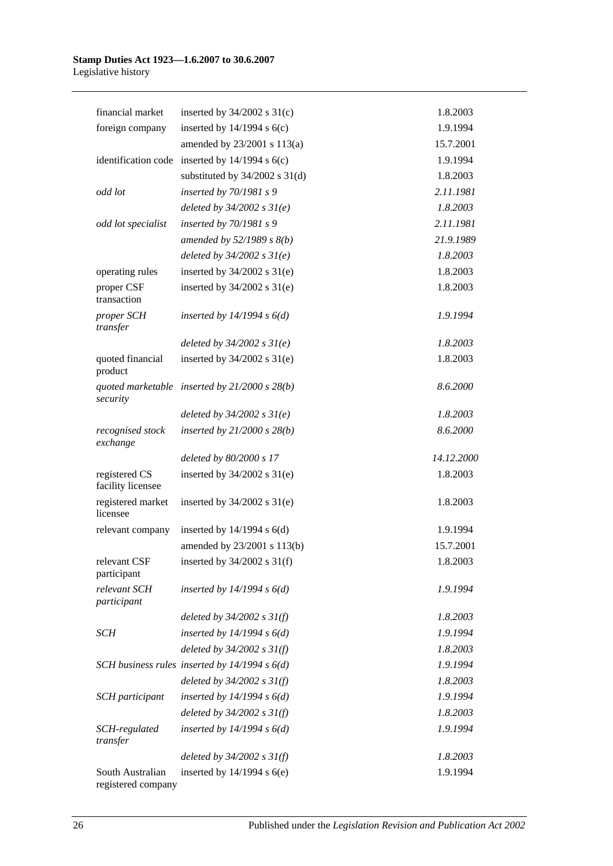| financial market                   | inserted by $34/2002$ s $31(c)$                    | 1.8.2003   |
|------------------------------------|----------------------------------------------------|------------|
| foreign company                    | inserted by $14/1994$ s $6(c)$                     | 1.9.1994   |
|                                    | amended by 23/2001 s 113(a)                        | 15.7.2001  |
|                                    | identification code inserted by $14/1994$ s $6(c)$ | 1.9.1994   |
|                                    | substituted by $34/2002$ s $31(d)$                 | 1.8.2003   |
| odd lot                            | inserted by 70/1981 s 9                            | 2.11.1981  |
|                                    | deleted by $34/2002 s 31(e)$                       | 1.8.2003   |
| odd lot specialist                 | inserted by 70/1981 s 9                            | 2.11.1981  |
|                                    | amended by $52/1989$ s $8(b)$                      | 21.9.1989  |
|                                    | deleted by $34/2002$ s $31(e)$                     | 1.8.2003   |
| operating rules                    | inserted by $34/2002$ s $31(e)$                    | 1.8.2003   |
| proper CSF<br>transaction          | inserted by $34/2002$ s $31(e)$                    | 1.8.2003   |
| proper SCH<br>transfer             | inserted by $14/1994 s 6(d)$                       | 1.9.1994   |
|                                    | deleted by $34/2002 s 31(e)$                       | 1.8.2003   |
| quoted financial<br>product        | inserted by $34/2002$ s $31(e)$                    | 1.8.2003   |
| security                           | quoted marketable inserted by $21/2000 s 28(b)$    | 8.6.2000   |
|                                    | deleted by $34/2002 s 31(e)$                       | 1.8.2003   |
| recognised stock<br>exchange       | inserted by $21/2000$ s $28(b)$                    | 8.6.2000   |
|                                    | deleted by 80/2000 s 17                            | 14.12.2000 |
| registered CS<br>facility licensee | inserted by $34/2002$ s $31(e)$                    | 1.8.2003   |
| registered market<br>licensee      | inserted by $34/2002$ s $31(e)$                    | 1.8.2003   |
| relevant company                   | inserted by $14/1994$ s $6(d)$                     | 1.9.1994   |
|                                    | amended by 23/2001 s 113(b)                        | 15.7.2001  |
| relevant CSF<br>participant        | inserted by $34/2002$ s $31(f)$                    | 1.8.2003   |
| relevant SCH<br>participant        | inserted by $14/1994 s 6(d)$                       | 1.9.1994   |
|                                    | deleted by $34/2002$ s $31(f)$                     | 1.8.2003   |
| <b>SCH</b>                         | inserted by $14/1994 s 6(d)$                       | 1.9.1994   |
|                                    | deleted by $34/2002 s 31(f)$                       | 1.8.2003   |
|                                    | SCH business rules inserted by $14/1994 s 6(d)$    | 1.9.1994   |
|                                    | deleted by $34/2002$ s $31(f)$                     | 1.8.2003   |
| <b>SCH</b> participant             | inserted by $14/1994 s 6(d)$                       | 1.9.1994   |
|                                    |                                                    |            |
|                                    | deleted by $34/2002$ s $31(f)$                     | 1.8.2003   |
| SCH-regulated<br>transfer          | inserted by $14/1994 s 6(d)$                       | 1.9.1994   |
|                                    | deleted by $34/2002$ s $31(f)$                     | 1.8.2003   |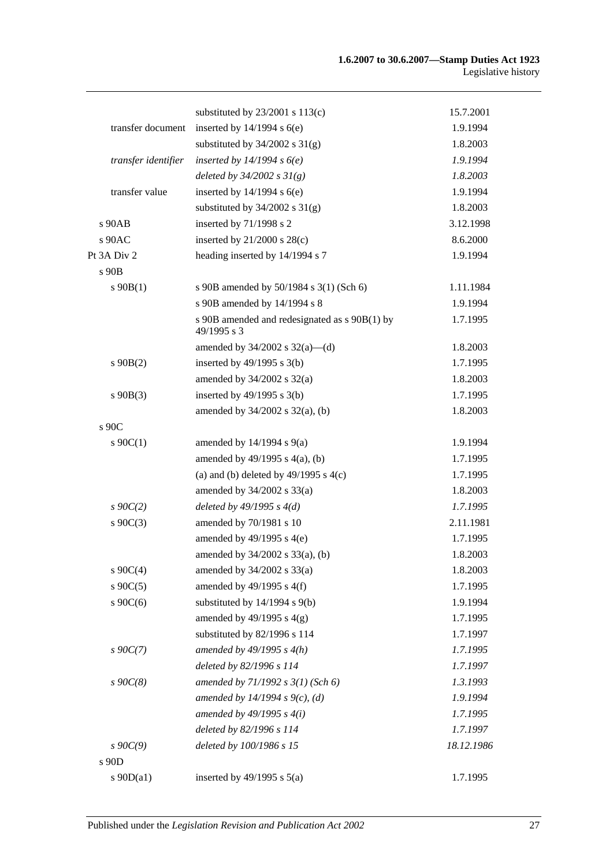|                     | substituted by $23/2001$ s $113(c)$                          | 15.7.2001  |
|---------------------|--------------------------------------------------------------|------------|
| transfer document   | inserted by $14/1994$ s $6(e)$                               | 1.9.1994   |
|                     | substituted by $34/2002$ s $31(g)$                           | 1.8.2003   |
| transfer identifier | inserted by $14/1994 s6(e)$                                  | 1.9.1994   |
|                     | deleted by $34/2002 s 31(g)$                                 | 1.8.2003   |
| transfer value      | inserted by $14/1994$ s $6(e)$                               | 1.9.1994   |
|                     | substituted by $34/2002$ s $31(g)$                           | 1.8.2003   |
| s 90AB              | inserted by 71/1998 s 2                                      | 3.12.1998  |
| s 90AC              | inserted by $21/2000$ s $28(c)$                              | 8.6.2000   |
| Pt 3A Div 2         | heading inserted by 14/1994 s 7                              | 1.9.1994   |
| s 90B               |                                                              |            |
| $s\,90B(1)$         | s 90B amended by 50/1984 s 3(1) (Sch 6)                      | 1.11.1984  |
|                     | s 90B amended by 14/1994 s 8                                 | 1.9.1994   |
|                     | s 90B amended and redesignated as s 90B(1) by<br>49/1995 s 3 | 1.7.1995   |
|                     | amended by $34/2002$ s $32(a)$ —(d)                          | 1.8.2003   |
| $s\ 90B(2)$         | inserted by $49/1995$ s $3(b)$                               | 1.7.1995   |
|                     | amended by $34/2002$ s $32(a)$                               | 1.8.2003   |
| $s\ 90B(3)$         | inserted by $49/1995$ s $3(b)$                               | 1.7.1995   |
|                     | amended by $34/2002$ s $32(a)$ , (b)                         | 1.8.2003   |
| $s\,90C$            |                                                              |            |
| $s \ 90C(1)$        | amended by $14/1994$ s $9(a)$                                | 1.9.1994   |
|                     | amended by $49/1995$ s $4(a)$ , (b)                          | 1.7.1995   |
|                     | (a) and (b) deleted by $49/1995$ s $4(c)$                    | 1.7.1995   |
|                     | amended by $34/2002$ s $33(a)$                               | 1.8.2003   |
| $s \, 90C(2)$       | deleted by $49/1995 s 4(d)$                                  | 1.7.1995   |
| $s \ 90C(3)$        | amended by 70/1981 s 10                                      | 2.11.1981  |
|                     | amended by $49/1995$ s $4(e)$                                | 1.7.1995   |
|                     | amended by 34/2002 s 33(a), (b)                              | 1.8.2003   |
| $s \ 90C(4)$        | amended by 34/2002 s 33(a)                                   | 1.8.2003   |
| s $90C(5)$          | amended by $49/1995$ s $4(f)$                                | 1.7.1995   |
| $s \cdot 90C(6)$    | substituted by $14/1994$ s $9(b)$                            | 1.9.1994   |
|                     | amended by $49/1995$ s $4(g)$                                | 1.7.1995   |
|                     | substituted by 82/1996 s 114                                 | 1.7.1997   |
| $s \, 90C(7)$       | amended by $49/1995 s 4(h)$                                  | 1.7.1995   |
|                     | deleted by 82/1996 s 114                                     | 1.7.1997   |
| $s\,90C(8)$         | amended by $71/1992 s 3(1)$ (Sch 6)                          | 1.3.1993   |
|                     | amended by 14/1994 s $9(c)$ , (d)                            | 1.9.1994   |
|                     | amended by $49/1995 s 4(i)$                                  | 1.7.1995   |
|                     | deleted by 82/1996 s 114                                     | 1.7.1997   |
| $s \, 90C(9)$       | deleted by 100/1986 s 15                                     | 18.12.1986 |
| s 90D               |                                                              |            |
| s $90D(a1)$         | inserted by $49/1995$ s $5(a)$                               | 1.7.1995   |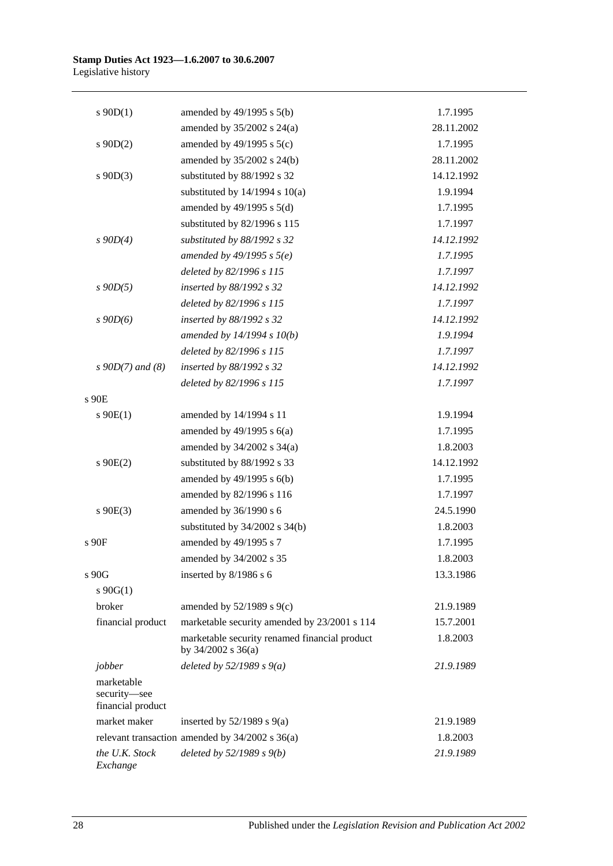| $s \ 90D(1)$                                    | amended by $49/1995$ s $5(b)$                                       | 1.7.1995   |
|-------------------------------------------------|---------------------------------------------------------------------|------------|
|                                                 | amended by $35/2002$ s $24(a)$                                      | 28.11.2002 |
| $s \ 90D(2)$                                    | amended by $49/1995$ s $5(c)$                                       | 1.7.1995   |
|                                                 | amended by 35/2002 s 24(b)                                          | 28.11.2002 |
| $s \ 90D(3)$                                    | substituted by 88/1992 s 32                                         | 14.12.1992 |
|                                                 | substituted by $14/1994$ s $10(a)$                                  | 1.9.1994   |
|                                                 | amended by $49/1995$ s $5(d)$                                       | 1.7.1995   |
|                                                 | substituted by 82/1996 s 115                                        | 1.7.1997   |
| $s$ 90D(4)                                      | substituted by 88/1992 s 32                                         | 14.12.1992 |
|                                                 | amended by $49/1995 s 5(e)$                                         | 1.7.1995   |
|                                                 | deleted by 82/1996 s 115                                            | 1.7.1997   |
| $s$ 90D(5)                                      | inserted by 88/1992 s 32                                            | 14.12.1992 |
|                                                 | deleted by 82/1996 s 115                                            | 1.7.1997   |
| $s\,90D(6)$                                     | inserted by 88/1992 s 32                                            | 14.12.1992 |
|                                                 | amended by 14/1994 s 10(b)                                          | 1.9.1994   |
|                                                 | deleted by 82/1996 s 115                                            | 1.7.1997   |
| $s \, 90D(7)$ and (8)                           | inserted by 88/1992 s 32                                            | 14.12.1992 |
|                                                 | deleted by 82/1996 s 115                                            | 1.7.1997   |
| s 90E                                           |                                                                     |            |
| $s \ 90E(1)$                                    | amended by 14/1994 s 11                                             | 1.9.1994   |
|                                                 | amended by $49/1995$ s $6(a)$                                       | 1.7.1995   |
|                                                 | amended by 34/2002 s 34(a)                                          | 1.8.2003   |
| $s$ 90 $E(2)$                                   | substituted by 88/1992 s 33                                         | 14.12.1992 |
|                                                 | amended by 49/1995 s 6(b)                                           | 1.7.1995   |
|                                                 | amended by 82/1996 s 116                                            | 1.7.1997   |
| $s$ 90E(3)                                      | amended by 36/1990 s 6                                              | 24.5.1990  |
|                                                 | substituted by $34/2002$ s $34(b)$                                  | 1.8.2003   |
| s 90F                                           | amended by 49/1995 s 7                                              | 1.7.1995   |
|                                                 | amended by 34/2002 s 35                                             | 1.8.2003   |
| s 90G                                           | inserted by 8/1986 s 6                                              | 13.3.1986  |
| $s \ 90G(1)$                                    |                                                                     |            |
| broker                                          | amended by $52/1989$ s $9(c)$                                       | 21.9.1989  |
| financial product                               | marketable security amended by 23/2001 s 114                        | 15.7.2001  |
|                                                 | marketable security renamed financial product<br>by 34/2002 s 36(a) | 1.8.2003   |
| jobber                                          | deleted by $52/1989 s 9(a)$                                         | 21.9.1989  |
| marketable<br>security-see<br>financial product |                                                                     |            |
| market maker                                    | inserted by $52/1989$ s $9(a)$                                      | 21.9.1989  |
|                                                 | relevant transaction amended by $34/2002$ s $36(a)$                 | 1.8.2003   |
| the U.K. Stock<br>Exchange                      | deleted by $52/1989 s 9(b)$                                         | 21.9.1989  |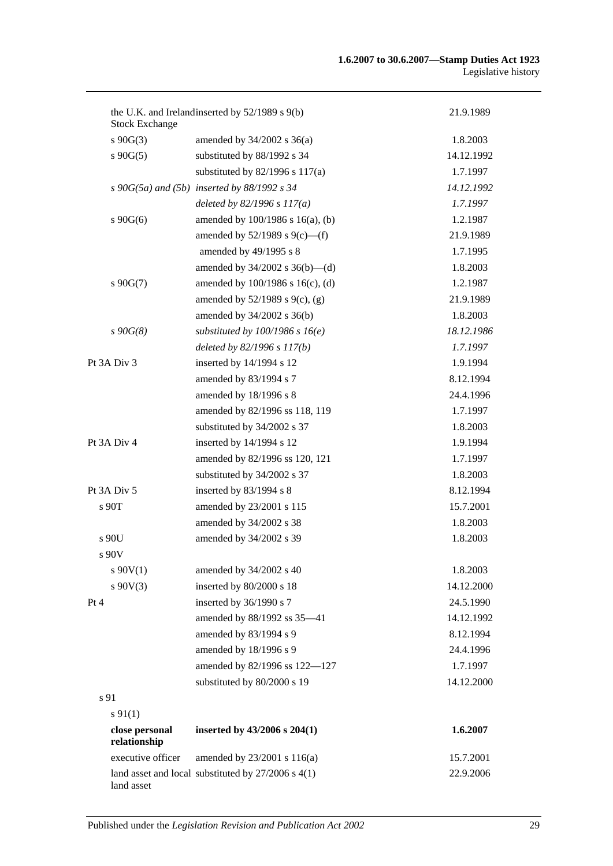|      | <b>Stock Exchange</b>          | the U.K. and Irelandinserted by 52/1989 s 9(b)         | 21.9.1989  |
|------|--------------------------------|--------------------------------------------------------|------------|
|      | $s\ 90G(3)$                    | amended by $34/2002$ s $36(a)$                         | 1.8.2003   |
|      | $s\ 90G(5)$                    | substituted by 88/1992 s 34                            | 14.12.1992 |
|      |                                | substituted by $82/1996$ s $117(a)$                    | 1.7.1997   |
|      |                                | $s$ 90G(5a) and (5b) inserted by 88/1992 $s$ 34        | 14.12.1992 |
|      |                                | deleted by $82/1996 s 117(a)$                          | 1.7.1997   |
|      | $s\ 90G(6)$                    | amended by 100/1986 s 16(a), (b)                       | 1.2.1987   |
|      |                                | amended by $52/1989$ s $9(c)$ —(f)                     | 21.9.1989  |
|      |                                | amended by 49/1995 s 8                                 | 1.7.1995   |
|      |                                | amended by $34/2002$ s $36(b)$ —(d)                    | 1.8.2003   |
|      | $s\ 90G(7)$                    | amended by 100/1986 s 16(c), (d)                       | 1.2.1987   |
|      |                                | amended by $52/1989$ s $9(c)$ , (g)                    | 21.9.1989  |
|      |                                | amended by 34/2002 s 36(b)                             | 1.8.2003   |
|      | $s\,90G(8)$                    | substituted by $100/1986$ s $16(e)$                    | 18.12.1986 |
|      |                                | deleted by 82/1996 s 117(b)                            | 1.7.1997   |
|      | Pt 3A Div 3                    | inserted by 14/1994 s 12                               | 1.9.1994   |
|      |                                | amended by 83/1994 s 7                                 | 8.12.1994  |
|      |                                | amended by 18/1996 s 8                                 | 24.4.1996  |
|      |                                | amended by 82/1996 ss 118, 119                         | 1.7.1997   |
|      |                                | substituted by 34/2002 s 37                            | 1.8.2003   |
|      | Pt 3A Div 4                    | inserted by 14/1994 s 12                               | 1.9.1994   |
|      |                                | amended by 82/1996 ss 120, 121                         | 1.7.1997   |
|      |                                | substituted by 34/2002 s 37                            | 1.8.2003   |
|      | Pt 3A Div 5                    | inserted by 83/1994 s 8                                | 8.12.1994  |
|      | s 90T                          | amended by 23/2001 s 115                               | 15.7.2001  |
|      |                                | amended by 34/2002 s 38                                | 1.8.2003   |
|      | $s$ 90U                        | amended by 34/2002 s 39                                | 1.8.2003   |
|      | $s$ 90 $V$                     |                                                        |            |
|      | $s\ 90V(1)$                    | amended by 34/2002 s 40                                | 1.8.2003   |
|      | $s\ 90V(3)$                    | inserted by 80/2000 s 18                               | 14.12.2000 |
| Pt 4 |                                | inserted by 36/1990 s 7                                | 24.5.1990  |
|      |                                | amended by 88/1992 ss 35-41                            | 14.12.1992 |
|      |                                | amended by 83/1994 s 9                                 | 8.12.1994  |
|      |                                | amended by 18/1996 s 9                                 | 24.4.1996  |
|      |                                | amended by 82/1996 ss 122-127                          | 1.7.1997   |
|      |                                | substituted by 80/2000 s 19                            | 14.12.2000 |
| s 91 |                                |                                                        |            |
|      | $s\,91(1)$                     |                                                        |            |
|      | close personal<br>relationship | inserted by $43/2006$ s $204(1)$                       | 1.6.2007   |
|      | executive officer              | amended by 23/2001 s 116(a)                            | 15.7.2001  |
|      | land asset                     | land asset and local substituted by $27/2006$ s $4(1)$ | 22.9.2006  |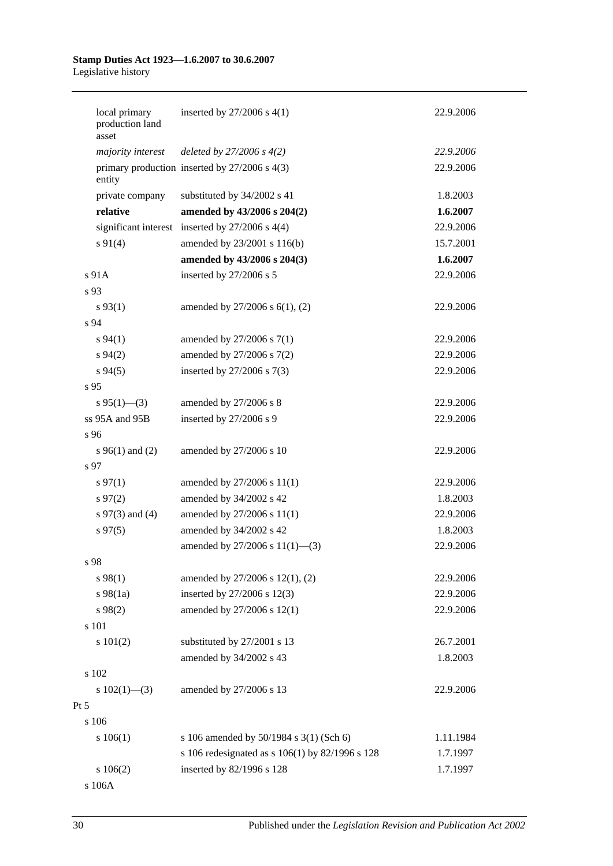|         | local primary<br>production land<br>asset | inserted by $27/2006$ s $4(1)$                      | 22.9.2006 |
|---------|-------------------------------------------|-----------------------------------------------------|-----------|
|         | majority interest                         | deleted by $27/2006 s 4(2)$                         | 22.9.2006 |
|         | entity                                    | primary production inserted by $27/2006$ s $4(3)$   | 22.9.2006 |
|         | private company                           | substituted by 34/2002 s 41                         | 1.8.2003  |
|         | relative                                  | amended by 43/2006 s 204(2)                         | 1.6.2007  |
|         |                                           | significant interest inserted by $27/2006$ s $4(4)$ | 22.9.2006 |
|         | $s\ 91(4)$                                | amended by 23/2001 s 116(b)                         | 15.7.2001 |
|         |                                           | amended by 43/2006 s 204(3)                         | 1.6.2007  |
|         | s 91A                                     | inserted by 27/2006 s 5                             | 22.9.2006 |
|         | s <sub>93</sub>                           |                                                     |           |
|         | $s\,93(1)$                                | amended by $27/2006$ s $6(1)$ , (2)                 | 22.9.2006 |
|         | s 94                                      |                                                     |           |
|         | $s\,94(1)$                                | amended by 27/2006 s 7(1)                           | 22.9.2006 |
|         | $s\,94(2)$                                | amended by 27/2006 s 7(2)                           | 22.9.2006 |
|         | $s\,94(5)$                                | inserted by $27/2006$ s $7(3)$                      | 22.9.2006 |
|         | s <sub>95</sub>                           |                                                     |           |
|         | $s\,95(1)$ —(3)                           | amended by 27/2006 s 8                              | 22.9.2006 |
|         | ss 95A and 95B                            | inserted by 27/2006 s 9                             | 22.9.2006 |
|         | s 96                                      |                                                     |           |
|         | $s\,96(1)$ and (2)                        | amended by 27/2006 s 10                             | 22.9.2006 |
|         | s 97                                      |                                                     |           |
|         | $s\,97(1)$                                | amended by 27/2006 s 11(1)                          | 22.9.2006 |
|         | $s\,97(2)$                                | amended by 34/2002 s 42                             | 1.8.2003  |
|         | s $97(3)$ and (4)                         | amended by 27/2006 s 11(1)                          | 22.9.2006 |
|         | $s\,97(5)$                                | amended by 34/2002 s 42                             | 1.8.2003  |
|         |                                           | amended by $27/2006$ s $11(1)$ —(3)                 | 22.9.2006 |
|         | s 98                                      |                                                     |           |
|         | s 98(1)                                   | amended by 27/2006 s 12(1), (2)                     | 22.9.2006 |
|         | $s\,98(1a)$                               | inserted by 27/2006 s 12(3)                         | 22.9.2006 |
|         | $s\,98(2)$                                | amended by 27/2006 s 12(1)                          | 22.9.2006 |
|         | s 101                                     |                                                     |           |
|         | s 101(2)                                  | substituted by 27/2001 s 13                         | 26.7.2001 |
|         |                                           | amended by 34/2002 s 43                             | 1.8.2003  |
|         | s 102                                     |                                                     |           |
|         | s $102(1)$ —(3)                           | amended by 27/2006 s 13                             | 22.9.2006 |
| $Pt\,5$ |                                           |                                                     |           |
|         | s 106                                     |                                                     |           |
|         | s 106(1)                                  | s 106 amended by 50/1984 s 3(1) (Sch 6)             | 1.11.1984 |
|         |                                           | s 106 redesignated as s 106(1) by 82/1996 s 128     | 1.7.1997  |
|         | 106(2)                                    | inserted by 82/1996 s 128                           | 1.7.1997  |
|         | s 106A                                    |                                                     |           |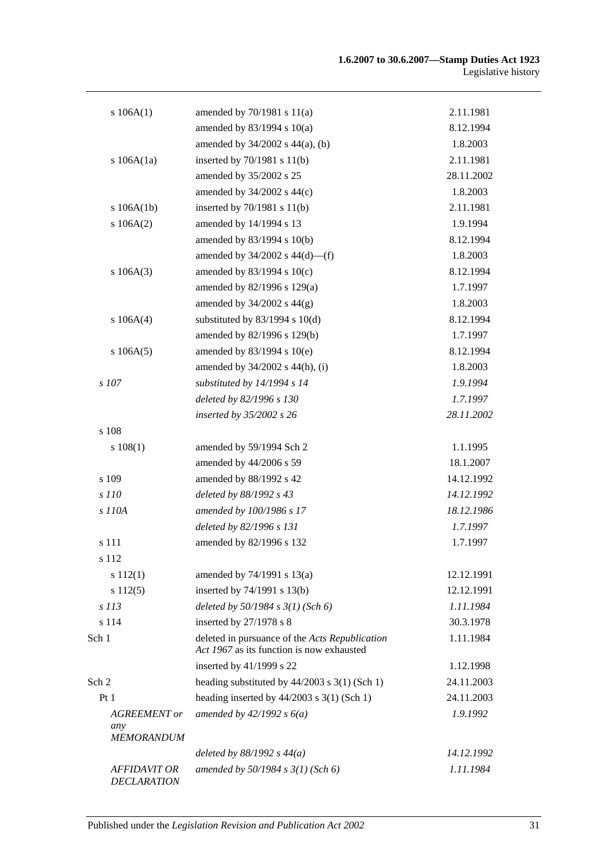| s 106A(1)                  | amended by $70/1981$ s $11(a)$                                                              | 2.11.1981               |
|----------------------------|---------------------------------------------------------------------------------------------|-------------------------|
|                            | amended by $83/1994$ s $10(a)$                                                              | 8.12.1994               |
|                            | amended by $34/2002$ s $44(a)$ , (b)                                                        | 1.8.2003                |
| s $106A(1a)$               | inserted by $70/1981$ s $11(b)$                                                             | 2.11.1981               |
|                            | amended by 35/2002 s 25                                                                     | 28.11.2002              |
|                            | amended by 34/2002 s 44(c)                                                                  | 1.8.2003                |
| s 106A(1b)                 | inserted by $70/1981$ s $11(b)$                                                             | 2.11.1981               |
| s 106A(2)                  | amended by 14/1994 s 13                                                                     | 1.9.1994                |
|                            | amended by 83/1994 s 10(b)                                                                  | 8.12.1994               |
|                            | amended by $34/2002$ s $44(d)$ —(f)                                                         | 1.8.2003                |
| s 106A(3)                  | amended by $83/1994$ s $10(c)$                                                              | 8.12.1994               |
|                            | amended by 82/1996 s 129(a)                                                                 | 1.7.1997                |
|                            | amended by $34/2002$ s $44(g)$                                                              | 1.8.2003                |
| s 106A(4)                  | substituted by $83/1994$ s $10(d)$                                                          | 8.12.1994               |
|                            | amended by 82/1996 s 129(b)                                                                 | 1.7.1997                |
| s 106A(5)                  | amended by $83/1994$ s $10(e)$                                                              | 8.12.1994               |
|                            | amended by 34/2002 s 44(h), (i)                                                             | 1.8.2003                |
| $s$ 107                    | substituted by $14/1994$ s $14$                                                             | 1.9.1994                |
|                            | deleted by 82/1996 s 130                                                                    | 1.7.1997                |
|                            | inserted by 35/2002 s 26                                                                    | 28.11.2002              |
| s 108                      |                                                                                             |                         |
| s 108(1)                   | amended by 59/1994 Sch 2                                                                    | 1.1.1995                |
|                            | amended by 44/2006 s 59                                                                     | 18.1.2007               |
| s 109                      | amended by 88/1992 s 42                                                                     | 14.12.1992              |
| s 110                      | deleted by 88/1992 s 43                                                                     | 14.12.1992              |
| s 110A                     | amended by 100/1986 s 17                                                                    | 18.12.1986              |
|                            | deleted by 82/1996 s 131                                                                    | 1.7.1997                |
| s 111                      | amended by 82/1996 s 132                                                                    | 1.7.1997                |
| s 112                      |                                                                                             |                         |
| s 112(1)                   | amended by $74/1991$ s $13(a)$                                                              | 12.12.1991              |
| s112(5)                    | inserted by 74/1991 s 13(b)                                                                 | 12.12.1991              |
| s 113                      | deleted by $50/1984$ s $3(1)$ (Sch 6)                                                       | 1.11.1984               |
| s 114                      | inserted by 27/1978 s 8                                                                     | 30.3.1978               |
| Sch 1                      | deleted in pursuance of the Acts Republication<br>Act 1967 as its function is now exhausted | 1.11.1984               |
|                            | inserted by 41/1999 s 22                                                                    | 1.12.1998               |
| Sch 2                      | heading substituted by $44/2003$ s 3(1) (Sch 1)                                             | 24.11.2003              |
| Pt <sub>1</sub>            | heading inserted by $44/2003$ s 3(1) (Sch 1)                                                | 24.11.2003              |
| <b>AGREEMENT</b> or<br>any | amended by $42/1992 s 6(a)$                                                                 | 1.9.1992                |
| <b>MEMORANDUM</b>          |                                                                                             |                         |
| <b>AFFIDAVIT OR</b>        | deleted by $88/1992$ s $44(a)$<br>amended by 50/1984 s 3(1) (Sch 6)                         | 14.12.1992<br>1.11.1984 |
| <b>DECLARATION</b>         |                                                                                             |                         |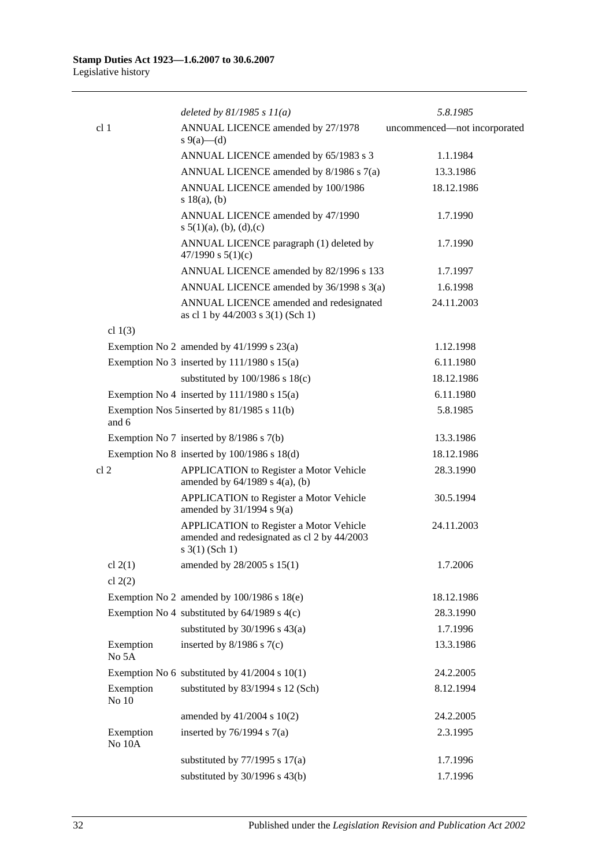|                      | deleted by $81/1985 s 11(a)$                                                                                         | 5.8.1985                     |
|----------------------|----------------------------------------------------------------------------------------------------------------------|------------------------------|
| cl 1                 | ANNUAL LICENCE amended by 27/1978<br>s 9(a)—(d)                                                                      | uncommenced-not incorporated |
|                      | ANNUAL LICENCE amended by 65/1983 s 3                                                                                | 1.1.1984                     |
|                      | ANNUAL LICENCE amended by 8/1986 s 7(a)                                                                              | 13.3.1986                    |
|                      | ANNUAL LICENCE amended by 100/1986<br>s 18(a), (b)                                                                   | 18.12.1986                   |
|                      | ANNUAL LICENCE amended by 47/1990<br>s $5(1)(a)$ , (b), (d), (c)                                                     | 1.7.1990                     |
|                      | ANNUAL LICENCE paragraph (1) deleted by<br>47/1990 s $5(1)(c)$                                                       | 1.7.1990                     |
|                      | ANNUAL LICENCE amended by 82/1996 s 133                                                                              | 1.7.1997                     |
|                      | ANNUAL LICENCE amended by 36/1998 s 3(a)                                                                             | 1.6.1998                     |
|                      | ANNUAL LICENCE amended and redesignated<br>as cl 1 by 44/2003 s 3(1) (Sch 1)                                         | 24.11.2003                   |
| cl $1(3)$            |                                                                                                                      |                              |
|                      | Exemption No 2 amended by $41/1999$ s $23(a)$                                                                        | 1.12.1998                    |
|                      | Exemption No 3 inserted by $111/1980$ s $15(a)$                                                                      | 6.11.1980                    |
|                      | substituted by $100/1986$ s $18(c)$                                                                                  | 18.12.1986                   |
|                      | Exemption No 4 inserted by $111/1980$ s $15(a)$                                                                      | 6.11.1980                    |
| and 6                | Exemption Nos 5 inserted by 81/1985 s 11(b)                                                                          | 5.8.1985                     |
|                      | Exemption No 7 inserted by 8/1986 s 7(b)                                                                             | 13.3.1986                    |
|                      | Exemption No 8 inserted by $100/1986$ s $18(d)$                                                                      | 18.12.1986                   |
| cl <sub>2</sub>      | <b>APPLICATION</b> to Register a Motor Vehicle<br>amended by $64/1989$ s $4(a)$ , (b)                                | 28.3.1990                    |
|                      | <b>APPLICATION</b> to Register a Motor Vehicle<br>amended by $31/1994$ s $9(a)$                                      | 30.5.1994                    |
|                      | <b>APPLICATION</b> to Register a Motor Vehicle<br>amended and redesignated as cl 2 by 44/2003<br>$s \; 3(1)$ (Sch 1) | 24.11.2003                   |
| cl $2(1)$            | amended by $28/2005$ s $15(1)$                                                                                       | 1.7.2006                     |
| cl $2(2)$            |                                                                                                                      |                              |
|                      | Exemption No 2 amended by $100/1986$ s $18(e)$                                                                       | 18.12.1986                   |
|                      | Exemption No 4 substituted by 64/1989 s 4(c)                                                                         | 28.3.1990                    |
|                      | substituted by $30/1996$ s $43(a)$                                                                                   | 1.7.1996                     |
| Exemption<br>No 5A   | inserted by $8/1986$ s $7(c)$                                                                                        | 13.3.1986                    |
|                      | Exemption No 6 substituted by $41/2004$ s 10(1)                                                                      | 24.2.2005                    |
| Exemption<br>No $10$ | substituted by 83/1994 s 12 (Sch)                                                                                    | 8.12.1994                    |
|                      | amended by 41/2004 s 10(2)                                                                                           | 24.2.2005                    |
| Exemption<br>No 10A  | inserted by $76/1994$ s $7(a)$                                                                                       | 2.3.1995                     |
|                      | substituted by $77/1995$ s $17(a)$                                                                                   | 1.7.1996                     |
|                      | substituted by $30/1996$ s $43(b)$                                                                                   | 1.7.1996                     |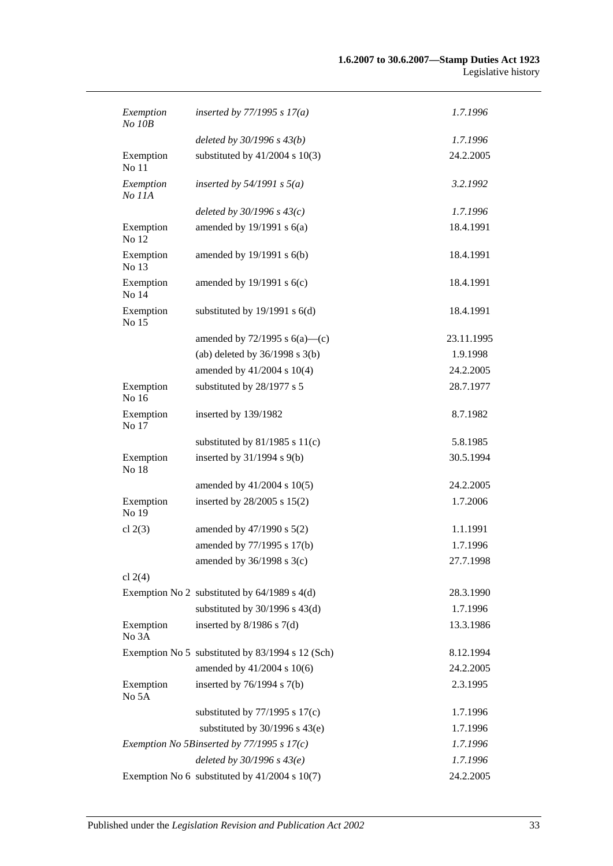| Exemption<br>No 10B | inserted by $77/1995 s 17(a)$                    | 1.7.1996   |
|---------------------|--------------------------------------------------|------------|
|                     | deleted by $30/1996 s 43(b)$                     | 1.7.1996   |
| Exemption<br>No 11  | substituted by $41/2004$ s $10(3)$               | 24.2.2005  |
| Exemption<br>No 11A | inserted by $54/1991$ s $5(a)$                   | 3.2.1992   |
|                     | deleted by $30/1996 s 43(c)$                     | 1.7.1996   |
| Exemption<br>No 12  | amended by $19/1991$ s $6(a)$                    | 18.4.1991  |
| Exemption<br>No 13  | amended by $19/1991$ s $6(b)$                    | 18.4.1991  |
| Exemption<br>No 14  | amended by $19/1991$ s $6(c)$                    | 18.4.1991  |
| Exemption<br>No 15  | substituted by $19/1991$ s $6(d)$                | 18.4.1991  |
|                     | amended by $72/1995$ s $6(a)$ —(c)               | 23.11.1995 |
|                     | (ab) deleted by $36/1998$ s $3(b)$               | 1.9.1998   |
|                     | amended by 41/2004 s 10(4)                       | 24.2.2005  |
| Exemption<br>No 16  | substituted by 28/1977 s 5                       | 28.7.1977  |
| Exemption<br>No 17  | inserted by 139/1982                             | 8.7.1982   |
|                     | substituted by $81/1985$ s $11(c)$               | 5.8.1985   |
| Exemption<br>No 18  | inserted by $31/1994$ s $9(b)$                   | 30.5.1994  |
|                     | amended by $41/2004$ s $10(5)$                   | 24.2.2005  |
| Exemption<br>No 19  | inserted by 28/2005 s 15(2)                      | 1.7.2006   |
| cl $2(3)$           | amended by $47/1990$ s $5(2)$                    | 1.1.1991   |
|                     | amended by 77/1995 s 17(b)                       | 1.7.1996   |
|                     | amended by $36/1998$ s $3(c)$                    | 27.7.1998  |
| cl $2(4)$           |                                                  |            |
|                     | Exemption No 2 substituted by $64/1989$ s $4(d)$ | 28.3.1990  |
|                     | substituted by $30/1996$ s $43(d)$               | 1.7.1996   |
| Exemption<br>No 3A  | inserted by $8/1986$ s $7(d)$                    | 13.3.1986  |
|                     | Exemption No 5 substituted by 83/1994 s 12 (Sch) | 8.12.1994  |
|                     | amended by 41/2004 s 10(6)                       | 24.2.2005  |
| Exemption<br>No 5A  | inserted by $76/1994$ s $7(b)$                   | 2.3.1995   |
|                     | substituted by $77/1995$ s $17(c)$               | 1.7.1996   |
|                     | substituted by $30/1996$ s $43(e)$               | 1.7.1996   |
|                     | Exemption No 5Binserted by $77/1995 s 17(c)$     | 1.7.1996   |
|                     | deleted by $30/1996 s 43(e)$                     | 1.7.1996   |
|                     | Exemption No 6 substituted by 41/2004 s 10(7)    | 24.2.2005  |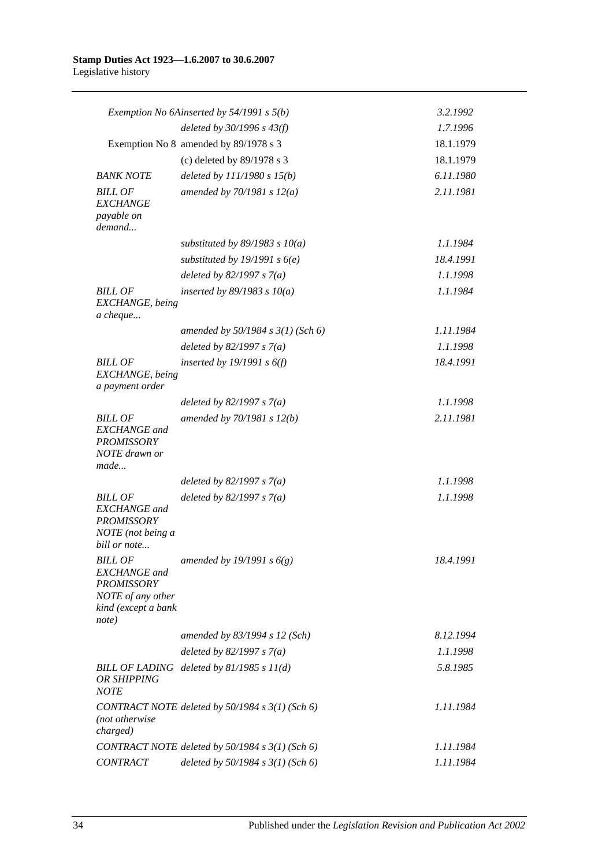|                                                                                                                 | Exemption No 6Ainserted by 54/1991 s 5(b)       | 3.2.1992  |
|-----------------------------------------------------------------------------------------------------------------|-------------------------------------------------|-----------|
|                                                                                                                 | deleted by $30/1996 s 43(f)$                    | 1.7.1996  |
|                                                                                                                 | Exemption No 8 amended by 89/1978 s 3           | 18.1.1979 |
|                                                                                                                 | (c) deleted by 89/1978 s 3                      | 18.1.1979 |
| <b>BANK NOTE</b>                                                                                                | deleted by $111/1980 s 15(b)$                   | 6.11.1980 |
| <b>BILL OF</b><br><b>EXCHANGE</b><br>payable on<br>demand                                                       | amended by $70/1981 s 12(a)$                    | 2.11.1981 |
|                                                                                                                 | substituted by $89/1983$ s $10(a)$              | 1.1.1984  |
|                                                                                                                 | substituted by 19/1991 s $6(e)$                 | 18.4.1991 |
|                                                                                                                 | deleted by $82/1997 s 7(a)$                     | 1.1.1998  |
| <b>BILL OF</b><br>EXCHANGE, being<br>a cheque                                                                   | inserted by $89/1983$ s $10(a)$                 | 1.1.1984  |
|                                                                                                                 | amended by $50/1984$ s $3(1)$ (Sch 6)           | 1.11.1984 |
|                                                                                                                 | deleted by $82/1997 s 7(a)$                     | 1.1.1998  |
| <b>BILL OF</b>                                                                                                  | inserted by $19/1991 s 6(f)$                    | 18.4.1991 |
| EXCHANGE, being                                                                                                 |                                                 |           |
| a payment order                                                                                                 | deleted by $82/1997 s 7(a)$                     | 1.1.1998  |
| <b>BILL OF</b>                                                                                                  | amended by $70/1981 s 12(b)$                    | 2.11.1981 |
| <b>EXCHANGE</b> and<br><b>PROMISSORY</b><br>NOTE drawn or<br>made                                               |                                                 |           |
|                                                                                                                 | deleted by $82/1997 s 7(a)$                     | 1.1.1998  |
| <b>BILL OF</b><br><b>EXCHANGE</b> and<br><b>PROMISSORY</b><br>NOTE (not being a<br>bill or note                 | deleted by $82/1997 s 7(a)$                     | 1.1.1998  |
| <b>BILL OF</b><br><b>EXCHANGE</b> and<br><b>PROMISSORY</b><br>NOTE of any other<br>kind (except a bank<br>note) | amended by 19/1991 s $6(g)$                     | 18.4.1991 |
|                                                                                                                 | amended by 83/1994 s 12 (Sch)                   | 8.12.1994 |
|                                                                                                                 | deleted by $82/1997 s 7(a)$                     | 1.1.1998  |
| <b>BILL OF LADING</b><br>OR SHIPPING<br><b>NOTE</b>                                                             | deleted by $81/1985 s 11(d)$                    | 5.8.1985  |
| (not otherwise<br>charged)                                                                                      | CONTRACT NOTE deleted by 50/1984 s 3(1) (Sch 6) | 1.11.1984 |
|                                                                                                                 | CONTRACT NOTE deleted by 50/1984 s 3(1) (Sch 6) | 1.11.1984 |
| <b>CONTRACT</b>                                                                                                 | deleted by $50/1984$ s $3(1)$ (Sch 6)           | 1.11.1984 |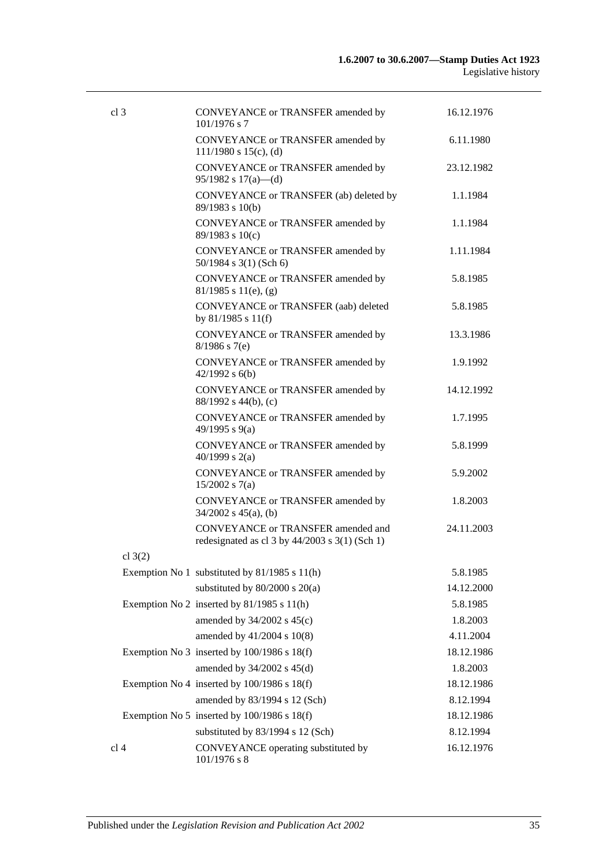| cl <sub>3</sub> | CONVEYANCE or TRANSFER amended by<br>$101/1976$ s 7                                        | 16.12.1976 |
|-----------------|--------------------------------------------------------------------------------------------|------------|
|                 | CONVEYANCE or TRANSFER amended by<br>$111/1980$ s $15(c)$ , (d)                            | 6.11.1980  |
|                 | CONVEYANCE or TRANSFER amended by<br>95/1982 s $17(a)$ - (d)                               | 23.12.1982 |
|                 | CONVEYANCE or TRANSFER (ab) deleted by<br>89/1983 s 10(b)                                  | 1.1.1984   |
|                 | CONVEYANCE or TRANSFER amended by<br>89/1983 s 10(c)                                       | 1.1.1984   |
|                 | CONVEYANCE or TRANSFER amended by<br>$50/1984$ s 3(1) (Sch 6)                              | 1.11.1984  |
|                 | CONVEYANCE or TRANSFER amended by<br>$81/1985$ s $11(e)$ , (g)                             | 5.8.1985   |
|                 | CONVEYANCE or TRANSFER (aab) deleted<br>by $81/1985$ s $11(f)$                             | 5.8.1985   |
|                 | CONVEYANCE or TRANSFER amended by<br>$8/1986$ s 7(e)                                       | 13.3.1986  |
|                 | CONVEYANCE or TRANSFER amended by<br>$42/1992$ s $6(b)$                                    | 1.9.1992   |
|                 | CONVEYANCE or TRANSFER amended by<br>88/1992 s 44(b), (c)                                  | 14.12.1992 |
|                 | CONVEYANCE or TRANSFER amended by<br>49/1995 s 9(a)                                        | 1.7.1995   |
|                 | CONVEYANCE or TRANSFER amended by<br>40/1999 s $2(a)$                                      | 5.8.1999   |
|                 | CONVEYANCE or TRANSFER amended by<br>$15/2002$ s 7(a)                                      | 5.9.2002   |
|                 | CONVEYANCE or TRANSFER amended by<br>$34/2002$ s $45(a)$ , (b)                             | 1.8.2003   |
|                 | CONVEYANCE or TRANSFER amended and<br>redesignated as cl $3$ by $44/2003$ s $3(1)$ (Sch 1) | 24.11.2003 |
| cl $3(2)$       |                                                                                            |            |
|                 | Exemption No 1 substituted by 81/1985 s 11(h)                                              | 5.8.1985   |
|                 | substituted by $80/2000$ s $20(a)$                                                         | 14.12.2000 |
|                 | Exemption No 2 inserted by $81/1985$ s $11(h)$                                             | 5.8.1985   |
|                 | amended by $34/2002$ s $45(c)$                                                             | 1.8.2003   |
|                 | amended by 41/2004 s 10(8)                                                                 | 4.11.2004  |
|                 | Exemption No 3 inserted by $100/1986$ s $18(f)$                                            | 18.12.1986 |
|                 | amended by $34/2002$ s $45(d)$                                                             | 1.8.2003   |
|                 | Exemption No 4 inserted by $100/1986$ s $18(f)$                                            | 18.12.1986 |
|                 | amended by 83/1994 s 12 (Sch)                                                              | 8.12.1994  |
|                 | Exemption No 5 inserted by $100/1986$ s $18(f)$                                            | 18.12.1986 |
|                 | substituted by 83/1994 s 12 (Sch)                                                          | 8.12.1994  |
| cl 4            | CONVEYANCE operating substituted by<br>$101/1976$ s 8                                      | 16.12.1976 |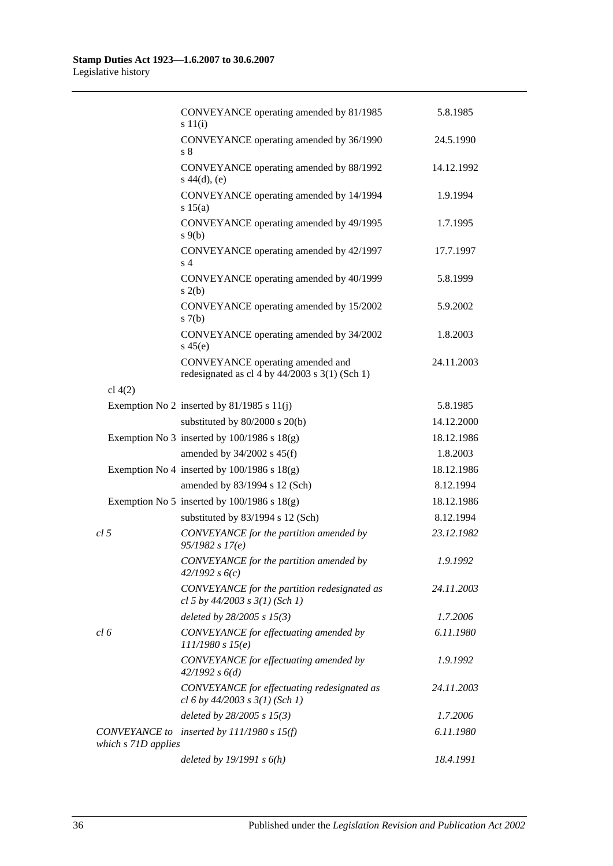|                     | CONVEYANCE operating amended by 81/1985<br>s 11(i)                                 | 5.8.1985   |
|---------------------|------------------------------------------------------------------------------------|------------|
|                     | CONVEYANCE operating amended by 36/1990<br>s <sub>8</sub>                          | 24.5.1990  |
|                     | CONVEYANCE operating amended by 88/1992<br>$s\ 44(d), (e)$                         | 14.12.1992 |
|                     | CONVEYANCE operating amended by 14/1994<br>s 15(a)                                 | 1.9.1994   |
|                     | CONVEYANCE operating amended by 49/1995<br>$s \theta(b)$                           | 1.7.1995   |
|                     | CONVEYANCE operating amended by 42/1997<br>s <sub>4</sub>                          | 17.7.1997  |
|                     | CONVEYANCE operating amended by 40/1999<br>s(2(b)                                  | 5.8.1999   |
|                     | CONVEYANCE operating amended by 15/2002<br>s(7(b)                                  | 5.9.2002   |
|                     | CONVEYANCE operating amended by 34/2002<br>$s\,45(e)$                              | 1.8.2003   |
|                     | CONVEYANCE operating amended and<br>redesignated as cl 4 by 44/2003 s 3(1) (Sch 1) | 24.11.2003 |
| cl $4(2)$           |                                                                                    |            |
|                     | Exemption No 2 inserted by $81/1985$ s $11(j)$                                     | 5.8.1985   |
|                     | substituted by $80/2000$ s $20(b)$                                                 | 14.12.2000 |
|                     | Exemption No 3 inserted by $100/1986$ s $18(g)$                                    | 18.12.1986 |
|                     | amended by 34/2002 s 45(f)                                                         | 1.8.2003   |
|                     | Exemption No 4 inserted by $100/1986$ s $18(g)$                                    | 18.12.1986 |
|                     | amended by 83/1994 s 12 (Sch)                                                      | 8.12.1994  |
|                     | Exemption No 5 inserted by $100/1986$ s $18(g)$                                    | 18.12.1986 |
|                     | substituted by 83/1994 s 12 (Sch)                                                  | 8.12.1994  |
| cl <sub>5</sub>     | CONVEYANCE for the partition amended by<br>95/1982 s 17(e)                         | 23.12.1982 |
|                     | CONVEYANCE for the partition amended by<br>42/1992 s6(c)                           | 1.9.1992   |
|                     | CONVEYANCE for the partition redesignated as<br>cl 5 by $44/2003$ s $3(1)$ (Sch 1) | 24.11.2003 |
|                     | deleted by $28/2005$ s $15(3)$                                                     | 1.7.2006   |
| cl 6                | CONVEYANCE for effectuating amended by<br>111/1980 s 15(e)                         | 6.11.1980  |
|                     | CONVEYANCE for effectuating amended by<br>42/1992 s 6(d)                           | 1.9.1992   |
|                     | CONVEYANCE for effectuating redesignated as<br>cl 6 by $44/2003$ s $3(1)$ (Sch 1)  | 24.11.2003 |
|                     | deleted by $28/2005$ s $15(3)$                                                     | 1.7.2006   |
| which s 71D applies | CONVEYANCE to inserted by 111/1980 s 15(f)                                         | 6.11.1980  |
|                     | deleted by $19/1991 s 6(h)$                                                        | 18.4.1991  |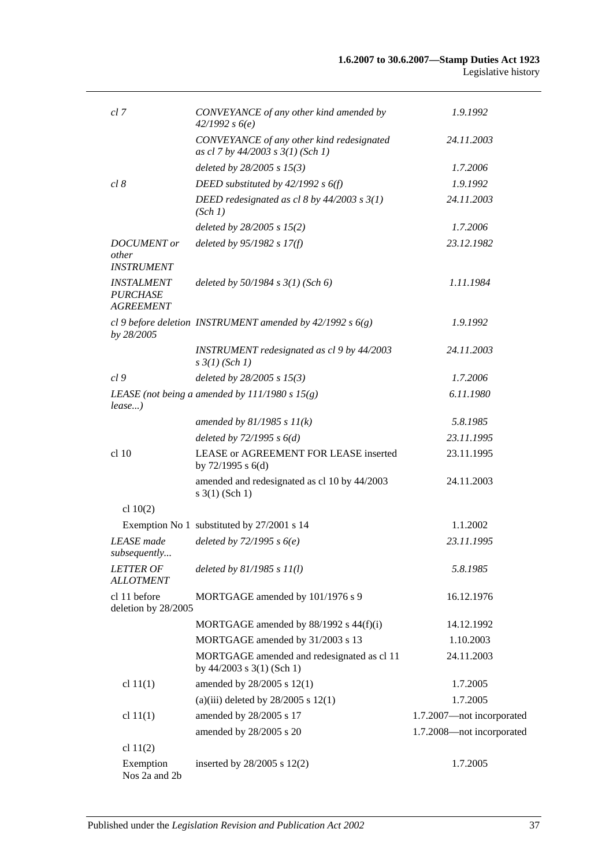| cl 7                                                            | CONVEYANCE of any other kind amended by<br>42/1992 s6(e)                       | 1.9.1992                  |
|-----------------------------------------------------------------|--------------------------------------------------------------------------------|---------------------------|
|                                                                 | CONVEYANCE of any other kind redesignated<br>as cl 7 by 44/2003 s 3(1) (Sch 1) | 24.11.2003                |
|                                                                 | deleted by 28/2005 s 15(3)                                                     | 1.7.2006                  |
| cl 8                                                            | DEED substituted by $42/1992 s 6(f)$                                           | 1.9.1992                  |
|                                                                 | DEED redesignated as cl 8 by $44/2003$ s $3(1)$<br>(Sch 1)                     | 24.11.2003                |
|                                                                 | deleted by $28/2005$ s $15(2)$                                                 | 1.7.2006                  |
| <b>DOCUMENT</b> or                                              | deleted by 95/1982 s 17(f)                                                     | 23.12.1982                |
| other<br><b>INSTRUMENT</b>                                      |                                                                                |                           |
| <i><b>INSTALMENT</b></i><br><b>PURCHASE</b><br><b>AGREEMENT</b> | deleted by $50/1984$ s $3(1)$ (Sch 6)                                          | 1.11.1984                 |
| by 28/2005                                                      | cl 9 before deletion INSTRUMENT amended by $42/1992 s 6(g)$                    | 1.9.1992                  |
|                                                                 | INSTRUMENT redesignated as cl 9 by 44/2003<br>$s \frac{3}{1}$ (Sch 1)          | 24.11.2003                |
| cl <sub>9</sub>                                                 | deleted by 28/2005 s 15(3)                                                     | 1.7.2006                  |
| lease)                                                          | LEASE (not being a amended by $111/1980 s 15(g)$ )                             | 6.11.1980                 |
|                                                                 | amended by $81/1985 s 11(k)$                                                   | 5.8.1985                  |
|                                                                 | deleted by $72/1995 s 6(d)$                                                    | 23.11.1995                |
| $cl$ 10                                                         | LEASE or AGREEMENT FOR LEASE inserted<br>by $72/1995$ s $6(d)$                 | 23.11.1995                |
|                                                                 | amended and redesignated as cl 10 by 44/2003<br>$s \; 3(1)$ (Sch 1)            | 24.11.2003                |
| cl $10(2)$                                                      |                                                                                |                           |
|                                                                 | Exemption No 1 substituted by 27/2001 s 14                                     | 1.1.2002                  |
| <b>LEASE</b> made<br>subsequently                               | deleted by $72/1995 s6(e)$                                                     | 23.11.1995                |
| <b>LETTER OF</b><br><b>ALLOTMENT</b>                            | deleted by $81/1985 s 11(l)$                                                   | 5.8.1985                  |
| cl 11 before<br>deletion by 28/2005                             | MORTGAGE amended by 101/1976 s 9                                               | 16.12.1976                |
|                                                                 | MORTGAGE amended by 88/1992 s 44(f)(i)                                         | 14.12.1992                |
|                                                                 | MORTGAGE amended by 31/2003 s 13                                               | 1.10.2003                 |
|                                                                 | MORTGAGE amended and redesignated as cl 11<br>by $44/2003$ s $3(1)$ (Sch 1)    | 24.11.2003                |
| cl $11(1)$                                                      | amended by 28/2005 s 12(1)                                                     | 1.7.2005                  |
|                                                                 | (a)(iii) deleted by $28/2005$ s 12(1)                                          | 1.7.2005                  |
| cl $11(1)$                                                      | amended by 28/2005 s 17                                                        | 1.7.2007-not incorporated |
|                                                                 | amended by 28/2005 s 20                                                        | 1.7.2008-not incorporated |
| cl $11(2)$                                                      |                                                                                |                           |
| Exemption<br>Nos 2a and 2b                                      | inserted by $28/2005$ s $12(2)$                                                | 1.7.2005                  |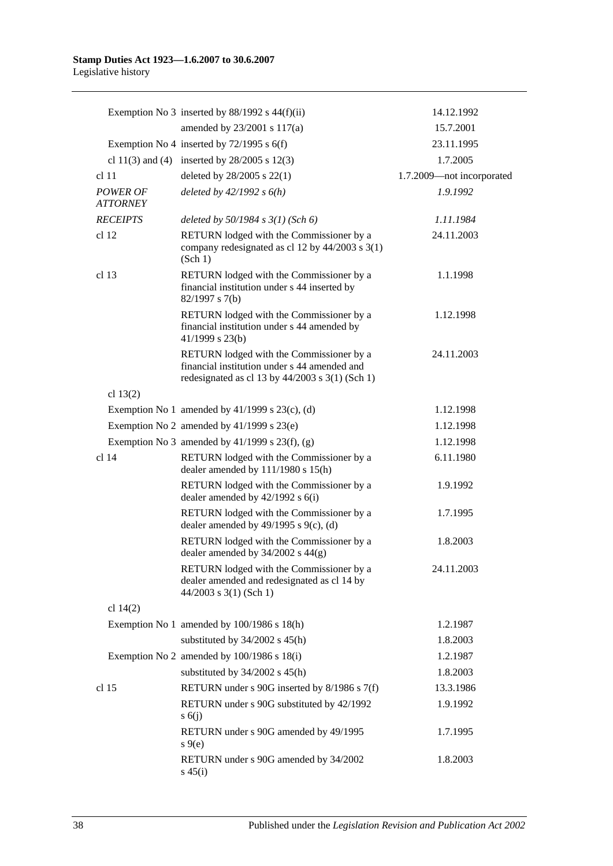|                             | Exemption No 3 inserted by $88/1992$ s $44(f)(ii)$                                                                                            | 14.12.1992                |
|-----------------------------|-----------------------------------------------------------------------------------------------------------------------------------------------|---------------------------|
|                             | amended by 23/2001 s 117(a)                                                                                                                   | 15.7.2001                 |
|                             | Exemption No 4 inserted by $72/1995$ s 6(f)                                                                                                   | 23.11.1995                |
|                             | cl 11(3) and (4) inserted by $28/2005$ s 12(3)                                                                                                | 1.7.2005                  |
| cl <sub>11</sub>            | deleted by 28/2005 s 22(1)                                                                                                                    | 1.7.2009-not incorporated |
| POWER OF<br><b>ATTORNEY</b> | deleted by $42/1992 s 6(h)$                                                                                                                   | 1.9.1992                  |
| <b>RECEIPTS</b>             | deleted by $50/1984$ s $3(1)$ (Sch 6)                                                                                                         | 1.11.1984                 |
| cl <sub>12</sub>            | RETURN lodged with the Commissioner by a<br>company redesignated as cl 12 by 44/2003 s 3(1)<br>(Sch 1)                                        | 24.11.2003                |
| cl <sub>13</sub>            | RETURN lodged with the Commissioner by a<br>financial institution under s 44 inserted by<br>82/1997 s 7(b)                                    | 1.1.1998                  |
|                             | RETURN lodged with the Commissioner by a<br>financial institution under s 44 amended by<br>41/1999 s 23(b)                                    | 1.12.1998                 |
|                             | RETURN lodged with the Commissioner by a<br>financial institution under s 44 amended and<br>redesignated as cl 13 by $44/2003$ s 3(1) (Sch 1) | 24.11.2003                |
| cl $13(2)$                  |                                                                                                                                               |                           |
|                             | Exemption No 1 amended by $41/1999$ s $23(c)$ , (d)                                                                                           | 1.12.1998                 |
|                             | Exemption No 2 amended by $41/1999$ s $23(e)$                                                                                                 | 1.12.1998                 |
|                             | Exemption No 3 amended by $41/1999$ s $23(f)$ , (g)                                                                                           | 1.12.1998                 |
| cl 14                       | RETURN lodged with the Commissioner by a<br>dealer amended by 111/1980 s 15(h)                                                                | 6.11.1980                 |
|                             | RETURN lodged with the Commissioner by a<br>dealer amended by 42/1992 s 6(i)                                                                  | 1.9.1992                  |
|                             | RETURN lodged with the Commissioner by a<br>dealer amended by $49/1995$ s $9(c)$ , (d)                                                        | 1.7.1995                  |
|                             | RETURN lodged with the Commissioner by a<br>dealer amended by $34/2002$ s $44(g)$                                                             | 1.8.2003                  |
|                             | RETURN lodged with the Commissioner by a<br>dealer amended and redesignated as cl 14 by<br>44/2003 s 3(1) (Sch 1)                             | 24.11.2003                |
| cl $14(2)$                  |                                                                                                                                               |                           |
|                             | Exemption No 1 amended by 100/1986 s 18(h)                                                                                                    | 1.2.1987                  |
|                             | substituted by $34/2002$ s $45(h)$                                                                                                            | 1.8.2003                  |
|                             | Exemption No 2 amended by 100/1986 s 18(i)                                                                                                    | 1.2.1987                  |
|                             | substituted by $34/2002$ s $45(h)$                                                                                                            | 1.8.2003                  |
| cl <sub>15</sub>            | RETURN under s 90G inserted by 8/1986 s 7(f)                                                                                                  | 13.3.1986                 |
|                             | RETURN under s 90G substituted by 42/1992<br>s(6)                                                                                             | 1.9.1992                  |
|                             | RETURN under s 90G amended by 49/1995<br>$s \theta(e)$                                                                                        | 1.7.1995                  |
|                             | RETURN under s 90G amended by 34/2002<br>$s\,45(i)$                                                                                           | 1.8.2003                  |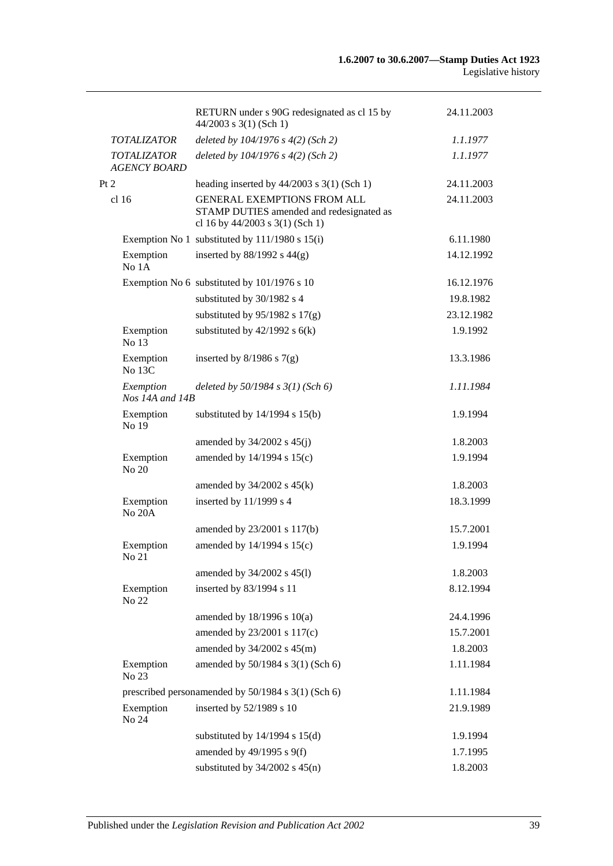|                                           | RETURN under s 90G redesignated as cl 15 by<br>$44/2003$ s 3(1) (Sch 1)                                           | 24.11.2003 |
|-------------------------------------------|-------------------------------------------------------------------------------------------------------------------|------------|
| <b>TOTALIZATOR</b>                        | deleted by 104/1976 s 4(2) (Sch 2)                                                                                | 1.1.1977   |
| <b>TOTALIZATOR</b><br><b>AGENCY BOARD</b> | deleted by 104/1976 s 4(2) (Sch 2)                                                                                | 1.1.1977   |
| Pt 2                                      | heading inserted by $44/2003$ s 3(1) (Sch 1)                                                                      | 24.11.2003 |
| cl <sub>16</sub>                          | <b>GENERAL EXEMPTIONS FROM ALL</b><br>STAMP DUTIES amended and redesignated as<br>cl 16 by 44/2003 s 3(1) (Sch 1) | 24.11.2003 |
|                                           | Exemption No 1 substituted by 111/1980 s 15(i)                                                                    | 6.11.1980  |
| Exemption<br>No 1A                        | inserted by $88/1992$ s $44(g)$                                                                                   | 14.12.1992 |
|                                           | Exemption No 6 substituted by 101/1976 s 10                                                                       | 16.12.1976 |
|                                           | substituted by 30/1982 s 4                                                                                        | 19.8.1982  |
|                                           | substituted by $95/1982$ s $17(g)$                                                                                | 23.12.1982 |
| Exemption<br>No 13                        | substituted by $42/1992$ s $6(k)$                                                                                 | 1.9.1992   |
| Exemption<br><b>No 13C</b>                | inserted by $8/1986$ s $7(g)$                                                                                     | 13.3.1986  |
| Exemption<br>Nos 14A and 14B              | deleted by $50/1984$ s $3(1)$ (Sch 6)                                                                             | 1.11.1984  |
| Exemption<br>No 19                        | substituted by $14/1994$ s $15(b)$                                                                                | 1.9.1994   |
|                                           | amended by $34/2002$ s $45(j)$                                                                                    | 1.8.2003   |
| Exemption<br>No 20                        | amended by 14/1994 s 15(c)                                                                                        | 1.9.1994   |
|                                           | amended by $34/2002$ s $45(k)$                                                                                    | 1.8.2003   |
| Exemption<br><b>No 20A</b>                | inserted by $11/1999$ s 4                                                                                         | 18.3.1999  |
|                                           | amended by 23/2001 s 117(b)                                                                                       | 15.7.2001  |
| Exemption<br>No 21                        | amended by 14/1994 s 15(c)                                                                                        | 1.9.1994   |
|                                           | amended by 34/2002 s 45(1)                                                                                        | 1.8.2003   |
| Exemption<br>No 22                        | inserted by 83/1994 s 11                                                                                          | 8.12.1994  |
|                                           | amended by $18/1996$ s $10(a)$                                                                                    | 24.4.1996  |
|                                           | amended by 23/2001 s 117(c)                                                                                       | 15.7.2001  |
|                                           | amended by $34/2002$ s $45(m)$                                                                                    | 1.8.2003   |
| Exemption<br>No 23                        | amended by 50/1984 s 3(1) (Sch 6)                                                                                 | 1.11.1984  |
|                                           | prescribed personamended by 50/1984 s 3(1) (Sch 6)                                                                | 1.11.1984  |
| Exemption<br>No 24                        | inserted by 52/1989 s 10                                                                                          | 21.9.1989  |
|                                           | substituted by $14/1994$ s $15(d)$                                                                                | 1.9.1994   |
|                                           | amended by 49/1995 s 9(f)                                                                                         | 1.7.1995   |
|                                           | substituted by $34/2002$ s $45(n)$                                                                                | 1.8.2003   |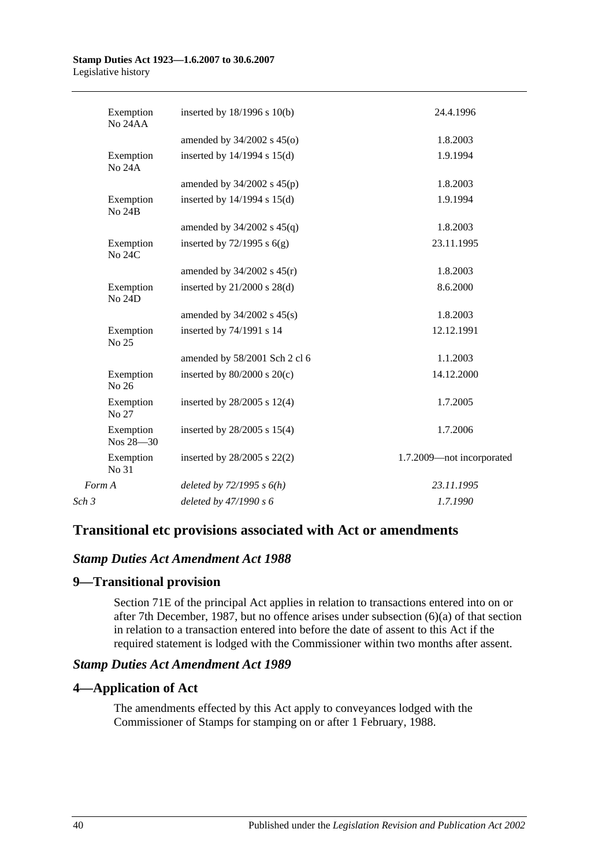| Exemption<br>No 24AA       | inserted by 18/1996 s 10(b)     | 24.4.1996                 |
|----------------------------|---------------------------------|---------------------------|
|                            | amended by $34/2002$ s $45(0)$  | 1.8.2003                  |
| Exemption<br><b>No 24A</b> | inserted by $14/1994$ s $15(d)$ | 1.9.1994                  |
|                            | amended by $34/2002$ s $45(p)$  | 1.8.2003                  |
| Exemption<br><b>No 24B</b> | inserted by $14/1994$ s $15(d)$ | 1.9.1994                  |
|                            | amended by $34/2002$ s $45(q)$  | 1.8.2003                  |
| Exemption<br><b>No 24C</b> | inserted by $72/1995$ s $6(g)$  | 23.11.1995                |
|                            | amended by $34/2002$ s $45(r)$  | 1.8.2003                  |
| Exemption<br><b>No 24D</b> | inserted by $21/2000$ s $28(d)$ | 8.6.2000                  |
|                            | amended by $34/2002$ s $45(s)$  | 1.8.2003                  |
| Exemption<br>No 25         | inserted by 74/1991 s 14        | 12.12.1991                |
|                            | amended by 58/2001 Sch 2 cl 6   | 1.1.2003                  |
| Exemption<br>No 26         | inserted by $80/2000$ s $20(c)$ | 14.12.2000                |
| Exemption<br>No 27         | inserted by $28/2005$ s $12(4)$ | 1.7.2005                  |
| Exemption<br>$Nos 28 - 30$ | inserted by 28/2005 s 15(4)     | 1.7.2006                  |
| Exemption<br>No 31         | inserted by $28/2005$ s $22(2)$ | 1.7.2009—not incorporated |
| Form A                     | deleted by $72/1995 s 6(h)$     | 23.11.1995                |
| Sch 3                      | deleted by 47/1990 s 6          | 1.7.1990                  |
|                            |                                 |                           |

# **Transitional etc provisions associated with Act or amendments**

## *Stamp Duties Act Amendment Act 1988*

## **9—Transitional provision**

Section 71E of the principal Act applies in relation to transactions entered into on or after 7th December, 1987, but no offence arises under subsection (6)(a) of that section in relation to a transaction entered into before the date of assent to this Act if the required statement is lodged with the Commissioner within two months after assent.

## *Stamp Duties Act Amendment Act 1989*

## **4—Application of Act**

The amendments effected by this Act apply to conveyances lodged with the Commissioner of Stamps for stamping on or after 1 February, 1988.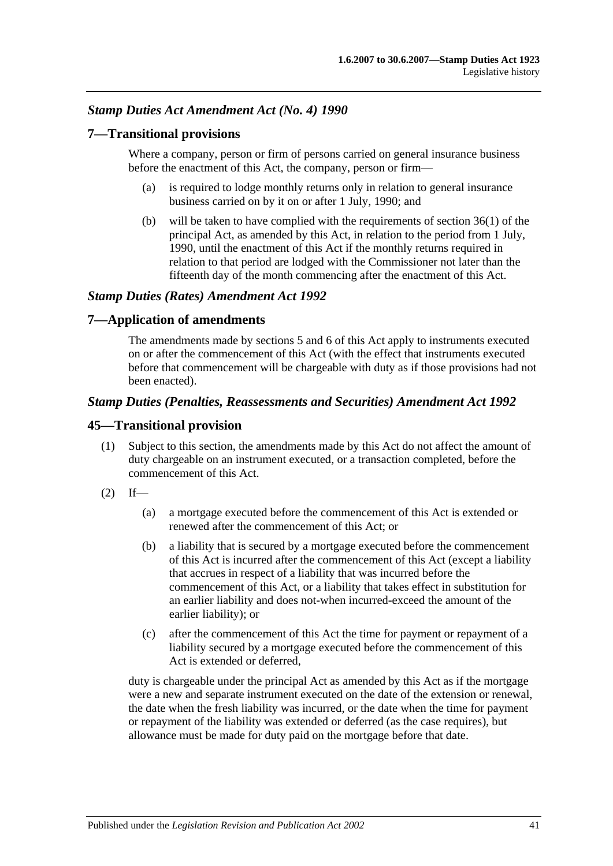# *Stamp Duties Act Amendment Act (No. 4) 1990*

### **7—Transitional provisions**

Where a company, person or firm of persons carried on general insurance business before the enactment of this Act, the company, person or firm—

- (a) is required to lodge monthly returns only in relation to general insurance business carried on by it on or after 1 July, 1990; and
- (b) will be taken to have complied with the requirements of section 36(1) of the principal Act, as amended by this Act, in relation to the period from 1 July, 1990, until the enactment of this Act if the monthly returns required in relation to that period are lodged with the Commissioner not later than the fifteenth day of the month commencing after the enactment of this Act.

### *Stamp Duties (Rates) Amendment Act 1992*

#### **7—Application of amendments**

The amendments made by sections 5 and 6 of this Act apply to instruments executed on or after the commencement of this Act (with the effect that instruments executed before that commencement will be chargeable with duty as if those provisions had not been enacted).

### *Stamp Duties (Penalties, Reassessments and Securities) Amendment Act 1992*

### **45—Transitional provision**

- (1) Subject to this section, the amendments made by this Act do not affect the amount of duty chargeable on an instrument executed, or a transaction completed, before the commencement of this Act.
- $(2)$  If—
	- (a) a mortgage executed before the commencement of this Act is extended or renewed after the commencement of this Act; or
	- (b) a liability that is secured by a mortgage executed before the commencement of this Act is incurred after the commencement of this Act (except a liability that accrues in respect of a liability that was incurred before the commencement of this Act, or a liability that takes effect in substitution for an earlier liability and does not-when incurred-exceed the amount of the earlier liability); or
	- (c) after the commencement of this Act the time for payment or repayment of a liability secured by a mortgage executed before the commencement of this Act is extended or deferred,

duty is chargeable under the principal Act as amended by this Act as if the mortgage were a new and separate instrument executed on the date of the extension or renewal, the date when the fresh liability was incurred, or the date when the time for payment or repayment of the liability was extended or deferred (as the case requires), but allowance must be made for duty paid on the mortgage before that date.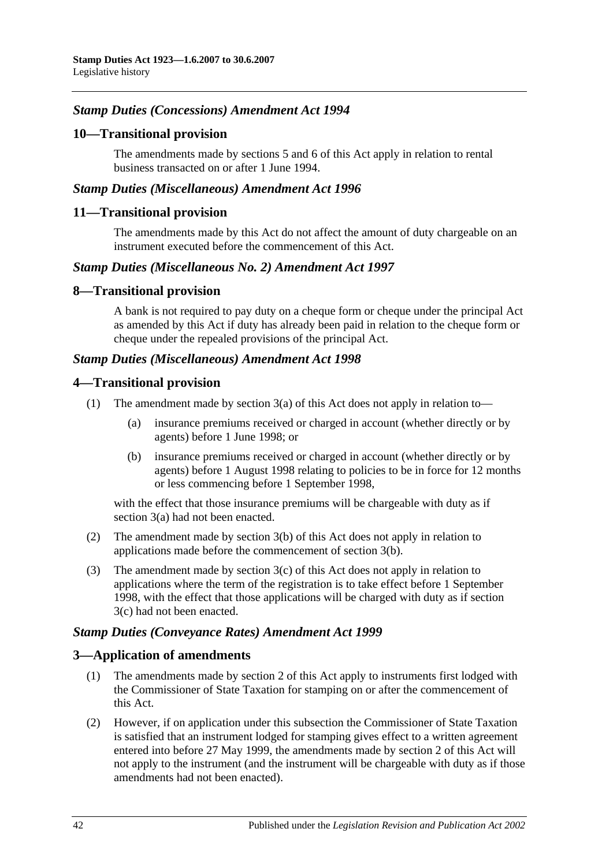# *Stamp Duties (Concessions) Amendment Act 1994*

### **10—Transitional provision**

The amendments made by sections 5 and 6 of this Act apply in relation to rental business transacted on or after 1 June 1994.

#### *Stamp Duties (Miscellaneous) Amendment Act 1996*

#### **11—Transitional provision**

The amendments made by this Act do not affect the amount of duty chargeable on an instrument executed before the commencement of this Act.

### *Stamp Duties (Miscellaneous No. 2) Amendment Act 1997*

### **8—Transitional provision**

A bank is not required to pay duty on a cheque form or cheque under the principal Act as amended by this Act if duty has already been paid in relation to the cheque form or cheque under the repealed provisions of the principal Act.

### *Stamp Duties (Miscellaneous) Amendment Act 1998*

### **4—Transitional provision**

- (1) The amendment made by section  $3(a)$  of this Act does not apply in relation to—
	- (a) insurance premiums received or charged in account (whether directly or by agents) before 1 June 1998; or
	- (b) insurance premiums received or charged in account (whether directly or by agents) before 1 August 1998 relating to policies to be in force for 12 months or less commencing before 1 September 1998,

with the effect that those insurance premiums will be chargeable with duty as if section 3(a) had not been enacted.

- (2) The amendment made by section 3(b) of this Act does not apply in relation to applications made before the commencement of section 3(b).
- (3) The amendment made by section 3(c) of this Act does not apply in relation to applications where the term of the registration is to take effect before 1 September 1998, with the effect that those applications will be charged with duty as if section 3(c) had not been enacted.

#### *Stamp Duties (Conveyance Rates) Amendment Act 1999*

## **3—Application of amendments**

- (1) The amendments made by section 2 of this Act apply to instruments first lodged with the Commissioner of State Taxation for stamping on or after the commencement of this Act.
- (2) However, if on application under this subsection the Commissioner of State Taxation is satisfied that an instrument lodged for stamping gives effect to a written agreement entered into before 27 May 1999, the amendments made by section 2 of this Act will not apply to the instrument (and the instrument will be chargeable with duty as if those amendments had not been enacted).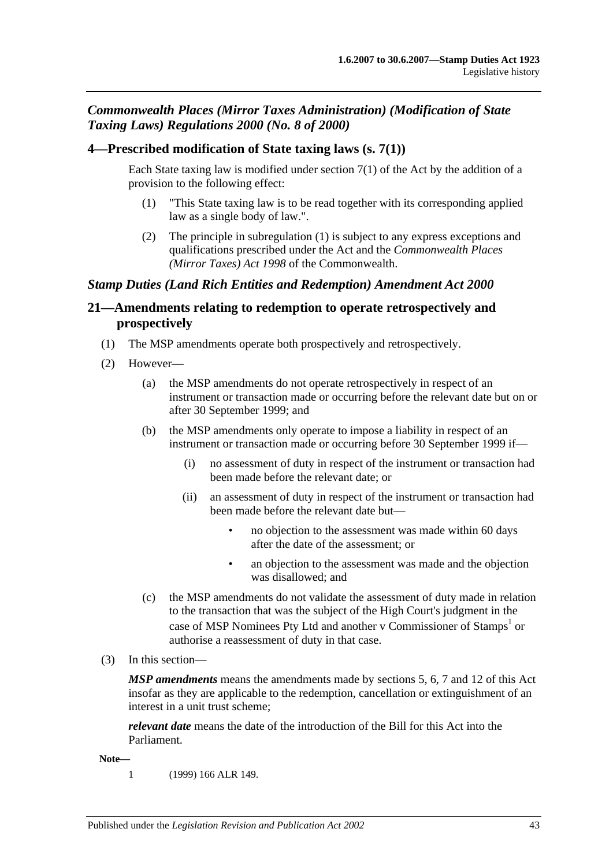# *Commonwealth Places (Mirror Taxes Administration) (Modification of State Taxing Laws) Regulations 2000 (No. 8 of 2000)*

## **4—Prescribed modification of State taxing laws (s. 7(1))**

Each State taxing law is modified under section 7(1) of the Act by the addition of a provision to the following effect:

- (1) "This State taxing law is to be read together with its corresponding applied law as a single body of law.".
- (2) The principle in subregulation (1) is subject to any express exceptions and qualifications prescribed under the Act and the *Commonwealth Places (Mirror Taxes) Act 1998* of the Commonwealth.

## *Stamp Duties (Land Rich Entities and Redemption) Amendment Act 2000*

## **21—Amendments relating to redemption to operate retrospectively and prospectively**

- (1) The MSP amendments operate both prospectively and retrospectively.
- (2) However—
	- (a) the MSP amendments do not operate retrospectively in respect of an instrument or transaction made or occurring before the relevant date but on or after 30 September 1999; and
	- (b) the MSP amendments only operate to impose a liability in respect of an instrument or transaction made or occurring before 30 September 1999 if—
		- (i) no assessment of duty in respect of the instrument or transaction had been made before the relevant date; or
		- (ii) an assessment of duty in respect of the instrument or transaction had been made before the relevant date but—
			- no objection to the assessment was made within 60 days after the date of the assessment; or
			- an objection to the assessment was made and the objection was disallowed; and
	- (c) the MSP amendments do not validate the assessment of duty made in relation to the transaction that was the subject of the High Court's judgment in the case of MSP Nominees Pty Ltd and another v Commissioner of Stamps<sup>1</sup> or authorise a reassessment of duty in that case.
- (3) In this section—

*MSP amendments* means the amendments made by sections 5, 6, 7 and 12 of this Act insofar as they are applicable to the redemption, cancellation or extinguishment of an interest in a unit trust scheme;

*relevant date* means the date of the introduction of the Bill for this Act into the Parliament.

**Note—**

1 (1999) 166 ALR 149.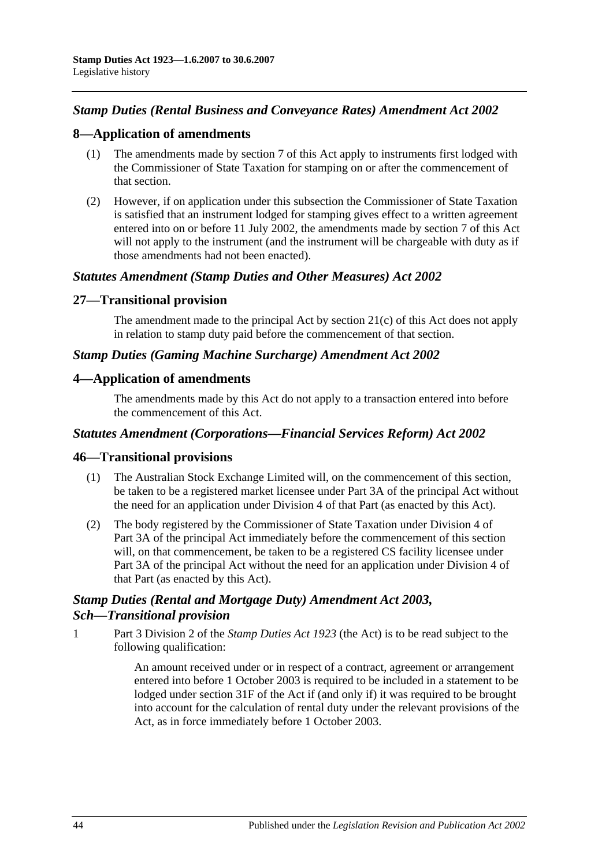# *Stamp Duties (Rental Business and Conveyance Rates) Amendment Act 2002*

### **8—Application of amendments**

- (1) The amendments made by section 7 of this Act apply to instruments first lodged with the Commissioner of State Taxation for stamping on or after the commencement of that section.
- (2) However, if on application under this subsection the Commissioner of State Taxation is satisfied that an instrument lodged for stamping gives effect to a written agreement entered into on or before 11 July 2002, the amendments made by section 7 of this Act will not apply to the instrument (and the instrument will be chargeable with duty as if those amendments had not been enacted).

### *Statutes Amendment (Stamp Duties and Other Measures) Act 2002*

### **27—Transitional provision**

The amendment made to the principal Act by section 21(c) of this Act does not apply in relation to stamp duty paid before the commencement of that section.

#### *Stamp Duties (Gaming Machine Surcharge) Amendment Act 2002*

### **4—Application of amendments**

The amendments made by this Act do not apply to a transaction entered into before the commencement of this Act.

#### *Statutes Amendment (Corporations—Financial Services Reform) Act 2002*

## **46—Transitional provisions**

- (1) The Australian Stock Exchange Limited will, on the commencement of this section, be taken to be a registered market licensee under Part 3A of the principal Act without the need for an application under Division 4 of that Part (as enacted by this Act).
- (2) The body registered by the Commissioner of State Taxation under Division 4 of Part 3A of the principal Act immediately before the commencement of this section will, on that commencement, be taken to be a registered CS facility licensee under Part 3A of the principal Act without the need for an application under Division 4 of that Part (as enacted by this Act).

# *Stamp Duties (Rental and Mortgage Duty) Amendment Act 2003, Sch—Transitional provision*

1 Part 3 Division 2 of the *[Stamp Duties Act](http://www.legislation.sa.gov.au/index.aspx?action=legref&type=act&legtitle=Stamp%20Duties%20Act%201923) 1923* (the Act) is to be read subject to the following qualification:

> An amount received under or in respect of a contract, agreement or arrangement entered into before 1 October 2003 is required to be included in a statement to be lodged under section 31F of the Act if (and only if) it was required to be brought into account for the calculation of rental duty under the relevant provisions of the Act, as in force immediately before 1 October 2003.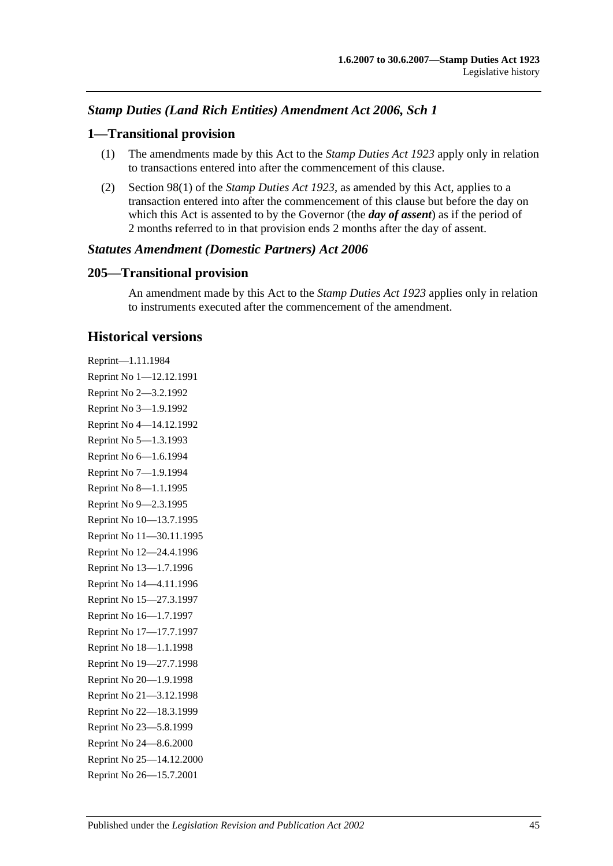# *Stamp Duties (Land Rich Entities) Amendment Act 2006, Sch 1*

### **1—Transitional provision**

- (1) The amendments made by this Act to the *[Stamp Duties Act](http://www.legislation.sa.gov.au/index.aspx?action=legref&type=act&legtitle=Stamp%20Duties%20Act%201923) 1923* apply only in relation to transactions entered into after the commencement of this clause.
- (2) Section 98(1) of the *[Stamp Duties Act](http://www.legislation.sa.gov.au/index.aspx?action=legref&type=act&legtitle=Stamp%20Duties%20Act%201923) 1923*, as amended by this Act, applies to a transaction entered into after the commencement of this clause but before the day on which this Act is assented to by the Governor (the *day of assent*) as if the period of 2 months referred to in that provision ends 2 months after the day of assent.

#### *Statutes Amendment (Domestic Partners) Act 2006*

#### **205—Transitional provision**

An amendment made by this Act to the *[Stamp Duties Act](http://www.legislation.sa.gov.au/index.aspx?action=legref&type=act&legtitle=Stamp%20Duties%20Act%201923) 1923* applies only in relation to instruments executed after the commencement of the amendment.

# **Historical versions**

Reprint—1.11.1984 Reprint No 1—12.12.1991 Reprint No 2—3.2.1992 Reprint No 3—1.9.1992 Reprint No 4—14.12.1992 Reprint No 5—1.3.1993 Reprint No 6—1.6.1994 Reprint No 7—1.9.1994 Reprint No 8—1.1.1995 Reprint No 9—2.3.1995 Reprint No 10—13.7.1995 Reprint No 11—30.11.1995 Reprint No 12—24.4.1996 Reprint No 13—1.7.1996 Reprint No 14—4.11.1996 Reprint No 15—27.3.1997 Reprint No 16—1.7.1997 Reprint No 17—17.7.1997 Reprint No 18—1.1.1998 Reprint No 19—27.7.1998 Reprint No 20—1.9.1998 Reprint No 21—3.12.1998 Reprint No 22—18.3.1999 Reprint No 23—5.8.1999 Reprint No 24—8.6.2000 Reprint No 25—14.12.2000 Reprint No 26—15.7.2001